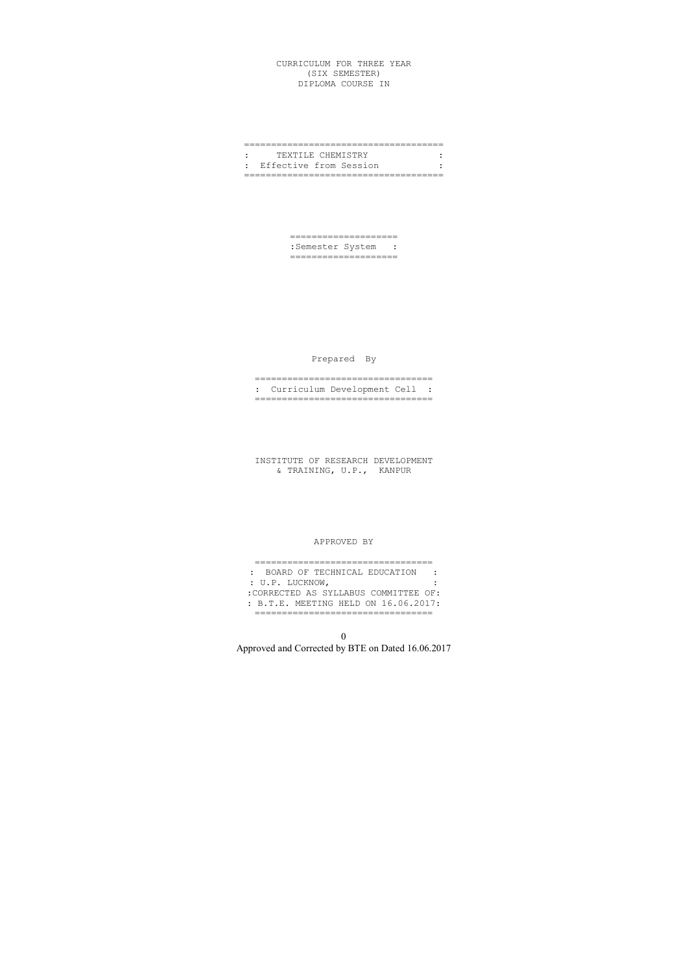## CURRICULUM FOR THREE YEAR (SIX SEMESTER) DIPLOMA COURSE IN

## ===================================== : TEXTILE CHEMISTRY : : Effective from Session : =====================================

==================== :Semester System : ====================

# Prepared By

================================= : Curriculum Development Cell : =================================

INSTITUTE OF RESEARCH DEVELOPMENT & TRAINING, U.P., KANPUR

#### APPROVED BY

| : BOARD OF TECHNICAL EDUCATION       |  |
|--------------------------------------|--|
| : U.P. LUCKNOW,                      |  |
| :CORRECTED AS SYLLABUS COMMITTEE OF: |  |
| : B.T.E. MEETING HELD ON 16.06.2017: |  |
|                                      |  |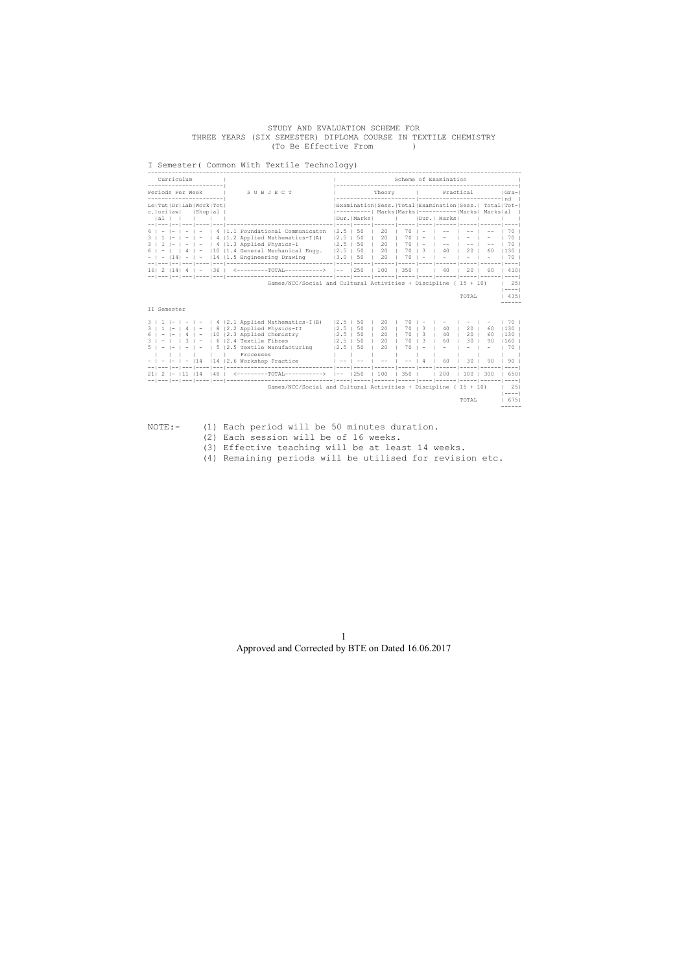#### STUDY AND EVALUATION SCHEME FOR THREE YEARS (SIX SEMESTER) DIPLOMA COURSE IN TEXTILE CHEMISTRY (To Be Effective From )

## I Semester( Common With Textile Technology)

| Curriculum<br>________________________                      |                                                                                                                                                                                                                                                                                                                                                                                                                                                                                                                                                                                                                                            |  |                                  |  |                                     |  | Scheme of Examination                                                                                          |                            |                       |                                                                                                                                               |
|-------------------------------------------------------------|--------------------------------------------------------------------------------------------------------------------------------------------------------------------------------------------------------------------------------------------------------------------------------------------------------------------------------------------------------------------------------------------------------------------------------------------------------------------------------------------------------------------------------------------------------------------------------------------------------------------------------------------|--|----------------------------------|--|-------------------------------------|--|----------------------------------------------------------------------------------------------------------------|----------------------------|-----------------------|-----------------------------------------------------------------------------------------------------------------------------------------------|
| Periods Per Week   SUBJECT<br>-----------------------       |                                                                                                                                                                                                                                                                                                                                                                                                                                                                                                                                                                                                                                            |  | Theory   Practical   Gra-1       |  |                                     |  |                                                                                                                |                            |                       |                                                                                                                                               |
| Le   Tut   Dr   Lab   Work   Tot  <br>c.lorilawl IShoplal I |                                                                                                                                                                                                                                                                                                                                                                                                                                                                                                                                                                                                                                            |  |                                  |  |                                     |  | Examination Sess. Total Examination Sess.  Total Tot- <br> ----------  Marks Marks ----------- Marks  Marks al |                            |                       |                                                                                                                                               |
|                                                             |                                                                                                                                                                                                                                                                                                                                                                                                                                                                                                                                                                                                                                            |  |                                  |  |                                     |  |                                                                                                                |                            |                       |                                                                                                                                               |
|                                                             | $4$   -  -   -   -   4   1.1 Foundational Communicaton   2.5   50   20   70   -   --   --  <br>$3$   1  -   -   -   4   1.2 Applied Mathematics-I(A)   2.5   50   20   70   -   -   -  <br>$3 + 1 - 1 - 1 - 14$ 1.3 Applied Physics-I<br>$ 2.5 50 20 70 $ - $ -1$ --1<br>6   -     4   -   10   1.4 General Mechanical Engg.   2.5   50   20   70   3   40   20   60                                                                                                                                                                                                                                                                       |  |                                  |  |                                     |  |                                                                                                                |                            | $ -$                  | 1701<br>1701<br>1701<br>$1130 +$                                                                                                              |
|                                                             | $-$   -  14  -   -  14   1.5 Engineering Drawing (3.0   50   20   70   -   -   -                                                                                                                                                                                                                                                                                                                                                                                                                                                                                                                                                           |  |                                  |  |                                     |  |                                                                                                                |                            | $\sim$                | 1701                                                                                                                                          |
|                                                             | 16   2   14   4   -   36   $\leq$ ---------TOTAL---------->  --   250   100   350       40   20   60   410                                                                                                                                                                                                                                                                                                                                                                                                                                                                                                                                 |  |                                  |  |                                     |  |                                                                                                                |                            |                       |                                                                                                                                               |
| II Semester                                                 | Games/NCC/Social and Cultural Activities + Discipline (15 + 10)                                                                                                                                                                                                                                                                                                                                                                                                                                                                                                                                                                            |  |                                  |  |                                     |  |                                                                                                                | TOTAL                      |                       | $\vert$ 251<br>$1 - - - - 1$<br>14351                                                                                                         |
| $5 + - 1 - 1 - 1 -$                                         | $3 \mid 1 \mid - \mid - \mid - \mid 4 \mid 2.1$ Applied Mathematics-I(B) $\mid 2.5 \mid 50 \mid 20 \mid$<br>$3 \mid 1 \mid - \mid 4 \mid - \mid 8 \mid 2.2$ Applied Physics-II<br>$6$   -   -   4   -   10   2.3 Applied Chemistry   2.5   50   20<br>$3$   -     $3$   -   6   2.4 Textile Fibres<br>$ 5 2.5$ Textile Manufacturing $ 2.5 50 $ 20<br>Processes<br>- $ - - - 14 $   14   2.6 Workshop Practice $ - - $ -- $ - $ -- $ $ -- $ 4 $   60   30  <br>21   2   -   11   14   48   $\leq$ ---------TOTAL---------->  --   250   100   350       200   100   300<br>Games/NCC/Social and Cultural Activities + Discipline (15 + 10) |  | $ 2.5 $ 50   20<br>$ 2.5 50 $ 20 |  | 170131<br>70   3   60<br>$1701 - 1$ |  | $701 - 1 - 1$<br>40<br>170131401201                                                                            | $20 \mid$<br>1301<br>TOTAL | 60.<br>60<br>90<br>90 | $-$ 1 70 1<br>$130$ $\pm$<br>$1130 +$<br>$1160$ $\top$<br>1701<br>$\vert$ 90 $\vert$<br>16501<br>$\vert$ 25 $\vert$<br>$  - - - -  $<br>16751 |

- NOTE:- (1) Each period will be 50 minutes duration. (2) Each session will be of 16 weeks.
	- (3) Effective teaching will be at least 14 weeks.
	- (4) Remaining periods will be utilised for revision etc.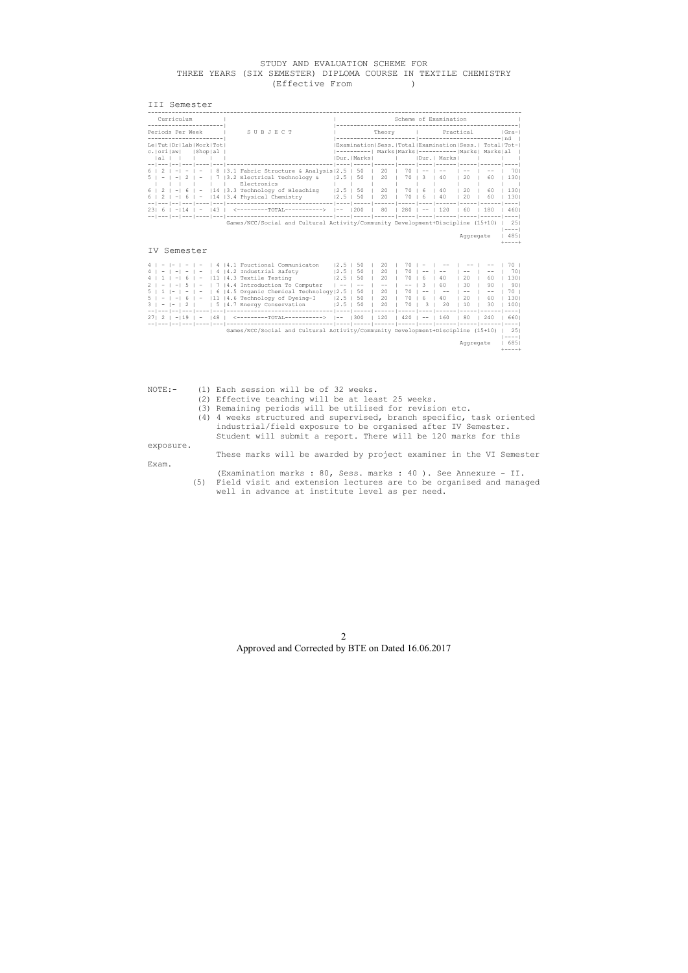## STUDY AND EVALUATION SCHEME FOR THREE YEARS (SIX SEMESTER) DIPLOMA COURSE IN TEXTILE CHEMISTRY<br>(Effective From ) (Effective From )

#### III Semester

|                  | Curriculum  |            |                                                                 |                                                                                                   |             | Scheme of Examination |                    |                  |       |                                                                                                                                |              |          |                                              |  |
|------------------|-------------|------------|-----------------------------------------------------------------|---------------------------------------------------------------------------------------------------|-------------|-----------------------|--------------------|------------------|-------|--------------------------------------------------------------------------------------------------------------------------------|--------------|----------|----------------------------------------------|--|
| Periods Per Week |             | SUBJECT    |                                                                 |                                                                                                   |             |                       | Theory I Practical |                  |       |                                                                                                                                | Gra-         |          |                                              |  |
|                  | lal I       |            | Le   Tut   Dr   Lab   Work   Tot  <br>c.   ori   aw   Shop   al |                                                                                                   |             | Dur. Marks            |                    |                  |       | Examination Sess. Total Examination Sess.  Total Tot- <br>----------  Marks Marks ---------- Marks  Marks al<br>1 Dur.   Marks |              |          |                                              |  |
|                  |             |            |                                                                 | 8   3.1 Fabric Structure & Analysis   2.5   50<br> 3.2 Electrical Technology &<br>Electronics     | $12.5$ 1 50 |                       | 20<br>20           | 70<br>70         |       | 40                                                                                                                             | $20^{\circ}$ | 60       | 701<br>1301                                  |  |
|                  | $2 \mid -1$ | $6 \mid -$ |                                                                 | $\vert$ 14   3.3 Technology of Bleaching   2.5   50  <br>$ 14 $ 3.4 Physical Chemistry $ 2.5 $ 50 |             |                       | 20<br>20           | 70 1 6<br>70   6 |       | 40<br>40                                                                                                                       | 20<br>20     | 60<br>60 | 1301<br>1301                                 |  |
| 231              |             |            |                                                                 | 43   <---------TOTAL----------->  --  200                                                         |             |                       | 80                 | 12801            | $- -$ | 120                                                                                                                            | 60           | 180      | 4601                                         |  |
|                  |             |            |                                                                 | Games/NCC/Social and Cultural Activity/Community Development+Discipline (15+10)                   |             |                       |                    |                  |       |                                                                                                                                | Aqqreqate    |          | 251<br>$--- - - -$<br> 485 <br>$+ - - - - +$ |  |
| IV.              |             |            | Semester                                                        |                                                                                                   |             |                       |                    |                  |       |                                                                                                                                |              |          |                                              |  |

| 4   4.1 Fouctional Communicaton<br>$\overline{\phantom{0}}$                                                | 12.5              | 50          | 20           | 70.            |          |           |       | 70.    |
|------------------------------------------------------------------------------------------------------------|-------------------|-------------|--------------|----------------|----------|-----------|-------|--------|
| 4   4.2 Industrial Safety<br>41<br>$\sim$ $-$<br>$\sim$ $-$<br>$\overline{a}$                              | 12.5              | 50          | 20           | 70             |          |           |       | 701    |
|                                                                                                            |                   |             |              |                |          |           |       |        |
| 4.3 Textile Testing<br>111<br>4 <sup>1</sup><br>61<br>$\overline{\phantom{0}}$<br>$\overline{\phantom{a}}$ | 12.5              | 50          | $20^{\circ}$ | 70.<br>$6 -$   | 40       | 20        | 60    | 1301   |
| 4.4 Introduction To Computer<br>$2 \mid - \mid$<br>$-1$<br>$5 \mid -$                                      |                   |             | $- -$        | $-- 13$        | 60       | 30        | 90    | 901    |
| 6 4.5 Organic Chemical Technology   2.5<br>$\sim$ 1<br>$-1$ $-$<br>5 <sub>1</sub>                          |                   | 50          | 20           | 70             |          | $- -$     | $- -$ | 70     |
| 11  4.6 Technology of Dyeing-I<br>$6 \mid -$<br>$5 - 1 - 1$                                                | 12.5              | 50          | 20           | 70 I<br>$6 -$  | 40       | 20        | 60    | 1301   |
| 5   4.7 Energy Conservation<br>$\frac{2}{2}$<br>$-1$                                                       |                   | $12.5$   50 | 20           | $-3 +$<br>70 I | $20 -$   | 10        | 30    | 1001   |
| $- - 1$                                                                                                    |                   |             |              |                |          |           |       |        |
| 148<br><---------TOTAL-----------><br>$27121 - 139$<br>$\blacksquare$                                      | $\vert - - \vert$ | 1300        | 120          | $420$          | $-- 160$ | 80        | 240   | 6601   |
|                                                                                                            |                   |             |              |                |          |           |       |        |
| Games/NCC/Social and Cultural Activity/Community Development+Discipline (15+10)                            |                   |             |              |                |          |           |       | 251    |
|                                                                                                            |                   |             |              |                |          |           |       | $---$  |
|                                                                                                            |                   |             |              |                |          | Aggregate |       | 6851   |
|                                                                                                            |                   |             |              |                |          |           |       | +----+ |

NOTE:- (1) Each session will be of 32 weeks.

- (2) Effective teaching will be at least 25 weeks.
- (3) Remaining periods will be utilised for revision etc.
- (4) 4 weeks structured and supervised, branch specific, task oriented industrial/field exposure to be organised after IV Semester. Student will submit a report. There will be 120 marks for this

exposure.

These marks will be awarded by project examiner in the VI Semester

Exam.

 (Examination marks : 80, Sess. marks : 40 ). See Annexure - II. (5) Field visit and extension lectures are to be organised and managed well in advance at institute level as per need.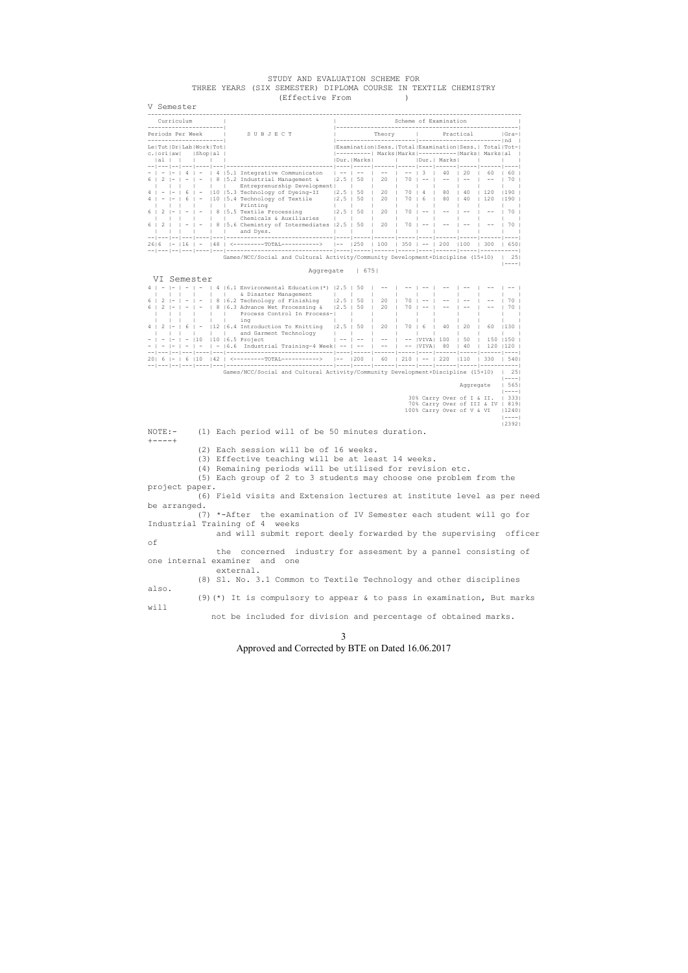#### STUDY AND EVALUATION SCHEME FOR THREE YEARS (SIX SEMESTER) DIPLOMA COURSE IN TEXTILE CHEMISTRY (Effective From )

V Semester ------------------------------------------------------------------------------------------------------------- Curriculum | | Scheme of Examination | ----------------------| |-----------------------------------------------------| Periods Per Week | SUBJECT | Theory | Practical |Gra-----------------------| |-----------------------|------------------------|nd | Le|Tut|Dr|Lab|Work|Tot| |Examination|Sess.|Total|Examination|Sess.| Total|Tot-| c.|ori|aw| |Shop|al | |----------| Marks|Marks|-----------|Marks| Marks|al | |al | | | | | |Dur.|Marks| | |Dur.| Marks| | | | --|---|--|---|----|---|-------------------------------|----|-----|------|-----|----|------|-----|------|----| - | - |- | 4 | - | 4 |5.1 Integrative Communicaton | -- | -- | -- | -- | 3 | 40 | 20 | 60 | 60 | 6 | 2 |- | - | - | 8 |5.2 Industrial Management & |2.5 | 50 | 20 | 70 | -- | -- | -- | -- | 70 | | | | | | | Entreprenurship Development| | | | | | | | | | 4 | - |- | 6 | - |10 |5.3 Technology of Dyeing-II |2.5 | 50 | 20 | 70 | 4 | 80 | 40 | 120 |190 | 4 | - |- | 6 | - |10 |5.4 Technology of Textile |2.5 | 50 | 20 | 70 | 6 | 80 | 40 | 120 |190 | | | | | | | Printing | | | | | | | | | | 6 | 2 |- | - | - | 8 |5.5 Textile Processing |2.5 | 50 | 20 | 70 | -- | -- | -- | -- | 70 | | | | | | | Chemicals & Auxiliaries | | | | | | | | | | 6 | 2 | | - | - | 8 |5.6 Chemistry of Intermediates |2.5 | 50 | 20 | 70 | -- | -- | -- | -- | 70 | | | | | | | and Dyes. | | | | | | | | | | --|---|--|---|----|---|-------------------------------|----|-----|------|-----|----|------|-----|------|----| 26|6 |- |16 | - |48 | <---------TOTAL-----------> |-- |250 | 100 | 350 | -- | 200 |100 | 300 | 650| --|---|--|---|----|---|-------------------------------|----|-----|------|-----|----|------|-----|-----------| Games/NCC/Social and Cultural Activity/Community Development+Discipline (15+10) | 25| |----| Aggregate | 675| VI Semester 4 | - |- | - | - | 4 |6.1 Environmental Education(\*) |2.5 | 50 | -- | -- | -- | -- | -- | -- | -- | | | | | | | & Disaster Management | | | | | | | | | | | |<br>6 | 2 |- | - | - | 8 |6.2 Technology of Finishing | 2.5 | 50 | 20 | 70 | -- | -- | -- | -- | 70 |<br>6 | 2 |- | - | - | 8 |6.3 Advance Wet Processing & | 2.5 | 50 | 20 | | | | | Process Control In Process-|<br>| | | | | | ing | | | | | | ing | | | | | | | | | | 4 | 2 |- | 6 | - |12 |6.4 Introduction To Knitting |2.5 | 50 | 20 | 70 | 6 | 40 | 20 | 60 |130 | | | | | | | and Garment Technology | | | | | | | | | | - | - |- | - |10 |10 |6.5 Project | -- | -- | -- | -- |VIVA| 100 | 50 | 150 |150 | - | - |- | - | - | - |6.6 Industrial Training-4 Week| -- | -- | -- | -- |VIVA| 80 | 40 | 120 |120 | --|---|--|---|----|---|-------------------------------|----|-----|------|-----|----|------|-----|------|----| 20| 6 |- | 6 |10 |42 | <---------TOTAL-----------> |-- |200 | 60 | 210 | -- | 220 |110 | 330 | 540| --|---|--|---|----|---|-------------------------------|----|-----|------|-----|----|------|-----|-----------| Games/NCC/Social and Cultural Activity/Community Development+Discipline (15+10) | 25| |----| Aggregate | 565| |----| 30% Carry Over of I & II. | 333| 70% Carry Over of III & IV | 819| 100% Carry Over of V & VI |1240|  $|---|$  |2392| NOTE:- (1) Each period will of be 50 minutes duration.  $+ - - - - +$  (2) Each session will be of 16 weeks. (3) Effective teaching will be at least 14 weeks. (4) Remaining periods will be utilised for revision etc. (5) Each group of 2 to 3 students may choose one problem from the project paper. (6) Field visits and Extension lectures at institute level as per need be arranged. (7) \*-After the examination of IV Semester each student will go for Industrial Training of 4 weeks and will submit report deely forwarded by the supervising officer of the concerned industry for assesment by a pannel consisting of one internal examiner and one external.

(8) Sl. No. 3.1 Common to Textile Technology and other disciplines

also. (9)(\*) It is compulsory to appear & to pass in examination, But marks will

not be included for division and percentage of obtained marks.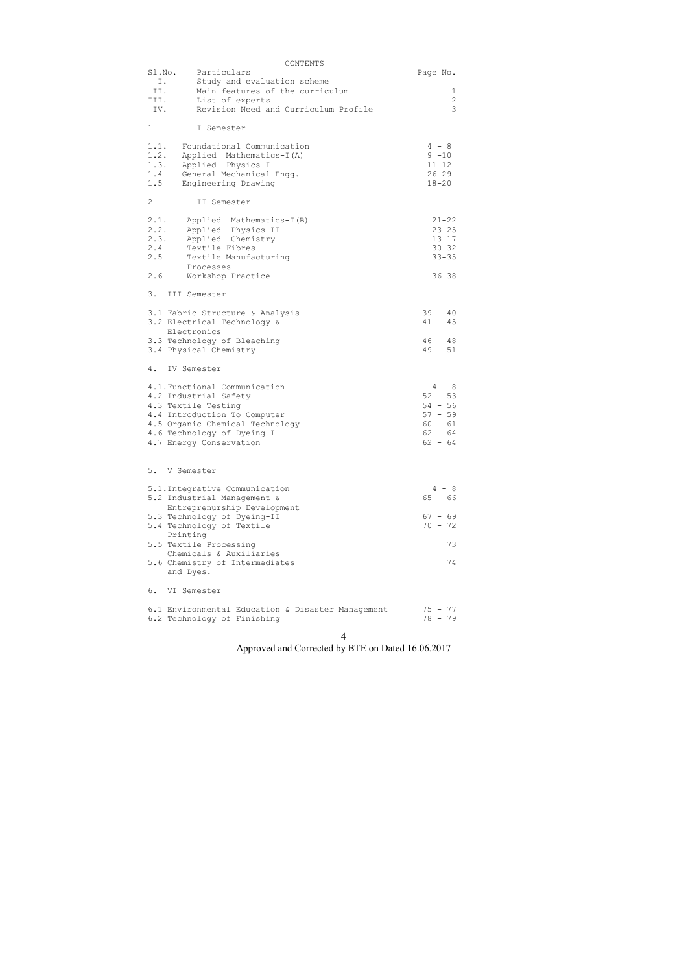|                | CONTENTS                                          |            |
|----------------|---------------------------------------------------|------------|
| Sl.No.         | Particulars                                       | Page No.   |
| Ι.             | Study and evaluation scheme                       |            |
| II.            | Main features of the curriculum                   | 1          |
|                |                                                   |            |
| III.           | List of experts                                   | $\sqrt{2}$ |
| IV.            | Revision Need and Curriculum Profile              | 3          |
|                |                                                   |            |
| 1              | I Semester                                        |            |
|                |                                                   |            |
| 1.1.           | Foundational Communication                        | $4 - 8$    |
|                |                                                   |            |
| 1.2.           | Applied Mathematics-I(A)                          | $9 - 10$   |
| 1.3.           | Applied Physics-I                                 | $11 - 12$  |
| 1.4            | General Mechanical Engg.                          | $26 - 29$  |
| 1.5            | Engineering Drawing                               | $18 - 20$  |
|                |                                                   |            |
| $\overline{2}$ |                                                   |            |
|                | II Semester                                       |            |
|                |                                                   |            |
| 2.1.           | Applied Mathematics-I(B)                          | $21 - 22$  |
| 2.2.           | Applied Physics-II                                | $23 - 25$  |
| 2.3.           | Applied Chemistry                                 | $13 - 17$  |
| 2.4            | Textile Fibres                                    | $30 - 32$  |
|                |                                                   |            |
|                | 2.5<br>Textile Manufacturing                      | $33 - 35$  |
|                | Processes                                         |            |
| 2.6            | Workshop Practice                                 | $36 - 38$  |
|                |                                                   |            |
| 3.             | III Semester                                      |            |
|                |                                                   |            |
|                |                                                   |            |
|                | 3.1 Fabric Structure & Analysis                   | $39 - 40$  |
|                | 3.2 Electrical Technology &                       | $41 - 45$  |
|                | Electronics                                       |            |
|                | 3.3 Technology of Bleaching                       | $46 - 48$  |
|                |                                                   | $49 - 51$  |
|                | 3.4 Physical Chemistry                            |            |
|                |                                                   |            |
| 4.             | IV Semester                                       |            |
|                |                                                   |            |
|                | 4.1. Functional Communication                     | $4 - 8$    |
|                | 4.2 Industrial Safety                             | $52 - 53$  |
|                |                                                   |            |
|                | 4.3 Textile Testing                               | $54 - 56$  |
|                | 4.4 Introduction To Computer                      | $57 - 59$  |
|                | 4.5 Organic Chemical Technology                   | $60 - 61$  |
|                | 4.6 Technology of Dyeing-I                        | $62 - 64$  |
|                | 4.7 Energy Conservation                           | $62 - 64$  |
|                |                                                   |            |
|                |                                                   |            |
|                |                                                   |            |
| 5.             | V Semester                                        |            |
|                |                                                   |            |
|                | 5.1. Integrative Communication                    | $4 - 8$    |
|                | 5.2 Industrial Management &                       | $65 - 66$  |
|                |                                                   |            |
|                | Entreprenurship Development                       |            |
|                | 5.3 Technology of Dyeing-II                       | $67 - 69$  |
|                | 5.4 Technology of Textile                         | $70 - 72$  |
|                | Printing                                          |            |
|                | 5.5 Textile Processing                            | 73         |
|                | Chemicals & Auxiliaries                           |            |
|                |                                                   |            |
|                | 5.6 Chemistry of Intermediates                    | 74         |
|                | and Dyes.                                         |            |
|                |                                                   |            |
| 6.             | VI Semester                                       |            |
|                |                                                   |            |
|                |                                                   | 75 - 77    |
|                | 6.1 Environmental Education & Disaster Management |            |
|                | 6.2 Technology of Finishing                       | 78 - 79    |
|                |                                                   |            |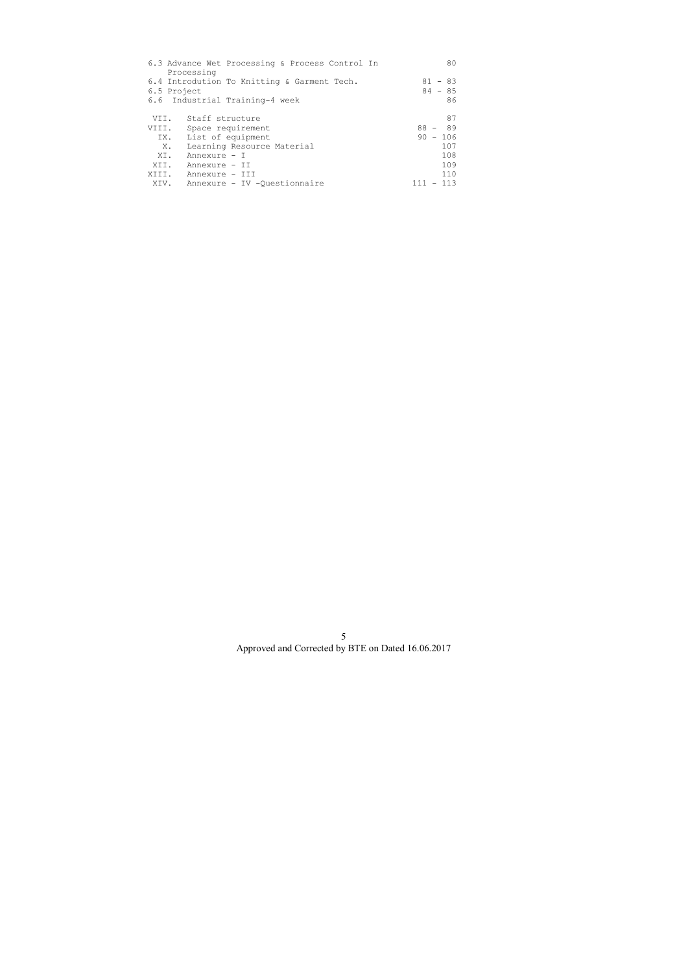|             | 6.3 Advance Wet Processing & Process Control In<br>Processing                 | 80                           |
|-------------|-------------------------------------------------------------------------------|------------------------------|
| 6.5 Project | 6.4 Introdution To Knitting & Garment Tech.<br>6.6 Industrial Training-4 week | $81 - 83$<br>$84 - 85$<br>86 |
|             | VII. Staff structure                                                          | 87                           |
| VIII.       | Space requirement                                                             | $88 - 89$                    |
|             | IX. List of equipment                                                         | $90 - 106$                   |
| Х.          | Learning Resource Material                                                    | 107                          |
| XI.         | Annexure - I                                                                  | 108                          |
| XII.        | Annexure - II                                                                 | 109                          |
|             | XIII. Annexure - III                                                          | 110                          |
|             | XIV. Annexure - IV -Ouestionnaire                                             | $-113$                       |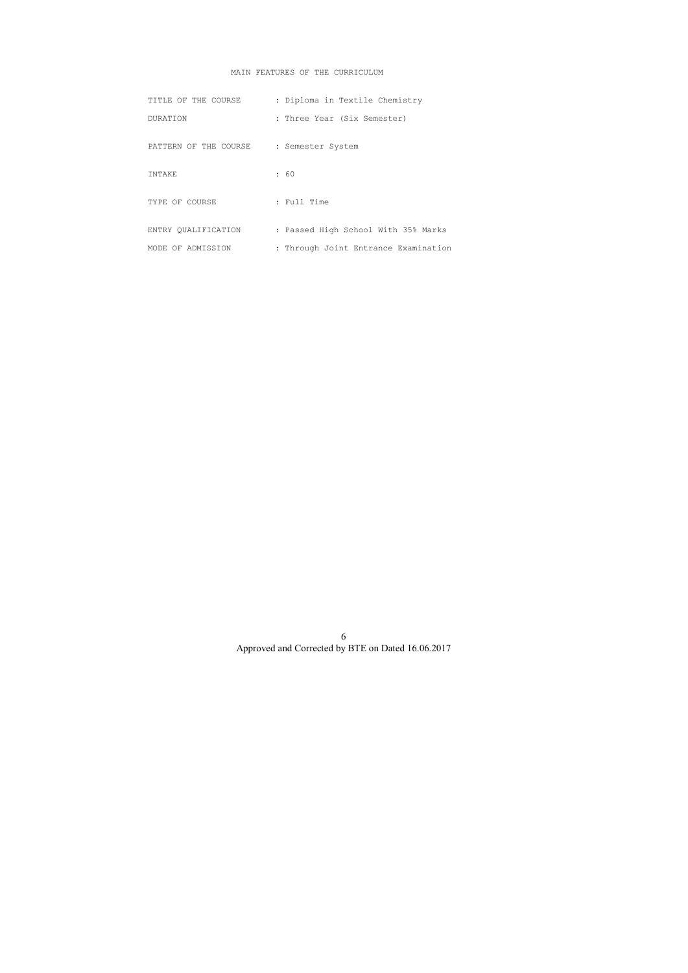# MAIN FEATURES OF THE CURRICULUM

| TITLE OF THE COURSE   | : Diploma in Textile Chemistry       |
|-----------------------|--------------------------------------|
| <b>DURATION</b>       | : Three Year (Six Semester)          |
| PATTERN OF THE COURSE | : Semester System                    |
| <b>TNTAKE</b>         | : 60                                 |
| TYPE OF COURSE        | : Full Time                          |
| ENTRY OUALIFICATION   | : Passed High School With 35% Marks  |
| MODE OF ADMISSION     | : Through Joint Entrance Examination |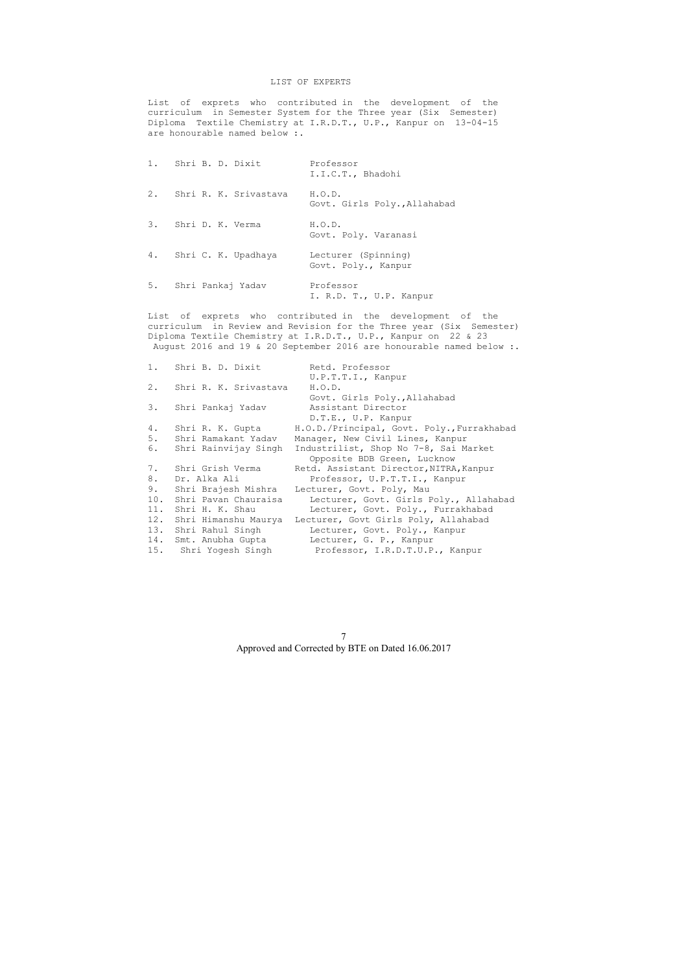List of exprets who contributed in the development of the curriculum in Semester System for the Three year (Six Semester) Diploma Textile Chemistry at I.R.D.T., U.P., Kanpur on 13-04-15 are honourable named below :.

## LIST OF EXPERTS

List of exprets who contributed in the development of the curriculum in Review and Revision for the Three year (Six Semester) Diploma Textile Chemistry at I.R.D.T., U.P., Kanpur on 22 & 23 August 2016 and 19 & 20 September 2016 are honourable named below :.

| 1. Shri B. D. Dixit      | Professor<br>I.I.C.T., Bhadohi             |
|--------------------------|--------------------------------------------|
| 2. Shri R. K. Srivastava | H. O. D.<br>Govt. Girls Poly., Allahabad   |
| 3. Shri D. K. Verma      | H.O.D.<br>Govt. Poly. Varanasi             |
| 4. Shri C. K. Upadhaya   | Lecturer (Spinning)<br>Govt. Poly., Kanpur |
| 5. Shri Pankaj Yadav     | Professor<br>I. R.D. T., U.P. Kanpur       |

| 1.    | Shri B. D. Dixit      | Retd. Professor                            |
|-------|-----------------------|--------------------------------------------|
|       |                       | U.P.T.T.I., Kanpur                         |
| $2$ . | Shri R. K. Srivastava | H.O.D.                                     |
|       |                       | Govt. Girls Poly., Allahabad               |
|       | 3. Shri Pankaj Yadav  | Assistant Director                         |
|       |                       | D.T.E., U.P. Kanpur                        |
| 4.    | Shri R. K. Gupta      | H.O.D./Principal, Govt. Poly., Furrakhabad |
| 5.    | Shri Ramakant Yadav   | Manager, New Civil Lines, Kanpur           |
| 6.    | Shri Rainvijay Singh  | Industrilist, Shop No 7-8, Sai Market      |
|       |                       | Opposite BDB Green, Lucknow                |
| 7.    | Shri Grish Verma      | Retd. Assistant Director, NITRA, Kanpur    |
| 8.    | Dr. Alka Ali          | Professor, U.P.T.T.I., Kanpur              |
| 9.    | Shri Brajesh Mishra   | Lecturer, Govt. Poly, Mau                  |
| 10.   | Shri Pavan Chauraisa  | Lecturer, Govt. Girls Poly., Allahabad     |
| 11.   | Shri H. K. Shau       | Lecturer, Govt. Poly., Furrakhabad         |
| 12.   | Shri Himanshu Maurya  | Lecturer, Govt Girls Poly, Allahabad       |
|       | 13. Shri Rahul Singh  | Lecturer, Govt. Poly., Kanpur              |
|       | 14. Smt. Anubha Gupta | Lecturer, G. P., Kanpur                    |
|       | 15. Shri Yogesh Singh | Professor, I.R.D.T.U.P., Kanpur            |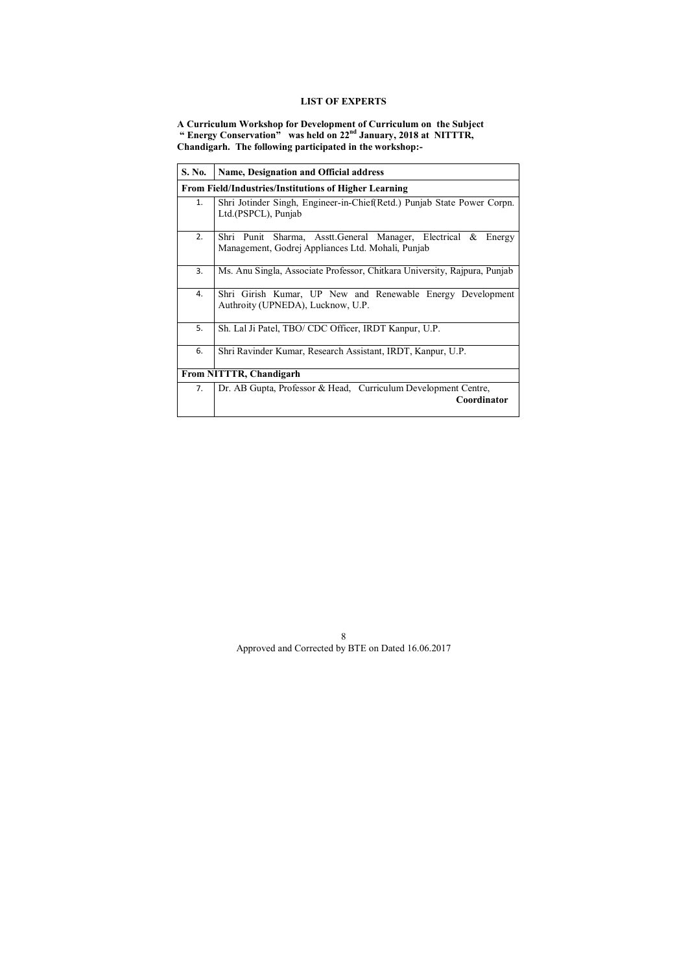# **LIST OF EXPERTS**

**A Curriculum Workshop for Development of Curriculum on the Subject " Energy Conservation" was held on 22nd January, 2018 at NITTTR, Chandigarh. The following participated in the workshop:-** 

| S. No. | <b>Name, Designation and Official address</b>                                                                         |  |  |  |  |  |  |
|--------|-----------------------------------------------------------------------------------------------------------------------|--|--|--|--|--|--|
|        | <b>From Field/Industries/Institutions of Higher Learning</b>                                                          |  |  |  |  |  |  |
| 1.     | Shri Jotinder Singh, Engineer-in-Chief(Retd.) Punjab State Power Corpn.<br>Ltd.(PSPCL), Punjab                        |  |  |  |  |  |  |
| 2.     | Shri Punit Sharma, Asstt.General Manager, Electrical &<br>Energy<br>Management, Godrej Appliances Ltd. Mohali, Punjab |  |  |  |  |  |  |
| 3.     | Ms. Anu Singla, Associate Professor, Chitkara University, Rajpura, Punjab                                             |  |  |  |  |  |  |
| 4.     | Shri Girish Kumar, UP New and Renewable Energy Development<br>Authroity (UPNEDA), Lucknow, U.P.                       |  |  |  |  |  |  |
| 5.     | Sh. Lal Ji Patel, TBO/ CDC Officer, IRDT Kanpur, U.P.                                                                 |  |  |  |  |  |  |
| 6.     | Shri Ravinder Kumar, Research Assistant, IRDT, Kanpur, U.P.                                                           |  |  |  |  |  |  |
|        | From NITTTR, Chandigarh                                                                                               |  |  |  |  |  |  |
| 7.     | Dr. AB Gupta, Professor & Head, Curriculum Development Centre,<br>Coordinator                                         |  |  |  |  |  |  |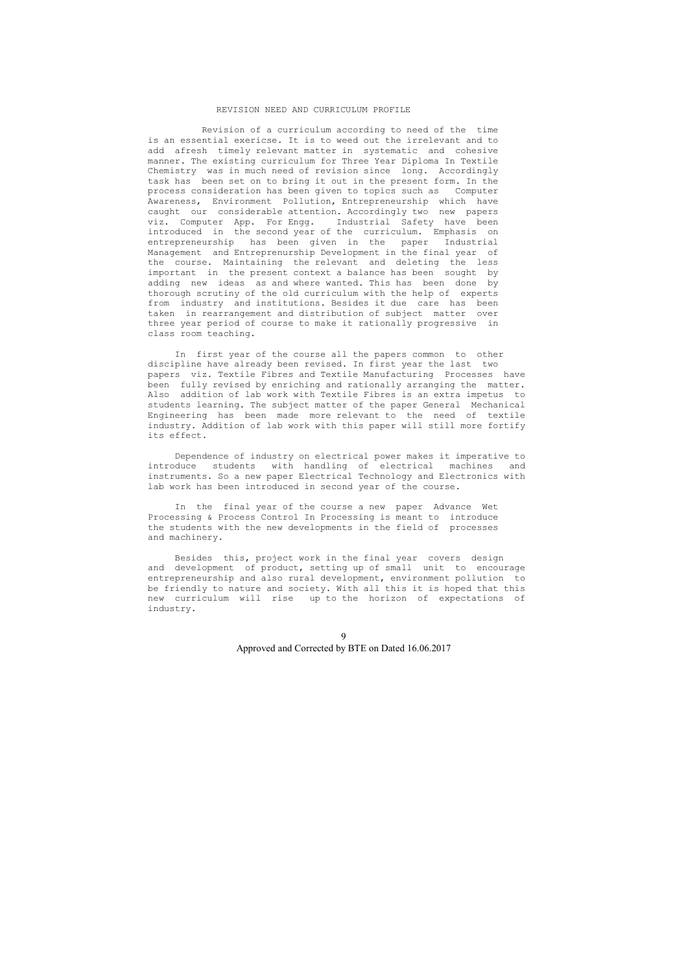#### REVISION NEED AND CURRICULUM PROFILE

 Revision of a curriculum according to need of the time is an essential exericse. It is to weed out the irrelevant and to add afresh timely relevant matter in systematic and cohesive manner. The existing curriculum for Three Year Diploma In Textile Chemistry was in much need of revision since long. Accordingly task has been set on to bring it out in the present form. In the process consideration has been given to topics such as Computer Awareness, Environment Pollution, Entrepreneurship which have caught our considerable attention. Accordingly two new papers viz. Computer App. For Engg. Industrial Safety have been introduced in the second year of the curriculum. Emphasis on entrepreneurship has been given in the paper Industrial Management and Entreprenurship Development in the final year of the course. Maintaining the relevant and deleting the less important in the present context a balance has been sought by adding new ideas as and where wanted. This has been done by thorough scrutiny of the old curriculum with the help of experts from industry and institutions. Besides it due care has been taken in rearrangement and distribution of subject matter over three year period of course to make it rationally progressive in class room teaching.

 In first year of the course all the papers common to other discipline have already been revised. In first year the last two papers viz. Textile Fibres and Textile Manufacturing Processes have been fully revised by enriching and rationally arranging the matter. Also addition of lab work with Textile Fibres is an extra impetus to students learning. The subject matter of the paper General Mechanical Engineering has been made more relevant to the need of textile industry. Addition of lab work with this paper will still more fortify its effect.

 Dependence of industry on electrical power makes it imperative to introduce students with handling of electrical machines and instruments. So a new paper Electrical Technology and Electronics with lab work has been introduced in second year of the course.

 In the final year of the course a new paper Advance Wet Processing & Process Control In Processing is meant to introduce the students with the new developments in the field of processes and machinery.

 Besides this, project work in the final year covers design and development of product, setting up of small unit to encourage entrepreneurship and also rural development, environment pollution to be friendly to nature and society. With all this it is hoped that this new curriculum will rise up to the horizon of expectations of industry.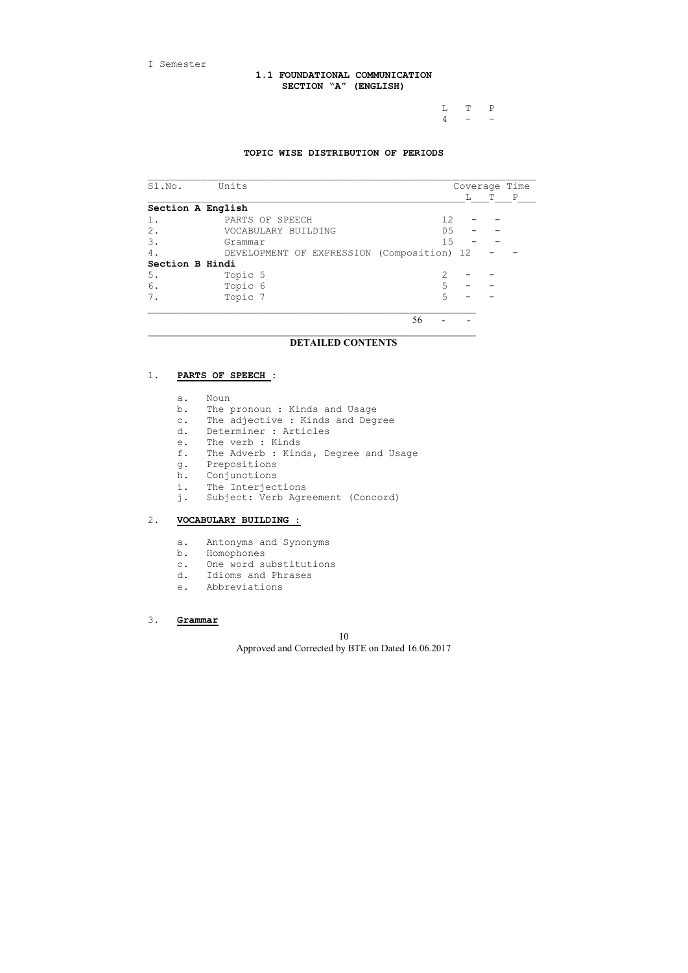I Semester

 L T P  $4$  - -

# **1.1 FOUNDATIONAL COMMUNICATION SECTION "A" (ENGLISH)**

## **TOPIC WISE DISTRIBUTION OF PERIODS**

| Sl.No.            | Units                                      |    |              | Coverage Time |   |   |
|-------------------|--------------------------------------------|----|--------------|---------------|---|---|
|                   |                                            |    |              | L             | т | P |
| Section A English |                                            |    |              |               |   |   |
| 1.                | PARTS OF SPEECH                            |    | 12           |               |   |   |
| 2.                | VOCABULARY BUILDING                        |    | 05           |               |   |   |
| 3.                | Grammar                                    |    | 15           |               |   |   |
| 4.                | DEVELOPMENT OF EXPRESSION (Composition) 12 |    |              |               |   |   |
| Section B Hindi   |                                            |    |              |               |   |   |
| 5.                | Topic 5                                    |    | $\mathbf{2}$ |               |   |   |
| 6.                | Topic 6                                    |    | 5            |               |   |   |
| 7.                | Topic 7                                    |    | 5            |               |   |   |
|                   |                                            |    |              |               |   |   |
|                   |                                            | 56 |              |               |   |   |

# **DETAILED CONTENTS**

 $\_$  , and the set of the set of the set of the set of the set of the set of the set of the set of the set of the set of the set of the set of the set of the set of the set of the set of the set of the set of the set of th

# 1. **PARTS OF SPEECH :**

- a. Noun
- b. The pronoun : Kinds and Usage
- c. The adjective : Kinds and Degree
- d. Determiner : Articles
- e. The verb : Kinds
- f. The Adverb : Kinds, Degree and Usage
- g. Prepositions
- h. Conjunctions
- i. The Interjections
- j. Subject: Verb Agreement (Concord)

# 2. **VOCABULARY BUILDING :**

- a. Antonyms and Synonyms
- b. Homophones
- c. One word substitutions
- d. Idioms and Phrases
- e. Abbreviations

## 3. **Grammar**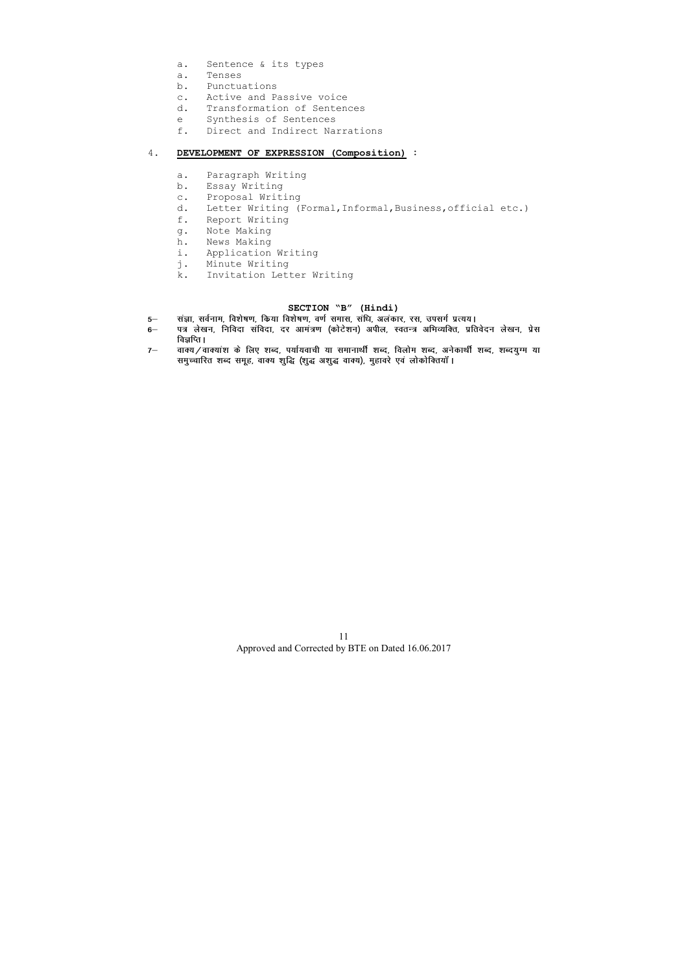- a. Sentence & its types
- a. Tenses
- b. Punctuations
- c. Active and Passive voice
- d. Transformation of Sentences
- e Synthesis of Sentences
- f. Direct and Indirect Narrations

# 4. **DEVELOPMENT OF EXPRESSION (Composition) :**

- a. Paragraph Writing
- b. Essay Writing
- c. Proposal Writing
- d. Letter Writing (Formal,Informal,Business,official etc.)
- f. Report Writing
- g. Note Making
- h. News Making
- i. Application Writing
- j. Minute Writing
- k. Invitation Letter Writing

# **SECTION "B" (Hindi)**

- 5— सज्ञा, सर्वनाम, विशेषण, किया विशेषण, वर्ण समास, संधि, अलंकार, रस, उपसर्ग प्रत्यय।
- 6— पत्र लेखन, निविदा संविदा, दर आमंत्रण (कोटेशन) अपील, स्वतन्त्र अभिव्यक्ति, प्रतिवेदन लेखन, प्रेस **विज्ञ**प्ति ।
- 7- वाक्य/वाक्यांश के लिए शब्द, पर्यायवाची या समानार्थी शब्द, विलोम शब्द, अनेकार्थी शब्द, शब्दयुग्म या lead of the control of the control of the control of the control of the control of the state of the state of th<br>समुच्चारित शब्द समूह, वाक्य शुद्धि (शुद्ध अशुद्ध वाक्य), मुहावरे एवं लोकोक्तियाँ ।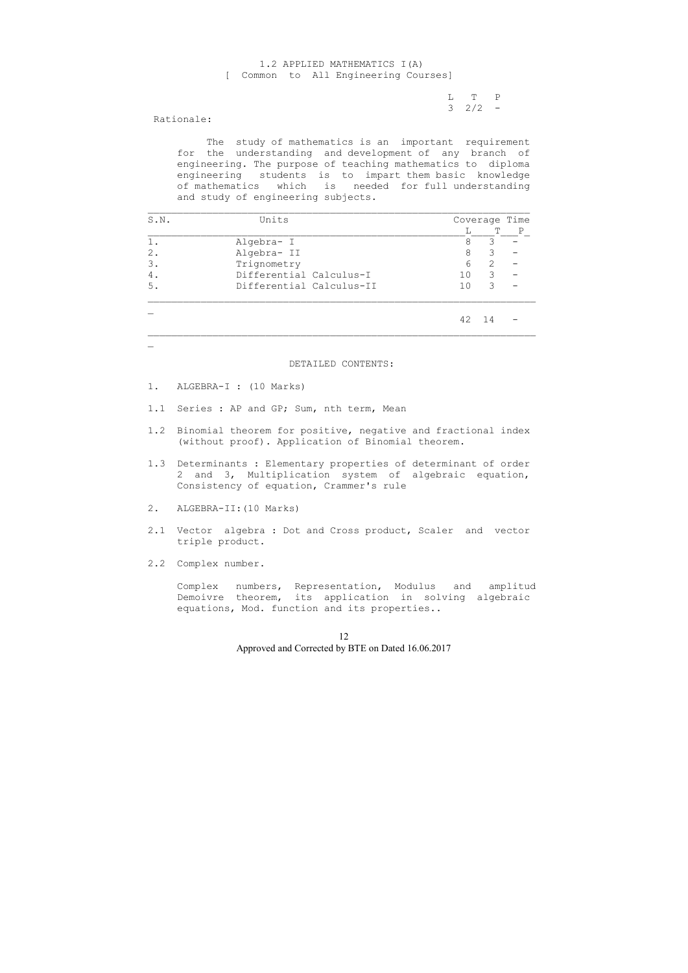L T P  $3 \t2/2 -$ 

# 1.2 APPLIED MATHEMATICS I(A) [ Common to All Engineering Courses]

Rationale:

 The study of mathematics is an important requirement for the understanding and development of any branch of engineering. The purpose of teaching mathematics to diploma engineering students is to impart them basic knowledge of mathematics which is needed for full understanding and study of engineering subjects.

| S.N.  | Units<br>L<br>Algebra- I<br>8<br>Algebra- II<br>8<br>Trignometry<br>6<br>Differential Calculus-I<br>10<br>Differential Calculus-II<br>1 <sub>0</sub> |    | Coverage Time |   |
|-------|------------------------------------------------------------------------------------------------------------------------------------------------------|----|---------------|---|
|       |                                                                                                                                                      |    | Т             | Ρ |
| $1$ . |                                                                                                                                                      |    | 3             |   |
| $2$ . |                                                                                                                                                      |    | 3             |   |
| 3.    |                                                                                                                                                      |    | 2             |   |
| 4.    |                                                                                                                                                      |    | 3             |   |
| 5.    |                                                                                                                                                      |    | 3             |   |
|       |                                                                                                                                                      | 42 | 14            |   |

\_

DETAILED CONTENTS:

- 1. ALGEBRA-I : (10 Marks)
- 1.1 Series : AP and GP; Sum, nth term, Mean
- 1.2 Binomial theorem for positive, negative and fractional index (without proof). Application of Binomial theorem.
- 1.3 Determinants : Elementary properties of determinant of order 2 and 3, Multiplication system of algebraic equation, Consistency of equation, Crammer's rule
- 2. ALGEBRA-II:(10 Marks)
- 2.1 Vector algebra : Dot and Cross product, Scaler and vector triple product.
- 2.2 Complex number.

 Complex numbers, Representation, Modulus and amplitud Demoivre theorem, its application in solving algebraic equations, Mod. function and its properties..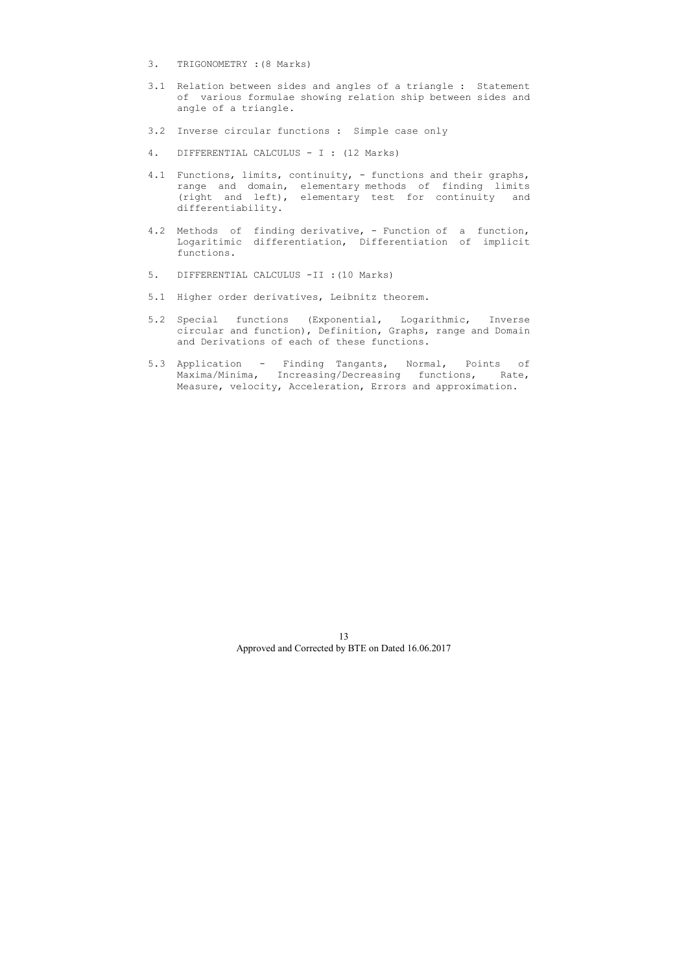- 3. TRIGONOMETRY :(8 Marks)
- 3.1 Relation between sides and angles of a triangle : Statement of various formulae showing relation ship between sides and angle of a triangle.
- 3.2 Inverse circular functions : Simple case only
- 4. DIFFERENTIAL CALCULUS I : (12 Marks)
- 4.1 Functions, limits, continuity, functions and their graphs, range and domain, elementary methods of finding limits (right and left), elementary test for continuity and differentiability.
- 4.2 Methods of finding derivative, Function of a function, Logaritimic differentiation, Differentiation of implicit functions.
- 5. DIFFERENTIAL CALCULUS -II :(10 Marks)
- 5.1 Higher order derivatives, Leibnitz theorem.
- 5.2 Special functions (Exponential, Logarithmic, Inverse circular and function), Definition, Graphs, range and Domain and Derivations of each of these functions.
- 5.3 Application Finding Tangants, Normal, Points of Maxima/Minima, Increasing/Decreasing functions, Rate, Measure, velocity, Acceleration, Errors and approximation.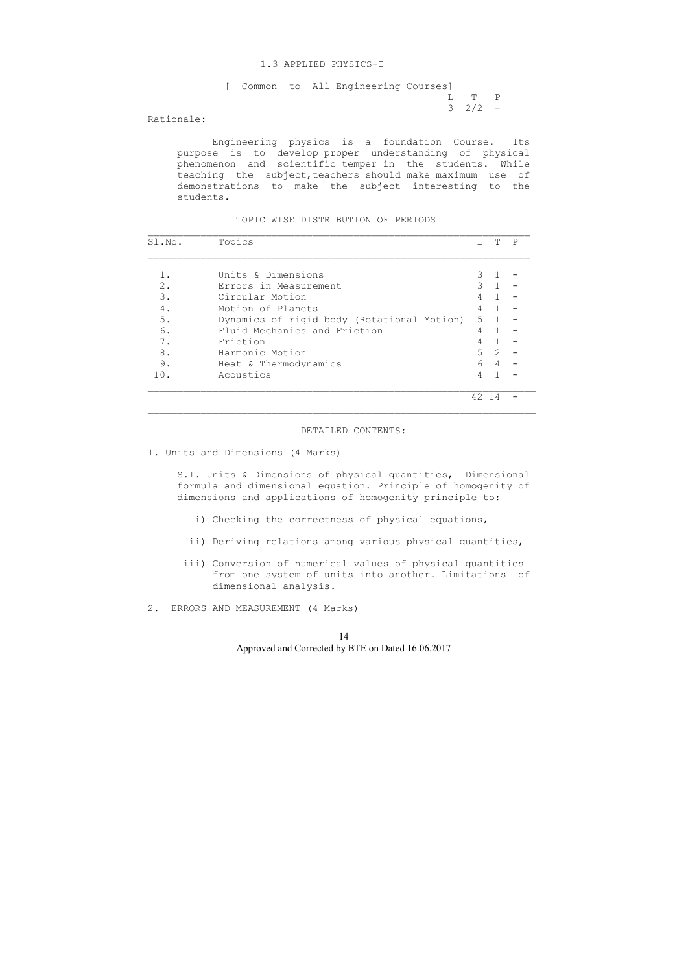## 1.3 APPLIED PHYSICS-I

|  |  | [ Common to All Engineering Courses] |                |  |
|--|--|--------------------------------------|----------------|--|
|  |  |                                      | T, TPP         |  |
|  |  |                                      | $3 \t2 \t/2 =$ |  |

Rationale:

 Engineering physics is a foundation Course. Its purpose is to develop proper understanding of physical phenomenon and scientific temper in the students. While teaching the subject, teachers should make maximum use of demonstrations to make the subject interesting to the students.

TOPIC WISE DISTRIBUTION OF PERIODS

| Sl.No. | Topics                                     | L             | Т              | P |
|--------|--------------------------------------------|---------------|----------------|---|
|        |                                            |               |                |   |
|        | Units & Dimensions                         | 3             |                |   |
| $2$ .  | Errors in Measurement                      | $\mathcal{S}$ | $\mathbf{1}$   |   |
| 3.     | Circular Motion                            | 4             | $\overline{1}$ |   |
| 4.     | Motion of Planets                          | 4             | $\mathbf{1}$   |   |
| 5.     | Dynamics of rigid body (Rotational Motion) | 5             | $\overline{1}$ |   |
| 6.     | Fluid Mechanics and Friction               | 4             | $\mathbf{1}$   |   |
| 7.     | Friction                                   | 4             |                |   |
| 8.     | Harmonic Motion                            | 5             | 2              |   |
| 9.     | Heat & Thermodynamics                      | 6             | 4              |   |
| 10.    | Acoustics                                  | 4             |                |   |
|        |                                            | 42 14         |                |   |

#### DETAILED CONTENTS:

1. Units and Dimensions (4 Marks)

 S.I. Units & Dimensions of physical quantities, Dimensional formula and dimensional equation. Principle of homogenity of dimensions and applications of homogenity principle to:

- i) Checking the correctness of physical equations,
- ii) Deriving relations among various physical quantities,
- iii) Conversion of numerical values of physical quantities from one system of units into another. Limitations of dimensional analysis.
- 2. ERRORS AND MEASUREMENT (4 Marks)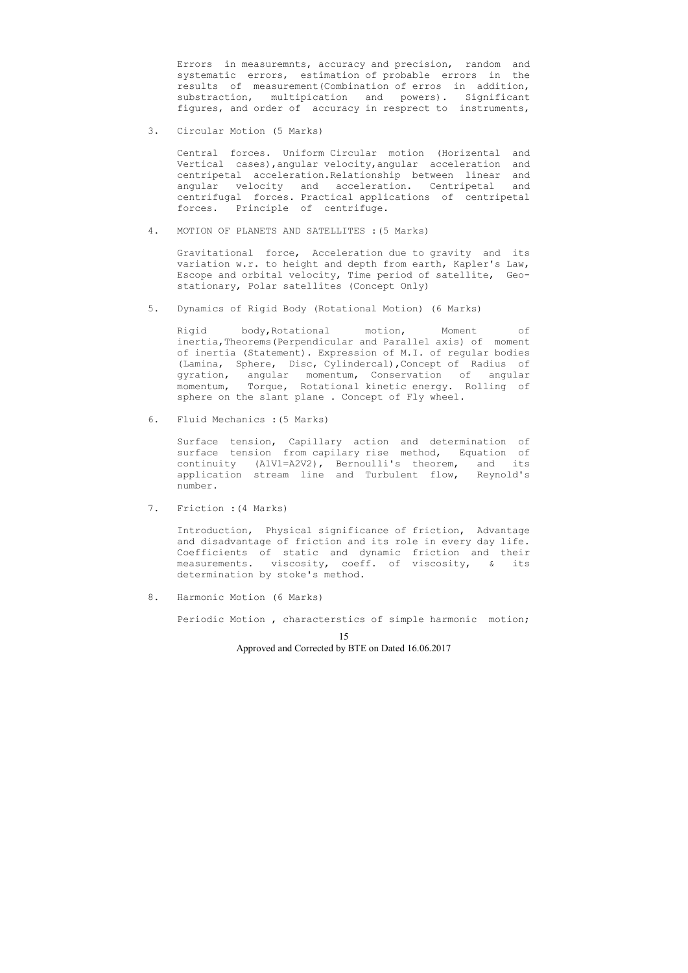Errors in measuremnts, accuracy and precision, random and systematic errors, estimation of probable errors in the results of measurement(Combination of erros in addition, substraction, multipication and powers). Significant figures, and order of accuracy in resprect to instruments,

3. Circular Motion (5 Marks)

 Central forces. Uniform Circular motion (Horizental and Vertical cases),angular velocity,angular acceleration and centripetal acceleration.Relationship between linear and angular velocity and acceleration. Centripetal and centrifugal forces. Practical applications of centripetal forces. Principle of centrifuge.

4. MOTION OF PLANETS AND SATELLITES :(5 Marks)

 Gravitational force, Acceleration due to gravity and its variation w.r. to height and depth from earth, Kapler's Law, Escope and orbital velocity, Time period of satellite, Geo stationary, Polar satellites (Concept Only)

5. Dynamics of Rigid Body (Rotational Motion) (6 Marks)

 Rigid body,Rotational motion, Moment of inertia,Theorems(Perpendicular and Parallel axis) of moment of inertia (Statement). Expression of M.I. of regular bodies (Lamina, Sphere, Disc, Cylindercal),Concept of Radius of gyration, angular momentum, Conservation of angular momentum, Torque, Rotational kinetic energy. Rolling of sphere on the slant plane . Concept of Fly wheel.

6. Fluid Mechanics :(5 Marks)

 Surface tension, Capillary action and determination of surface tension from capilary rise method, Equation of continuity (A1V1=A2V2), Bernoulli's theorem, and its application stream line and Turbulent flow, Reynold's number.

7. Friction :(4 Marks)

 Introduction, Physical significance of friction, Advantage and disadvantage of friction and its role in every day life. Coefficients of static and dynamic friction and their measurements. viscosity, coeff. of viscosity, & its determination by stoke's method.

8. Harmonic Motion (6 Marks)

Periodic Motion , characterstics of simple harmonic motion;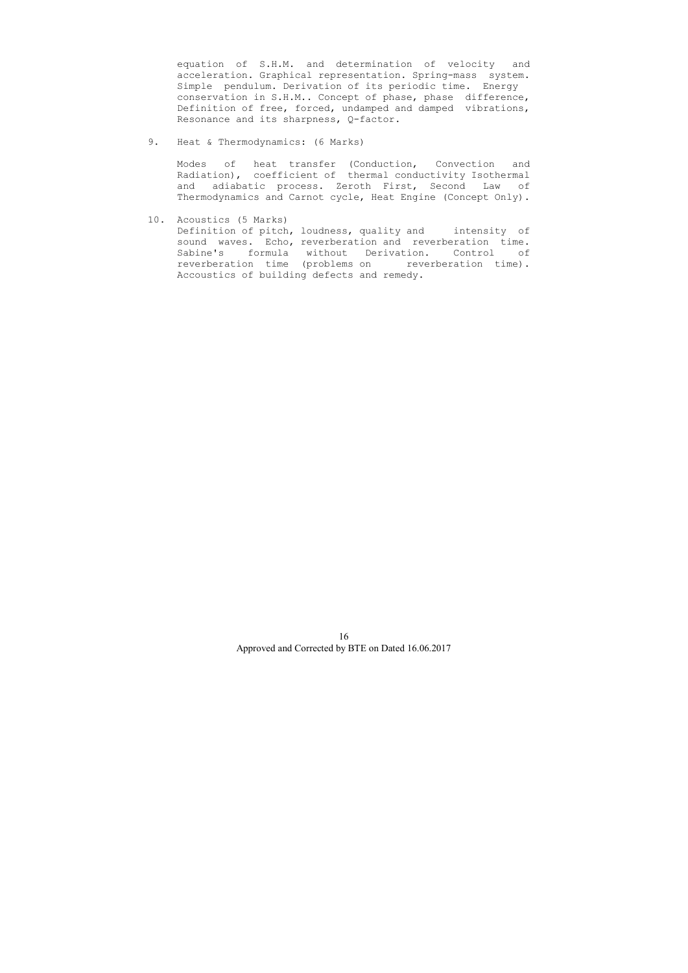equation of S.H.M. and determination of velocity and acceleration. Graphical representation. Spring-mass system. Simple pendulum. Derivation of its periodic time. Energy conservation in S.H.M.. Concept of phase, phase difference, Definition of free, forced, undamped and damped vibrations, Resonance and its sharpness, Q-factor.

9. Heat & Thermodynamics: (6 Marks)

 Modes of heat transfer (Conduction, Convection and Radiation), coefficient of thermal conductivity Isothermal and adiabatic process. Zeroth First, Second Law of Thermodynamics and Carnot cycle, Heat Engine (Concept Only).

10. Acoustics (5 Marks)

 Definition of pitch, loudness, quality and intensity of sound waves. Echo, reverberation and reverberation time. Sabine's formula without Derivation. Control of reverberation time (problems on reverberation time). Accoustics of building defects and remedy.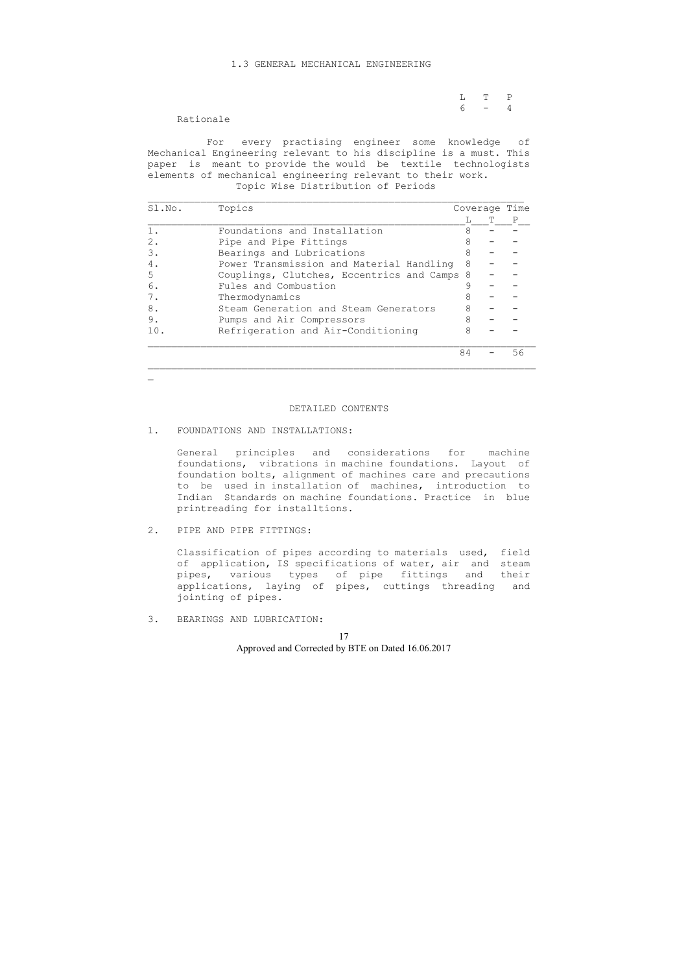## 1.3 GENERAL MECHANICAL ENGINEERING

|  | $L \qquad T \qquad P$ |  |
|--|-----------------------|--|
|  | $6 - 4$               |  |

Rationale

 For every practising engineer some knowledge of Mechanical Engineering relevant to his discipline is a must. This paper is meant to provide the would be textile technologists elements of mechanical engineering relevant to their work. Topic Wise Distribution of Periods

| Sl.No. | Topics                                    |    | Coverage |    |
|--------|-------------------------------------------|----|----------|----|
|        |                                           |    |          |    |
|        | Foundations and Installation              | 8  |          |    |
| 2.     | Pipe and Pipe Fittings                    |    |          |    |
| 3.     | Bearings and Lubrications                 | 8  |          |    |
| 4.     | Power Transmission and Material Handling  | 8  |          |    |
| .5     | Couplings, Clutches, Eccentrics and Camps | -8 |          |    |
| 6.     | Fules and Combustion                      |    |          |    |
| 7.     | Thermodynamics                            | 8  |          |    |
| 8.     | Steam Generation and Steam Generators     | 8  |          |    |
| 9.     | Pumps and Air Compressors                 | 8  |          |    |
| 10.    | Refrigeration and Air-Conditioning        | 8  |          |    |
|        |                                           | 84 |          | 56 |

 $\mathbf{r}$ 

## DETAILED CONTENTS

#### 1. FOUNDATIONS AND INSTALLATIONS:

 General principles and considerations for machine foundations, vibrations in machine foundations. Layout of foundation bolts, alignment of machines care and precautions to be used in installation of machines, introduction to Indian Standards on machine foundations. Practice in blue printreading for installtions.

2. PIPE AND PIPE FITTINGS:

 Classification of pipes according to materials used, field of application, IS specifications of water, air and steam pipes, various types of pipe fittings and their applications, laying of pipes, cuttings threading and jointing of pipes.

3. BEARINGS AND LUBRICATION: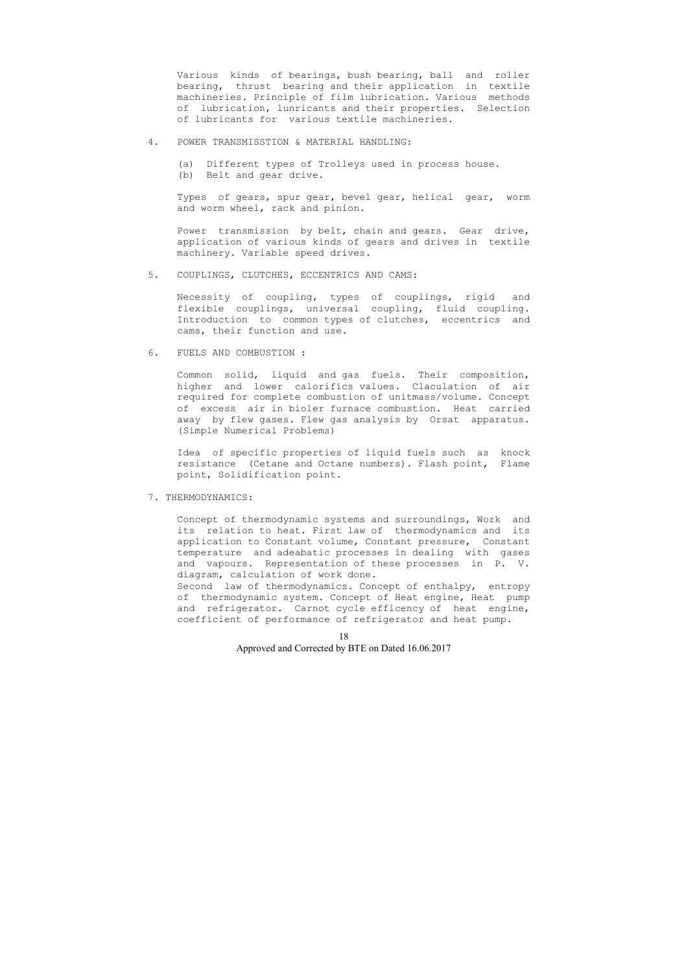Various kinds of bearings, bush bearing, ball and roller bearing, thrust bearing and their application in textile machineries. Principle of film lubrication. Various methods of lubrication, lunricants and their properties. Selection of lubricants for various textile machineries.

Power transmission by belt, chain and gears. Gear drive, application of various kinds of gears and drives in textile machinery. Variable speed drives.

- 4. POWER TRANSMISSTION & MATERIAL HANDLING:
	- (a) Different types of Trolleys used in process house.
	- (b) Belt and gear drive.

 Types of gears, spur gear, bevel gear, helical gear, worm and worm wheel, rack and pinion.

5. COUPLINGS, CLUTCHES, ECCENTRICS AND CAMS:

 Necessity of coupling, types of couplings, rigid and flexible couplings, universal coupling, fluid coupling. Introduction to common types of clutches, eccentrics and cams, their function and use.

6. FUELS AND COMBUSTION :

 Common solid, liquid and gas fuels. Their composition, higher and lower calorifics values. Claculation of air required for complete combustion of unitmass/volume. Concept of excess air in bioler furnace combustion. Heat carried away by flew gases. Flew gas analysis by Orsat apparatus. (Simple Numerical Problems)

 Idea of specific properties of liquid fuels such as knock resistance (Cetane and Octane numbers). Flash point, Flame point, Solidification point.

7. THERMODYNAMICS:

 Concept of thermodynamic systems and surroundings, Work and its relation to heat. First law of thermodynamics and its application to Constant volume, Constant pressure, Constant temperature and adeabatic processes in dealing with gases and vapours. Representation of these processes in P. V. diagram, calculation of work done.

 Second law of thermodynamics. Concept of enthalpy, entropy of thermodynamic system. Concept of Heat engine, Heat pump and refrigerator. Carnot cycle efficency of heat engine, coefficient of performance of refrigerator and heat pump.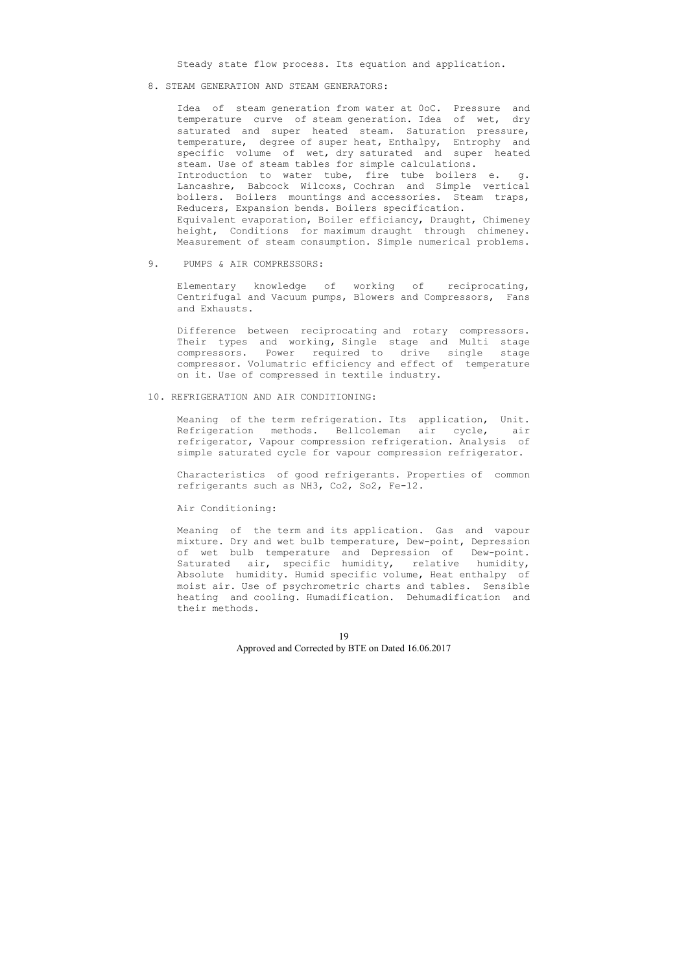Steady state flow process. Its equation and application.

8. STEAM GENERATION AND STEAM GENERATORS:

 Idea of steam generation from water at 0oC. Pressure and temperature curve of steam generation. Idea of wet, dry saturated and super heated steam. Saturation pressure, temperature, degree of super heat, Enthalpy, Entrophy and specific volume of wet, dry saturated and super heated steam. Use of steam tables for simple calculations. Introduction to water tube, fire tube boilers e. g. Lancashre, Babcock Wilcoxs, Cochran and Simple vertical boilers. Boilers mountings and accessories. Steam traps, Reducers, Expansion bends. Boilers specification. Equivalent evaporation, Boiler efficiancy, Draught, Chimeney height, Conditions for maximum draught through chimeney. Measurement of steam consumption. Simple numerical problems.

9. PUMPS & AIR COMPRESSORS:

 Elementary knowledge of working of reciprocating, Centrifugal and Vacuum pumps, Blowers and Compressors, Fans and Exhausts.

 Difference between reciprocating and rotary compressors. Their types and working, Single stage and Multi stage compressors. Power required to drive single stage compressor. Volumatric efficiency and effect of temperature on it. Use of compressed in textile industry.

#### 10. REFRIGERATION AND AIR CONDITIONING:

 Meaning of the term refrigeration. Its application, Unit. Refrigeration methods. Bellcoleman air cycle, air refrigerator, Vapour compression refrigeration. Analysis of simple saturated cycle for vapour compression refrigerator.

 Characteristics of good refrigerants. Properties of common refrigerants such as NH3, Co2, So2, Fe-12.

## Air Conditioning:

 Meaning of the term and its application. Gas and vapour mixture. Dry and wet bulb temperature, Dew-point, Depression of wet bulb temperature and Depression of Dew-point. Saturated air, specific humidity, relative humidity, Absolute humidity. Humid specific volume, Heat enthalpy of moist air. Use of psychrometric charts and tables. Sensible heating and cooling. Humadification. Dehumadification and their methods.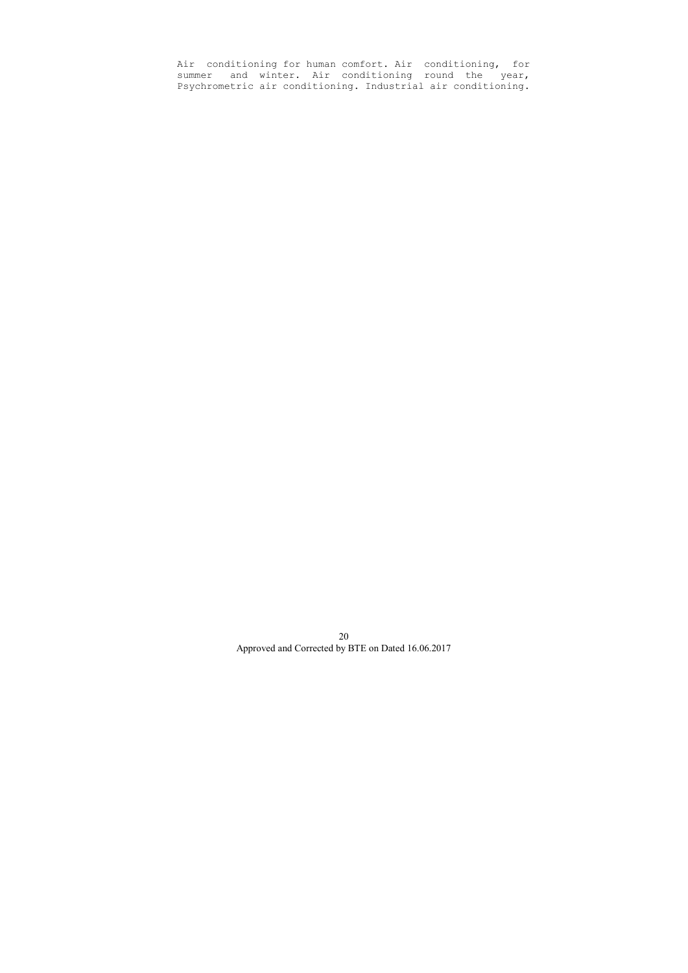Air conditioning for human comfort. Air conditioning, for summer and winter. Air conditioning round the year, Psychrometric air conditioning. Industrial air conditioning.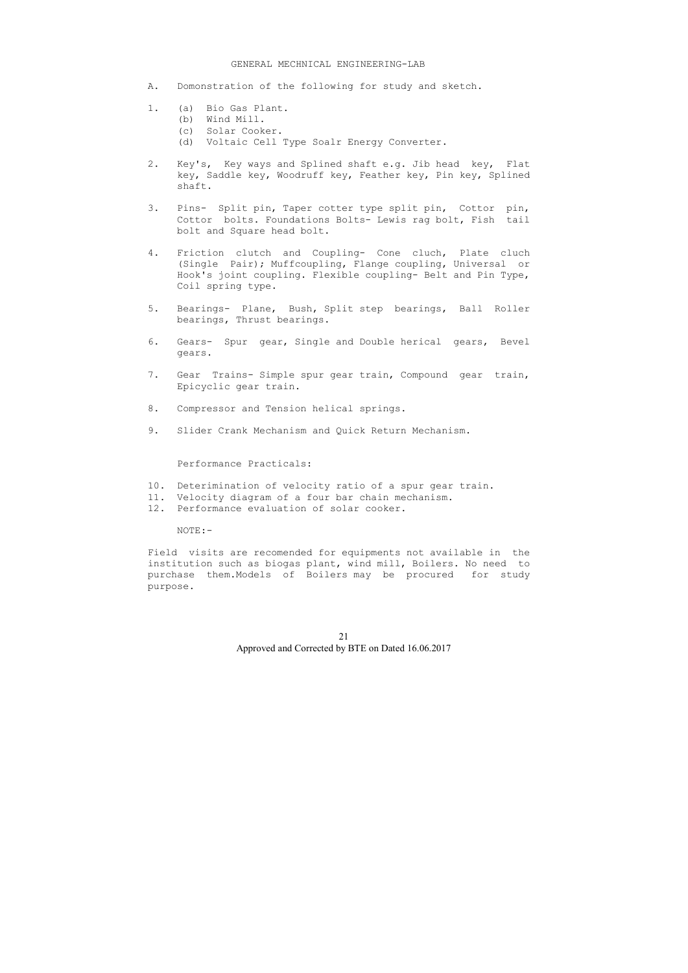#### GENERAL MECHNICAL ENGINEERING-LAB

- A. Domonstration of the following for study and sketch.
- 1. (a) Bio Gas Plant.
	- (b) Wind Mill.
	- (c) Solar Cooker.
	- (d) Voltaic Cell Type Soalr Energy Converter.
- 2. Key's, Key ways and Splined shaft e.g. Jib head key, Flat key, Saddle key, Woodruff key, Feather key, Pin key, Splined shaft.
- 3. Pins- Split pin, Taper cotter type split pin, Cottor pin, Cottor bolts. Foundations Bolts- Lewis rag bolt, Fish tail bolt and Square head bolt.
- 4. Friction clutch and Coupling- Cone cluch, Plate cluch (Single Pair); Muffcoupling, Flange coupling, Universal or Hook's joint coupling. Flexible coupling- Belt and Pin Type, Coil spring type.
- 5. Bearings- Plane, Bush, Split step bearings, Ball Roller bearings, Thrust bearings.
- 6. Gears- Spur gear, Single and Double herical gears, Bevel gears.
- 7. Gear Trains- Simple spur gear train, Compound gear train, Epicyclic gear train.
- 8. Compressor and Tension helical springs.
- 9. Slider Crank Mechanism and Quick Return Mechanism.

## Performance Practicals:

- 10. Deterimination of velocity ratio of a spur gear train.
- 11. Velocity diagram of a four bar chain mechanism.
- 12. Performance evaluation of solar cooker.

NOTE:-

Field visits are recomended for equipments not available in the institution such as biogas plant, wind mill, Boilers. No need to purchase them.Models of Boilers may be procured for study purpose.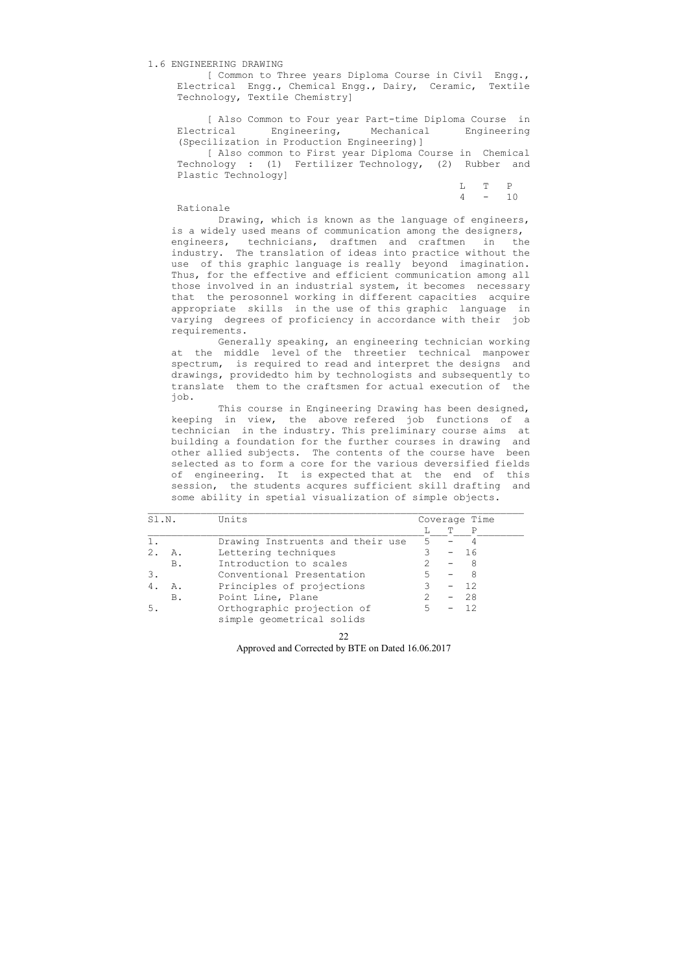## 1.6 ENGINEERING DRAWING

 [ Common to Three years Diploma Course in Civil Engg., Electrical Engg., Chemical Engg., Dairy, Ceramic, Textile Technology, Textile Chemistry]

 [ Also Common to Four year Part-time Diploma Course in Electrical Engineering, Mechanical Engineering (Specilization in Production Engineering)]

 [ Also common to First year Diploma Course in Chemical Technology : (1) Fertilizer Technology, (2) Rubber and Plastic Technology]

 L T P 4 - 10

#### Rationale

 Drawing, which is known as the language of engineers, is a widely used means of communication among the designers, engineers, technicians, draftmen and craftmen in the industry. The translation of ideas into practice without the use of this graphic language is really beyond imagination. Thus, for the effective and efficient communication among all those involved in an industrial system, it becomes necessary that the perosonnel working in different capacities acquire appropriate skills in the use of this graphic language in varying degrees of proficiency in accordance with their job requirements.

 Generally speaking, an engineering technician working at the middle level of the threetier technical manpower spectrum, is required to read and interpret the designs and drawings, providedto him by technologists and subsequently to translate them to the craftsmen for actual execution of the job.

 This course in Engineering Drawing has been designed, keeping in view, the above refered job functions of a technician in the industry. This preliminary course aims at building a foundation for the further courses in drawing and other allied subjects. The contents of the course have been selected as to form a core for the various deversified fields of engineering. It is expected that at the end of this session, the students acqures sufficient skill drafting and some ability in spetial visualization of simple objects.

| Sl.N. |            | Units                            |   | Coverage Time |     |  |
|-------|------------|----------------------------------|---|---------------|-----|--|
|       |            |                                  |   | T             | P   |  |
|       |            | Drawing Instruents and their use | 5 |               |     |  |
| 2.    | Α.         | Lettering techniques             |   |               | -16 |  |
|       | <b>B.</b>  | Introduction to scales           |   |               |     |  |
|       |            | Conventional Presentation        |   |               | 8   |  |
|       | Α.         | Principles of projections        |   |               | -12 |  |
|       | <b>B</b> . | Point Line, Plane                |   |               | 28  |  |
|       |            | Orthographic projection of       |   |               | 12  |  |
|       |            | simple geometrical solids        |   |               |     |  |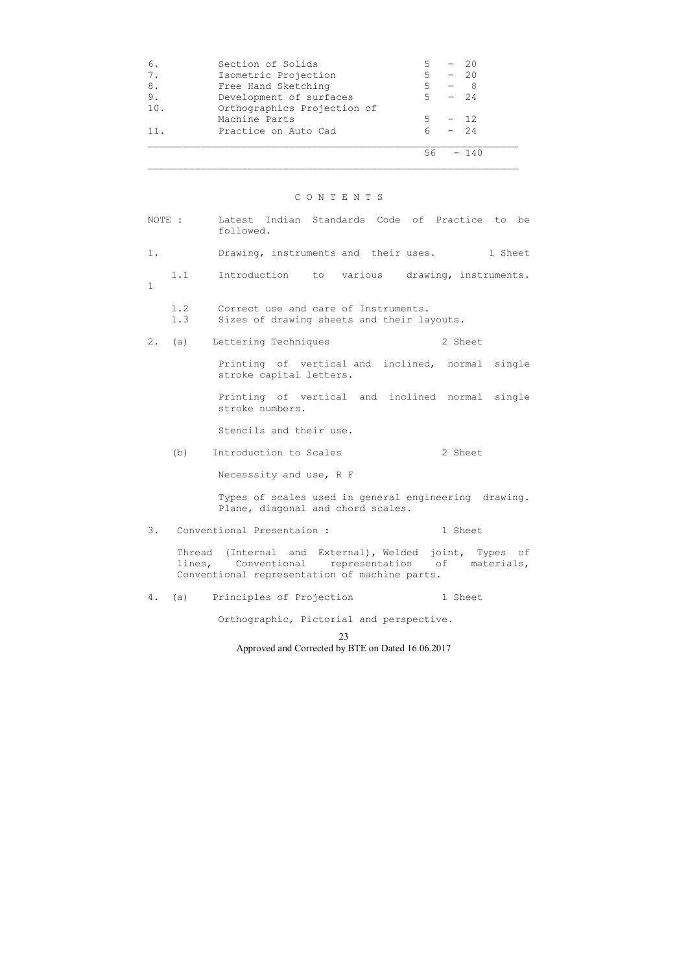| 6.              | Section of Solids           |          | $-20$  |
|-----------------|-----------------------------|----------|--------|
| 7.              | Isometric Projection        | $5 -$    | $-20$  |
| 8.              | Free Hand Sketching         | 5 – 8    |        |
| 9.              | Development of surfaces     | $5 - 24$ |        |
| 10.             | Orthographics Projection of |          |        |
|                 | Machine Parts               | 5        | $-12$  |
| 11 <sub>1</sub> | Practice on Auto Cad        | $6 \sim$ | $-24$  |
|                 |                             | 56       | $-140$ |

# C O N T E N T S

| NOTE : |            | Latest Indian Standards Code of Practice to be<br>followed.                                                                                             |
|--------|------------|---------------------------------------------------------------------------------------------------------------------------------------------------------|
| $1$ .  |            | Drawing, instruments and their uses.<br>1 Sheet                                                                                                         |
| 1      | 1.1        | Introduction<br>various drawing, instruments.<br>to                                                                                                     |
|        | 1.2<br>1.3 | Correct use and care of Instruments.<br>Sizes of drawing sheets and their layouts.                                                                      |
| $2$ .  | (a)        | Lettering Techniques<br>2 Sheet                                                                                                                         |
|        |            | Printing of vertical and inclined, normal single<br>stroke capital letters.                                                                             |
|        |            | Printing of vertical and inclined normal single<br>stroke numbers.                                                                                      |
|        |            | Stencils and their use.                                                                                                                                 |
|        | (b)        | 2 Sheet<br>Introduction to Scales                                                                                                                       |
|        |            | Necesssity and use, R F                                                                                                                                 |
|        |            | Types of scales used in general engineering drawing.<br>Plane, diagonal and chord scales.                                                               |
| 3.     |            | Conventional Presentaion :<br>1 Sheet                                                                                                                   |
|        | lines,     | Thread (Internal and External), Welded joint, Types of<br>Conventional<br>representation of materials,<br>Conventional representation of machine parts. |
| 4.     | (a)        | 1 Sheet<br>Principles of Projection                                                                                                                     |
|        |            | Orthographic, Pictorial and perspective.                                                                                                                |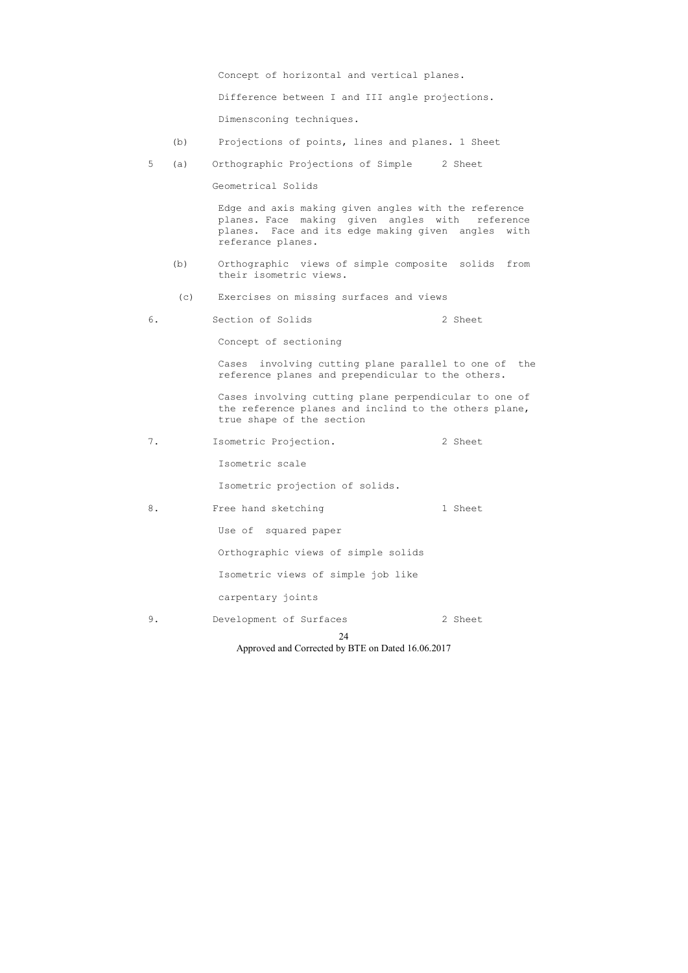Concept of horizontal and vertical planes.

Difference between I and III angle projections.

Dimensconing techniques.

- (b) Projections of points, lines and planes. 1 Sheet
- 5 (a) Orthographic Projections of Simple 2 Sheet

Geometrical Solids

 Edge and axis making given angles with the reference planes. Face making given angles with reference planes. Face and its edge making given angles with referance planes.

- (b) Orthographic views of simple composite solids from their isometric views.
- (c) Exercises on missing surfaces and views
- 6. Section of Solids 2 Sheet

Concept of sectioning

 Cases involving cutting plane parallel to one of the reference planes and prependicular to the others.

 Cases involving cutting plane perpendicular to one of the reference planes and inclind to the others plane, true shape of the section

7. Isometric Projection. 2 Sheet

Isometric scale

Isometric projection of solids.

8. Free hand sketching 1 Sheet

Use of squared paper

Orthographic views of simple solids

Isometric views of simple job like

carpentary joints

9. Development of Surfaces 2 Sheet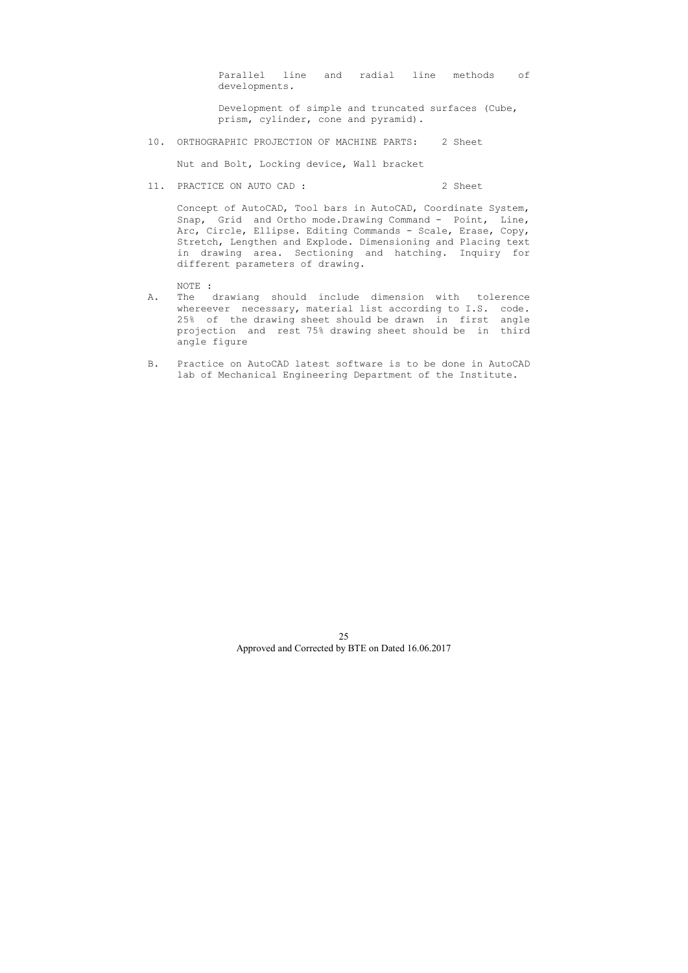Parallel line and radial line methods of developments.

 Development of simple and truncated surfaces (Cube, prism, cylinder, cone and pyramid).

10. ORTHOGRAPHIC PROJECTION OF MACHINE PARTS: 2 Sheet

Nut and Bolt, Locking device, Wall bracket

11. PRACTICE ON AUTO CAD : 2 Sheet

 Concept of AutoCAD, Tool bars in AutoCAD, Coordinate System, Snap, Grid and Ortho mode.Drawing Command - Point, Line, Arc, Circle, Ellipse. Editing Commands - Scale, Erase, Copy, Stretch, Lengthen and Explode. Dimensioning and Placing text in drawing area. Sectioning and hatching. Inquiry for different parameters of drawing.

NOTE :

- A. The drawiang should include dimension with tolerence whereever necessary, material list according to I.S. code. 25% of the drawing sheet should be drawn in first angle projection and rest 75% drawing sheet should be in third angle figure
- B. Practice on AutoCAD latest software is to be done in AutoCAD lab of Mechanical Engineering Department of the Institute.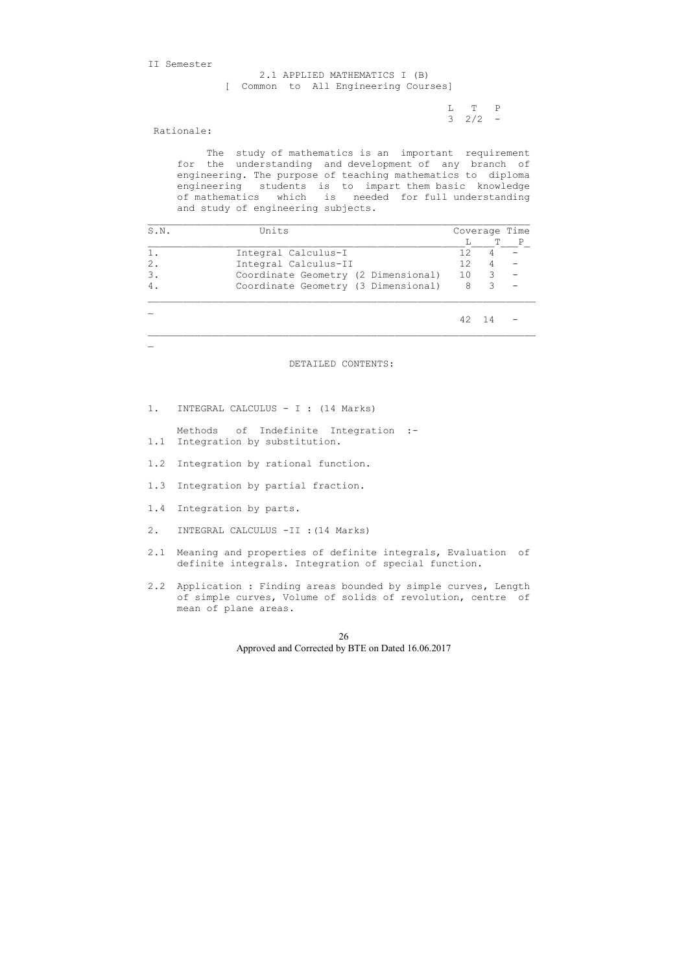II Semester

 L T P  $3 \t2/2 -$ 

 2.1 APPLIED MATHEMATICS I (B) [ Common to All Engineering Courses]

Rationale:

 $\mathbf{r}$ 

 The study of mathematics is an important requirement for the understanding and development of any branch of engineering. The purpose of teaching mathematics to diploma engineering students is to impart them basic knowledge of mathematics which is needed for full understanding and study of engineering subjects.

| S.N. | Units                               |    |     | Coverage Time |
|------|-------------------------------------|----|-----|---------------|
|      |                                     |    | T   | Ρ             |
|      | Integral Calculus-I                 | 12 |     |               |
| 2.   | Integral Calculus-II                | 12 |     |               |
| 3.   | Coordinate Geometry (2 Dimensional) | 10 | 3   |               |
|      | Coordinate Geometry (3 Dimensional) | 8  | 3   |               |
|      |                                     |    | -14 |               |

DETAILED CONTENTS:

1. INTEGRAL CALCULUS - I : (14 Marks)

 Methods of Indefinite Integration :- 1.1 Integration by substitution.

- 1.2 Integration by rational function.
- 1.3 Integration by partial fraction.
- 1.4 Integration by parts.
- 2. INTEGRAL CALCULUS -II :(14 Marks)
- 2.1 Meaning and properties of definite integrals, Evaluation of definite integrals. Integration of special function.
- 2.2 Application : Finding areas bounded by simple curves, Length of simple curves, Volume of solids of revolution, centre of mean of plane areas.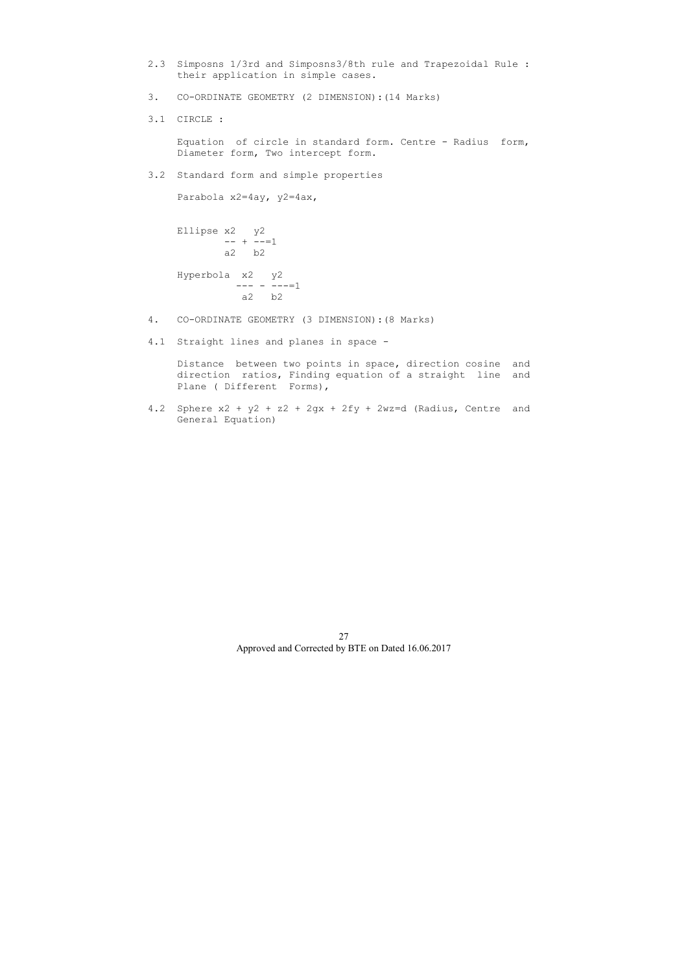- 2.3 Simposns 1/3rd and Simposns3/8th rule and Trapezoidal Rule : their application in simple cases.
- 3. CO-ORDINATE GEOMETRY (2 DIMENSION):(14 Marks)
- 3.1 CIRCLE :

 Equation of circle in standard form. Centre - Radius form, Diameter form, Two intercept form.

3.2 Standard form and simple properties

Parabola x2=4ay, y2=4ax,

```
 Ellipse x2 y2 
     --- + ---1 a2 b2 
Hyperbola x2 y2 
         --- - ---=1 
          a2 b2
```
- 4. CO-ORDINATE GEOMETRY (3 DIMENSION):(8 Marks)
- 4.1 Straight lines and planes in space -

 Distance between two points in space, direction cosine and direction ratios, Finding equation of a straight line and Plane ( Different Forms),

4.2 Sphere x2 + y2 + z2 + 2gx + 2fy + 2wz=d (Radius, Centre and General Equation)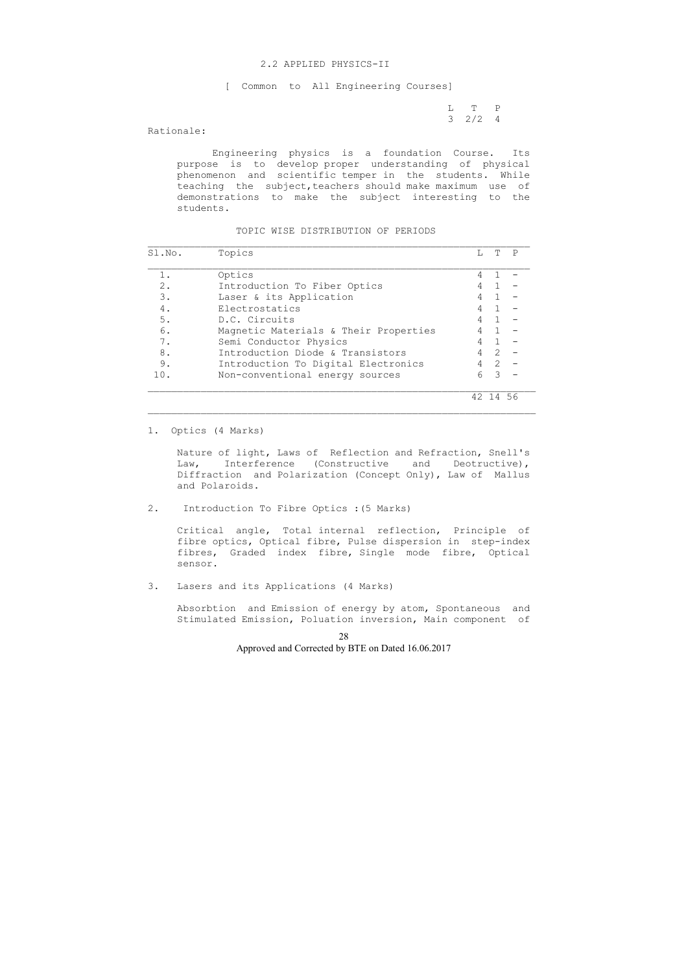#### 2.2 APPLIED PHYSICS-II

[ Common to All Engineering Courses]

 L T P 3 2/2 4

## Rationale:

 Engineering physics is a foundation Course. Its purpose is to develop proper understanding of physical phenomenon and scientific temper in the students. While teaching the subject, teachers should make maximum use of demonstrations to make the subject interesting to the students.

#### TOPIC WISE DISTRIBUTION OF PERIODS

| Sl.No. | Topics                                | T.             | T  | P   |
|--------|---------------------------------------|----------------|----|-----|
| 1.     | Optics                                |                |    |     |
| $2$ .  | Introduction To Fiber Optics          | 4              |    |     |
| 3.     | Laser & its Application               | 4              |    |     |
| 4.     | Electrostatics                        | 4              |    |     |
| 5.     | D.C. Circuits                         | 4              |    |     |
| 6.     | Magnetic Materials & Their Properties |                |    |     |
| 7.     | Semi Conductor Physics                | 4              |    |     |
| 8.     | Introduction Diode & Transistors      | 4              | 2  |     |
| 9.     | Introduction To Digital Electronics   | $\overline{4}$ | 2  |     |
| 10.    | Non-conventional energy sources       | 6              | 3  |     |
|        |                                       | 42             | 14 | -56 |

1. Optics (4 Marks)

 Nature of light, Laws of Reflection and Refraction, Snell's Law, Interference (Constructive and Deotructive), Diffraction and Polarization (Concept Only), Law of Mallus and Polaroids.

2. Introduction To Fibre Optics :(5 Marks)

 Critical angle, Total internal reflection, Principle of fibre optics, Optical fibre, Pulse dispersion in step-index fibres, Graded index fibre, Single mode fibre, Optical sensor.

3. Lasers and its Applications (4 Marks)

 Absorbtion and Emission of energy by atom, Spontaneous and Stimulated Emission, Poluation inversion, Main component of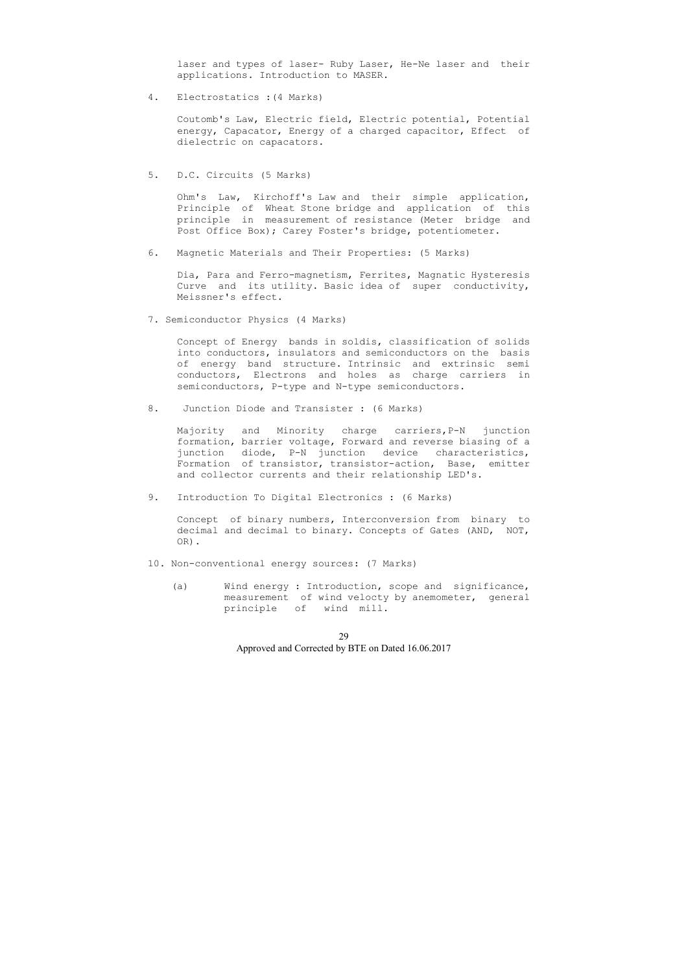laser and types of laser- Ruby Laser, He-Ne laser and their applications. Introduction to MASER.

4. Electrostatics :(4 Marks)

 Coutomb's Law, Electric field, Electric potential, Potential energy, Capacator, Energy of a charged capacitor, Effect of dielectric on capacators.

5. D.C. Circuits (5 Marks)

 Ohm's Law, Kirchoff's Law and their simple application, Principle of Wheat Stone bridge and application of this principle in measurement of resistance (Meter bridge and Post Office Box); Carey Foster's bridge, potentiometer.

6. Magnetic Materials and Their Properties: (5 Marks)

 Dia, Para and Ferro-magnetism, Ferrites, Magnatic Hysteresis Curve and its utility. Basic idea of super conductivity, Meissner's effect.

7. Semiconductor Physics (4 Marks)

 Concept of Energy bands in soldis, classification of solids into conductors, insulators and semiconductors on the basis of energy band structure. Intrinsic and extrinsic semi conductors, Electrons and holes as charge carriers in semiconductors, P-type and N-type semiconductors.

8. Junction Diode and Transister : (6 Marks)

 Majority and Minority charge carriers,P-N junction formation, barrier voltage, Forward and reverse biasing of a junction diode, P-N junction device characteristics, Formation of transistor, transistor-action, Base, emitter and collector currents and their relationship LED's.

9. Introduction To Digital Electronics : (6 Marks)

 Concept of binary numbers, Interconversion from binary to decimal and decimal to binary. Concepts of Gates (AND, NOT, OR).

- 10. Non-conventional energy sources: (7 Marks)
	- (a) Wind energy : Introduction, scope and significance, measurement of wind velocty by anemometer, general principle of wind mill.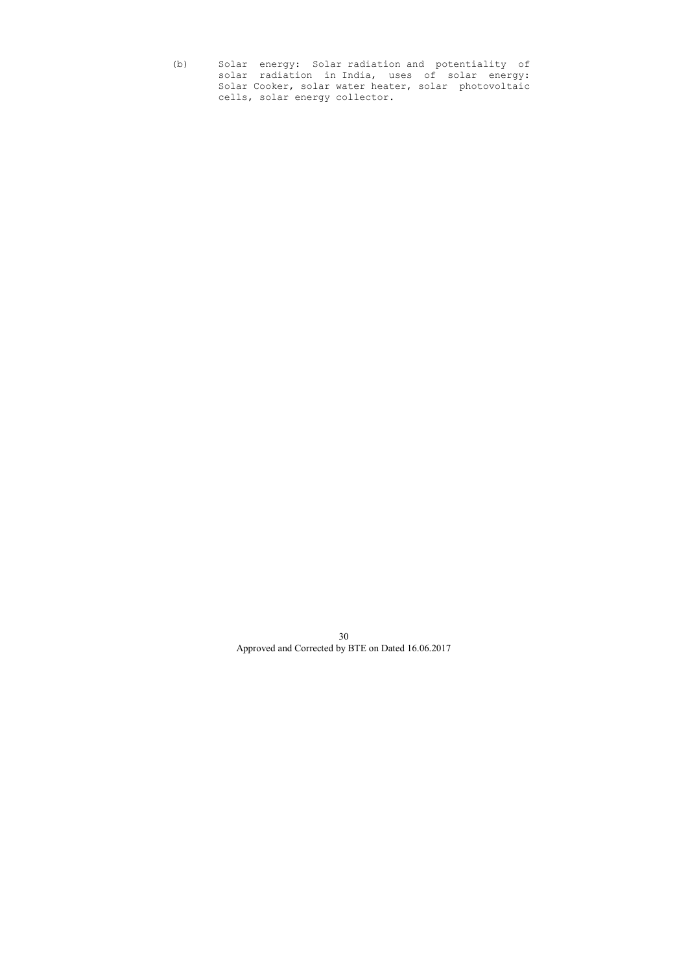(b) Solar energy: Solar radiation and potentiality of solar radiation in India, uses of solar energy: Solar Cooker, solar water heater, solar photovoltaic cells, solar energy collector.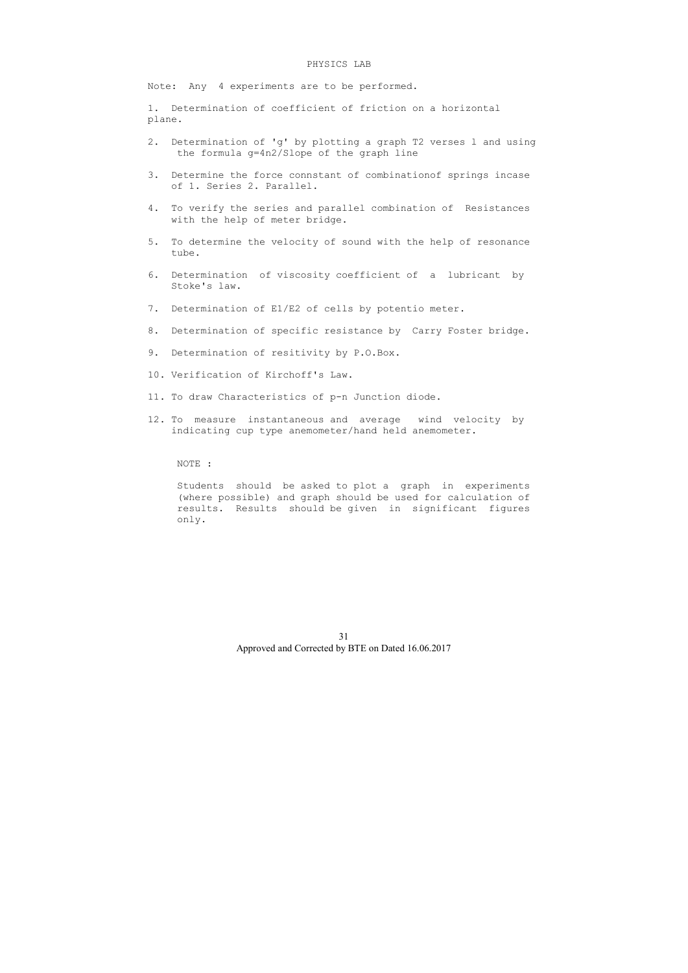#### PHYSICS LAB

Note: Any 4 experiments are to be performed.

1. Determination of coefficient of friction on a horizontal plane.

- 2. Determination of 'g' by plotting a graph T2 verses l and using the formula g=4n2/Slope of the graph line
- 3. Determine the force connstant of combinationof springs incase of 1. Series 2. Parallel.
- 4. To verify the series and parallel combination of Resistances with the help of meter bridge.
- 5. To determine the velocity of sound with the help of resonance tube.
- 6. Determination of viscosity coefficient of a lubricant by Stoke's law.
- 7. Determination of E1/E2 of cells by potentio meter.
- 8. Determination of specific resistance by Carry Foster bridge.
- 9. Determination of resitivity by P.O.Box.
- 10. Verification of Kirchoff's Law.
- 11. To draw Characteristics of p-n Junction diode.
- 12. To measure instantaneous and average wind velocity by indicating cup type anemometer/hand held anemometer.

## NOTE :

 Students should be asked to plot a graph in experiments (where possible) and graph should be used for calculation of results. Results should be given in significant figures only.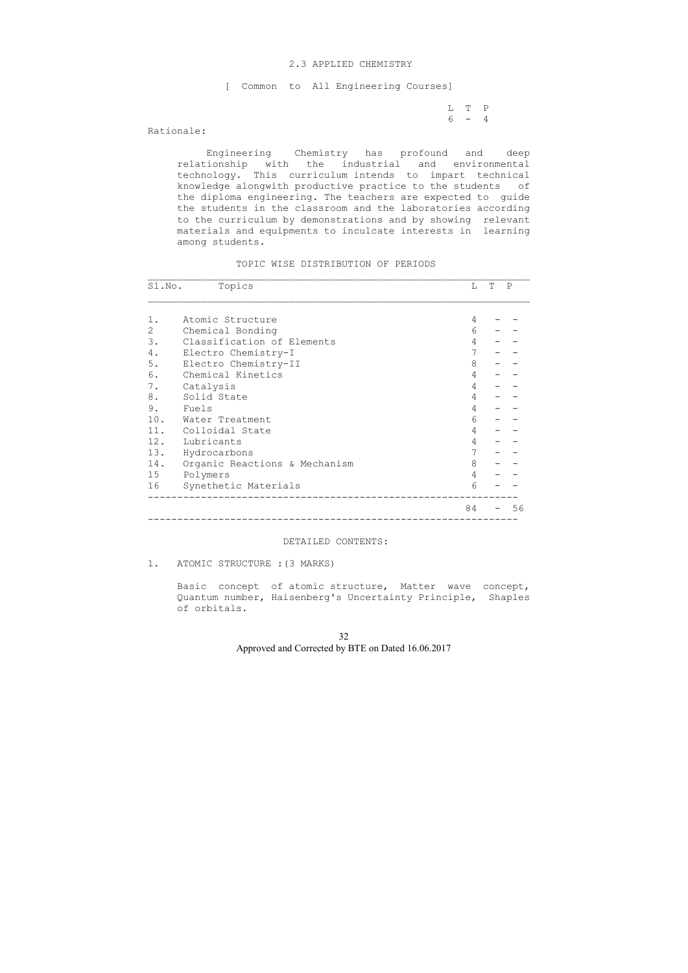L T P  $6 - 4$ 

#### 2.3 APPLIED CHEMISTRY

[ Common to All Engineering Courses]

## Rationale:

 Engineering Chemistry has profound and deep relationship with the industrial and environmental technology. This curriculum intends to impart technical knowledge alongwith productive practice to the students of the diploma engineering. The teachers are expected to guide the students in the classroom and the laboratories according to the curriculum by demonstrations and by showing relevant materials and equipments to inculcate interests in learning among students.

## TOPIC WISE DISTRIBUTION OF PERIODS

| Sl.No. | Topics                        | L              | Т | $\mathbf P$ |
|--------|-------------------------------|----------------|---|-------------|
|        |                               |                |   |             |
| 1.     | Atomic Structure              | 4              |   |             |
| 2      | Chemical Bonding              | 6              |   |             |
| 3.     | Classification of Elements    | 4              |   |             |
| 4.     | Electro Chemistry-I           | 7              |   |             |
| $5.$   | Electro Chemistry-II          | 8              |   |             |
| 6.     | Chemical Kinetics             | 4              |   |             |
| 7.     | Catalysis                     | 4              |   |             |
| 8.     | Solid State                   | 4              |   |             |
| 9.     | Fuels                         | 4              |   |             |
|        | 10. Water Treatment           | 6              |   |             |
|        | 11. Colloidal State           | 4              |   |             |
|        | 12. Lubricants                | 4              |   |             |
| 13.    | Hydrocarbons                  | $7\phantom{.}$ |   |             |
| 14.    | Organic Reactions & Mechanism | 8              |   |             |
| 15     | Polymers                      | 4              |   |             |
| 16     | Synethetic Materials          | 6              |   |             |
|        |                               | 84             |   | 56          |

#### DETAILED CONTENTS:

1. ATOMIC STRUCTURE :(3 MARKS)

 Basic concept of atomic structure, Matter wave concept, Quantum number, Haisenberg's Uncertainty Principle, Shaples of orbitals.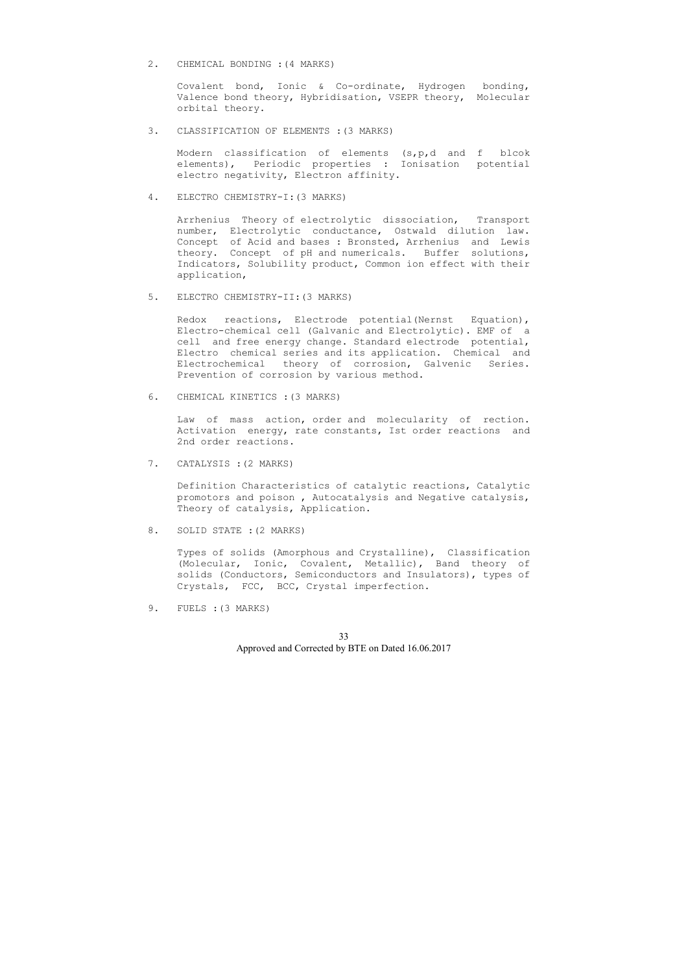2. CHEMICAL BONDING :(4 MARKS)

 Covalent bond, Ionic & Co-ordinate, Hydrogen bonding, Valence bond theory, Hybridisation, VSEPR theory, Molecular orbital theory.

3. CLASSIFICATION OF ELEMENTS :(3 MARKS)

 Modern classification of elements (s,p,d and f blcok elements), Periodic properties : Ionisation potential electro negativity, Electron affinity.

4. ELECTRO CHEMISTRY-I:(3 MARKS)

 Arrhenius Theory of electrolytic dissociation, Transport number, Electrolytic conductance, Ostwald dilution law. Concept of Acid and bases : Bronsted, Arrhenius and Lewis theory. Concept of pH and numericals. Buffer solutions, Indicators, Solubility product, Common ion effect with their application,

5. ELECTRO CHEMISTRY-II:(3 MARKS)

 Redox reactions, Electrode potential(Nernst Equation), Electro-chemical cell (Galvanic and Electrolytic). EMF of a cell and free energy change. Standard electrode potential, Electro chemical series and its application. Chemical and Electrochemical theory of corrosion, Galvenic Series. Prevention of corrosion by various method.

6. CHEMICAL KINETICS :(3 MARKS)

 Law of mass action, order and molecularity of rection. Activation energy, rate constants, Ist order reactions and 2nd order reactions.

7. CATALYSIS :(2 MARKS)

 Definition Characteristics of catalytic reactions, Catalytic promotors and poison , Autocatalysis and Negative catalysis, Theory of catalysis, Application.

8. SOLID STATE :(2 MARKS)

 Types of solids (Amorphous and Crystalline), Classification (Molecular, Ionic, Covalent, Metallic), Band theory of solids (Conductors, Semiconductors and Insulators), types of Crystals, FCC, BCC, Crystal imperfection.

9. FUELS :(3 MARKS)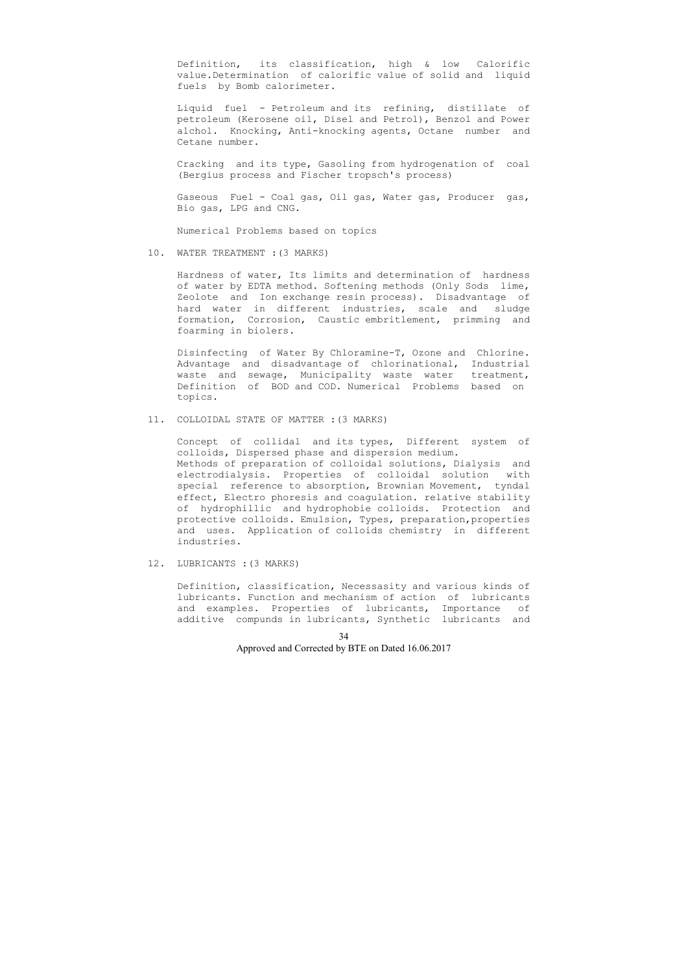Definition, its classification, high & low Calorific value.Determination of calorific value of solid and liquid fuels by Bomb calorimeter.

 Liquid fuel - Petroleum and its refining, distillate of petroleum (Kerosene oil, Disel and Petrol), Benzol and Power alchol. Knocking, Anti-knocking agents, Octane number and Cetane number.

 Cracking and its type, Gasoling from hydrogenation of coal (Bergius process and Fischer tropsch's process)

 Gaseous Fuel - Coal gas, Oil gas, Water gas, Producer gas, Bio gas, LPG and CNG.

Numerical Problems based on topics

10. WATER TREATMENT :(3 MARKS)

 Hardness of water, Its limits and determination of hardness of water by EDTA method. Softening methods (Only Sods lime, Zeolote and Ion exchange resin process). Disadvantage of hard water in different industries, scale and sludge formation, Corrosion, Caustic embritlement, primming and foarming in biolers.

 Disinfecting of Water By Chloramine-T, Ozone and Chlorine. Advantage and disadvantage of chlorinational, Industrial waste and sewage, Municipality waste water treatment, Definition of BOD and COD. Numerical Problems based on topics.

11. COLLOIDAL STATE OF MATTER :(3 MARKS)

 Concept of collidal and its types, Different system of colloids, Dispersed phase and dispersion medium. Methods of preparation of colloidal solutions, Dialysis and electrodialysis. Properties of colloidal solution with special reference to absorption, Brownian Movement, tyndal effect, Electro phoresis and coagulation. relative stability of hydrophillic and hydrophobie colloids. Protection and protective colloids. Emulsion, Types, preparation,properties and uses. Application of colloids chemistry in different industries.

12. LUBRICANTS :(3 MARKS)

 Definition, classification, Necessasity and various kinds of lubricants. Function and mechanism of action of lubricants and examples. Properties of lubricants, Importance of additive compunds in lubricants, Synthetic lubricants and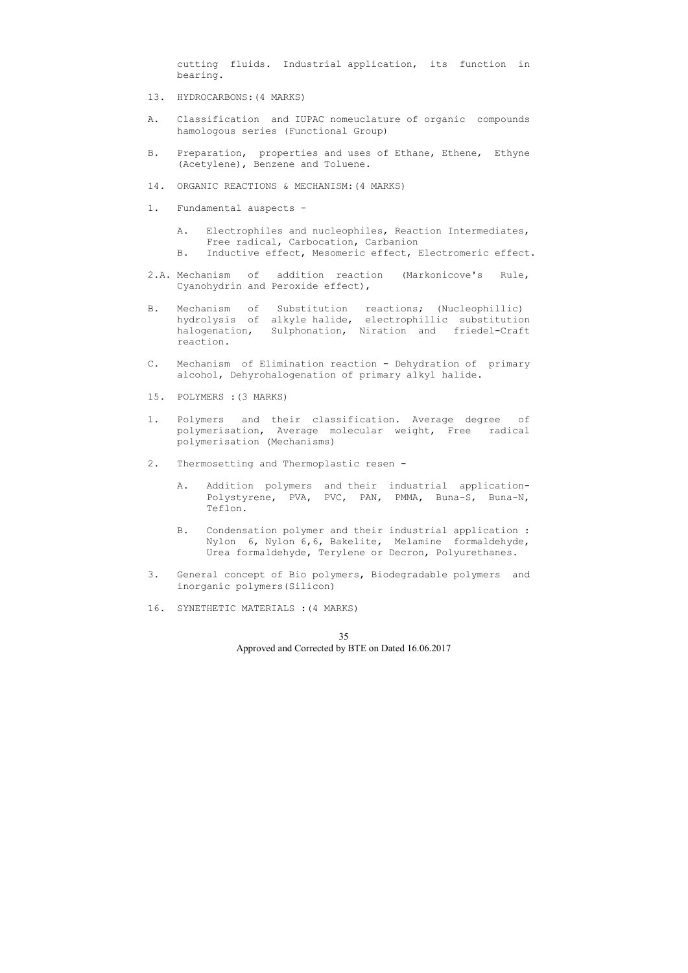cutting fluids. Industrial application, its function in bearing.

- 13. HYDROCARBONS:(4 MARKS)
- A. Classification and IUPAC nomeuclature of organic compounds hamologous series (Functional Group)
- B. Preparation, properties and uses of Ethane, Ethene, Ethyne (Acetylene), Benzene and Toluene.
- 14. ORGANIC REACTIONS & MECHANISM:(4 MARKS)
- 1. Fundamental auspects
	- A. Electrophiles and nucleophiles, Reaction Intermediates, Free radical, Carbocation, Carbanion
	- B. Inductive effect, Mesomeric effect, Electromeric effect.
- 2.A. Mechanism of addition reaction (Markonicove's Rule, Cyanohydrin and Peroxide effect),
- B. Mechanism of Substitution reactions; (Nucleophillic) hydrolysis of alkyle halide, electrophillic substitution halogenation, Sulphonation, Niration and friedel-Craft reaction.
- C. Mechanism of Elimination reaction Dehydration of primary alcohol, Dehyrohalogenation of primary alkyl halide.
- 15. POLYMERS :(3 MARKS)
- 1. Polymers and their classification. Average degree of polymerisation, Average molecular weight, Free radical polymerisation (Mechanisms)
- 2. Thermosetting and Thermoplastic resen
	- A. Addition polymers and their industrial application- Polystyrene, PVA, PVC, PAN, PMMA, Buna-S, Buna-N, Teflon.
	- B. Condensation polymer and their industrial application : Nylon 6, Nylon 6,6, Bakelite, Melamine formaldehyde, Urea formaldehyde, Terylene or Decron, Polyurethanes.
- 3. General concept of Bio polymers, Biodegradable polymers and inorganic polymers(Silicon)
- 16. SYNETHETIC MATERIALS :(4 MARKS)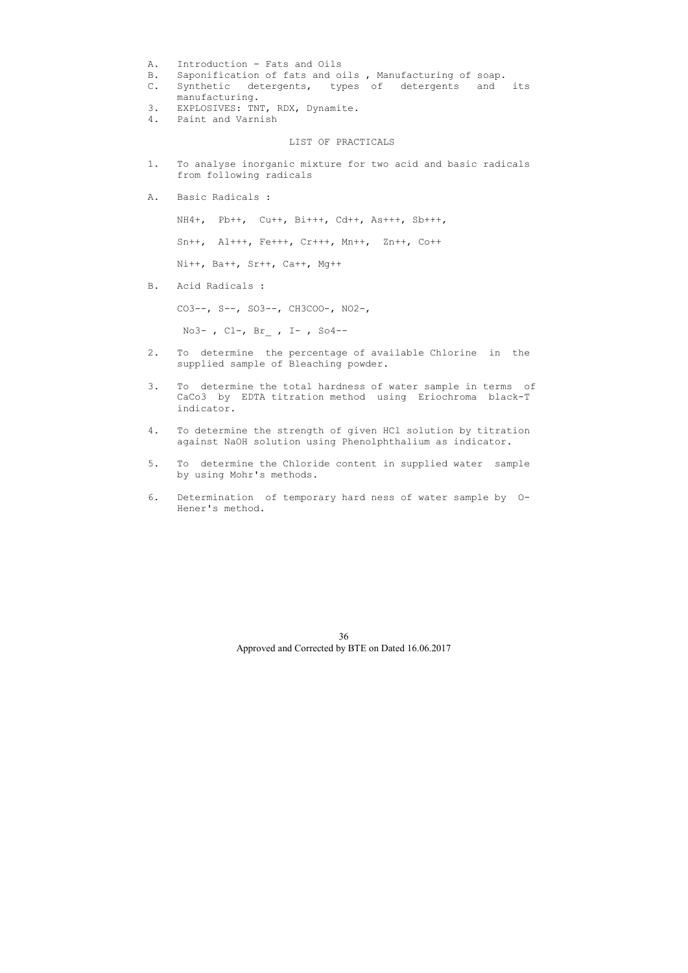- A. Introduction Fats and Oils
- B. Saponification of fats and oils , Manufacturing of soap.
- C. Synthetic detergents, types of detergents and its manufacturing.
- 3. EXPLOSIVES: TNT, RDX, Dynamite.
- 4. Paint and Varnish

#### LIST OF PRACTICALS

- 1. To analyse inorganic mixture for two acid and basic radicals from following radicals
- A. Basic Radicals :

NH4+, Pb++, Cu++, Bi+++, Cd++, As+++, Sb+++,

Sn++, Al+++, Fe+++, Cr+++, Mn++, Zn++, Co++

Ni++, Ba++, Sr++, Ca++, Mg++

B. Acid Radicals :

CO3--, S--, SO3--, CH3COO-, NO2-,

No3- , Cl-, Br\_ , I- , So4--

- 2. To determine the percentage of available Chlorine in the supplied sample of Bleaching powder.
- 3. To determine the total hardness of water sample in terms of CaCo3 by EDTA titration method using Eriochroma black-T indicator.
- 4. To determine the strength of given HCl solution by titration against NaOH solution using Phenolphthalium as indicator.
- 5. To determine the Chloride content in supplied water sample by using Mohr's methods.
- 6. Determination of temporary hard ness of water sample by O- Hener's method.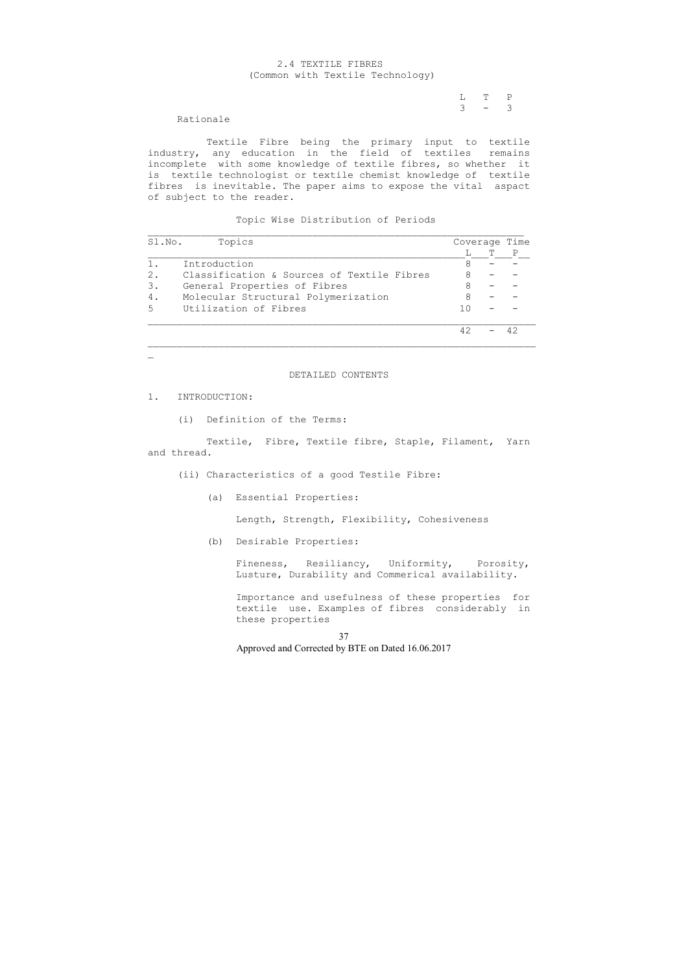L T P  $3 - 3$ 

# 2.4 TEXTILE FIBRES (Common with Textile Technology)

Rationale

 Textile Fibre being the primary input to textile industry, any education in the field of textiles remains incomplete with some knowledge of textile fibres, so whether it is textile technologist or textile chemist knowledge of textile fibres is inevitable. The paper aims to expose the vital aspact of subject to the reader.

Topic Wise Distribution of Periods

| Sl.No. | Topics                                     |      | Coverage Time |  |
|--------|--------------------------------------------|------|---------------|--|
|        |                                            |      |               |  |
|        | Introduction                               |      |               |  |
| 2.     | Classification & Sources of Textile Fibres |      |               |  |
| 3.     | General Properties of Fibres               | 8    |               |  |
| 4.     | Molecular Structural Polymerization        | 8    |               |  |
| 5      | Utilization of Fibres                      | 1 () |               |  |
|        |                                            | 42   |               |  |

 $\mathbb{Z}^{\mathbb{Z}}$ 

#### DETAILED CONTENTS

1. INTRODUCTION:

(i) Definition of the Terms:

 Textile, Fibre, Textile fibre, Staple, Filament, Yarn and thread.

- (ii) Characteristics of a good Testile Fibre:
	- (a) Essential Properties:

Length, Strength, Flexibility, Cohesiveness

(b) Desirable Properties:

 Fineness, Resiliancy, Uniformity, Porosity, Lusture, Durability and Commerical availability.

 Importance and usefulness of these properties for textile use. Examples of fibres considerably in these properties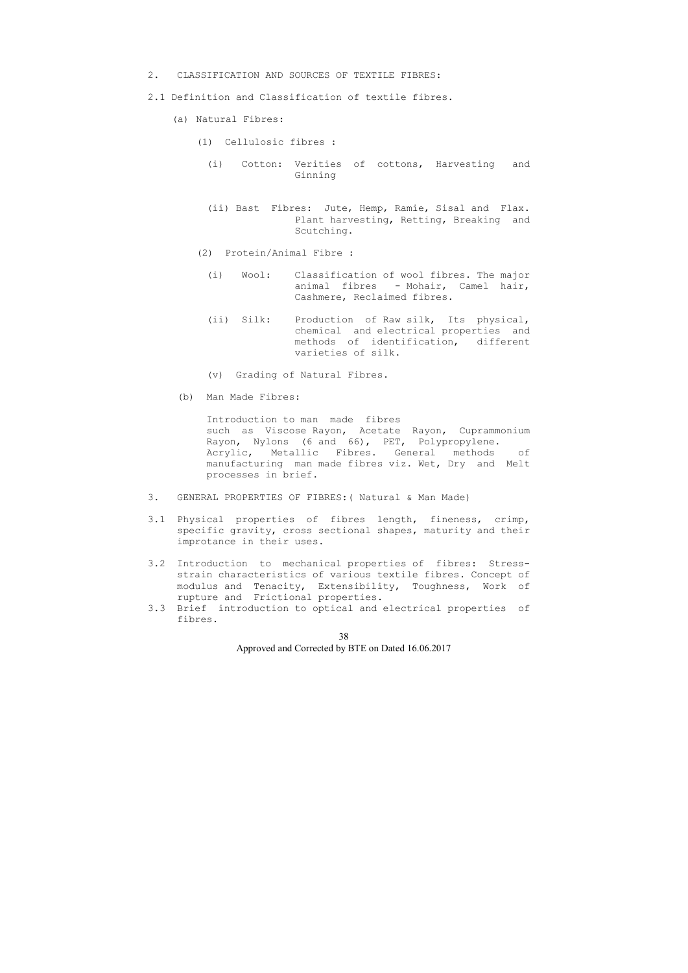- 2. CLASSIFICATION AND SOURCES OF TEXTILE FIBRES:
- 2.1 Definition and Classification of textile fibres.
	- (a) Natural Fibres:
		- (1) Cellulosic fibres :
			- (i) Cotton: Verities of cottons, Harvesting and Ginning
			- (ii) Bast Fibres: Jute, Hemp, Ramie, Sisal and Flax. Plant harvesting, Retting, Breaking and Scutching.
		- (2) Protein/Animal Fibre :
			- (i) Wool: Classification of wool fibres. The major animal fibres - Mohair, Camel hair, Cashmere, Reclaimed fibres.
			- (ii) Silk: Production of Raw silk, Its physical, chemical and electrical properties and methods of identification, different varieties of silk.
			- (v) Grading of Natural Fibres.
	- (b) Man Made Fibres:

 Introduction to man made fibres such as Viscose Rayon, Acetate Rayon, Cuprammonium Rayon, Nylons (6 and 66), PET, Polypropylene. Acrylic, Metallic Fibres. General methods of manufacturing man made fibres viz. Wet, Dry and Melt processes in brief.

- 3. GENERAL PROPERTIES OF FIBRES:( Natural & Man Made)
- 3.1 Physical properties of fibres length, fineness, crimp, specific gravity, cross sectional shapes, maturity and their improtance in their uses.
- 3.2 Introduction to mechanical properties of fibres: Stress strain characteristics of various textile fibres. Concept of modulus and Tenacity, Extensibility, Toughness, Work of rupture and Frictional properties.
- 3.3 Brief introduction to optical and electrical properties of fibres.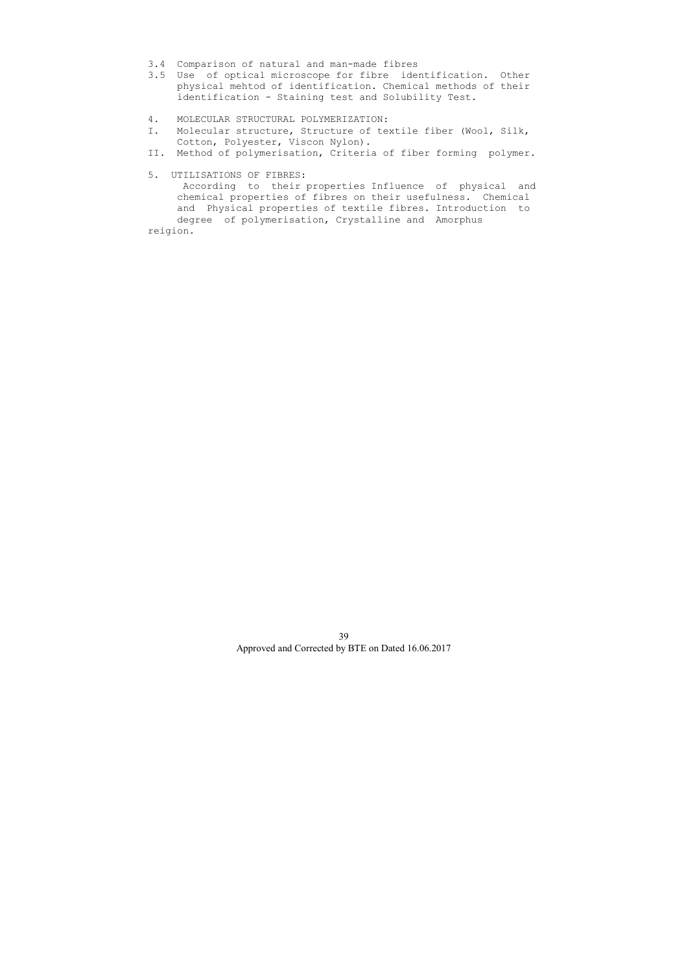- 3.4 Comparison of natural and man-made fibres
- 3.5 Use of optical microscope for fibre identification. Other physical mehtod of identification. Chemical methods of their identification - Staining test and Solubility Test.
- 4. MOLECULAR STRUCTURAL POLYMERIZATION:
- I. Molecular structure, Structure of textile fiber (Wool, Silk, Cotton, Polyester, Viscon Nylon).
- II. Method of polymerisation, Criteria of fiber forming polymer.
- 5. UTILISATIONS OF FIBRES:

 According to their properties Influence of physical and chemical properties of fibres on their usefulness. Chemical and Physical properties of textile fibres. Introduction to degree of polymerisation, Crystalline and Amorphus reigion.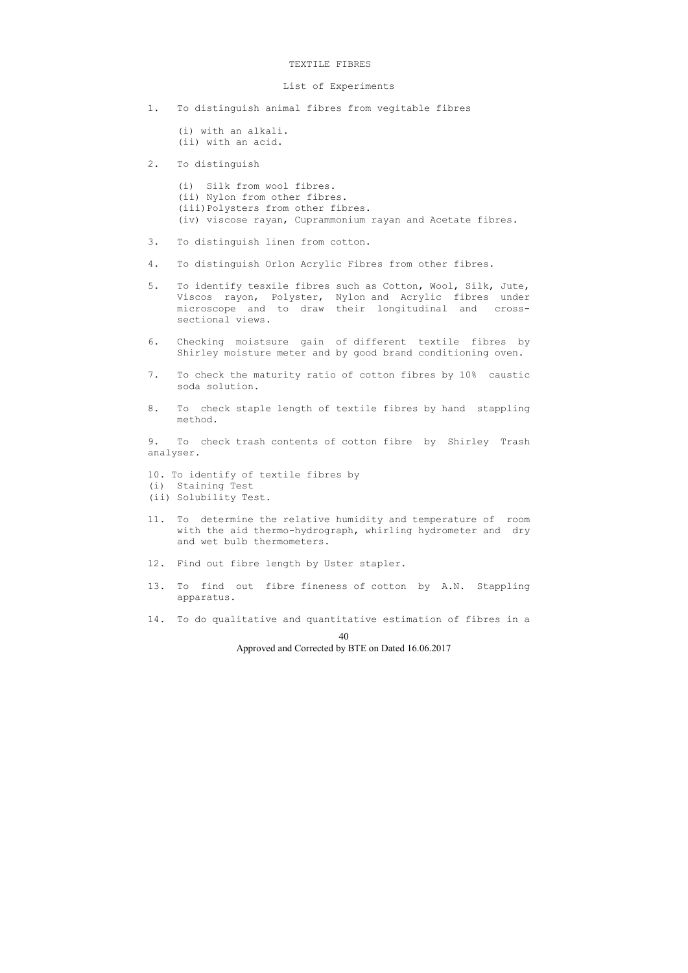#### TEXTILE FIBRES

## List of Experiments

- 1. To distinguish animal fibres from vegitable fibres
	- (i) with an alkali. (ii) with an acid.
- 2. To distinguish

 (i) Silk from wool fibres. (ii) Nylon from other fibres. (iii)Polysters from other fibres. (iv) viscose rayan, Cuprammonium rayan and Acetate fibres.

- 3. To distinguish linen from cotton.
- 4. To distinguish Orlon Acrylic Fibres from other fibres.
- 5. To identify tesxile fibres such as Cotton, Wool, Silk, Jute, Viscos rayon, Polyster, Nylon and Acrylic fibres under microscope and to draw their longitudinal and cross sectional views.
- 6. Checking moistsure gain of different textile fibres by Shirley moisture meter and by good brand conditioning oven.
- 7. To check the maturity ratio of cotton fibres by 10% caustic soda solution.
- 8. To check staple length of textile fibres by hand stappling method.

9. To check trash contents of cotton fibre by Shirley Trash analyser.

- 10. To identify of textile fibres by
- (i) Staining Test
- (ii) Solubility Test.
- 11. To determine the relative humidity and temperature of room with the aid thermo-hydrograph, whirling hydrometer and dry and wet bulb thermometers.
- 12. Find out fibre length by Uster stapler.
- 13. To find out fibre fineness of cotton by A.N. Stappling apparatus.
- 14. To do qualitative and quantitative estimation of fibres in a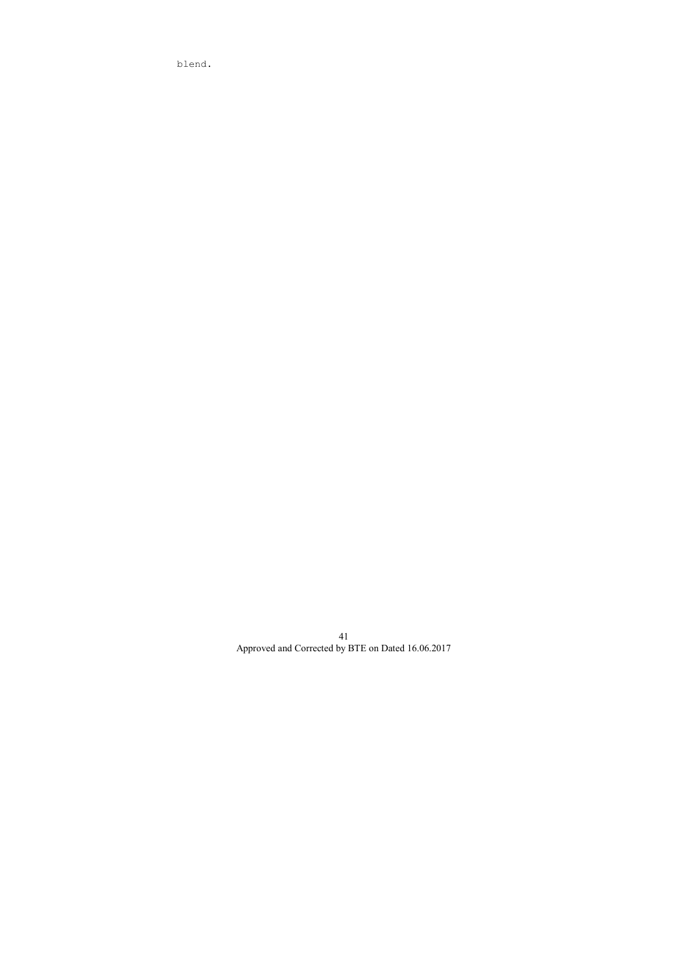blend.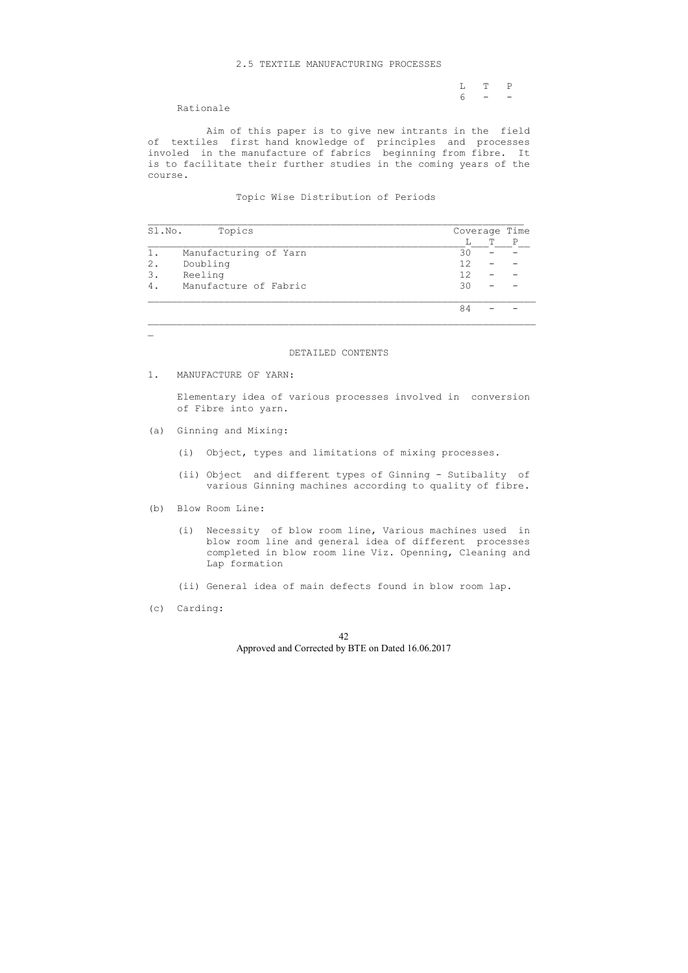### 2.5 TEXTILE MANUFACTURING PROCESSES

L T P<br>6 – –  $6 - -$ 

Rationale

 Aim of this paper is to give new intrants in the field of textiles first hand knowledge of principles and processes involed in the manufacture of fabrics beginning from fibre. It is to facilitate their further studies in the coming years of the course.

Topic Wise Distribution of Periods

| Sl.No.         | Topics                |    | Coverage Time |  |  |  |  |
|----------------|-----------------------|----|---------------|--|--|--|--|
|                |                       | ⊥  | т             |  |  |  |  |
| 1.             | Manufacturing of Yarn | 30 |               |  |  |  |  |
| 2.             | Doubling              | 12 |               |  |  |  |  |
| 3.             | Reeling               | 12 |               |  |  |  |  |
| $\overline{4}$ | Manufacture of Fabric | 30 |               |  |  |  |  |
|                |                       | 84 |               |  |  |  |  |

## DETAILED CONTENTS

1. MANUFACTURE OF YARN:

 $\mathbb{Z}^{\mathbb{Z}}$ 

 Elementary idea of various processes involved in conversion of Fibre into yarn.

- (a) Ginning and Mixing:
	- (i) Object, types and limitations of mixing processes.
	- (ii) Object and different types of Ginning Sutibality of various Ginning machines according to quality of fibre.
- (b) Blow Room Line:
	- (i) Necessity of blow room line, Various machines used in blow room line and general idea of different processes completed in blow room line Viz. Openning, Cleaning and Lap formation
	- (ii) General idea of main defects found in blow room lap.
- (c) Carding: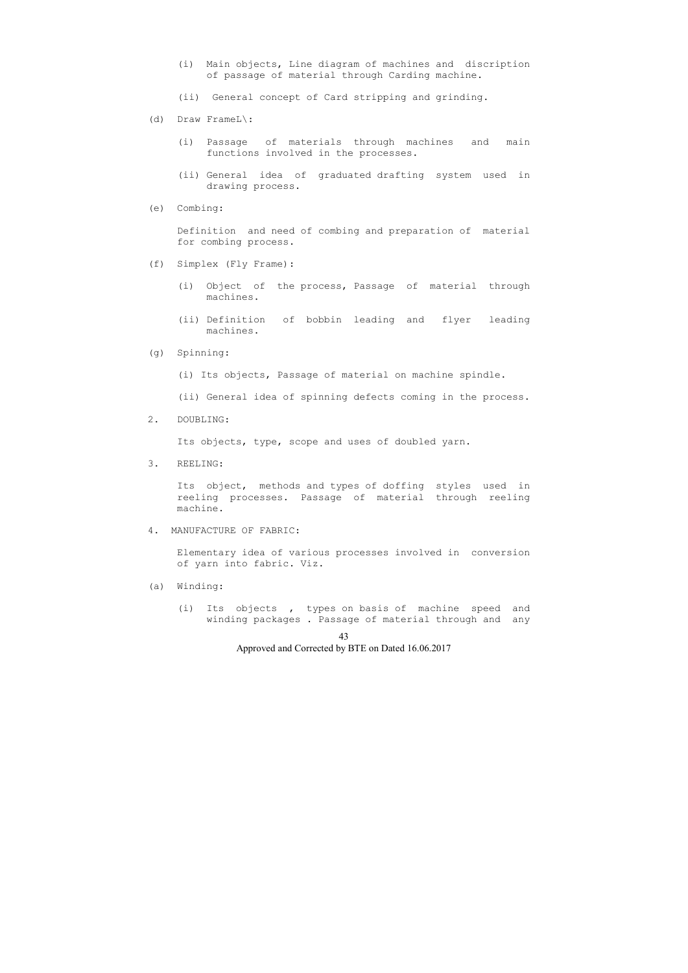- (i) Main objects, Line diagram of machines and discription of passage of material through Carding machine.
- (ii) General concept of Card stripping and grinding.
- (d) Draw FrameL\:
	- (i) Passage of materials through machines and main functions involved in the processes.
	- (ii) General idea of graduated drafting system used in drawing process.
- (e) Combing:

 Definition and need of combing and preparation of material for combing process.

- (f) Simplex (Fly Frame):
	- (i) Object of the process, Passage of material through machines.
	- (ii) Definition of bobbin leading and flyer leading machines.
- (g) Spinning:
	- (i) Its objects, Passage of material on machine spindle.
	- (ii) General idea of spinning defects coming in the process.
- 2. DOUBLING:

Its objects, type, scope and uses of doubled yarn.

3. REELING:

 Its object, methods and types of doffing styles used in reeling processes. Passage of material through reeling machine.

4. MANUFACTURE OF FABRIC:

 Elementary idea of various processes involved in conversion of yarn into fabric. Viz.

- (a) Winding:
	- (i) Its objects , types on basis of machine speed and winding packages . Passage of material through and any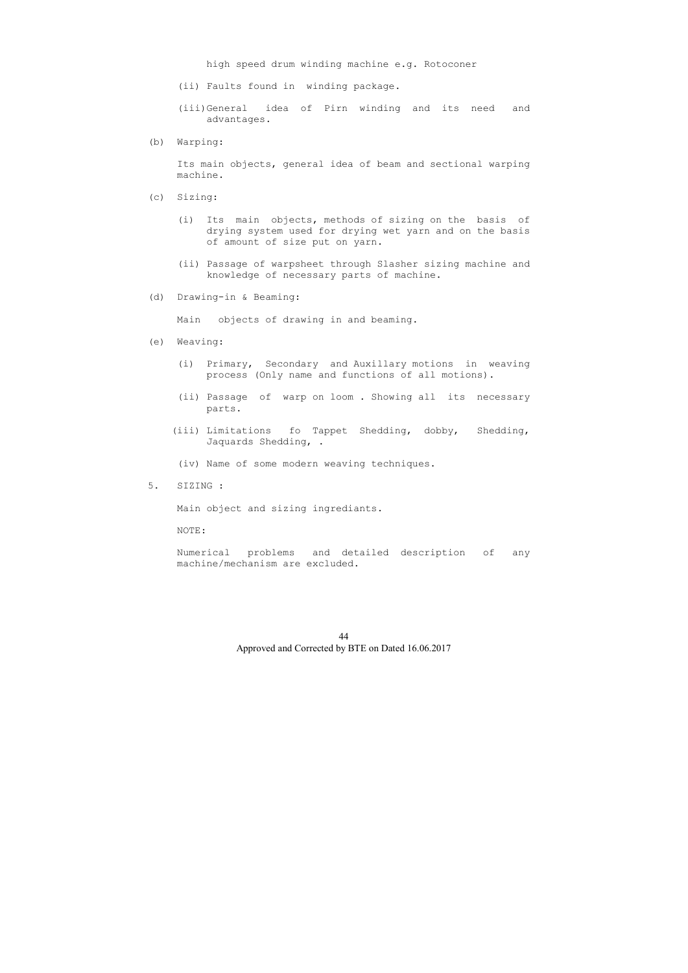high speed drum winding machine e.g. Rotoconer

- (ii) Faults found in winding package.
- (iii)General idea of Pirn winding and its need and advantages.
- (b) Warping:

 Its main objects, general idea of beam and sectional warping machine.

- (c) Sizing:
	- (i) Its main objects, methods of sizing on the basis of drying system used for drying wet yarn and on the basis of amount of size put on yarn.
	- (ii) Passage of warpsheet through Slasher sizing machine and knowledge of necessary parts of machine.
- (d) Drawing-in & Beaming:

Main objects of drawing in and beaming.

- (e) Weaving:
	- (i) Primary, Secondary and Auxillary motions in weaving process (Only name and functions of all motions).
	- (ii) Passage of warp on loom . Showing all its necessary parts.
	- (iii) Limitations fo Tappet Shedding, dobby, Shedding, Jaquards Shedding, .
	- (iv) Name of some modern weaving techniques.
- 5. SIZING :

Main object and sizing ingrediants.

NOTE:

 Numerical problems and detailed description of any machine/mechanism are excluded.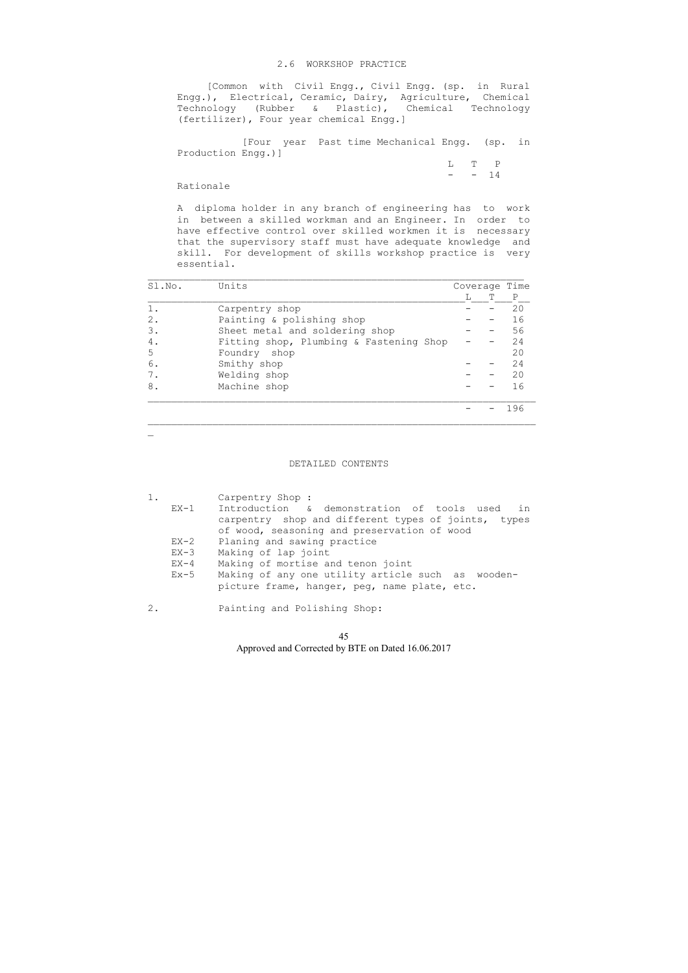## 2.6 WORKSHOP PRACTICE

 L T P  $-$  14

 [Common with Civil Engg., Civil Engg. (sp. in Rural Engg.), Electrical, Ceramic, Dairy, Agriculture, Chemical Technology (Rubber & Plastic), Chemical Technology (fertilizer), Four year chemical Engg.]

 [Four year Past time Mechanical Engg. (sp. in Production Engg.)]

### Rationale

 A diploma holder in any branch of engineering has to work in between a skilled workman and an Engineer. In order to have effective control over skilled workmen it is necessary that the supervisory staff must have adequate knowledge and skill. For development of skills workshop practice is very essential.

| Sl.No. | Units                                   |  | Coverage Time |     |  |
|--------|-----------------------------------------|--|---------------|-----|--|
|        |                                         |  | T             | P   |  |
| $1$ .  | Carpentry shop                          |  |               | 20  |  |
| 2.     | Painting & polishing shop               |  |               | 16  |  |
| 3.     | Sheet metal and soldering shop          |  |               | 56  |  |
| 4.     | Fitting shop, Plumbing & Fastening Shop |  |               | 24  |  |
| 5      | Foundry shop                            |  |               | 20  |  |
| 6.     | Smithy shop                             |  |               | 24  |  |
| 7.     | Welding shop                            |  |               | 20  |  |
| 8.     | Machine shop                            |  |               | 16  |  |
|        |                                         |  |               | 196 |  |

 $\mathbf{r}$ 

## DETAILED CONTENTS

| $1$ . |        | Carpentry Shop :                                    |
|-------|--------|-----------------------------------------------------|
|       | EX-1   | Introduction & demonstration of tools used in       |
|       |        | carpentry shop and different types of joints, types |
|       |        | of wood, seasoning and preservation of wood         |
|       | $EX-2$ | Planing and sawing practice                         |
|       | $EX-3$ | Making of lap joint                                 |
|       | $EX-4$ | Making of mortise and tenon joint                   |
|       | $Ex-5$ | Making of any one utility article such as wooden-   |
|       |        | picture frame, hanger, peg, name plate, etc.        |
|       |        |                                                     |

2. Painting and Polishing Shop: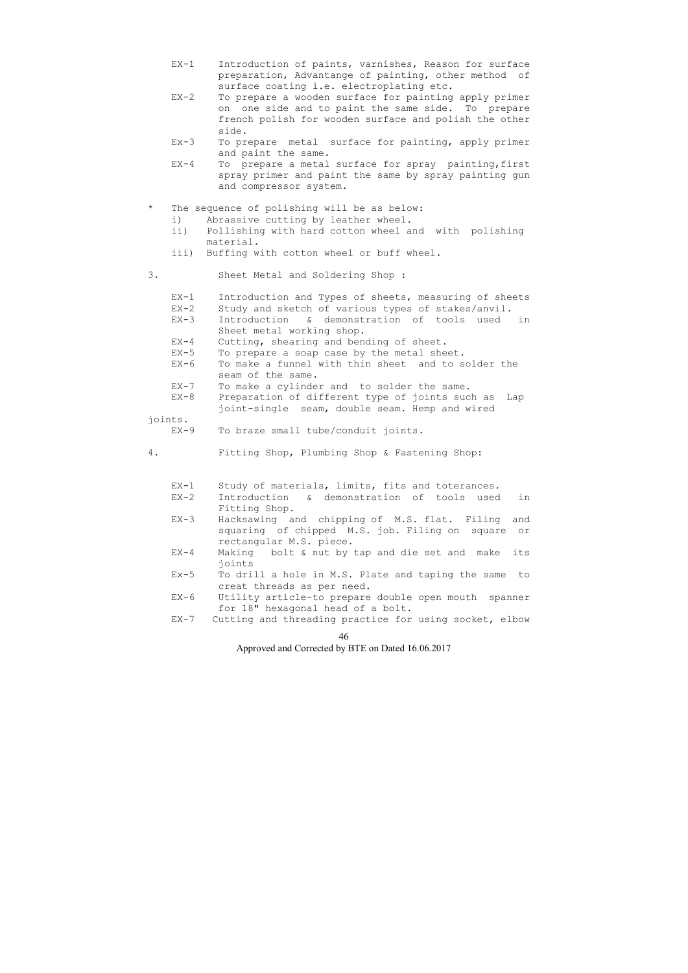- EX-1 Introduction of paints, varnishes, Reason for surface preparation, Advantange of painting, other method of surface coating i.e. electroplating etc.
- EX-2 To prepare a wooden surface for painting apply primer on one side and to paint the same side. To prepare french polish for wooden surface and polish the other side.
- Ex-3 To prepare metal surface for painting, apply primer and paint the same.
- EX-4 To prepare a metal surface for spray painting,first spray primer and paint the same by spray painting gun and compressor system.

## The sequence of polishing will be as below:

- i) Abrassive cutting by leather wheel.
- ii) Pollishing with hard cotton wheel and with polishing material.
- iii) Buffing with cotton wheel or buff wheel.
- 3. Sheet Metal and Soldering Shop :
	- EX-1 Introduction and Types of sheets, measuring of sheets
	- EX-2 Study and sketch of various types of stakes/anvil.
	- EX-3 Introduction & demonstration of tools used in Sheet metal working shop.
	- EX-4 Cutting, shearing and bending of sheet.
	- EX-5 To prepare a soap case by the metal sheet.
	- EX-6 To make a funnel with thin sheet and to solder the seam of the same.
	- EX-7 To make a cylinder and to solder the same.
	- EX-8 Preparation of different type of joints such as Lap joint-single seam, double seam. Hemp and wired

# joints.

- EX-9 To braze small tube/conduit joints.
- 4. Fitting Shop, Plumbing Shop & Fastening Shop:
	- EX-1 Study of materials, limits, fits and toterances.
	- EX-2 Introduction & demonstration of tools used in Fitting Shop.
	- EX-3 Hacksawing and chipping of M.S. flat. Filing and squaring of chipped M.S. job. Filing on square or rectangular M.S. piece.
	- EX-4 Making bolt & nut by tap and die set and make its joints
	- Ex-5 To drill a hole in M.S. Plate and taping the same to creat threads as per need.
	- EX-6 Utility article-to prepare double open mouth spanner for 18" hexagonal head of a bolt.
	- EX-7 Cutting and threading practice for using socket, elbow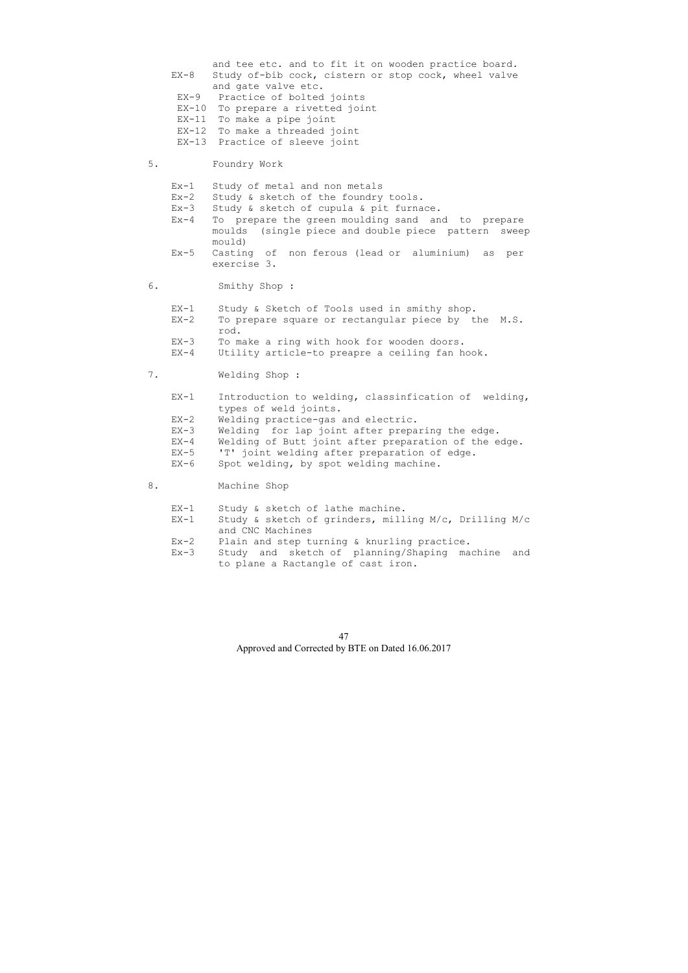|    | $EX-8$<br>$EX-9$                               | and tee etc. and to fit it on wooden practice board.<br>Study of-bib cock, cistern or stop cock, wheel valve<br>and gate valve etc.<br>Practice of bolted joints<br>EX-10 To prepare a rivetted joint<br>EX-11 To make a pipe joint<br>EX-12 To make a threaded joint<br>EX-13 Practice of sleeve joint   |
|----|------------------------------------------------|-----------------------------------------------------------------------------------------------------------------------------------------------------------------------------------------------------------------------------------------------------------------------------------------------------------|
| 5. |                                                | Foundry Work                                                                                                                                                                                                                                                                                              |
|    | $Ex-1$<br>$Ex-2$<br>$Ex-3$<br>$Ex-4$<br>$Ex-5$ | Study of metal and non metals<br>Study & sketch of the foundry tools.<br>Study & sketch of cupula & pit furnace.<br>To prepare the green moulding sand and to prepare<br>moulds (single piece and double piece pattern sweep<br>mould)<br>Casting of non ferous (lead or aluminium) as per<br>exercise 3. |
| 6. |                                                | Smithy Shop :                                                                                                                                                                                                                                                                                             |
|    | $EX-1$                                         | Study & Sketch of Tools used in smithy shop.                                                                                                                                                                                                                                                              |
|    | $EX-2$                                         | To prepare square or rectangular piece by the M.S.<br>rod.                                                                                                                                                                                                                                                |
|    | $EX-3$<br>$EX-4$                               | To make a ring with hook for wooden doors.<br>Utility article-to preapre a ceiling fan hook.                                                                                                                                                                                                              |
| 7. |                                                | Welding Shop:                                                                                                                                                                                                                                                                                             |
|    | $EX-1$                                         | Introduction to welding, classinfication of welding,<br>types of weld joints.                                                                                                                                                                                                                             |
|    | $EX-2$                                         | Welding practice-gas and electric.                                                                                                                                                                                                                                                                        |
|    | $EX-3$                                         | Welding for lap joint after preparing the edge.                                                                                                                                                                                                                                                           |
|    | $EX-4$                                         | Welding of Butt joint after preparation of the edge.                                                                                                                                                                                                                                                      |
|    | $EX-5$                                         | 'T' joint welding after preparation of edge.                                                                                                                                                                                                                                                              |
|    | $EX-6$                                         | Spot welding, by spot welding machine.                                                                                                                                                                                                                                                                    |
| 8. |                                                | Machine Shop                                                                                                                                                                                                                                                                                              |
|    | $EX-1$                                         | Study & sketch of lathe machine.                                                                                                                                                                                                                                                                          |
|    | $EX-1$                                         | Study & sketch of grinders, milling M/c, Drilling M/c<br>and CNC Machines                                                                                                                                                                                                                                 |
|    | $Ex - 2$                                       | Plain and step turning & knurling practice.                                                                                                                                                                                                                                                               |
|    | $Ex-3$                                         | Study and sketch of planning/Shaping<br>machine<br>and<br>to plane a Ractangle of cast iron.                                                                                                                                                                                                              |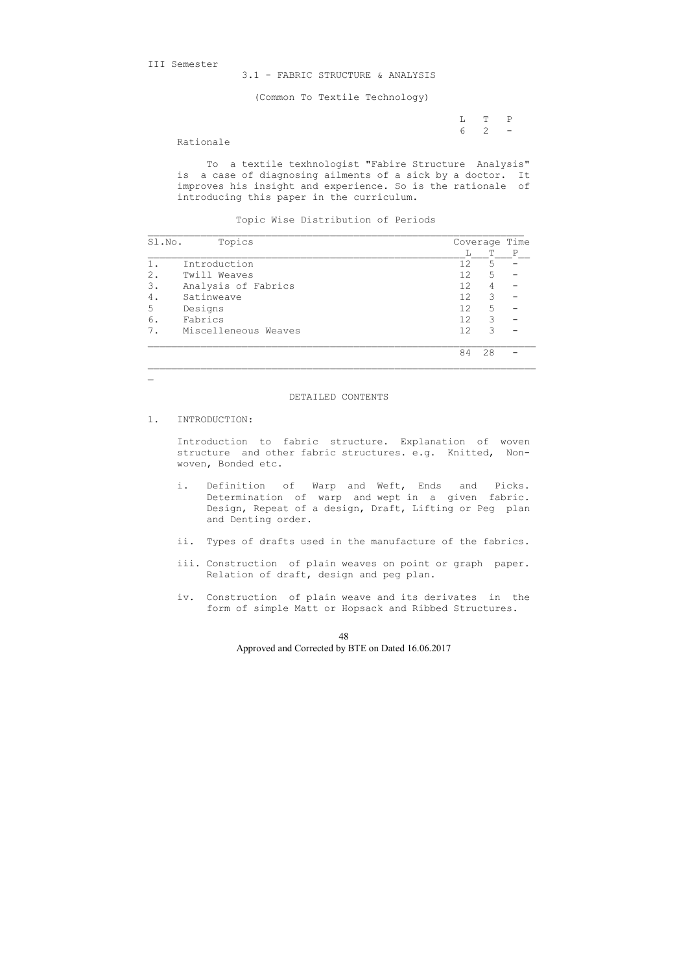III Semester

3.1 - FABRIC STRUCTURE & ANALYSIS

(Common To Textile Technology)

 L T P 6 2 -

Rationale

 To a textile texhnologist "Fabire Structure Analysis" is a case of diagnosing ailments of a sick by a doctor. It improves his insight and experience. So is the rationale of introducing this paper in the curriculum.

Topic Wise Distribution of Periods

| Sl.No. | Topics               |                 | Coverage | Time |
|--------|----------------------|-----------------|----------|------|
|        |                      |                 |          | P    |
|        | Introduction         | 12              | 5        |      |
| 2.     | Twill Weaves         | 12 <sub>1</sub> | 5        |      |
| 3.     | Analysis of Fabrics  | 12              | 4        |      |
| 4.     | Satinweave           | 12              | 3        |      |
| 5      | Designs              | 12              | 5        |      |
| 6.     | Fabrics              | 12              | 3        |      |
|        | Miscelleneous Weaves | 12              | 3        |      |
|        |                      | 84              | 28       |      |

#### DETAILED CONTENTS

1. INTRODUCTION:

 $\mathbf{r}$ 

 Introduction to fabric structure. Explanation of woven structure and other fabric structures. e.g. Knitted, Non woven, Bonded etc.

- i. Definition of Warp and Weft, Ends and Picks. Determination of warp and wept in a given fabric. Design, Repeat of a design, Draft, Lifting or Peg plan and Denting order.
- ii. Types of drafts used in the manufacture of the fabrics.
- iii. Construction of plain weaves on point or graph paper. Relation of draft, design and peg plan.
- iv. Construction of plain weave and its derivates in the form of simple Matt or Hopsack and Ribbed Structures.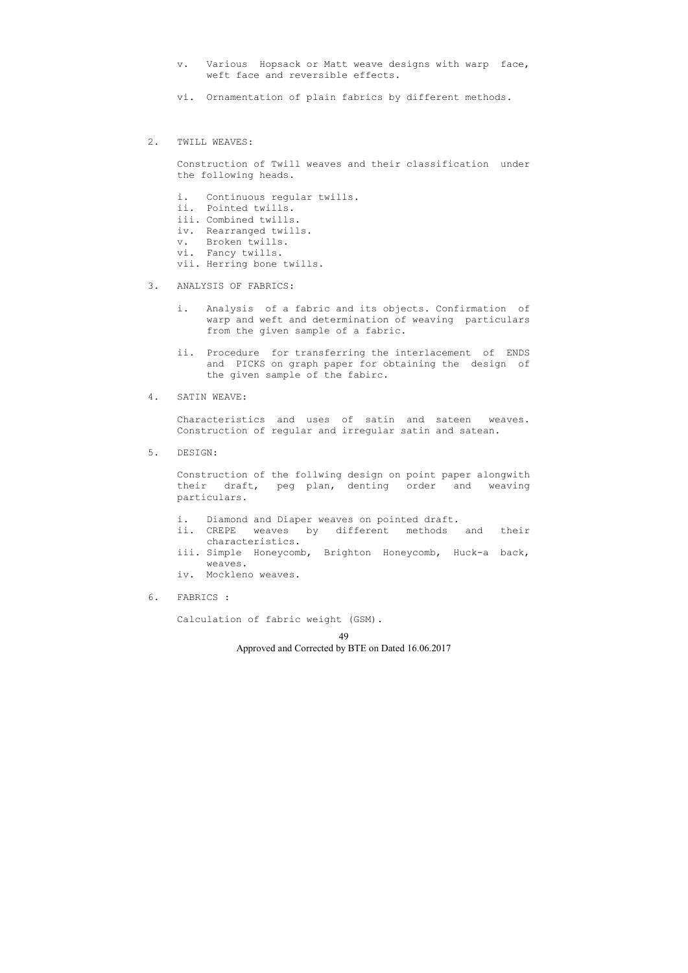- v. Various Hopsack or Matt weave designs with warp face, weft face and reversible effects.
- vi. Ornamentation of plain fabrics by different methods.

### 2. TWILL WEAVES:

 Construction of Twill weaves and their classification under the following heads.

- i. Continuous regular twills.
- ii. Pointed twills.
- iii. Combined twills.
- iv. Rearranged twills.
- v. Broken twills.
- vi. Fancy twills.
- vii. Herring bone twills.
- 3. ANALYSIS OF FABRICS:
	- i. Analysis of a fabric and its objects. Confirmation of warp and weft and determination of weaving particulars from the given sample of a fabric.
	- ii. Procedure for transferring the interlacement of ENDS and PICKS on graph paper for obtaining the design of the given sample of the fabirc.

### 4. SATIN WEAVE:

 Characteristics and uses of satin and sateen weaves. Construction of regular and irregular satin and satean.

5. DESIGN:

 Construction of the follwing design on point paper alongwith their draft, peg plan, denting order and weaving particulars.

- i. Diamond and Diaper weaves on pointed draft.
- ii. CREPE weaves by different methods and their characteristics.
- iii. Simple Honeycomb, Brighton Honeycomb, Huck-a back, weaves.
- iv. Mockleno weaves.
- 6. FABRICS :

Calculation of fabric weight (GSM).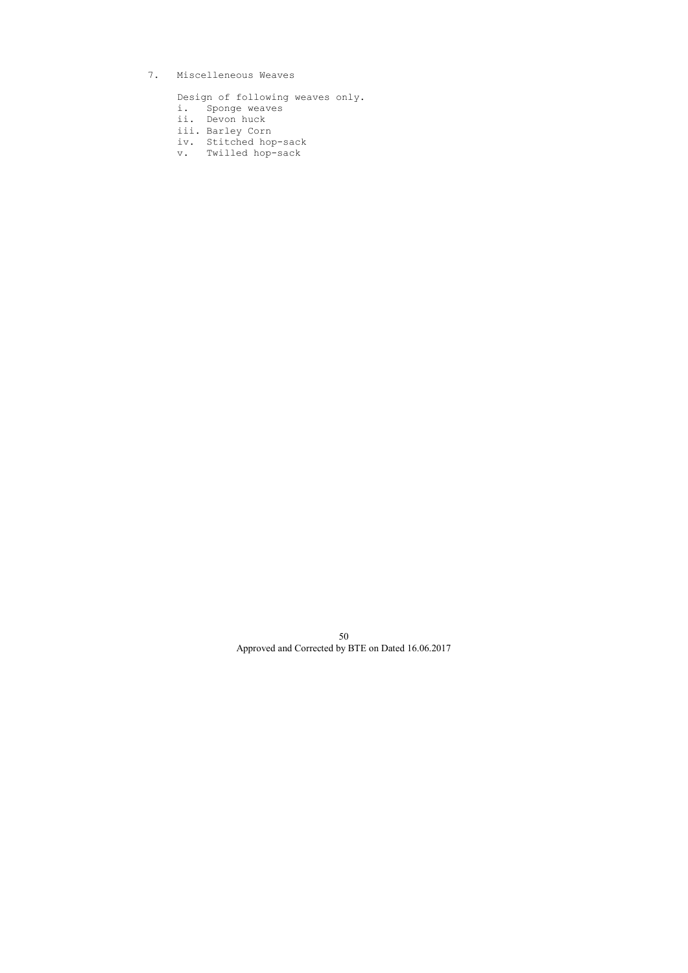7. Miscelleneous Weaves

Design of following weaves only.

- i. Sponge weaves
- ii. Devon huck
- iii. Barley Corn
- iv. Stitched hop-sack
- v. Twilled hop-sack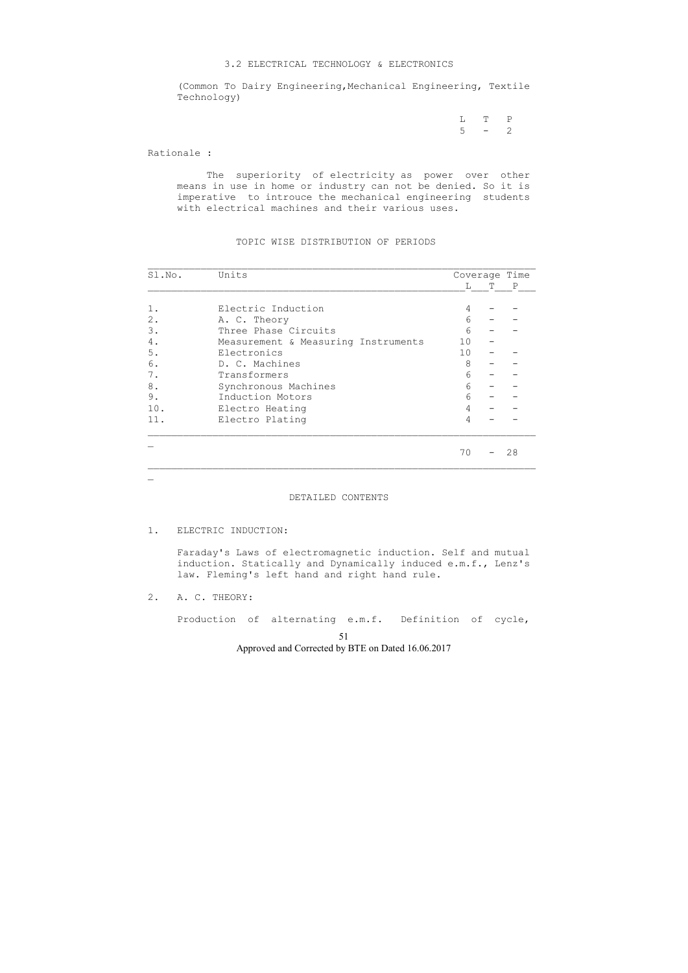#### 3.2 ELECTRICAL TECHNOLOGY & ELECTRONICS

 L T P  $5 - 2$ 

 (Common To Dairy Engineering,Mechanical Engineering, Textile Technology)

Rationale :

 The superiority of electricity as power over other means in use in home or industry can not be denied. So it is imperative to introuce the mechanical engineering students with electrical machines and their various uses.

# TOPIC WISE DISTRIBUTION OF PERIODS

 $\mathbf{r}$ 

| Sl.No. | Units                               | Coverage Time   |  |             |  |
|--------|-------------------------------------|-----------------|--|-------------|--|
|        |                                     | L               |  | $\mathbf P$ |  |
| 1.     | Electric Induction                  | 4               |  |             |  |
| 2.     | A. C. Theory                        | 6               |  |             |  |
| 3.     | Three Phase Circuits                | 6               |  |             |  |
| 4.     | Measurement & Measuring Instruments | 10              |  |             |  |
| 5.     | Electronics                         | 10 <sub>1</sub> |  |             |  |
| 6.     | D. C. Machines                      | 8               |  |             |  |
| 7.     | Transformers                        | 6               |  |             |  |
| 8.     | Synchronous Machines                | 6               |  |             |  |
| 9.     | Induction Motors                    | 6               |  |             |  |
| 10.    | Electro Heating                     | 4               |  |             |  |
| 11.    | Electro Plating                     | 4               |  |             |  |
|        |                                     | 70              |  | 28          |  |

#### DETAILED CONTENTS

1. ELECTRIC INDUCTION:

 Faraday's Laws of electromagnetic induction. Self and mutual induction. Statically and Dynamically induced e.m.f., Lenz's law. Fleming's left hand and right hand rule.

2. A. C. THEORY:

Production of alternating e.m.f. Definition of cycle,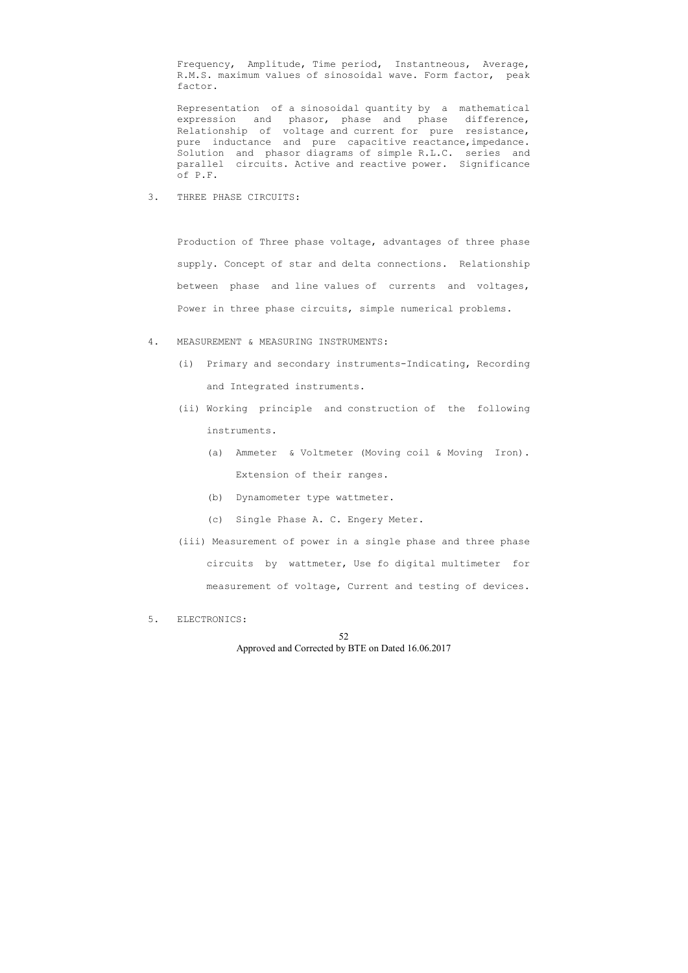Frequency, Amplitude, Time period, Instantneous, Average, R.M.S. maximum values of sinosoidal wave. Form factor, peak factor.

 Representation of a sinosoidal quantity by a mathematical expression and phasor, phase and phase difference, Relationship of voltage and current for pure resistance, pure inductance and pure capacitive reactance,impedance. Solution and phasor diagrams of simple R.L.C. series and parallel circuits. Active and reactive power. Significance of P.F.

3. THREE PHASE CIRCUITS:

 Production of Three phase voltage, advantages of three phase supply. Concept of star and delta connections. Relationship between phase and line values of currents and voltages, Power in three phase circuits, simple numerical problems.

- 4. MEASUREMENT & MEASURING INSTRUMENTS:
	- (i) Primary and secondary instruments-Indicating, Recording and Integrated instruments.
	- (ii) Working principle and construction of the following instruments.
		- (a) Ammeter & Voltmeter (Moving coil & Moving Iron). Extension of their ranges.
		- (b) Dynamometer type wattmeter.
		- (c) Single Phase A. C. Engery Meter.
	- (iii) Measurement of power in a single phase and three phase circuits by wattmeter, Use fo digital multimeter for measurement of voltage, Current and testing of devices.
- 5. ELECTRONICS: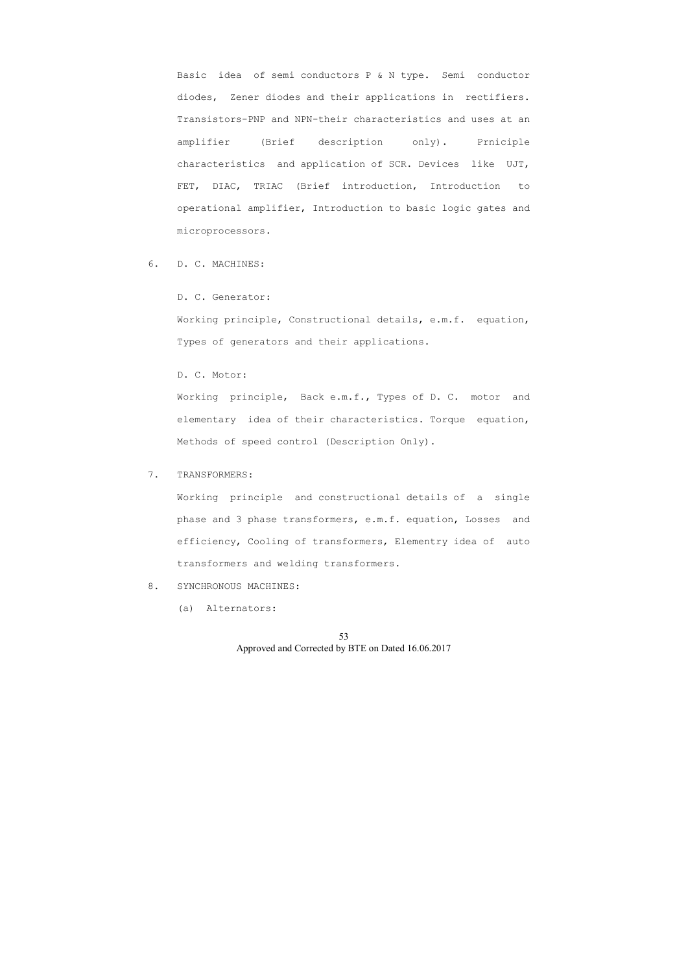Basic idea of semi conductors P & N type. Semi conductor diodes, Zener diodes and their applications in rectifiers. Transistors-PNP and NPN-their characteristics and uses at an amplifier (Brief description only). Prniciple characteristics and application of SCR. Devices like UJT, FET, DIAC, TRIAC (Brief introduction, Introduction to operational amplifier, Introduction to basic logic gates and microprocessors.

6. D. C. MACHINES:

# D. C. Generator:

 Working principle, Constructional details, e.m.f. equation, Types of generators and their applications.

### D. C. Motor:

 Working principle, Back e.m.f., Types of D. C. motor and elementary idea of their characteristics. Torque equation, Methods of speed control (Description Only).

## 7. TRANSFORMERS:

 Working principle and constructional details of a single phase and 3 phase transformers, e.m.f. equation, Losses and efficiency, Cooling of transformers, Elementry idea of auto transformers and welding transformers.

## 8. SYNCHRONOUS MACHINES:

(a) Alternators: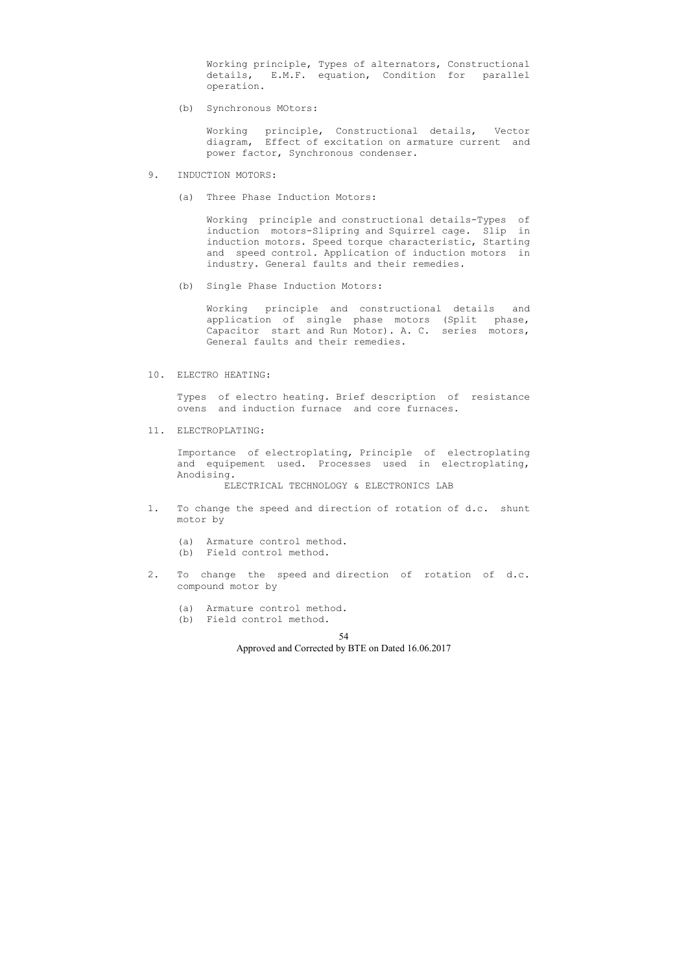Working principle, Types of alternators, Constructional details, E.M.F. equation, Condition for parallel operation.

(b) Synchronous MOtors:

 Working principle, Constructional details, Vector diagram, Effect of excitation on armature current and power factor, Synchronous condenser.

- 9. INDUCTION MOTORS:
	- (a) Three Phase Induction Motors:

 Working principle and constructional details-Types of induction motors-Slipring and Squirrel cage. Slip in induction motors. Speed torque characteristic, Starting and speed control. Application of induction motors in industry. General faults and their remedies.

(b) Single Phase Induction Motors:

 Working principle and constructional details and application of single phase motors (Split phase, Capacitor start and Run Motor). A. C. series motors, General faults and their remedies.

#### 10. ELECTRO HEATING:

 Types of electro heating. Brief description of resistance ovens and induction furnace and core furnaces.

11. ELECTROPLATING:

 Importance of electroplating, Principle of electroplating and equipement used. Processes used in electroplating, Anodising.

ELECTRICAL TECHNOLOGY & ELECTRONICS LAB

- 1. To change the speed and direction of rotation of d.c. shunt motor by
	- (a) Armature control method.
	- (b) Field control method.
- 2. To change the speed and direction of rotation of d.c. compound motor by
	- (a) Armature control method.
	- (b) Field control method.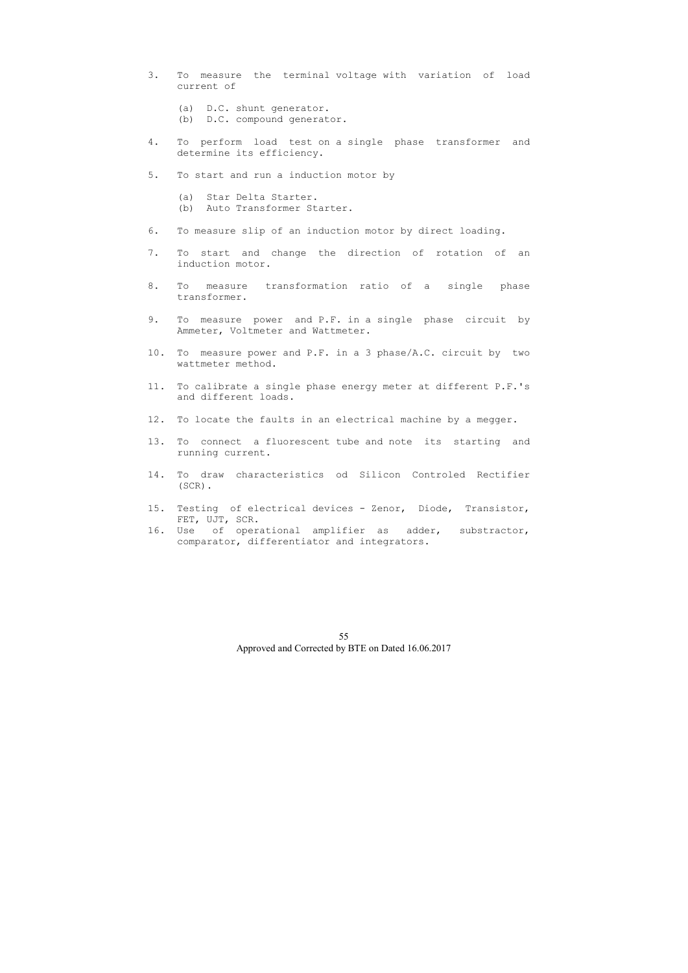- 3. To measure the terminal voltage with variation of load current of
	- (a) D.C. shunt generator.
	- (b) D.C. compound generator.
- 4. To perform load test on a single phase transformer and determine its efficiency.
- 5. To start and run a induction motor by
	- (a) Star Delta Starter.
	- (b) Auto Transformer Starter.
- 6. To measure slip of an induction motor by direct loading.
- 7. To start and change the direction of rotation of an induction motor.
- 8. To measure transformation ratio of a single phase transformer.
- 9. To measure power and P.F. in a single phase circuit by Ammeter, Voltmeter and Wattmeter.
- 10. To measure power and P.F. in a 3 phase/A.C. circuit by two wattmeter method.
- 11. To calibrate a single phase energy meter at different P.F.'s and different loads.
- 12. To locate the faults in an electrical machine by a megger.
- 13. To connect a fluorescent tube and note its starting and running current.
- 14. To draw characteristics od Silicon Controled Rectifier (SCR).
- 15. Testing of electrical devices Zenor, Diode, Transistor, FET, UJT, SCR.
- 16. Use of operational amplifier as adder, substractor, comparator, differentiator and integrators.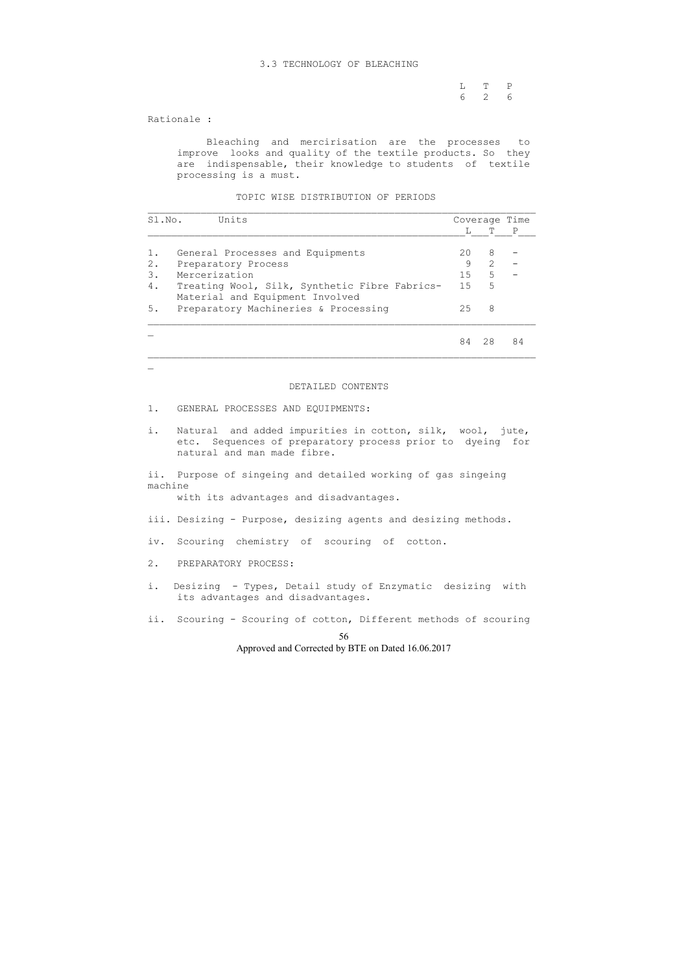#### 3.3 TECHNOLOGY OF BLEACHING

 L T P 6 2 6

Rationale :

 $\overline{\phantom{0}}$ 

 Bleaching and mercirisation are the processes to improve looks and quality of the textile products. So they are indispensable, their knowledge to students of textile processing is a must.

TOPIC WISE DISTRIBUTION OF PERIODS

| Sl.No. | Units                                                                            |    | Coverage Time |    |  |
|--------|----------------------------------------------------------------------------------|----|---------------|----|--|
|        |                                                                                  |    |               | P  |  |
|        | General Processes and Equipments                                                 | 20 | 8             |    |  |
| 2.     | Preparatory Process                                                              | 9  | $\mathcal{L}$ |    |  |
| 3.     | Mercerization                                                                    | 15 | 5             |    |  |
| 4.     | Treating Wool, Silk, Synthetic Fibre Fabrics-<br>Material and Equipment Involved | 15 | .5            |    |  |
| 5.     | Preparatory Machineries & Processing                                             | 25 | 8             |    |  |
|        |                                                                                  | 84 | 28            | 84 |  |

#### DETAILED CONTENTS

- 1. GENERAL PROCESSES AND EQUIPMENTS:
- i. Natural and added impurities in cotton, silk, wool, jute, etc. Sequences of preparatory process prior to dyeing for natural and man made fibre.

ii. Purpose of singeing and detailed working of gas singeing machine

with its advantages and disadvantages.

- iii. Desizing Purpose, desizing agents and desizing methods.
- iv. Scouring chemistry of scouring of cotton.
- 2. PREPARATORY PROCESS:
- i. Desizing Types, Detail study of Enzymatic desizing with its advantages and disadvantages.
- ii. Scouring Scouring of cotton, Different methods of scouring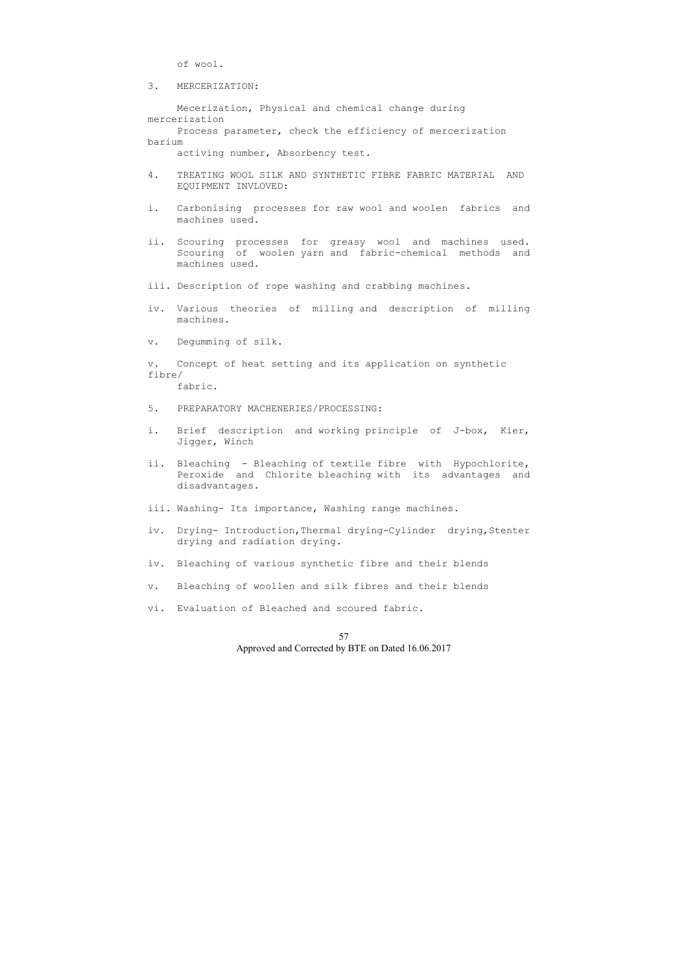of wool.

3. MERCERIZATION:

 Mecerization, Physical and chemical change during mercerization Process parameter, check the efficiency of mercerization barium

activing number, Absorbency test.

- 4. TREATING WOOL SILK AND SYNTHETIC FIBRE FABRIC MATERIAL AND EQUIPMENT INVLOVED:
- i. Carbonising processes for raw wool and woolen fabrics and machines used.
- ii. Scouring processes for greasy wool and machines used. Scouring of woolen yarn and fabric-chemical methods and machines used.

iii. Description of rope washing and crabbing machines.

- iv. Various theories of milling and description of milling machines.
- v. Degumming of silk.

v. Concept of heat setting and its application on synthetic fibre/ fabric.

- 5. PREPARATORY MACHENERIES/PROCESSING:
- i. Brief description and working principle of J-box, Kier, Jigger, Winch
- ii. Bleaching Bleaching of textile fibre with Hypochlorite, Peroxide and Chlorite bleaching with its advantages and disadvantages.
- iii. Washing- Its importance, Washing range machines.
- iv. Drying- Introduction, Thermal drying-Cylinder drying, Stenter drying and radiation drying.
- iv. Bleaching of various synthetic fibre and their blends
- v. Bleaching of woollen and silk fibres and their blends
- vi. Evaluation of Bleached and scoured fabric.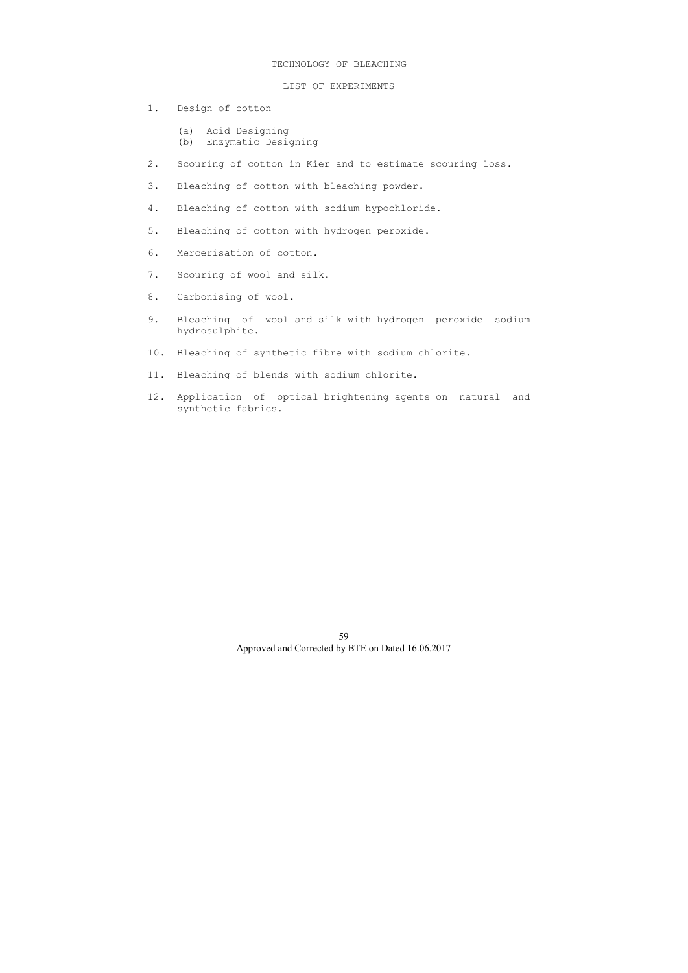## TECHNOLOGY OF BLEACHING

# LIST OF EXPERIMENTS

- 1. Design of cotton
	- (a) Acid Designing
	- (b) Enzymatic Designing
- 2. Scouring of cotton in Kier and to estimate scouring loss.
- 3. Bleaching of cotton with bleaching powder.
- 4. Bleaching of cotton with sodium hypochloride.
- 5. Bleaching of cotton with hydrogen peroxide.
- 6. Mercerisation of cotton.
- 7. Scouring of wool and silk.
- 8. Carbonising of wool.
- 9. Bleaching of wool and silk with hydrogen peroxide sodium hydrosulphite.
- 10. Bleaching of synthetic fibre with sodium chlorite.
- 11. Bleaching of blends with sodium chlorite.
- 12. Application of optical brightening agents on natural and synthetic fabrics.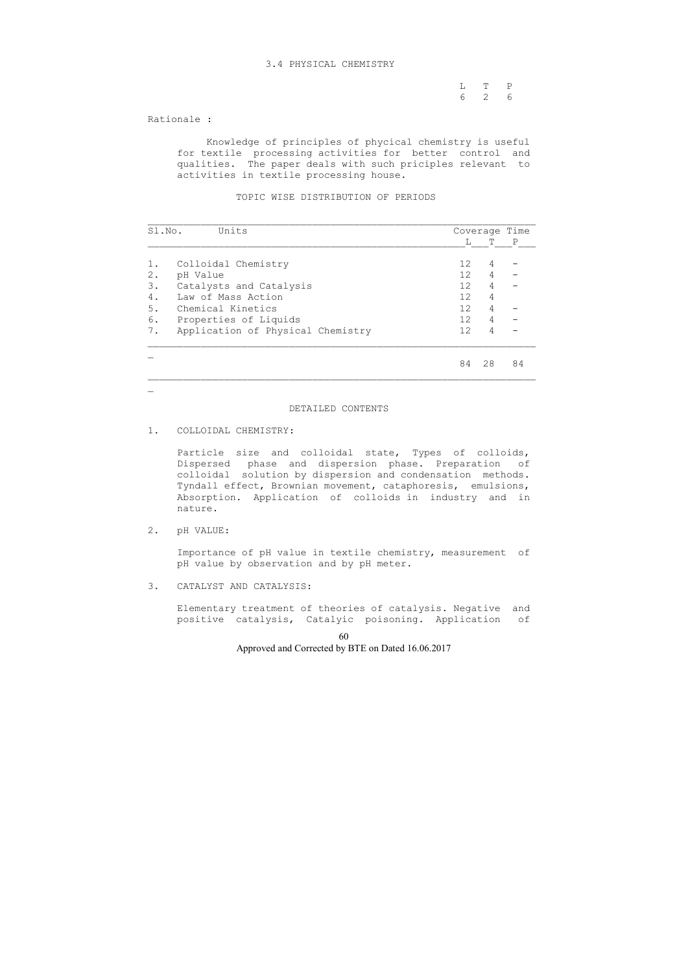### 3.4 PHYSICAL CHEMISTRY

 L T P 6 2 6

Rationale :

 Knowledge of principles of phycical chemistry is useful for textile processing activities for better control and qualities. The paper deals with such priciples relevant to activities in textile processing house.

TOPIC WISE DISTRIBUTION OF PERIODS

| Units<br>Sl.No.                         |                   | Coverage | Time         |
|-----------------------------------------|-------------------|----------|--------------|
|                                         | L                 | т        | $\mathbf{P}$ |
| Colloidal Chemistry<br>1.               | 12                | 4        |              |
| 2.<br>pH Value                          | 12 <sup>°</sup>   | 4        |              |
| 3.<br>Catalysts and Catalysis           | 12 <sup>°</sup>   | 4        |              |
| 4.<br>Law of Mass Action                | 12                | 4        |              |
| Chemical Kinetics<br>5.                 | $12 \overline{ }$ | 4        |              |
| Properties of Liquids<br>6.             | 12                | 4        |              |
| Application of Physical Chemistry<br>7. | 12.               | 4        |              |
|                                         | 84                | 28       | 84           |

# DETAILED CONTENTS

## 1. COLLOIDAL CHEMISTRY:

 Particle size and colloidal state, Types of colloids, Dispersed phase and dispersion phase. Preparation of colloidal solution by dispersion and condensation methods. Tyndall effect, Brownian movement, cataphoresis, emulsions, Absorption. Application of colloids in industry and in nature.

2. pH VALUE:

 $\equiv$ 

 Importance of pH value in textile chemistry, measurement of pH value by observation and by pH meter.

3. CATALYST AND CATALYSIS:

 Elementary treatment of theories of catalysis. Negative and positive catalysis, Catalyic poisoning. Application of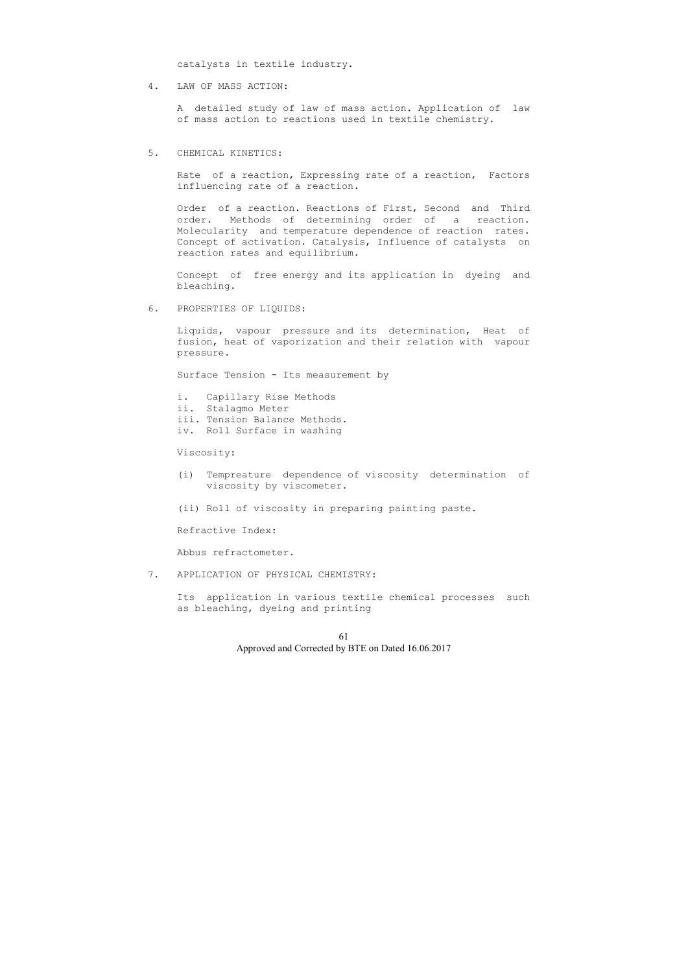catalysts in textile industry.

4. LAW OF MASS ACTION:

 A detailed study of law of mass action. Application of law of mass action to reactions used in textile chemistry.

5. CHEMICAL KINETICS:

 Rate of a reaction, Expressing rate of a reaction, Factors influencing rate of a reaction.

 Order of a reaction. Reactions of First, Second and Third order. Methods of determining order of a reaction. Molecularity and temperature dependence of reaction rates. Concept of activation. Catalysis, Influence of catalysts on reaction rates and equilibrium.

 Concept of free energy and its application in dyeing and bleaching.

6. PROPERTIES OF LIQUIDS:

 Liquids, vapour pressure and its determination, Heat of fusion, heat of vaporization and their relation with vapour pressure.

Surface Tension - Its measurement by

- i. Capillary Rise Methods
- ii. Stalagmo Meter
- iii. Tension Balance Methods.
- iv. Roll Surface in washing

Viscosity:

- (i) Tempreature dependence of viscosity determination of viscosity by viscometer.
- (ii) Roll of viscosity in preparing painting paste.

Refractive Index:

Abbus refractometer.

7. APPLICATION OF PHYSICAL CHEMISTRY:

 Its application in various textile chemical processes such as bleaching, dyeing and printing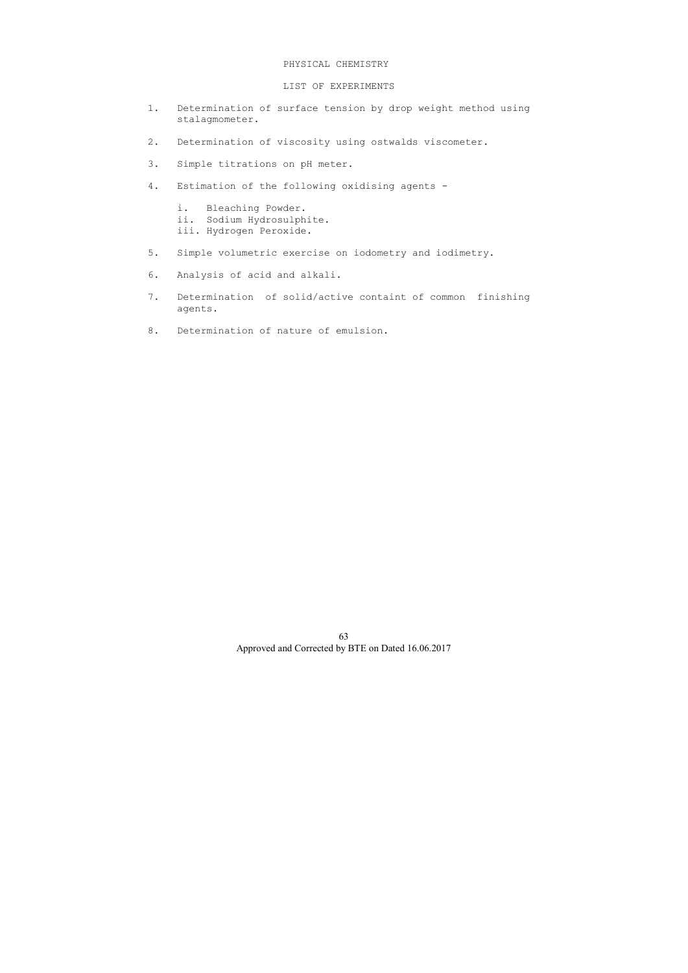## PHYSICAL CHEMISTRY

## LIST OF EXPERIMENTS

- 1. Determination of surface tension by drop weight method using stalagmometer.
- 2. Determination of viscosity using ostwalds viscometer.
- 3. Simple titrations on pH meter.
- 4. Estimation of the following oxidising agents
	- i. Bleaching Powder.
	- ii. Sodium Hydrosulphite.
	- iii. Hydrogen Peroxide.
- 5. Simple volumetric exercise on iodometry and iodimetry.
- 6. Analysis of acid and alkali.
- 7. Determination of solid/active containt of common finishing agents.
- 8. Determination of nature of emulsion.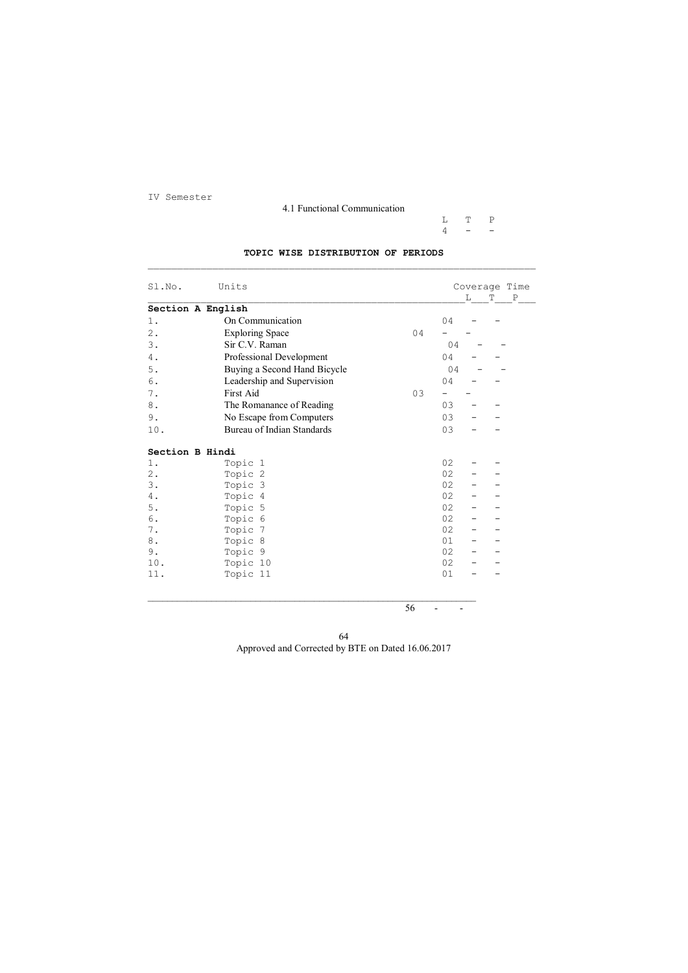64 Approved and Corrected by BTE on Dated 16.06.2017

IV Semester

4.1 Functional Communication

 $\begin{array}{ccc} \mathtt{L} & \mathtt{T} & \mathtt{P} \\ \mathtt{4} & - & - \end{array}$  $4 - -$ 

# **TOPIC WISE DISTRIBUTION OF PERIODS**  \_\_\_\_\_\_\_\_\_\_\_\_\_\_\_\_\_\_\_\_\_\_\_\_\_\_\_\_\_\_\_\_\_\_\_\_\_\_\_\_\_\_\_\_\_\_\_\_\_\_\_\_\_\_\_\_\_\_\_\_\_\_\_\_\_\_

 $56$  - -

| Sl.No.            | Units                             |    |    |              | Coverage Time               |
|-------------------|-----------------------------------|----|----|--------------|-----------------------------|
|                   |                                   |    |    | $\mathbf{L}$ | $\, {\bf P}$<br>$\mathbf T$ |
| Section A English |                                   |    |    |              |                             |
| 1.                | On Communication                  |    | 04 |              |                             |
| $2$ .             | <b>Exploring Space</b>            | 04 |    |              |                             |
| 3.                | Sir C.V. Raman                    |    | 04 |              |                             |
| 4.                | Professional Development          |    | 04 |              |                             |
| 5.                | Buying a Second Hand Bicycle      |    | 04 |              |                             |
| 6.                | Leadership and Supervision        |    | 04 |              |                             |
| 7.                | First Aid                         | 03 |    |              |                             |
| 8.                | The Romanance of Reading          |    | 03 |              |                             |
| 9.                | No Escape from Computers          |    | 03 |              |                             |
| 10.               | <b>Bureau of Indian Standards</b> |    | 03 |              |                             |
|                   |                                   |    |    |              |                             |
| Section B Hindi   |                                   |    |    |              |                             |
| $1$ .             | Topic 1                           |    | 02 |              |                             |
| $2$ .             | Topic 2                           |    | 02 |              |                             |
| 3.                | Topic 3                           |    | 02 |              |                             |
| 4.                | Topic 4                           |    | 02 |              |                             |
| 5.                | Topic 5                           |    | 02 |              |                             |
| 6.                | Topic 6                           |    | 02 |              |                             |
| 7.                | Topic<br>7                        |    | 02 |              |                             |
| 8.                | Topic 8                           |    | 01 |              |                             |
| 9.                | Topic 9                           |    | 02 | -            |                             |
| 10.               | Topic 10                          |    | 02 |              |                             |
| 11.               | Topic 11                          |    | 01 |              |                             |
|                   |                                   |    |    |              |                             |
|                   |                                   |    |    |              |                             |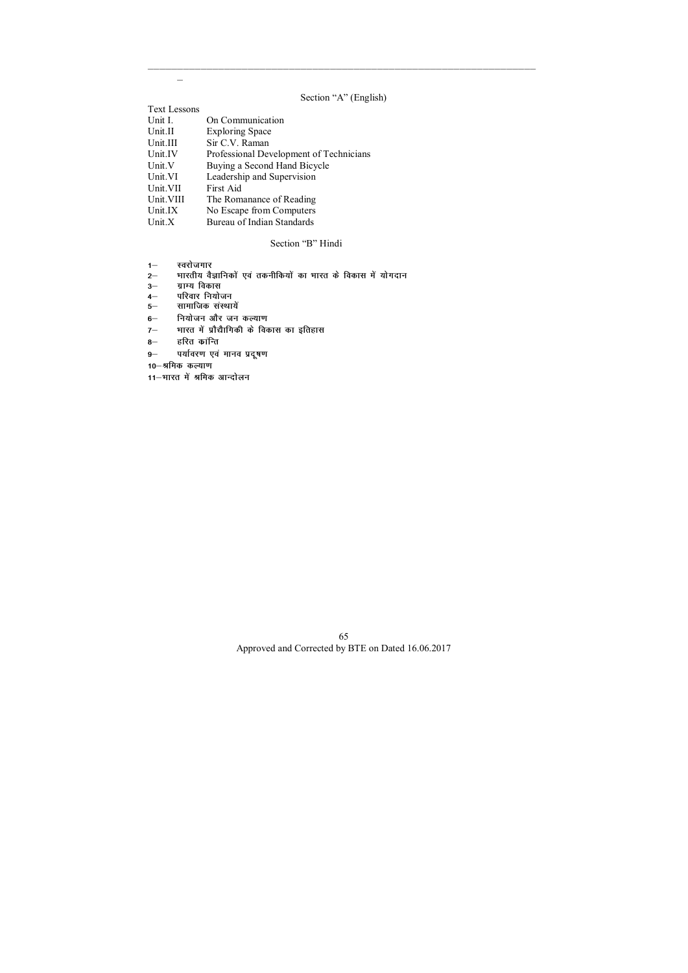$\equiv$ 

\_\_\_\_\_\_\_\_\_\_\_\_\_\_\_\_\_\_\_\_\_\_\_\_\_\_\_\_\_\_\_\_\_\_\_\_\_\_\_\_\_\_\_\_\_\_\_\_\_\_\_\_\_\_\_\_\_\_\_\_\_\_\_\_\_\_

# Section "A" (English)

| <b>Text Lessons</b> |                                         |
|---------------------|-----------------------------------------|
| Unit I.             | On Communication                        |
| Unit.II             | <b>Exploring Space</b>                  |
| Unit.III            | Sir C.V. Raman                          |
| Unit.IV             | Professional Development of Technicians |
| Unit.V              | Buying a Second Hand Bicycle            |
| Unit.VI             | Leadership and Supervision              |
| Unit.VII            | First Aid                               |
| Unit. VIII          | The Romanance of Reading                |
| Unit.IX             | No Escape from Computers                |
| Unit. $X$           | Bureau of Indian Standards              |

# Section "B" Hindi

- 
- 1— स्वरोजगार<br>2— भारतीय वैः **2& Hkkjrh; oSKkfudksa ,oa rduhfd;ksa dk Hkkjr ds fodkl esa ;ksxnku**
- **ग्राम्य विकास**
- 4— परिवार नियोजन
- 5— सामाजिक संस्थायें
- 6<sup>-</sup> नियोजन और जन कल्याण
- 7- भारत में प्रौद्यैागिकी के विकास का इतिहास
- 8- हरित कान्ति
- 9- पर्यावरण एवं मानव प्रदूषण

10<sup>-</sup>श्रमिक कल्याण

11-भारत में श्रमिक आन्दोलन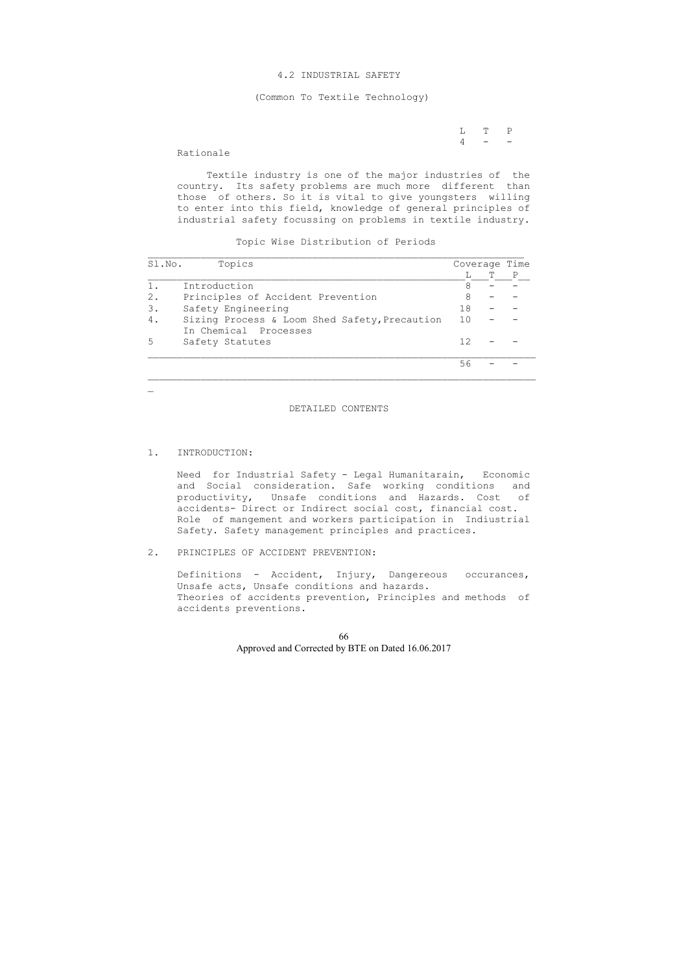L T P  $4 - -$ 

### 4.2 INDUSTRIAL SAFETY

#### (Common To Textile Technology)

# Rationale

 Textile industry is one of the major industries of the country. Its safety problems are much more different than those of others. So it is vital to give youngsters willing to enter into this field, knowledge of general principles of industrial safety focussing on problems in textile industry.

Topic Wise Distribution of Periods

| Sl.No. | Topics                                                                 | Coverage Time |  |
|--------|------------------------------------------------------------------------|---------------|--|
|        |                                                                        |               |  |
| 1.     | Introduction                                                           |               |  |
| $2$ .  | Principles of Accident Prevention                                      | 8             |  |
| 3.     | Safety Engineering                                                     | 18            |  |
| 4.     | Sizing Process & Loom Shed Safety, Precaution<br>In Chemical Processes | 10            |  |
|        | Safety Statutes                                                        | 12            |  |
|        |                                                                        | 56            |  |

#### DETAILED CONTENTS

#### 1. INTRODUCTION:

 $\mathbf{r}$ 

 Need for Industrial Safety - Legal Humanitarain, Economic and Social consideration. Safe working conditions and productivity, Unsafe conditions and Hazards. Cost of accidents- Direct or Indirect social cost, financial cost. Role of mangement and workers participation in Indiustrial Safety. Safety management principles and practices.

## 2. PRINCIPLES OF ACCIDENT PREVENTION:

 Definitions - Accident, Injury, Dangereous occurances, Unsafe acts, Unsafe conditions and hazards. Theories of accidents prevention, Principles and methods of accidents preventions.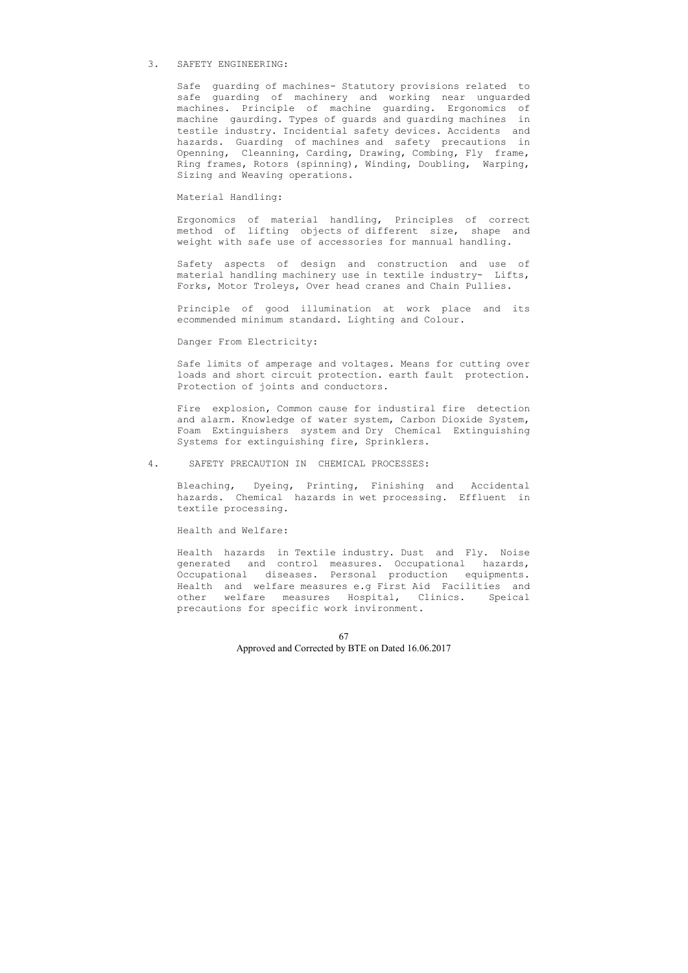#### 3. SAFETY ENGINEERING:

 Safe guarding of machines- Statutory provisions related to safe guarding of machinery and working near unguarded machines. Principle of machine guarding. Ergonomics of machine gaurding. Types of guards and guarding machines in testile industry. Incidential safety devices. Accidents and hazards. Guarding of machines and safety precautions in Openning, Cleanning, Carding, Drawing, Combing, Fly frame, Ring frames, Rotors (spinning), Winding, Doubling, Warping, Sizing and Weaving operations.

Material Handling:

 Ergonomics of material handling, Principles of correct method of lifting objects of different size, shape and weight with safe use of accessories for mannual handling.

 Safety aspects of design and construction and use of material handling machinery use in textile industry- Lifts, Forks, Motor Troleys, Over head cranes and Chain Pullies.

 Principle of good illumination at work place and its ecommended minimum standard. Lighting and Colour.

Danger From Electricity:

 Safe limits of amperage and voltages. Means for cutting over loads and short circuit protection. earth fault protection. Protection of joints and conductors.

 Fire explosion, Common cause for industiral fire detection and alarm. Knowledge of water system, Carbon Dioxide System, Foam Extinguishers system and Dry Chemical Extinguishing Systems for extinguishing fire, Sprinklers.

4. SAFETY PRECAUTION IN CHEMICAL PROCESSES:

 Bleaching, Dyeing, Printing, Finishing and Accidental hazards. Chemical hazards in wet processing. Effluent in textile processing.

Health and Welfare:

 Health hazards in Textile industry. Dust and Fly. Noise generated and control measures. Occupational hazards, Occupational diseases. Personal production equipments. Health and welfare measures e.g First Aid Facilities and other welfare measures Hospital, Clinics. Speical precautions for specific work invironment.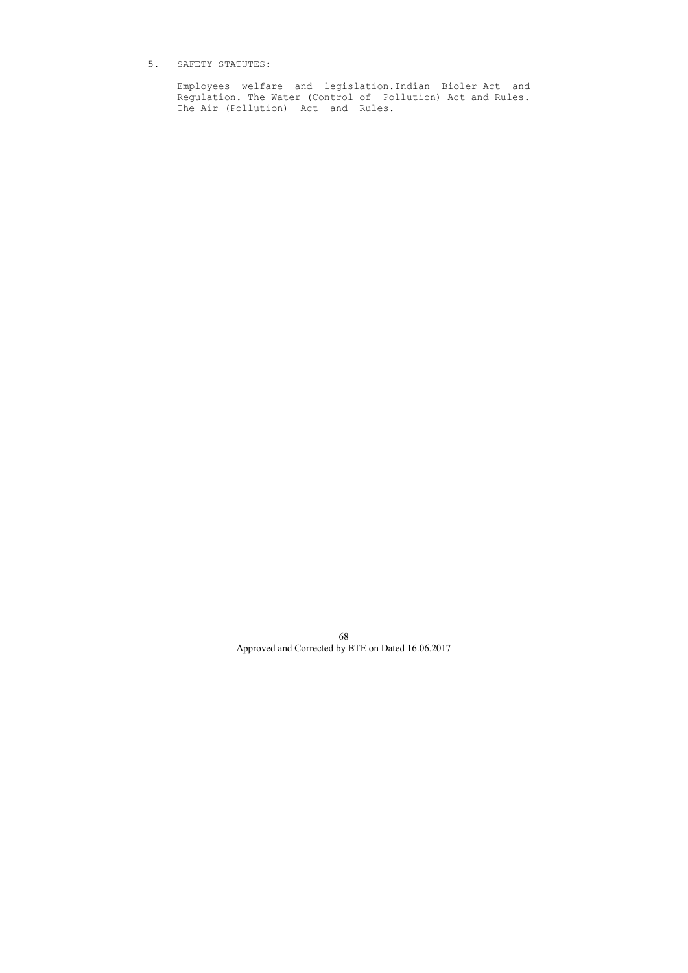# 5. SAFETY STATUTES:

 Employees welfare and legislation.Indian Bioler Act and Regulation. The Water (Control of Pollution) Act and Rules. The Air (Pollution) Act and Rules.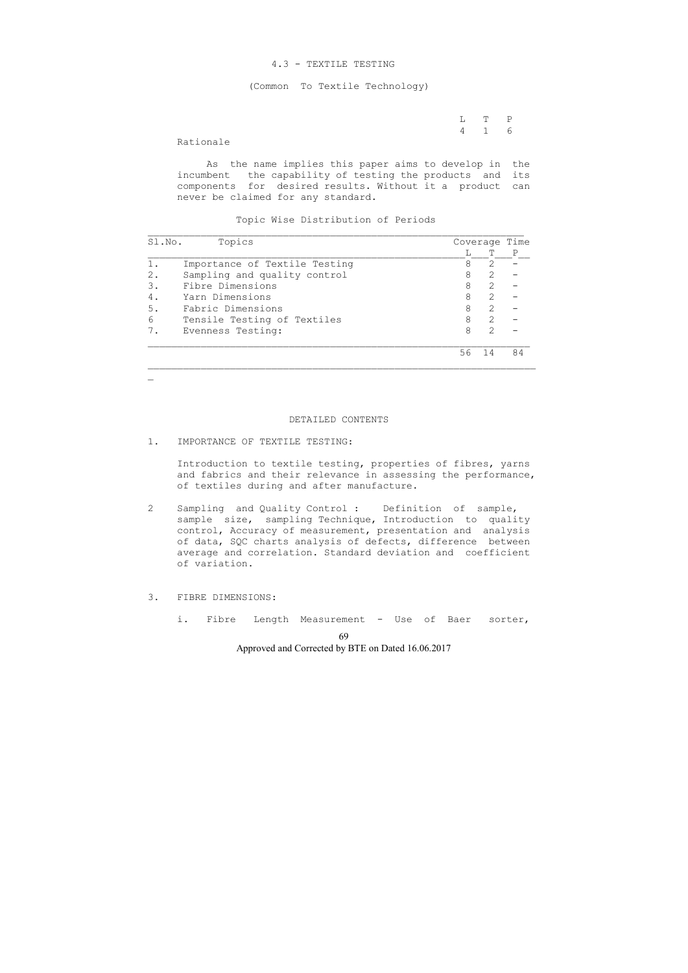#### 4.3 - TEXTILE TESTING

(Common To Textile Technology)

 L T P 4 1 6

#### Rationale

 $\mathbf{r}$ 

 As the name implies this paper aims to develop in the incumbent the capability of testing the products and its components for desired results. Without it a product can never be claimed for any standard.

Topic Wise Distribution of Periods

| Sl.No.<br>Topics |                               | Coverage Time |                             |    |
|------------------|-------------------------------|---------------|-----------------------------|----|
|                  |                               |               | T                           | P  |
|                  | Importance of Textile Testing | 8             | 2                           |    |
| 2.               | Sampling and quality control  | 8             | $\mathcal{P}$               |    |
| З.               | Fibre Dimensions              | 8             | $\mathcal{D}_{\mathcal{L}}$ |    |
| 4.               | Yarn Dimensions               | 8             | 2                           |    |
| 5.               | Fabric Dimensions             | 8             | $\mathcal{D}_{1}^{(1)}$     |    |
| 6                | Tensile Testing of Textiles   | 8             | $\mathcal{D}_{1}^{(1)}$     |    |
|                  | Evenness Testing:             | 8             | $\mathcal{P}$               |    |
|                  |                               | 56            | 14                          | 84 |

#### DETAILED CONTENTS

# 1. IMPORTANCE OF TEXTILE TESTING:

 Introduction to textile testing, properties of fibres, yarns and fabrics and their relevance in assessing the performance, of textiles during and after manufacture.

- 2 Sampling and Quality Control : Definition of sample, sample size, sampling Technique, Introduction to quality control, Accuracy of measurement, presentation and analysis of data, SQC charts analysis of defects, difference between average and correlation. Standard deviation and coefficient of variation.
- 3. FIBRE DIMENSIONS:
	- i. Fibre Length Measurement Use of Baer sorter,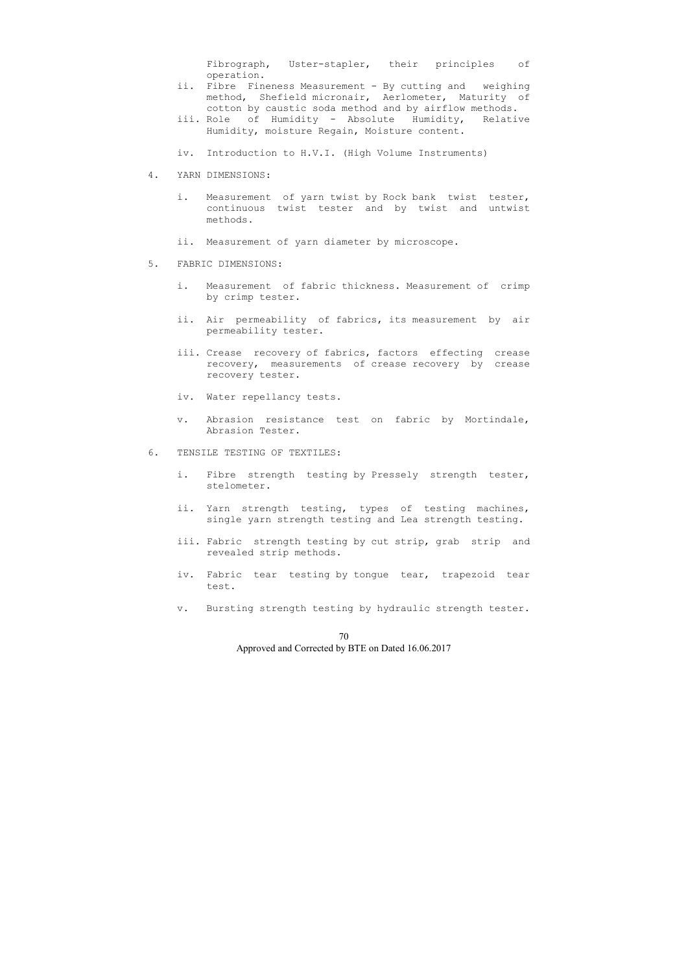Fibrograph, Uster-stapler, their principles of operation.

- ii. Fibre Fineness Measurement By cutting and weighing method, Shefield micronair, Aerlometer, Maturity of cotton by caustic soda method and by airflow methods.
- iii. Role of Humidity Absolute Humidity, Relative Humidity, moisture Regain, Moisture content.
- iv. Introduction to H.V.I. (High Volume Instruments)
- 4. YARN DIMENSIONS:
	- i. Measurement of yarn twist by Rock bank twist tester, continuous twist tester and by twist and untwist methods.
	- ii. Measurement of yarn diameter by microscope.
- 5. FABRIC DIMENSIONS:
	- i. Measurement of fabric thickness. Measurement of crimp by crimp tester.
	- ii. Air permeability of fabrics, its measurement by air permeability tester.
	- iii. Crease recovery of fabrics, factors effecting crease recovery, measurements of crease recovery by crease recovery tester.
	- iv. Water repellancy tests.
	- v. Abrasion resistance test on fabric by Mortindale, Abrasion Tester.
- 6. TENSILE TESTING OF TEXTILES:
	- i. Fibre strength testing by Pressely strength tester, stelometer.
	- ii. Yarn strength testing, types of testing machines, single yarn strength testing and Lea strength testing.
	- iii. Fabric strength testing by cut strip, grab strip and revealed strip methods.
	- iv. Fabric tear testing by tongue tear, trapezoid tear test.
	- v. Bursting strength testing by hydraulic strength tester.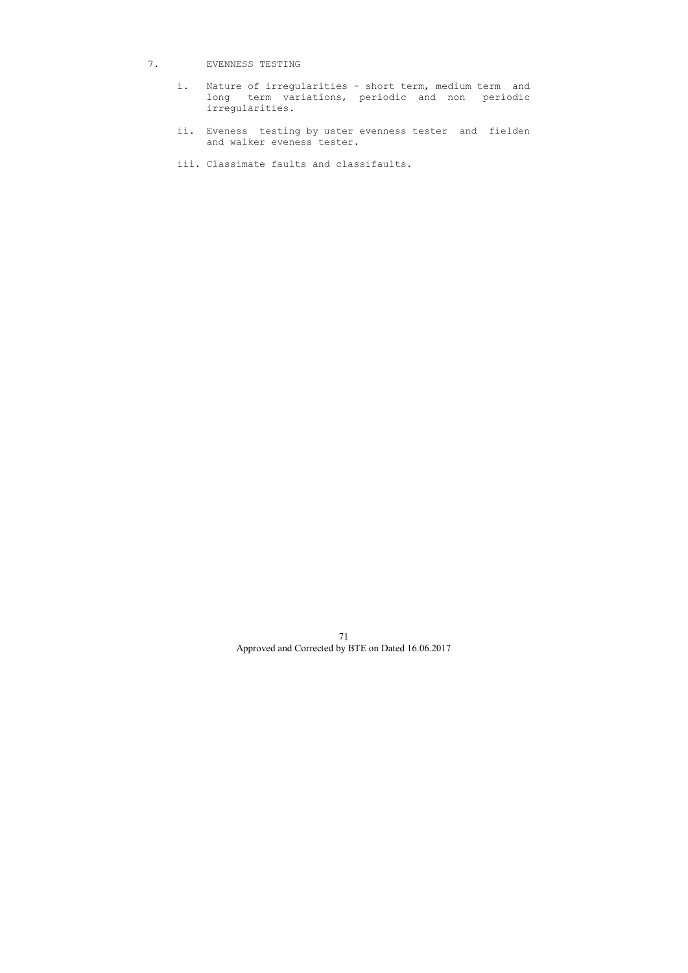# 7. EVENNESS TESTING

- i. Nature of irregularities short term, medium term and long term variations, periodic and non periodic irregularities.
	- ii. Eveness testing by uster evenness tester and fielden and walker eveness tester.
	- iii. Classimate faults and classifaults.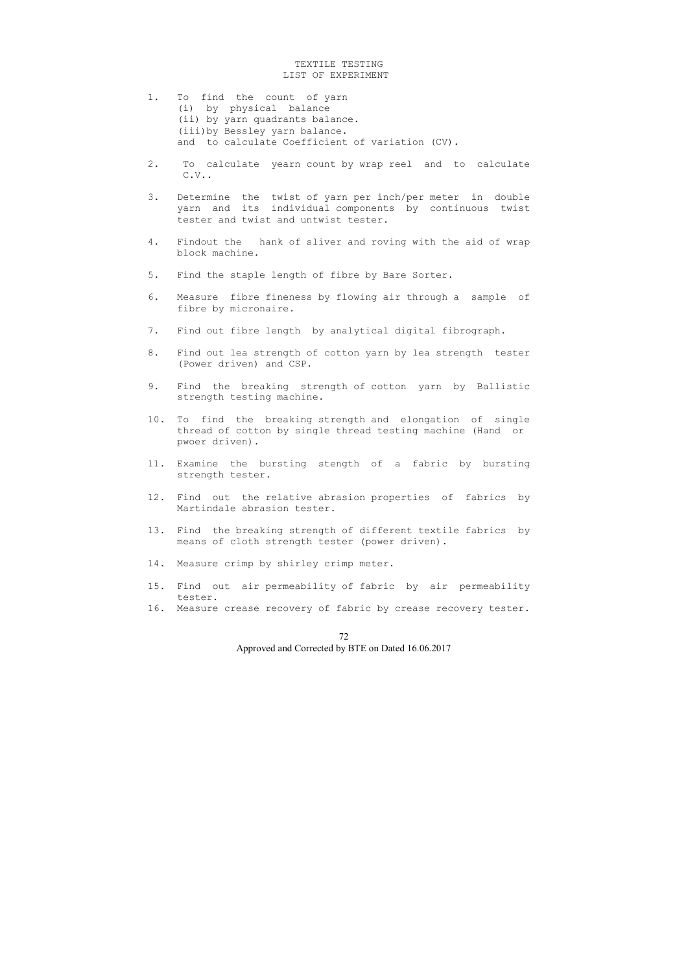# TEXTILE TESTING LIST OF EXPERIMENT

- 1. To find the count of yarn (i) by physical balance (ii) by yarn quadrants balance. (iii)by Bessley yarn balance. and to calculate Coefficient of variation (CV).
- 2. To calculate yearn count by wrap reel and to calculate C.V..
- 3. Determine the twist of yarn per inch/per meter in double yarn and its individual components by continuous twist tester and twist and untwist tester.
- 4. Findout the hank of sliver and roving with the aid of wrap block machine.
- 5. Find the staple length of fibre by Bare Sorter.
- 6. Measure fibre fineness by flowing air through a sample of fibre by micronaire.
- 7. Find out fibre length by analytical digital fibrograph.
- 8. Find out lea strength of cotton yarn by lea strength tester (Power driven) and CSP.
- 9. Find the breaking strength of cotton yarn by Ballistic strength testing machine.
- 10. To find the breaking strength and elongation of single thread of cotton by single thread testing machine (Hand or pwoer driven).
- 11. Examine the bursting stength of a fabric by bursting strength tester.
- 12. Find out the relative abrasion properties of fabrics by Martindale abrasion tester.
- 13. Find the breaking strength of different textile fabrics by means of cloth strength tester (power driven).
- 14. Measure crimp by shirley crimp meter.
- 15. Find out air permeability of fabric by air permeability tester.
- 16. Measure crease recovery of fabric by crease recovery tester.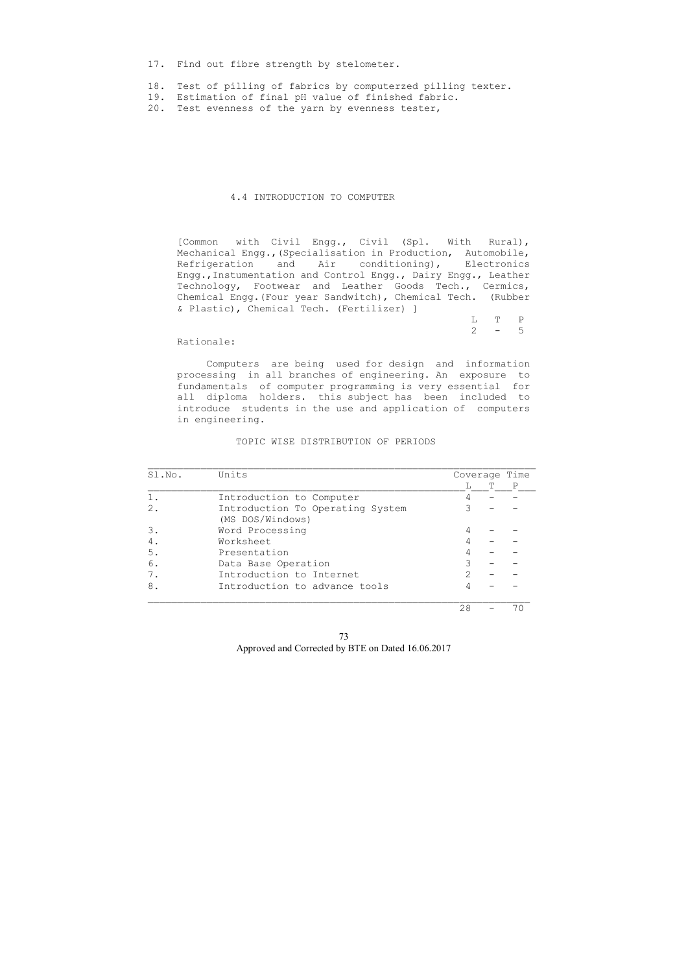17. Find out fibre strength by stelometer.

- 18. Test of pilling of fabrics by computerzed pilling texter.
- 19. Estimation of final pH value of finished fabric.
- 20. Test evenness of the yarn by evenness tester,

### 4.4 INTRODUCTION TO COMPUTER

 L T P  $2 - 5$ 

 [Common with Civil Engg., Civil (Spl. With Rural), Mechanical Engg.,(Specialisation in Production, Automobile, Refrigeration and Air conditioning), Electronics Engg.,Instumentation and Control Engg., Dairy Engg., Leather Technology, Footwear and Leather Goods Tech., Cermics, Chemical Engg.(Four year Sandwitch), Chemical Tech. (Rubber & Plastic), Chemical Tech. (Fertilizer) ]

Rationale:

 Computers are being used for design and information processing in all branches of engineering. An exposure to fundamentals of computer programming is very essential for all diploma holders. this subject has been included to introduce students in the use and application of computers in engineering.

### TOPIC WISE DISTRIBUTION OF PERIODS

| Sl.No. | Units                                                | Coverage Time |  |     |  |
|--------|------------------------------------------------------|---------------|--|-----|--|
|        |                                                      |               |  | Ρ   |  |
|        | Introduction to Computer                             |               |  |     |  |
| 2.     | Introduction To Operating System<br>(MS DOS/Windows) |               |  |     |  |
| 3.     | Word Processing                                      |               |  |     |  |
| 4.     | Worksheet                                            |               |  |     |  |
| 5.     | Presentation                                         |               |  |     |  |
| 6.     | Data Base Operation                                  |               |  |     |  |
|        | Introduction to Internet                             |               |  |     |  |
| 8.     | Introduction to advance tools                        |               |  |     |  |
|        |                                                      | 28            |  | 7 C |  |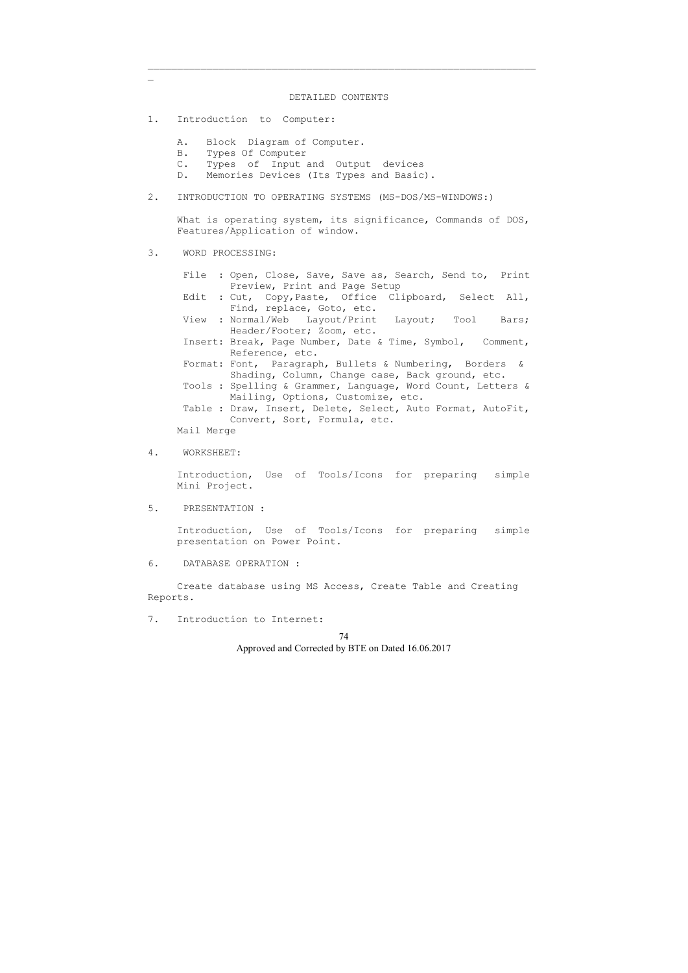\_\_\_\_\_\_\_\_\_\_\_\_\_\_\_\_\_\_\_\_\_\_\_\_\_\_\_\_\_\_\_\_\_\_\_\_\_\_\_\_\_\_\_\_\_\_\_\_\_\_\_\_\_\_\_\_\_\_\_\_\_\_\_\_\_\_

#### DETAILED CONTENTS

What is operating system, its significance, Commands of DOS, Features/Application of window.

- 1. Introduction to Computer:
	- A. Block Diagram of Computer.
	- B. Types Of Computer
	- C. Types of Input and Output devices
	- D. Memories Devices (Its Types and Basic).
- 2. INTRODUCTION TO OPERATING SYSTEMS (MS-DOS/MS-WINDOWS:)

3. WORD PROCESSING:

 $\mathbf{r}$ 

- File : Open, Close, Save, Save as, Search, Send to, Print Preview, Print and Page Setup
- Edit : Cut, Copy,Paste, Office Clipboard, Select All, Find, replace, Goto, etc.
- View : Normal/Web Layout/Print Layout; Tool Bars; Header/Footer; Zoom, etc.
- Insert: Break, Page Number, Date & Time, Symbol, Comment, Reference, etc.
- Format: Font, Paragraph, Bullets & Numbering, Borders & Shading, Column, Change case, Back ground, etc.
- Tools : Spelling & Grammer, Language, Word Count, Letters & Mailing, Options, Customize, etc.
- Table : Draw, Insert, Delete, Select, Auto Format, AutoFit, Convert, Sort, Formula, etc.
- Mail Merge
- 4. WORKSHEET:

 Introduction, Use of Tools/Icons for preparing simple Mini Project.

5. PRESENTATION :

 Introduction, Use of Tools/Icons for preparing simple presentation on Power Point.

6. DATABASE OPERATION :

 Create database using MS Access, Create Table and Creating Reports.

7. Introduction to Internet: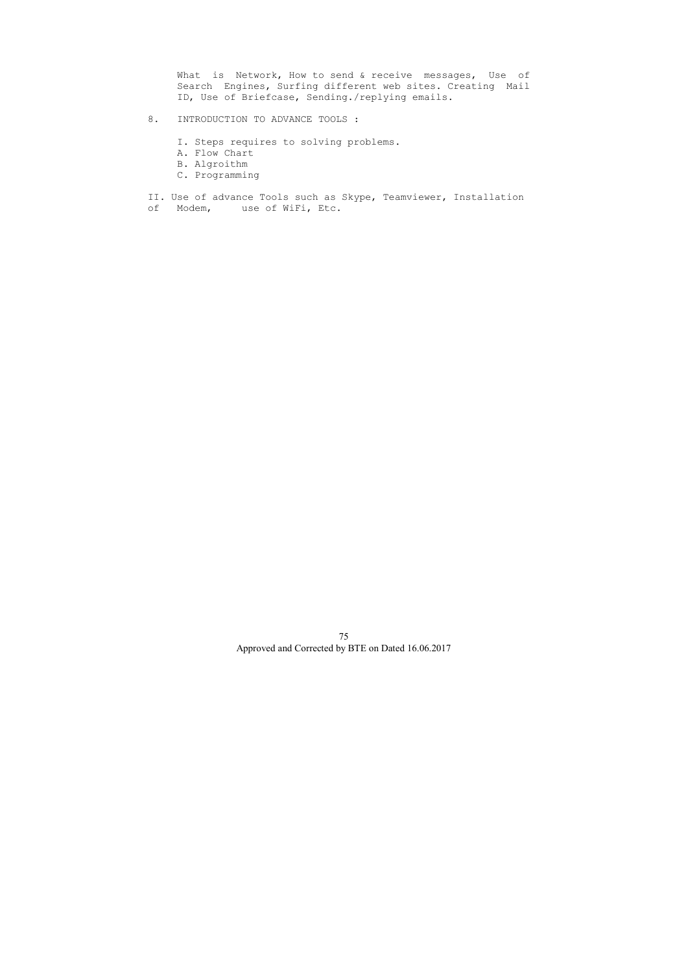What is Network, How to send & receive messages, Use of Search Engines, Surfing different web sites. Creating Mail ID, Use of Briefcase, Sending./replying emails.

- 8. INTRODUCTION TO ADVANCE TOOLS :
	- I. Steps requires to solving problems.
	- A. Flow Chart
	- B. Algroithm
	- C. Programming
- II. Use of advance Tools such as Skype, Teamviewer, Installation
- of Modem, use of WiFi, Etc.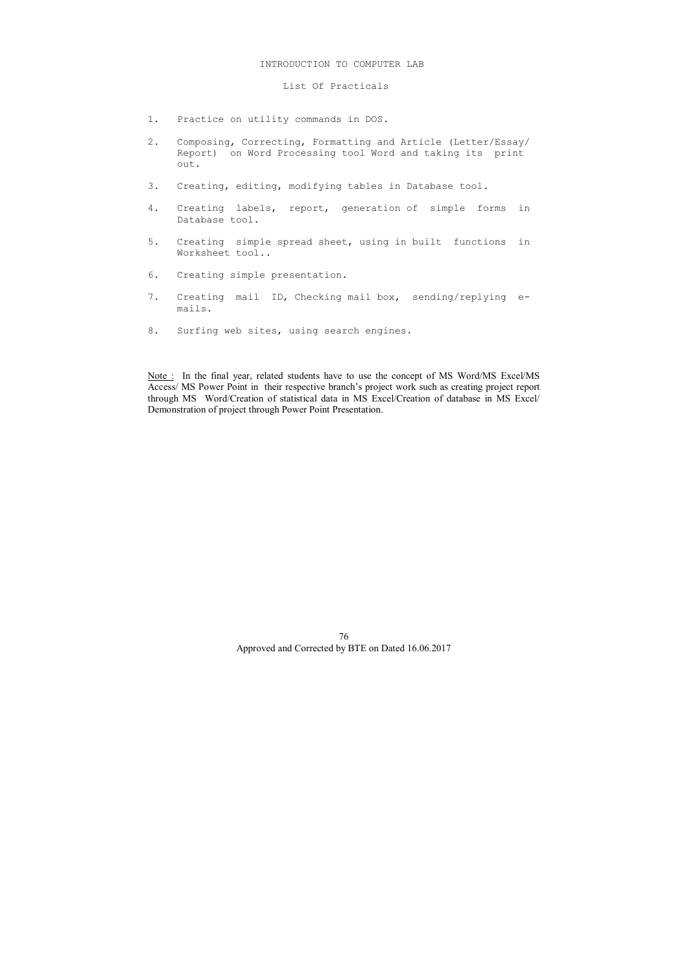- 1. Practice on utility commands in DOS.
- 2. Composing, Correcting, Formatting and Article (Letter/Essay/ Report) on Word Processing tool Word and taking its print out.
- 3. Creating, editing, modifying tables in Database tool.
- 4. Creating labels, report, generation of simple forms in Database tool.
- 5. Creating simple spread sheet, using in built functions in Worksheet tool..
- 6. Creating simple presentation.
- 7. Creating mail ID, Checking mail box, sending/replying e mails.
- 8. Surfing web sites, using search engines.

### INTRODUCTION TO COMPUTER LAB

# List Of Practicals

Note : In the final year, related students have to use the concept of MS Word/MS Excel/MS Access/ MS Power Point in their respective branch's project work such as creating project report through MS Word/Creation of statistical data in MS Excel/Creation of database in MS Excel/ Demonstration of project through Power Point Presentation.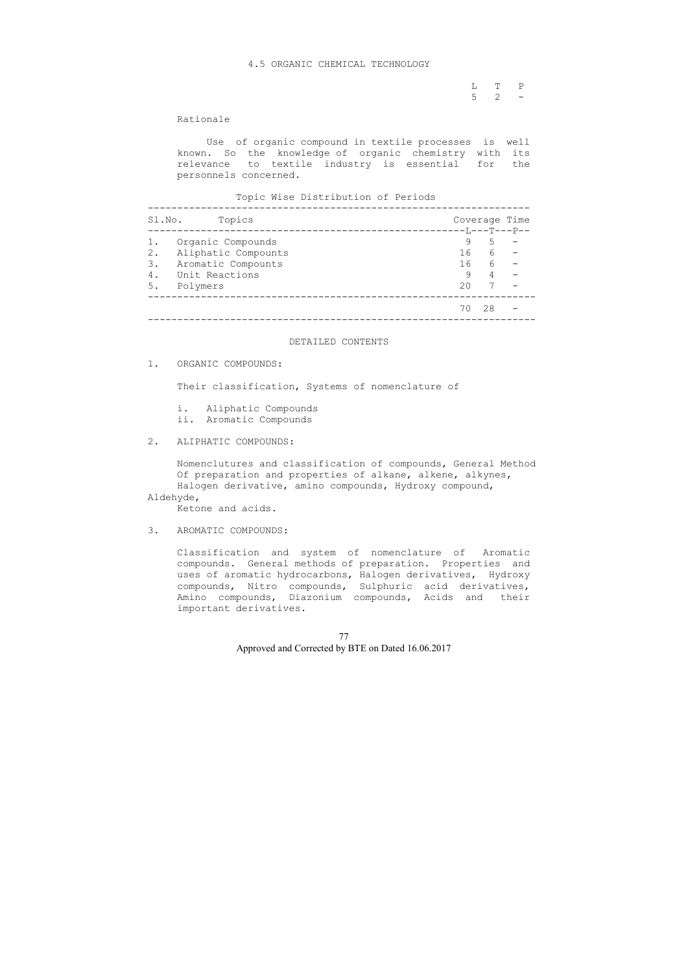L T P  $5 \t 2 \t -$ 

### 4.5 ORGANIC CHEMICAL TECHNOLOGY

# Rationale

 Use of organic compound in textile processes is well known. So the knowledge of organic chemistry with its relevance to textile industry is essential for the personnels concerned.

Topic Wise Distribution of Periods

| 9   | 5  |                                          |
|-----|----|------------------------------------------|
| 16  | 6  |                                          |
| 16  | 6  |                                          |
| 9   | 4  |                                          |
| 2.0 |    |                                          |
| 70  | 28 |                                          |
|     |    | Coverage Time<br>-----------T,---T---P-- |

# DETAILED CONTENTS

1. ORGANIC COMPOUNDS:

Their classification, Systems of nomenclature of

- i. Aliphatic Compounds
- ii. Aromatic Compounds
- 2. ALIPHATIC COMPOUNDS:

 Nomenclutures and classification of compounds, General Method Of preparation and properties of alkane, alkene, alkynes, Halogen derivative, amino compounds, Hydroxy compound,

Aldehyde,

Ketone and acids.

3. AROMATIC COMPOUNDS:

 Classification and system of nomenclature of Aromatic compounds. General methods of preparation. Properties and uses of aromatic hydrocarbons, Halogen derivatives, Hydroxy compounds, Nitro compounds, Sulphuric acid derivatives, Amino compounds, Diazonium compounds, Acids and their important derivatives.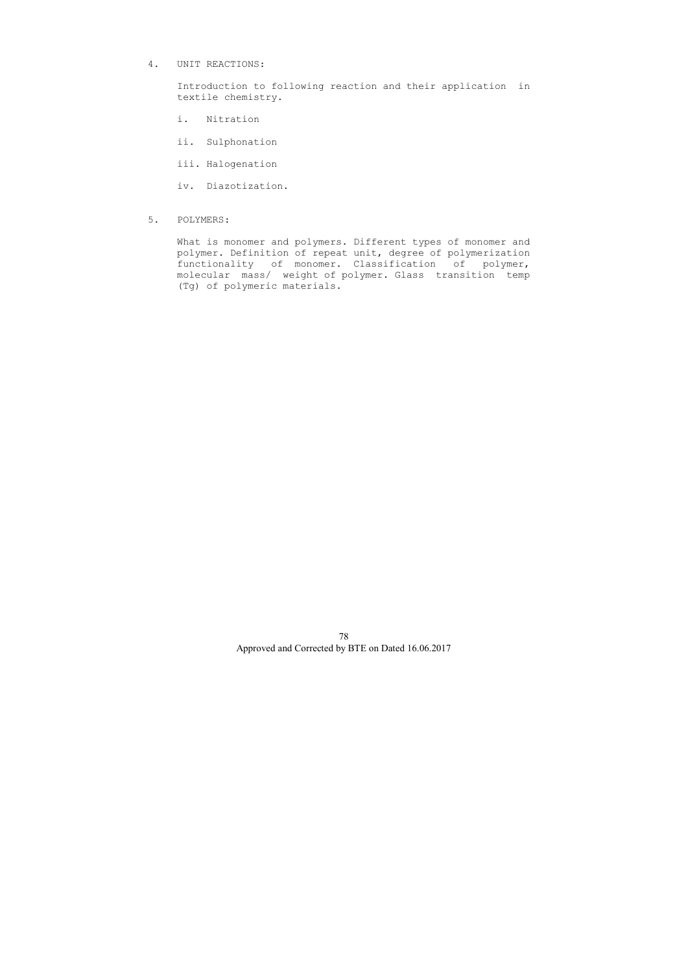4. UNIT REACTIONS:

 Introduction to following reaction and their application in textile chemistry.

- i. Nitration
- ii. Sulphonation
- iii. Halogenation

iv. Diazotization.

5. POLYMERS:

 What is monomer and polymers. Different types of monomer and polymer. Definition of repeat unit, degree of polymerization functionality of monomer. Classification of polymer, molecular mass/ weight of polymer. Glass transition temp (Tg) of polymeric materials.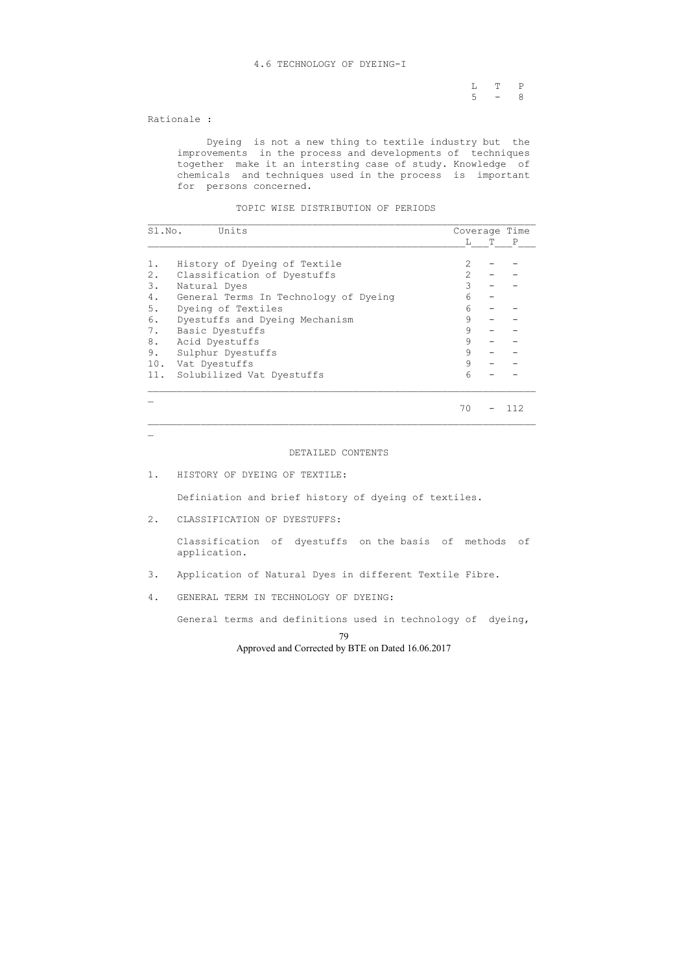L T P  $5 - 8$ 

### 4.6 TECHNOLOGY OF DYEING-I

Rationale :

 Dyeing is not a new thing to textile industry but the improvements in the process and developments of techniques together make it an intersting case of study. Knowledge of chemicals and techniques used in the process is important for persons concerned.

### TOPIC WISE DISTRIBUTION OF PERIODS

| Sl.No. | Units                                 |    |   | Coverage Time |
|--------|---------------------------------------|----|---|---------------|
|        |                                       | T. | T | $\mathbb{P}$  |
| 1.     | History of Dyeing of Textile          |    |   |               |
| $2$ .  | Classification of Dyestuffs           | 2  |   |               |
| 3.     | Natural Dyes                          | 3  |   |               |
| 4.     | General Terms In Technology of Dyeing | 6  |   |               |
| 5.     | Dyeing of Textiles                    | 6  |   |               |
| 6.     | Dyestuffs and Dyeing Mechanism        | 9  |   |               |
| 7.     | Basic Dyestuffs                       | 9  |   |               |
| 8.     | Acid Dyestuffs                        | 9  |   |               |
| 9.     | Sulphur Dyestuffs                     | 9  |   |               |
| 10.    | Vat Dyestuffs                         | 9  |   |               |
|        | 11. Solubilized Vat Dyestuffs         | 6  |   |               |
|        |                                       | 70 |   |               |

\_\_\_\_\_\_\_\_\_\_\_\_\_\_\_\_\_\_\_\_\_\_\_\_\_\_\_\_\_\_\_\_\_\_\_\_\_\_\_\_\_\_\_\_\_\_\_\_\_\_\_\_\_\_\_\_\_\_\_\_\_\_\_\_\_\_

 $\mathbf{r}$ 

# DETAILED CONTENTS

1. HISTORY OF DYEING OF TEXTILE:

Definiation and brief history of dyeing of textiles.

2. CLASSIFICATION OF DYESTUFFS:

 Classification of dyestuffs on the basis of methods of application.

- 3. Application of Natural Dyes in different Textile Fibre.
- 4. GENERAL TERM IN TECHNOLOGY OF DYEING:

General terms and definitions used in technology of dyeing,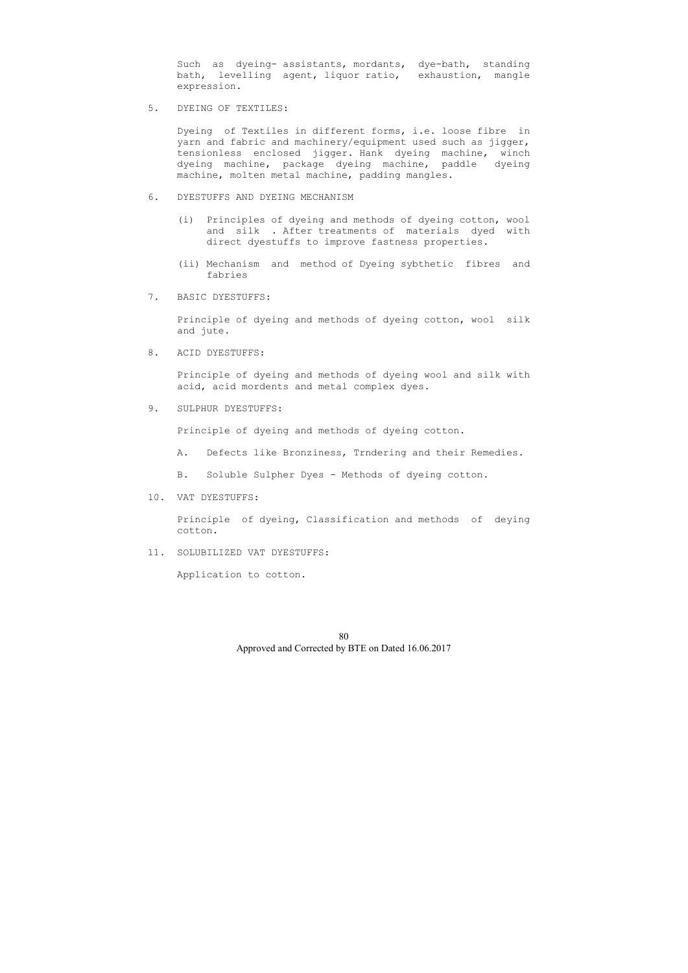Such as dyeing- assistants, mordants, dye-bath, standing bath, levelling agent, liquor ratio, exhaustion, mangle expression.

5. DYEING OF TEXTILES:

 Dyeing of Textiles in different forms, i.e. loose fibre in yarn and fabric and machinery/equipment used such as jigger, tensionless enclosed jigger. Hank dyeing machine, winch dyeing machine, package dyeing machine, paddle dyeing machine, molten metal machine, padding mangles.

- 6. DYESTUFFS AND DYEING MECHANISM
	- (i) Principles of dyeing and methods of dyeing cotton, wool and silk . After treatments of materials dyed with direct dyestuffs to improve fastness properties.
	- (ii) Mechanism and method of Dyeing sybthetic fibres and fabries
- 7. BASIC DYESTUFFS:

 Principle of dyeing and methods of dyeing cotton, wool silk and jute.

8. ACID DYESTUFFS:

 Principle of dyeing and methods of dyeing wool and silk with acid, acid mordents and metal complex dyes.

9. SULPHUR DYESTUFFS:

Principle of dyeing and methods of dyeing cotton.

- A. Defects like Bronziness, Trndering and their Remedies.
- B. Soluble Sulpher Dyes Methods of dyeing cotton.
- 10. VAT DYESTUFFS:

 Principle of dyeing, Classification and methods of deying cotton.

11. SOLUBILIZED VAT DYESTUFFS:

Application to cotton.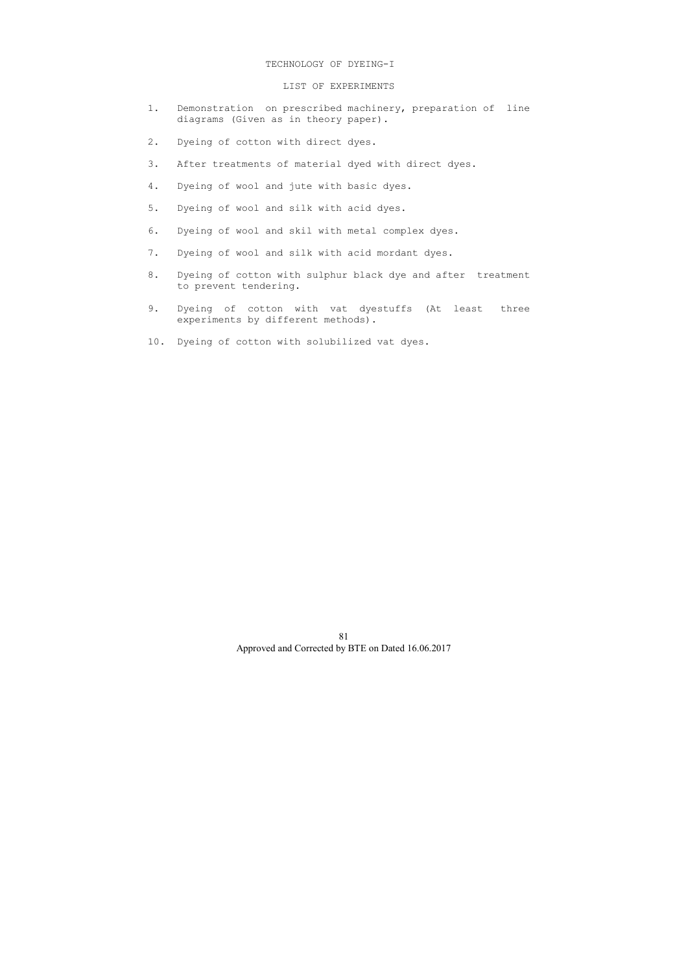### TECHNOLOGY OF DYEING-I

### LIST OF EXPERIMENTS

- 1. Demonstration on prescribed machinery, preparation of line diagrams (Given as in theory paper).
- 2. Dyeing of cotton with direct dyes.
- 3. After treatments of material dyed with direct dyes.
- 4. Dyeing of wool and jute with basic dyes.
- 5. Dyeing of wool and silk with acid dyes.
- 6. Dyeing of wool and skil with metal complex dyes.
- 7. Dyeing of wool and silk with acid mordant dyes.
- 8. Dyeing of cotton with sulphur black dye and after treatment to prevent tendering.
- 9. Dyeing of cotton with vat dyestuffs (At least three experiments by different methods).
- 10. Dyeing of cotton with solubilized vat dyes.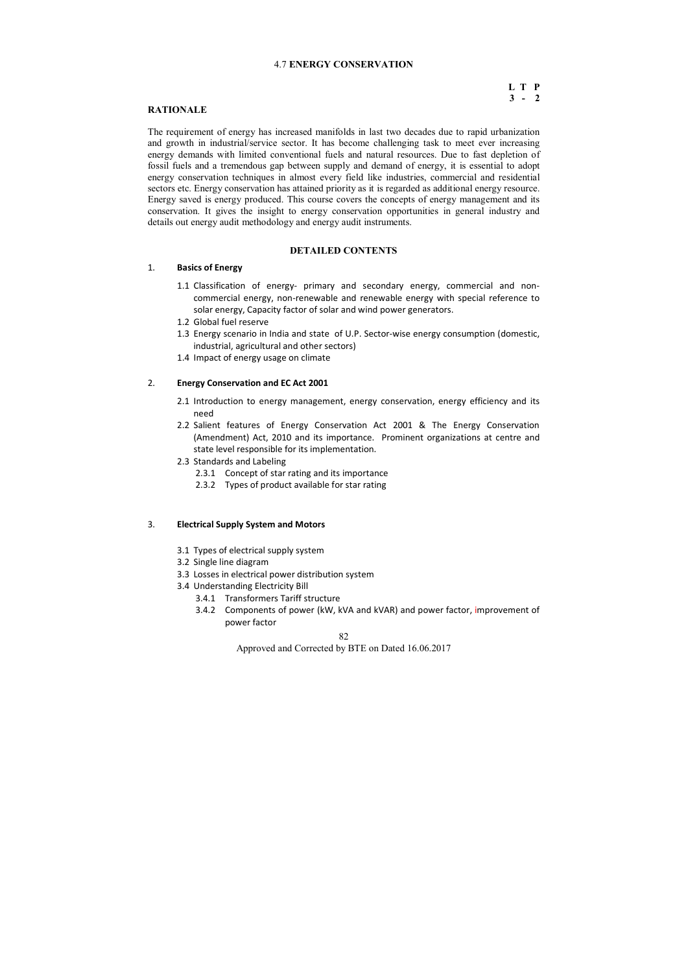82

Approved and Corrected by BTE on Dated 16.06.2017

# 4.7 **ENERGY CONSERVATION**

# **L T P 3 - 2**

# **RATIONALE**

The requirement of energy has increased manifolds in last two decades due to rapid urbanization and growth in industrial/service sector. It has become challenging task to meet ever increasing energy demands with limited conventional fuels and natural resources. Due to fast depletion of fossil fuels and a tremendous gap between supply and demand of energy, it is essential to adopt energy conservation techniques in almost every field like industries, commercial and residential sectors etc. Energy conservation has attained priority as it is regarded as additional energy resource. Energy saved is energy produced. This course covers the concepts of energy management and its conservation. It gives the insight to energy conservation opportunities in general industry and details out energy audit methodology and energy audit instruments.

# **DETAILED CONTENTS**

# 1. **Basics of Energy**

- 1.1 Classification of energy- primary and secondary energy, commercial and noncommercial energy, non-renewable and renewable energy with special reference to solar energy, Capacity factor of solar and wind power generators.
- 1.2 Global fuel reserve
- 1.3 Energy scenario in India and state of U.P. Sector-wise energy consumption (domestic, industrial, agricultural and other sectors)
- 1.4 Impact of energy usage on climate

### 2. **Energy Conservation and EC Act 2001**

- 2.1 Introduction to energy management, energy conservation, energy efficiency and its need
- 2.2 Salient features of Energy Conservation Act 2001 & The Energy Conservation (Amendment) Act, 2010 and its importance. Prominent organizations at centre and state level responsible for its implementation.
- 2.3 Standards and Labeling
	- 2.3.1 Concept of star rating and its importance
	- 2.3.2 Types of product available for star rating

### 3. **Electrical Supply System and Motors**

- 3.1 Types of electrical supply system
- 3.2 Single line diagram
- 3.3 Losses in electrical power distribution system
- 3.4 Understanding Electricity Bill
	- 3.4.1 Transformers Tariff structure
	- 3.4.2 Components of power (kW, kVA and kVAR) and power factor, improvement of power factor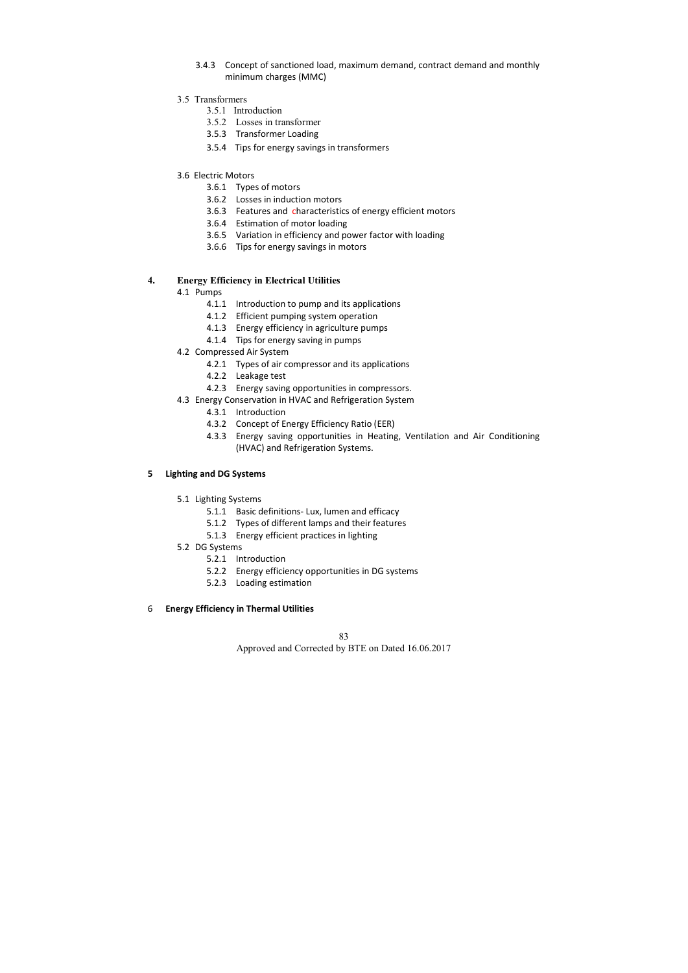- 3.4.3 Concept of sanctioned load, maximum demand, contract demand and monthly minimum charges (MMC)
- 3.5 Transformers
	- 3.5.1 Introduction
	- 3.5.2 Losses in transformer
	- 3.5.3 Transformer Loading
	- 3.5.4 Tips for energy savings in transformers
- 3.6 Electric Motors
	- 3.6.1 Types of motors
	- 3.6.2 Losses in induction motors
	- 3.6.3 Features and characteristics of energy efficient motors
	- 3.6.4 Estimation of motor loading
	- 3.6.5 Variation in efficiency and power factor with loading
	- 3.6.6 Tips for energy savings in motors

# **4. Energy Efficiency in Electrical Utilities**

- 4.1 Pumps
	- 4.1.1 Introduction to pump and its applications
	- 4.1.2 Efficient pumping system operation
	- 4.1.3 Energy efficiency in agriculture pumps
	- 4.1.4 Tips for energy saving in pumps
- 4.2 Compressed Air System
	- 4.2.1 Types of air compressor and its applications
	- 4.2.2 Leakage test
	- 4.2.3 Energy saving opportunities in compressors.
- 4.3 Energy Conservation in HVAC and Refrigeration System
	- 4.3.1 Introduction
	- 4.3.2 Concept of Energy Efficiency Ratio (EER)
	- 4.3.3 Energy saving opportunities in Heating, Ventilation and Air Conditioning (HVAC) and Refrigeration Systems.

# **5 Lighting and DG Systems**

- 5.1 Lighting Systems
	- 5.1.1 Basic definitions- Lux, lumen and efficacy
	- 5.1.2 Types of different lamps and their features
	- 5.1.3 Energy efficient practices in lighting
- 5.2 DG Systems
	- 5.2.1 Introduction
	- 5.2.2 Energy efficiency opportunities in DG systems
	- 5.2.3 Loading estimation

# 6 **Energy Efficiency in Thermal Utilities**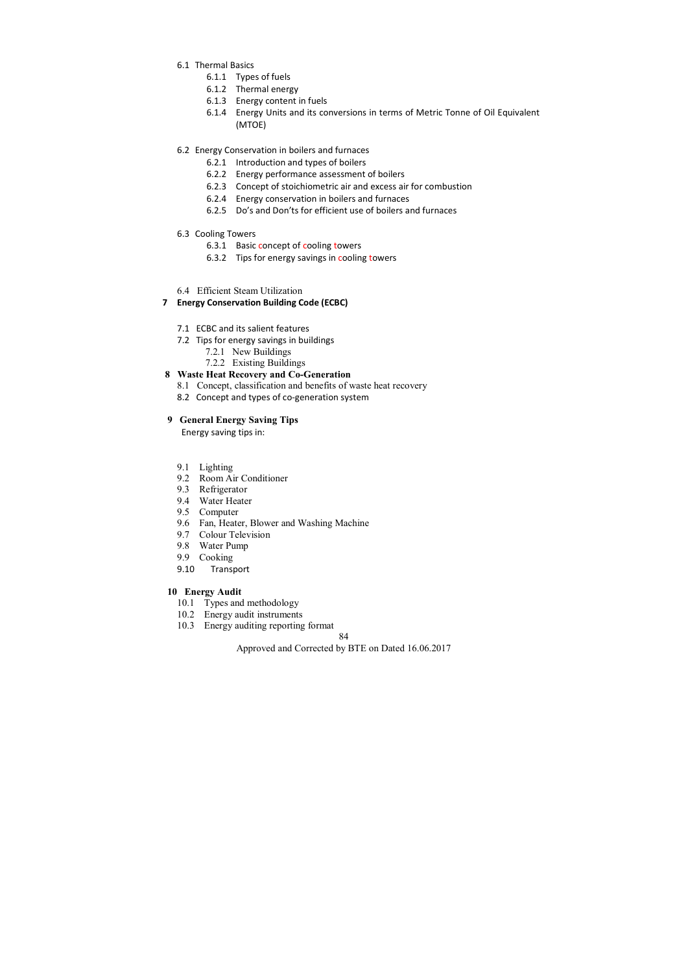84

Approved and Corrected by BTE on Dated 16.06.2017

- 6.1 Thermal Basics
	- 6.1.1 Types of fuels
	- 6.1.2 Thermal energy
	- 6.1.3 Energy content in fuels
	- 6.1.4 Energy Units and its conversions in terms of Metric Tonne of Oil Equivalent (MTOE)
- 6.2 Energy Conservation in boilers and furnaces
	- 6.2.1 Introduction and types of boilers
	- 6.2.2 Energy performance assessment of boilers
	- 6.2.3 Concept of stoichiometric air and excess air for combustion
	- 6.2.4 Energy conservation in boilers and furnaces
	- 6.2.5 Do's and Don'ts for efficient use of boilers and furnaces
- 6.3 Cooling Towers
	- 6.3.1 Basic concept of cooling towers
	- 6.3.2 Tips for energy savings in cooling towers
- 6.4 Efficient Steam Utilization

# **7 Energy Conservation Building Code (ECBC)**

- 7.1 ECBC and its salient features
- 7.2 Tips for energy savings in buildings
	- 7.2.1 New Buildings
	- 7.2.2 Existing Buildings

# **8 Waste Heat Recovery and Co-Generation**

- 8.1 Concept, classification and benefits of waste heat recovery
- 8.2 Concept and types of co-generation system

# **9 General Energy Saving Tips**

Energy saving tips in:

- 9.1 Lighting
- 9.2 Room Air Conditioner
- 9.3 Refrigerator
- 9.4 Water Heater
- 9.5 Computer
- 9.6 Fan, Heater, Blower and Washing Machine
- 9.7 Colour Television
- 9.8 Water Pump
- 9.9 Cooking
- 9.10 Transport

# **10 Energy Audit**

- 10.1 Types and methodology
- 10.2 Energy audit instruments
- 10.3 Energy auditing reporting format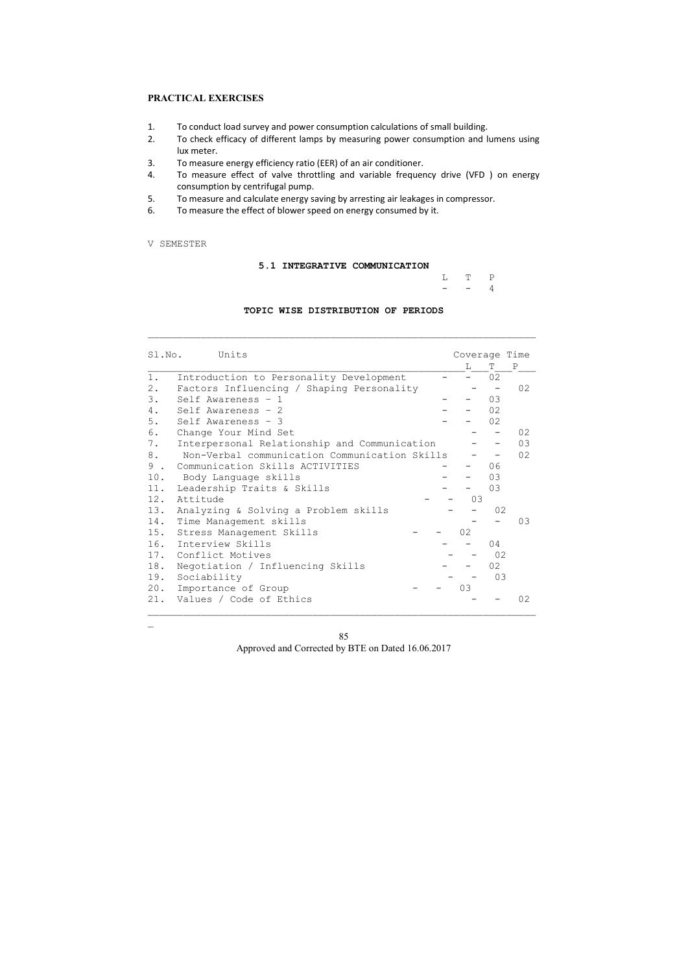# **PRACTICAL EXERCISES**

- 1. To conduct load survey and power consumption calculations of small building.
- 2. To check efficacy of different lamps by measuring power consumption and lumens using lux meter.
- 3. To measure energy efficiency ratio (EER) of an air conditioner.
- 4. To measure effect of valve throttling and variable frequency drive (VFD ) on energy consumption by centrifugal pump.
- 5. To measure and calculate energy saving by arresting air leakages in compressor.
- 6. To measure the effect of blower speed on energy consumed by it.

# V SEMESTER

 $\mathbf{r}$ 

# **5.1 INTEGRATIVE COMMUNICATION**

|  | $L$ T P |  |
|--|---------|--|
|  | $ -$ 4  |  |

# **TOPIC WISE DISTRIBUTION OF PERIODS**

\_\_\_\_\_\_\_\_\_\_\_\_\_\_\_\_\_\_\_\_\_\_\_\_\_\_\_\_\_\_\_\_\_\_\_\_\_\_\_\_\_\_\_\_\_\_\_\_\_\_\_\_\_\_\_\_\_\_\_\_\_\_\_\_\_\_

| Sl.No.              | Units                                         | Coverage Time |    |    |
|---------------------|-----------------------------------------------|---------------|----|----|
|                     |                                               | T.            | T  | P  |
| $1$ .               | Introduction to Personality Development       |               | 02 |    |
| $2$ .               | Factors Influencing / Shaping Personality     |               |    | 02 |
| 3.                  | Self Awareness - 1                            |               | 03 |    |
| 4.                  | Self Awareness - 2                            |               | 02 |    |
| 5.                  | Self Awareness - 3                            |               | 02 |    |
| 6.                  | Change Your Mind Set                          |               |    | 02 |
| 7.                  | Interpersonal Relationship and Communication  |               |    | 03 |
| 8.                  | Non-Verbal communication Communication Skills |               |    | 02 |
| 9<br>$\mathbb{R}^2$ | Communication Skills ACTIVITIES               |               | 06 |    |
| 10.                 | Body Language skills                          |               | 03 |    |
| 11.                 | Leadership Traits & Skills                    |               | 03 |    |
| 12.                 | Attitude                                      | 03            |    |    |
| 13.                 | Analyzing & Solving a Problem skills          |               | 02 |    |
| 14.                 | Time Management skills                        |               |    | 03 |
| 15.                 | Stress Management Skills                      | 02            |    |    |
| 16.                 | Interview Skills                              |               | 04 |    |
|                     | 17. Conflict Motives                          |               | 02 |    |
| 18.                 | Negotiation / Influencing Skills              |               | 02 |    |
| 19.                 | Sociability                                   |               | 03 |    |
| 20.                 | Importance of Group                           | 03            |    |    |
| 21.                 | Values / Code of Ethics                       |               |    | 02 |
|                     |                                               |               |    |    |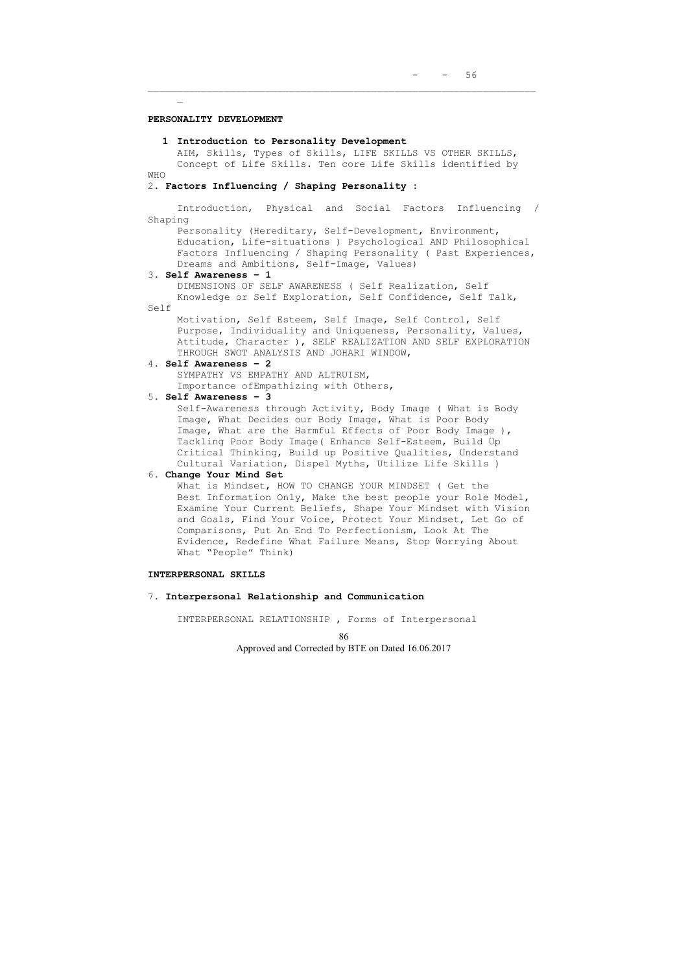\_\_\_\_\_\_\_\_\_\_\_\_\_\_\_\_\_\_\_\_\_\_\_\_\_\_\_\_\_\_\_\_\_\_\_\_\_\_\_\_\_\_\_\_\_\_\_\_\_\_\_\_\_\_\_\_\_\_\_\_\_\_\_\_\_\_

#### **PERSONALITY DEVELOPMENT**

 $\mathbb{Z}^{\mathbb{Z}}$ 

#### **1 Introduction to Personality Development**

AIM, Skills, Types of Skills, LIFE SKILLS VS OTHER SKILLS, Concept of Life Skills. Ten core Life Skills identified by WHO

#### 2. **Factors Influencing / Shaping Personality :**

Introduction, Physical and Social Factors Influencing / Shaping

Personality (Hereditary, Self-Development, Environment, Education, Life-situations ) Psychological AND Philosophical Factors Influencing / Shaping Personality ( Past Experiences, Dreams and Ambitions, Self-Image, Values)

#### 3. **Self Awareness – 1**

DIMENSIONS OF SELF AWARENESS ( Self Realization, Self Knowledge or Self Exploration, Self Confidence, Self Talk,

Self

Motivation, Self Esteem, Self Image, Self Control, Self Purpose, Individuality and Uniqueness, Personality, Values, Attitude, Character ), SELF REALIZATION AND SELF EXPLORATION THROUGH SWOT ANALYSIS AND JOHARI WINDOW,

#### 4. **Self Awareness – 2**

SYMPATHY VS EMPATHY AND ALTRUISM, Importance ofEmpathizing with Others,

### 5. **Self Awareness – 3**

Self-Awareness through Activity, Body Image ( What is Body Image, What Decides our Body Image, What is Poor Body Image, What are the Harmful Effects of Poor Body Image ), Tackling Poor Body Image( Enhance Self-Esteem, Build Up Critical Thinking, Build up Positive Qualities, Understand Cultural Variation, Dispel Myths, Utilize Life Skills )

### 6. **Change Your Mind Set**

What is Mindset, HOW TO CHANGE YOUR MINDSET ( Get the Best Information Only, Make the best people your Role Model, Examine Your Current Beliefs, Shape Your Mindset with Vision and Goals, Find Your Voice, Protect Your Mindset, Let Go of Comparisons, Put An End To Perfectionism, Look At The Evidence, Redefine What Failure Means, Stop Worrying About What "People" Think)

### **INTERPERSONAL SKILLS**

7. **Interpersonal Relationship and Communication** 

INTERPERSONAL RELATIONSHIP , Forms of Interpersonal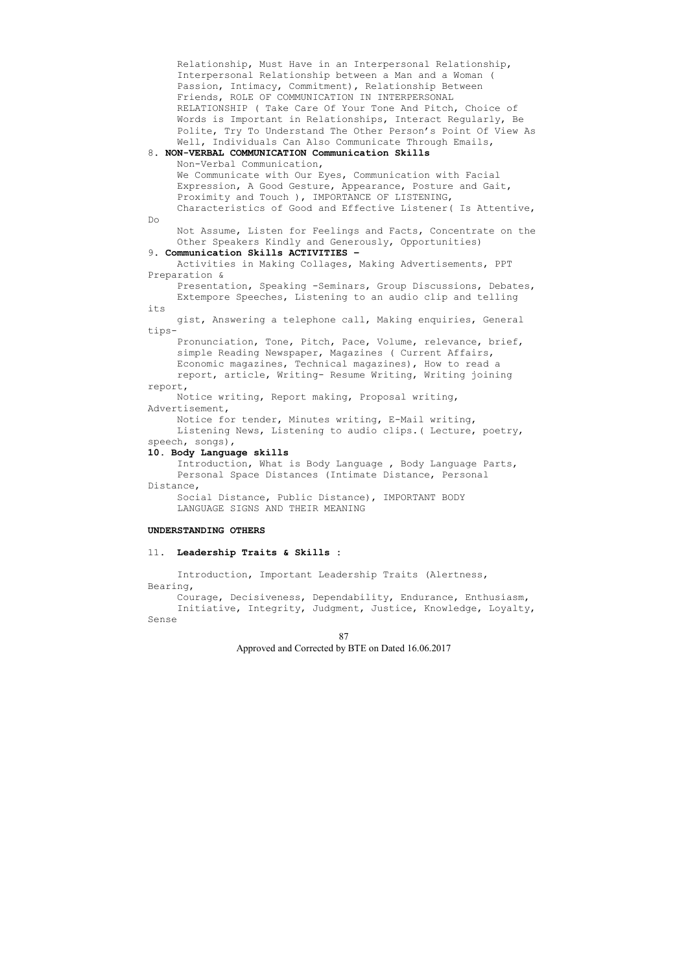Relationship, Must Have in an Interpersonal Relationship, Interpersonal Relationship between a Man and a Woman ( Passion, Intimacy, Commitment), Relationship Between Friends, ROLE OF COMMUNICATION IN INTERPERSONAL RELATIONSHIP ( Take Care Of Your Tone And Pitch, Choice of Words is Important in Relationships, Interact Regularly, Be Polite, Try To Understand The Other Person's Point Of View As Well, Individuals Can Also Communicate Through Emails, 8. **NON-VERBAL COMMUNICATION Communication Skills**  Non-Verbal Communication, We Communicate with Our Eyes, Communication with Facial Expression, A Good Gesture, Appearance, Posture and Gait, Proximity and Touch ), IMPORTANCE OF LISTENING, Characteristics of Good and Effective Listener( Is Attentive, Do Not Assume, Listen for Feelings and Facts, Concentrate on the Other Speakers Kindly and Generously, Opportunities) 9. **Communication Skills ACTIVITIES –**  Activities in Making Collages, Making Advertisements, PPT Preparation & Presentation, Speaking -Seminars, Group Discussions, Debates, Extempore Speeches, Listening to an audio clip and telling its gist, Answering a telephone call, Making enquiries, General tips-Pronunciation, Tone, Pitch, Pace, Volume, relevance, brief, simple Reading Newspaper, Magazines ( Current Affairs, Economic magazines, Technical magazines), How to read a report, article, Writing- Resume Writing, Writing joining report, Notice writing, Report making, Proposal writing, Advertisement, Notice for tender, Minutes writing, E-Mail writing, Listening News, Listening to audio clips.( Lecture, poetry, speech, songs), **10. Body Language skills**  Introduction, What is Body Language , Body Language Parts, Personal Space Distances (Intimate Distance, Personal Distance, Social Distance, Public Distance), IMPORTANT BODY LANGUAGE SIGNS AND THEIR MEANING **UNDERSTANDING OTHERS**  11. **Leadership Traits & Skills :**  Introduction, Important Leadership Traits (Alertness, Bearing, Courage, Decisiveness, Dependability, Endurance, Enthusiasm,

Initiative, Integrity, Judgment, Justice, Knowledge, Loyalty, Sense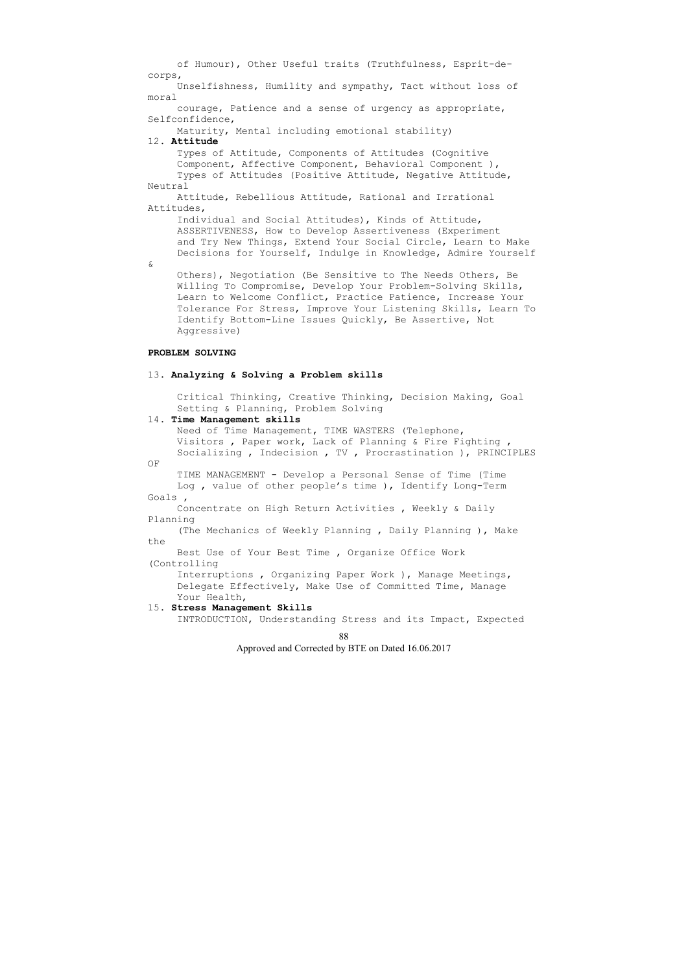of Humour), Other Useful traits (Truthfulness, Esprit-decorps, Unselfishness, Humility and sympathy, Tact without loss of moral courage, Patience and a sense of urgency as appropriate, Selfconfidence, Maturity, Mental including emotional stability) 12. **Attitude**  Types of Attitude, Components of Attitudes (Cognitive Component, Affective Component, Behavioral Component ), Types of Attitudes (Positive Attitude, Negative Attitude, Neutral Attitude, Rebellious Attitude, Rational and Irrational Attitudes, Individual and Social Attitudes), Kinds of Attitude, ASSERTIVENESS, How to Develop Assertiveness (Experiment and Try New Things, Extend Your Social Circle, Learn to Make Decisions for Yourself, Indulge in Knowledge, Admire Yourself & Others), Negotiation (Be Sensitive to The Needs Others, Be Willing To Compromise, Develop Your Problem-Solving Skills, Learn to Welcome Conflict, Practice Patience, Increase Your Tolerance For Stress, Improve Your Listening Skills, Learn To Identify Bottom-Line Issues Quickly, Be Assertive, Not Aggressive) **PROBLEM SOLVING**  13. **Analyzing & Solving a Problem skills**  Critical Thinking, Creative Thinking, Decision Making, Goal Setting & Planning, Problem Solving 14. **Time Management skills**  Need of Time Management, TIME WASTERS (Telephone, Visitors , Paper work, Lack of Planning & Fire Fighting , Socializing , Indecision , TV , Procrastination ), PRINCIPLES OF TIME MANAGEMENT - Develop a Personal Sense of Time (Time Log , value of other people's time ), Identify Long-Term Goals , Concentrate on High Return Activities , Weekly & Daily Planning (The Mechanics of Weekly Planning , Daily Planning ), Make the Best Use of Your Best Time , Organize Office Work (Controlling Interruptions , Organizing Paper Work ), Manage Meetings, Delegate Effectively, Make Use of Committed Time, Manage Your Health, 15. **Stress Management Skills**  INTRODUCTION, Understanding Stress and its Impact, Expected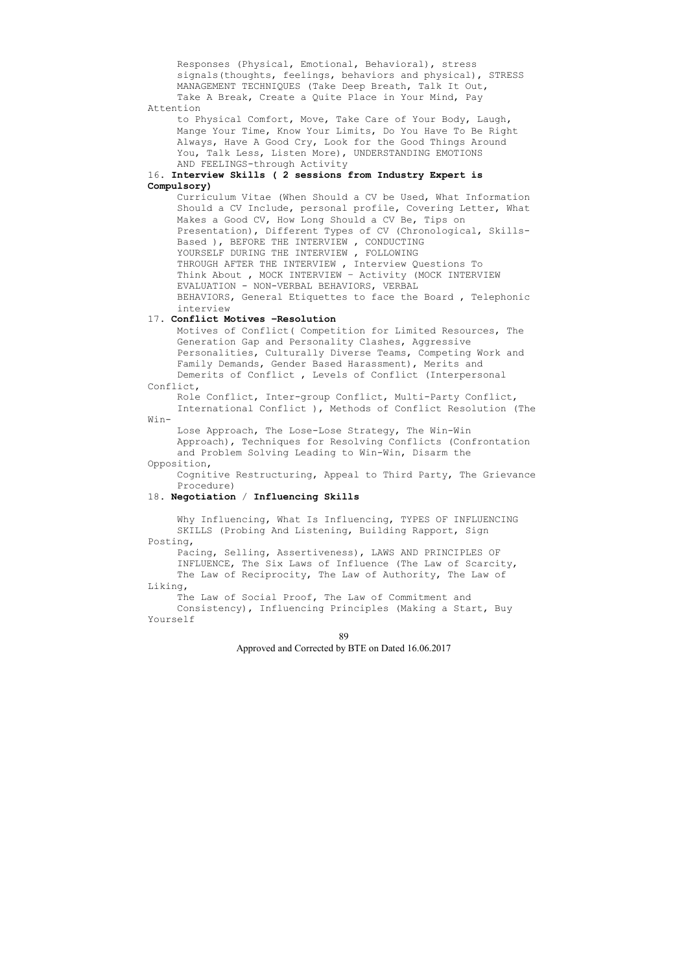Responses (Physical, Emotional, Behavioral), stress signals(thoughts, feelings, behaviors and physical), STRESS MANAGEMENT TECHNIQUES (Take Deep Breath, Talk It Out, Take A Break, Create a Quite Place in Your Mind, Pay Attention

to Physical Comfort, Move, Take Care of Your Body, Laugh, Mange Your Time, Know Your Limits, Do You Have To Be Right Always, Have A Good Cry, Look for the Good Things Around You, Talk Less, Listen More), UNDERSTANDING EMOTIONS AND FEELINGS-through Activity

### 16. **Interview Skills ( 2 sessions from Industry Expert is Compulsory)**

Curriculum Vitae (When Should a CV be Used, What Information Should a CV Include, personal profile, Covering Letter, What Makes a Good CV, How Long Should a CV Be, Tips on Presentation), Different Types of CV (Chronological, Skills-Based ), BEFORE THE INTERVIEW , CONDUCTING YOURSELF DURING THE INTERVIEW , FOLLOWING THROUGH AFTER THE INTERVIEW , Interview Questions To Think About , MOCK INTERVIEW – Activity (MOCK INTERVIEW EVALUATION - NON-VERBAL BEHAVIORS, VERBAL BEHAVIORS, General Etiquettes to face the Board , Telephonic interview

The Law of Social Proof, The Law of Commitment and Consistency), Influencing Principles (Making a Start, Buy Yourself

# 17. **Conflict Motives –Resolution**

Motives of Conflict( Competition for Limited Resources, The Generation Gap and Personality Clashes, Aggressive Personalities, Culturally Diverse Teams, Competing Work and Family Demands, Gender Based Harassment), Merits and Demerits of Conflict , Levels of Conflict (Interpersonal

# Conflict,

Role Conflict, Inter-group Conflict, Multi-Party Conflict, International Conflict ), Methods of Conflict Resolution (The

Win-

Lose Approach, The Lose-Lose Strategy, The Win-Win Approach), Techniques for Resolving Conflicts (Confrontation and Problem Solving Leading to Win-Win, Disarm the Opposition,

Cognitive Restructuring, Appeal to Third Party, The Grievance Procedure)

### 18. **Negotiation** / **Influencing Skills**

Why Influencing, What Is Influencing, TYPES OF INFLUENCING SKILLS (Probing And Listening, Building Rapport, Sign Posting,

Pacing, Selling, Assertiveness), LAWS AND PRINCIPLES OF INFLUENCE, The Six Laws of Influence (The Law of Scarcity, The Law of Reciprocity, The Law of Authority, The Law of Liking,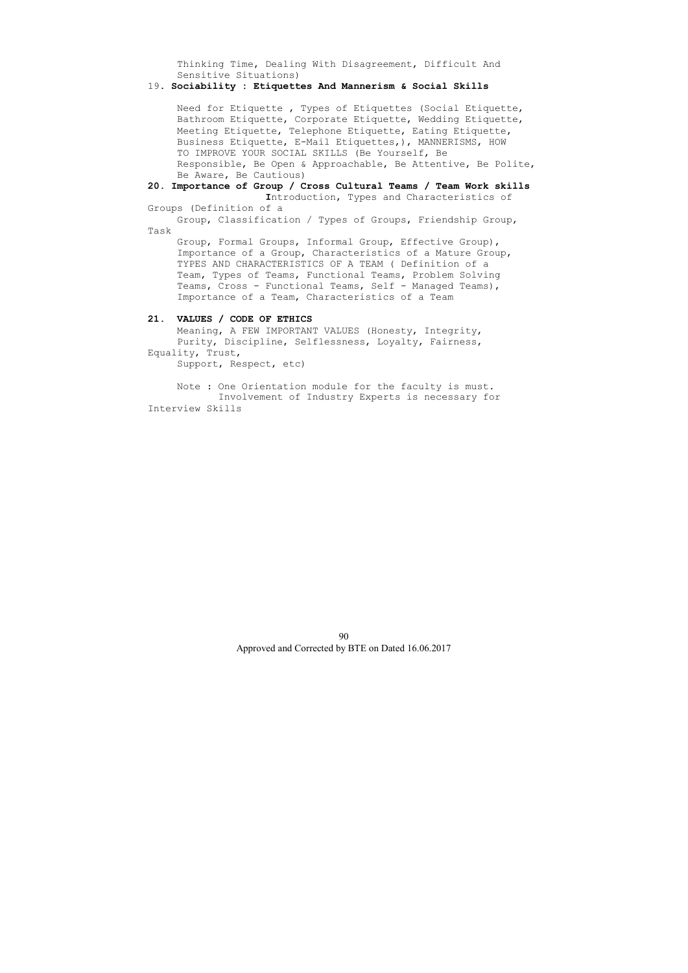Thinking Time, Dealing With Disagreement, Difficult And Sensitive Situations)

### 19. **Sociability : Etiquettes And Mannerism & Social Skills**

Need for Etiquette , Types of Etiquettes (Social Etiquette, Bathroom Etiquette, Corporate Etiquette, Wedding Etiquette, Meeting Etiquette, Telephone Etiquette, Eating Etiquette, Business Etiquette, E-Mail Etiquettes,), MANNERISMS, HOW TO IMPROVE YOUR SOCIAL SKILLS (Be Yourself, Be Responsible, Be Open & Approachable, Be Attentive, Be Polite, Be Aware, Be Cautious)

**20. Importance of Group / Cross Cultural Teams / Team Work skills I**ntroduction, Types and Characteristics of

# Groups (Definition of a

Group, Classification / Types of Groups, Friendship Group, Task

Group, Formal Groups, Informal Group, Effective Group), Importance of a Group, Characteristics of a Mature Group, TYPES AND CHARACTERISTICS OF A TEAM ( Definition of a Team, Types of Teams, Functional Teams, Problem Solving Teams, Cross - Functional Teams, Self - Managed Teams), Importance of a Team, Characteristics of a Team

# **21. VALUES / CODE OF ETHICS**

Meaning, A FEW IMPORTANT VALUES (Honesty, Integrity, Purity, Discipline, Selflessness, Loyalty, Fairness, Equality, Trust,

Support, Respect, etc)

Note : One Orientation module for the faculty is must. Involvement of Industry Experts is necessary for Interview Skills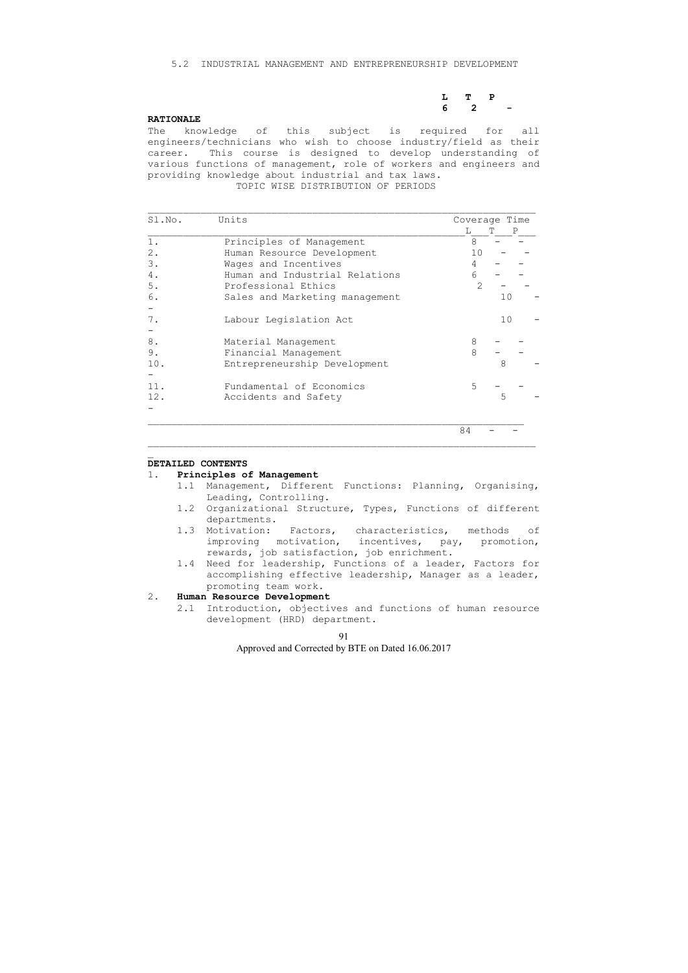### 5.2 INDUSTRIAL MANAGEMENT AND ENTREPRENEURSHIP DEVELOPMENT

| $L$ T P             |  |  |
|---------------------|--|--|
| $6\qquad 2\qquad -$ |  |  |

#### **RATIONALE**

The knowledge of this subject is required for all engineers/technicians who wish to choose industry/field as their career. This course is designed to develop understanding of various functions of management, role of workers and engineers and providing knowledge about industrial and tax laws.

TOPIC WISE DISTRIBUTION OF PERIODS

| Sl.No. | Units                          |                | Coverage Time |
|--------|--------------------------------|----------------|---------------|
|        |                                | Т.             | P             |
| $1$ .  | Principles of Management       | 8              |               |
| $2$ .  | Human Resource Development     | 10             |               |
| 3.     | Wages and Incentives           | 4              |               |
| 4.     | Human and Industrial Relations | 6              |               |
| $5$ .  | Professional Ethics            | $\overline{2}$ |               |
| 6.     | Sales and Marketing management |                | 10            |
|        |                                |                |               |
| 7.     | Labour Legislation Act         |                | 10            |
|        |                                |                |               |
| 8.     | Material Management            | 8              |               |
| 9.     | Financial Management           | 8              |               |
| 10.    | Entrepreneurship Development   |                | 8             |
|        |                                |                |               |
| 11     | Fundamental of Economics       | 5              |               |
| 12.    | Accidents and Safety           |                | 5             |
|        |                                |                |               |
|        |                                |                |               |
|        |                                | 84             |               |

 $\_$  , and the contribution of the contribution of  $\mathcal{L}_\mathcal{A}$  , and the contribution of  $\mathcal{L}_\mathcal{A}$ 

#### **DETAILED CONTENTS**

 $\mathbf{r}$ 

#### 1. **Principles of Management**

- 1.1 Management, Different Functions: Planning, Organising, Leading, Controlling.
- 1.2 Organizational Structure, Types, Functions of different departments.
- 1.3 Motivation: Factors, characteristics, methods of improving motivation, incentives, pay, promotion, rewards, job satisfaction, job enrichment.
- 1.4 Need for leadership, Functions of a leader, Factors for accomplishing effective leadership, Manager as a leader, promoting team work.

# 2. **Human Resource Development**

2.1 Introduction, objectives and functions of human resource development (HRD) department.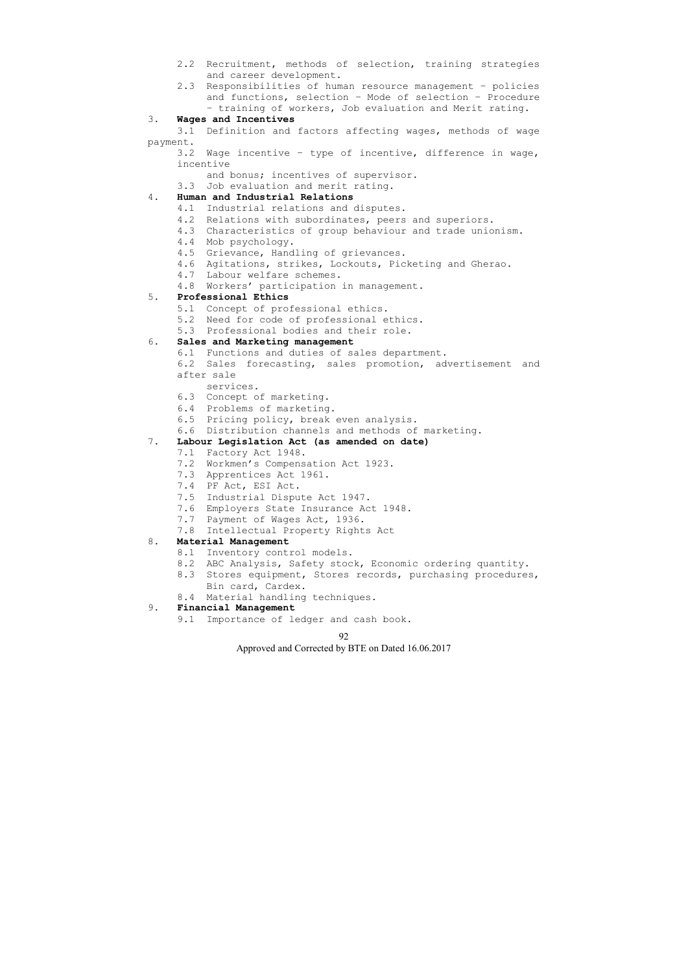- 2.2 Recruitment, methods of selection, training strategies and career development.
- 2.3 Responsibilities of human resource management policies and functions, selection – Mode of selection – Procedure – training of workers, Job evaluation and Merit rating.

### 3. **Wages and Incentives**

 3.1 Definition and factors affecting wages, methods of wage payment.

 3.2 Wage incentive – type of incentive, difference in wage, incentive

and bonus; incentives of supervisor.

3.3 Job evaluation and merit rating.

# 4. **Human and Industrial Relations**

- 4.1 Industrial relations and disputes.
- 4.2 Relations with subordinates, peers and superiors.
- 4.3 Characteristics of group behaviour and trade unionism.
- 4.4 Mob psychology.
- 4.5 Grievance, Handling of grievances.
- 4.6 Agitations, strikes, Lockouts, Picketing and Gherao.
- 4.7 Labour welfare schemes.
- 4.8 Workers' participation in management.

# 5. **Professional Ethics**

- 5.1 Concept of professional ethics.
- 5.2 Need for code of professional ethics.
- 5.3 Professional bodies and their role.

### 6. **Sales and Marketing management**

- 6.1 Functions and duties of sales department.
- 6.2 Sales forecasting, sales promotion, advertisement and after sale
- services.
- 6.3 Concept of marketing.
- 6.4 Problems of marketing.
- 6.5 Pricing policy, break even analysis.
- 6.6 Distribution channels and methods of marketing.

### 7. **Labour Legislation Act (as amended on date)**

- 7.1 Factory Act 1948.
- 7.2 Workmen's Compensation Act 1923.
- 7.3 Apprentices Act 1961.
- 7.4 PF Act, ESI Act.
- 7.5 Industrial Dispute Act 1947.
- 7.6 Employers State Insurance Act 1948.
- 7.7 Payment of Wages Act, 1936.
- 7.8 Intellectual Property Rights Act

# 8. **Material Management**

- 8.1 Inventory control models.
- 8.2 ABC Analysis, Safety stock, Economic ordering quantity.
- 8.3 Stores equipment, Stores records, purchasing procedures, Bin card, Cardex.
- 8.4 Material handling techniques.

# 9. **Financial Management**

9.1 Importance of ledger and cash book.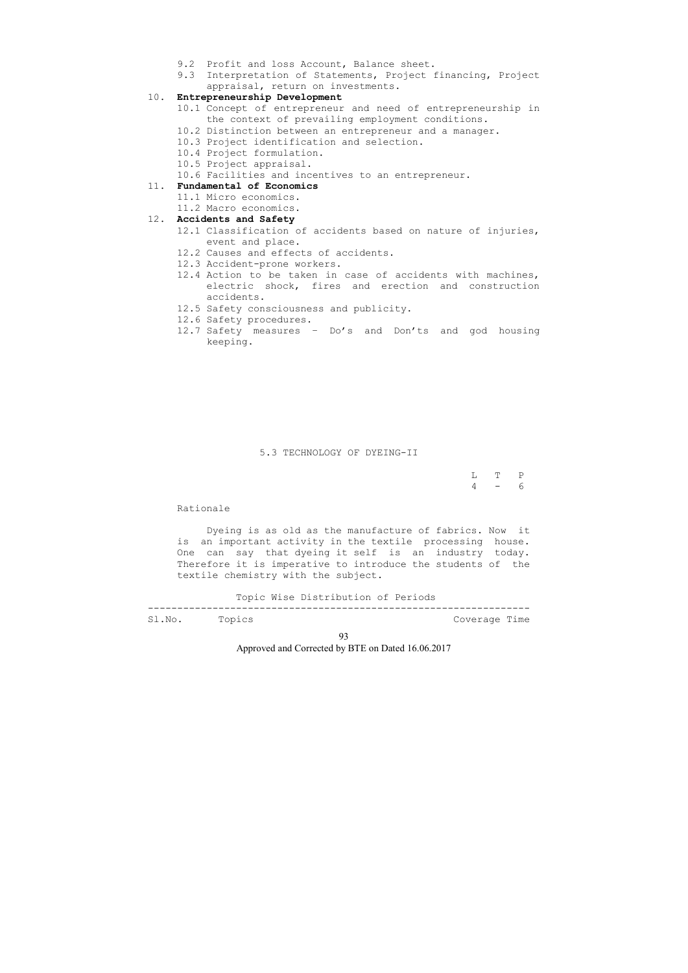93

Approved and Corrected by BTE on Dated 16.06.2017

- 9.2 Profit and loss Account, Balance sheet.
- 9.3 Interpretation of Statements, Project financing, Project appraisal, return on investments.

# 10. **Entrepreneurship Development**

- 10.1 Concept of entrepreneur and need of entrepreneurship in the context of prevailing employment conditions.
- 10.2 Distinction between an entrepreneur and a manager.
- 10.3 Project identification and selection.
- 10.4 Project formulation.
- 10.5 Project appraisal.
- 10.6 Facilities and incentives to an entrepreneur.

 L T P  $4 - 6$ 

# 11. **Fundamental of Economics**

- 11.1 Micro economics.
- 11.2 Macro economics.

# 12. **Accidents and Safety**

- 12.1 Classification of accidents based on nature of injuries, event and place.
- 12.2 Causes and effects of accidents.
- 12.3 Accident-prone workers.
- 12.4 Action to be taken in case of accidents with machines, electric shock, fires and erection and construction accidents.
- 12.5 Safety consciousness and publicity.
- 12.6 Safety procedures.
- 12.7 Safety measures Do's and Don'ts and god housing keeping.

5.3 TECHNOLOGY OF DYEING-II

#### Rationale

 Dyeing is as old as the manufacture of fabrics. Now it is an important activity in the textile processing house. One can say that dyeing it self is an industry today. Therefore it is imperative to introduce the students of the textile chemistry with the subject.

Topic Wise Distribution of Periods

-----------------------------------------------------------------

Sl.No. Topics and the coverage Time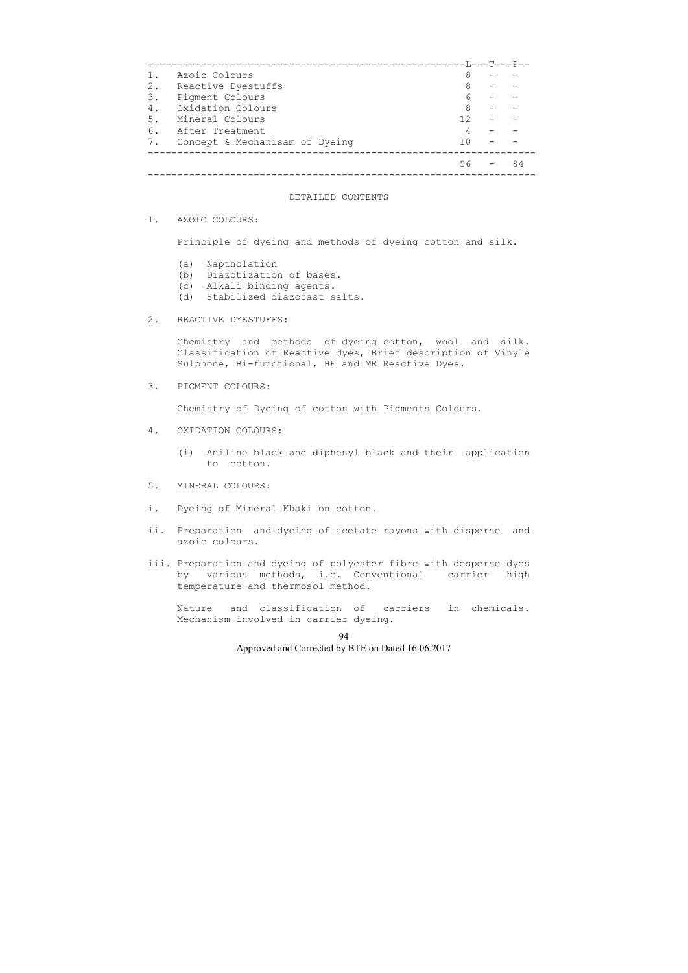|    |                                | ------T,---T---P-- |    |
|----|--------------------------------|--------------------|----|
|    | Azoic Colours                  | 8                  |    |
| 2. | Reactive Dyestuffs             | 8                  |    |
| 3. | Pigment Colours                |                    |    |
| 4. | Oxidation Colours              | 8                  |    |
| 5. | Mineral Colours                | 12                 |    |
| 6. | After Treatment                |                    |    |
| 7. | Concept & Mechanisam of Dyeing |                    |    |
|    |                                |                    |    |
|    |                                | 56.                | 84 |
|    |                                |                    |    |

#### DETAILED CONTENTS

1. AZOIC COLOURS:

Principle of dyeing and methods of dyeing cotton and silk.

- (a) Naptholation
- (b) Diazotization of bases.
- (c) Alkali binding agents.
- (d) Stabilized diazofast salts.

### 2. REACTIVE DYESTUFFS:

 Chemistry and methods of dyeing cotton, wool and silk. Classification of Reactive dyes, Brief description of Vinyle Sulphone, Bi-functional, HE and ME Reactive Dyes.

3. PIGMENT COLOURS:

Chemistry of Dyeing of cotton with Pigments Colours.

- 4. OXIDATION COLOURS:
	- (i) Aniline black and diphenyl black and their application to cotton.
- 5. MINERAL COLOURS:
- i. Dyeing of Mineral Khaki on cotton.
- ii. Preparation and dyeing of acetate rayons with disperse and azoic colours.
- iii. Preparation and dyeing of polyester fibre with desperse dyes by various methods, i.e. Conventional carrier high temperature and thermosol method.

 Nature and classification of carriers in chemicals. Mechanism involved in carrier dyeing.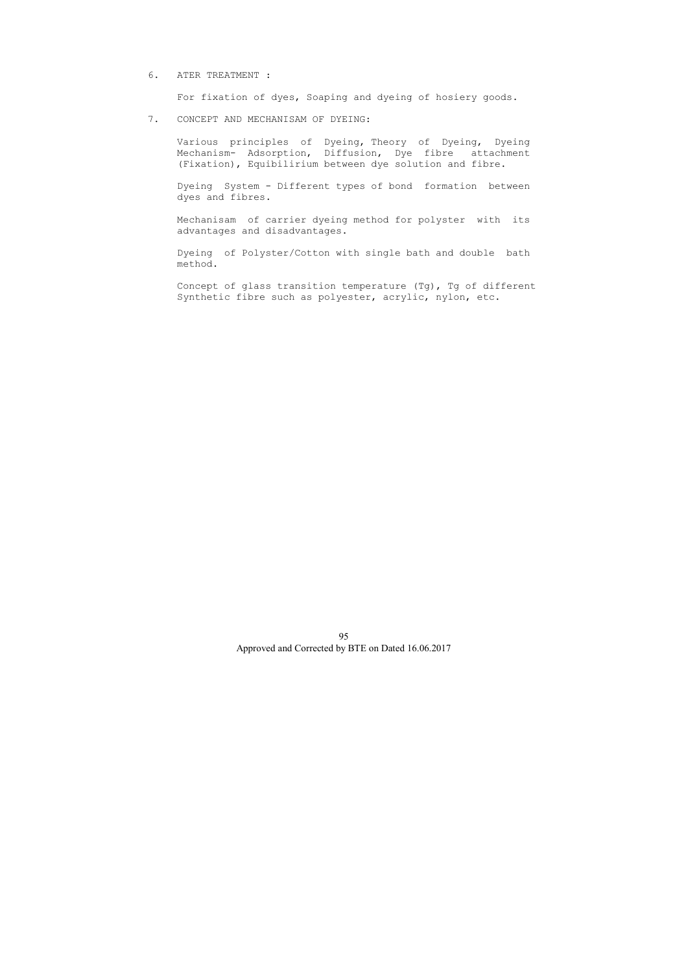# 6. ATER TREATMENT :

For fixation of dyes, Soaping and dyeing of hosiery goods.

# 7. CONCEPT AND MECHANISAM OF DYEING:

 Various principles of Dyeing, Theory of Dyeing, Dyeing Mechanism- Adsorption, Diffusion, Dye fibre attachment (Fixation), Equibilirium between dye solution and fibre.

 Dyeing System - Different types of bond formation between dyes and fibres.

 Mechanisam of carrier dyeing method for polyster with its advantages and disadvantages.

 Dyeing of Polyster/Cotton with single bath and double bath method.

 Concept of glass transition temperature (Tg), Tg of different Synthetic fibre such as polyester, acrylic, nylon, etc.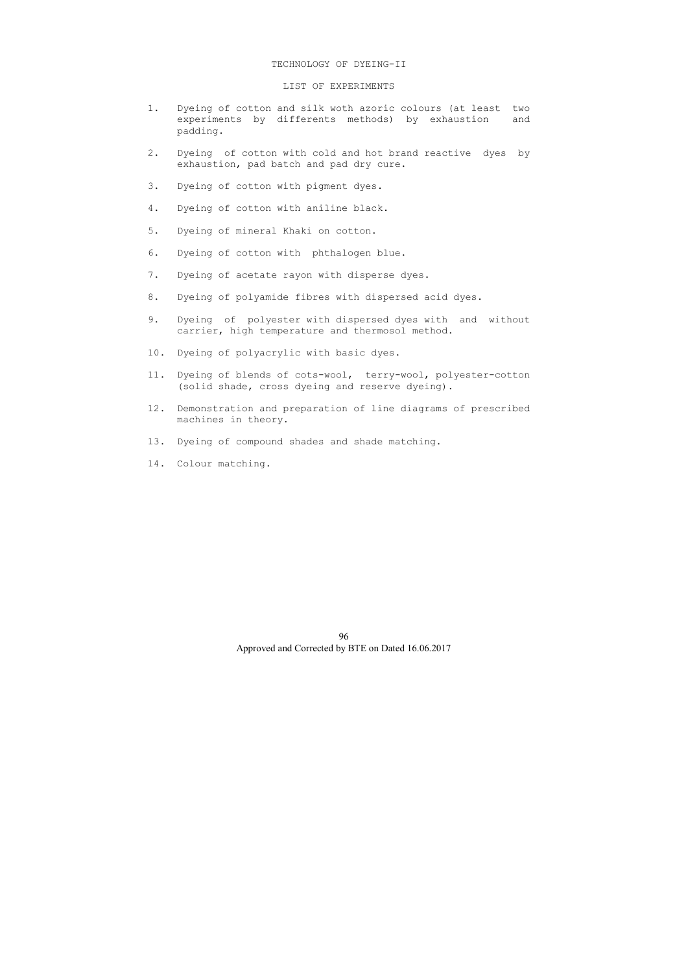#### TECHNOLOGY OF DYEING-II

### LIST OF EXPERIMENTS

- 1. Dyeing of cotton and silk woth azoric colours (at least two experiments by differents methods) by exhaustion and padding.
- 2. Dyeing of cotton with cold and hot brand reactive dyes by exhaustion, pad batch and pad dry cure.
- 3. Dyeing of cotton with pigment dyes.
- 4. Dyeing of cotton with aniline black.
- 5. Dyeing of mineral Khaki on cotton.
- 6. Dyeing of cotton with phthalogen blue.
- 7. Dyeing of acetate rayon with disperse dyes.
- 8. Dyeing of polyamide fibres with dispersed acid dyes.
- 9. Dyeing of polyester with dispersed dyes with and without carrier, high temperature and thermosol method.
- 10. Dyeing of polyacrylic with basic dyes.
- 11. Dyeing of blends of cots-wool, terry-wool, polyester-cotton (solid shade, cross dyeing and reserve dyeing).
- 12. Demonstration and preparation of line diagrams of prescribed machines in theory.
- 13. Dyeing of compound shades and shade matching.
- 14. Colour matching.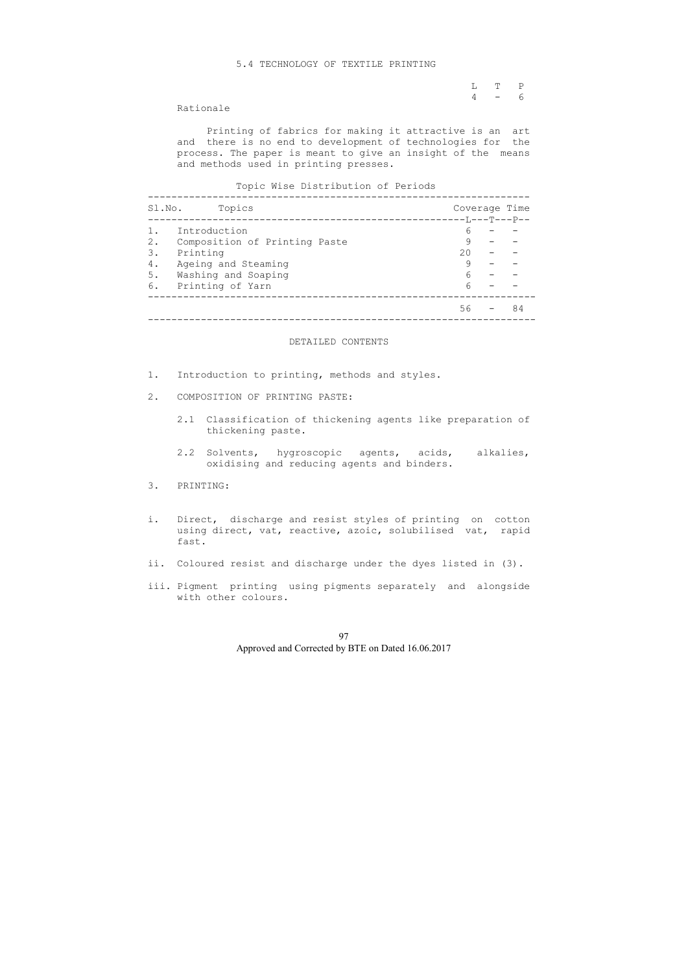### 5.4 TECHNOLOGY OF TEXTILE PRINTING

|  | $L$ T P |  |
|--|---------|--|
|  | $4 - 6$ |  |

### Rationale

 Printing of fabrics for making it attractive is an art and there is no end to development of technologies for the process. The paper is meant to give an insight of the means and methods used in printing presses.

### Topic Wise Distribution of Periods

| Sl.No. | Topics                        |                     | Coverage Time |
|--------|-------------------------------|---------------------|---------------|
|        |                               | -------T,---T---P-- |               |
|        | Introduction                  | 6                   |               |
| 2.     | Composition of Printing Paste |                     |               |
| 3.     | Printing                      | $20 -$              |               |
| 4.     | Ageing and Steaming           |                     |               |
| 5.     | Washing and Soaping           | 6                   |               |
| 6.     | Printing of Yarn              |                     |               |
|        |                               | 56                  | 84            |

### DETAILED CONTENTS

- 1. Introduction to printing, methods and styles.
- 2. COMPOSITION OF PRINTING PASTE:
	- 2.1 Classification of thickening agents like preparation of thickening paste.
	- 2.2 Solvents, hygroscopic agents, acids, alkalies, oxidising and reducing agents and binders.
- 3. PRINTING:
- i. Direct, discharge and resist styles of printing on cotton using direct, vat, reactive, azoic, solubilised vat, rapid fast.
- ii. Coloured resist and discharge under the dyes listed in (3).
- iii. Pigment printing using pigments separately and alongside with other colours.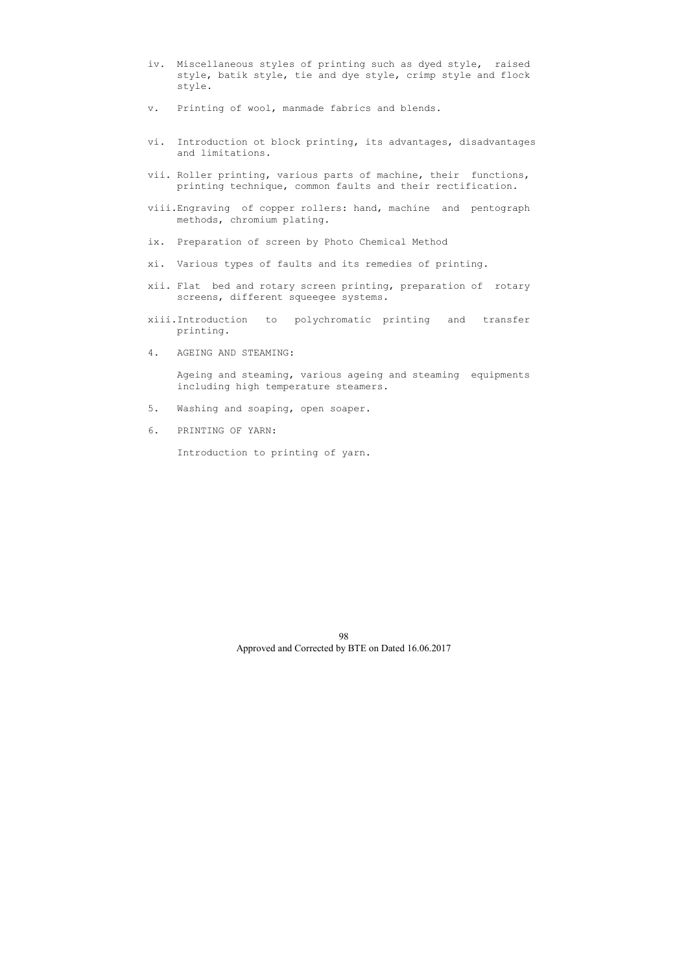- iv. Miscellaneous styles of printing such as dyed style, raised style, batik style, tie and dye style, crimp style and flock style.
- v. Printing of wool, manmade fabrics and blends.
- vi. Introduction ot block printing, its advantages, disadvantages and limitations.
- vii. Roller printing, various parts of machine, their functions, printing technique, common faults and their rectification.
- viii.Engraving of copper rollers: hand, machine and pentograph methods, chromium plating.
- ix. Preparation of screen by Photo Chemical Method
- xi. Various types of faults and its remedies of printing.
- xii. Flat bed and rotary screen printing, preparation of rotary screens, different squeegee systems.
- xiii.Introduction to polychromatic printing and transfer printing.
- 4. AGEING AND STEAMING:

 Ageing and steaming, various ageing and steaming equipments including high temperature steamers.

- 5. Washing and soaping, open soaper.
- 6. PRINTING OF YARN:

Introduction to printing of yarn.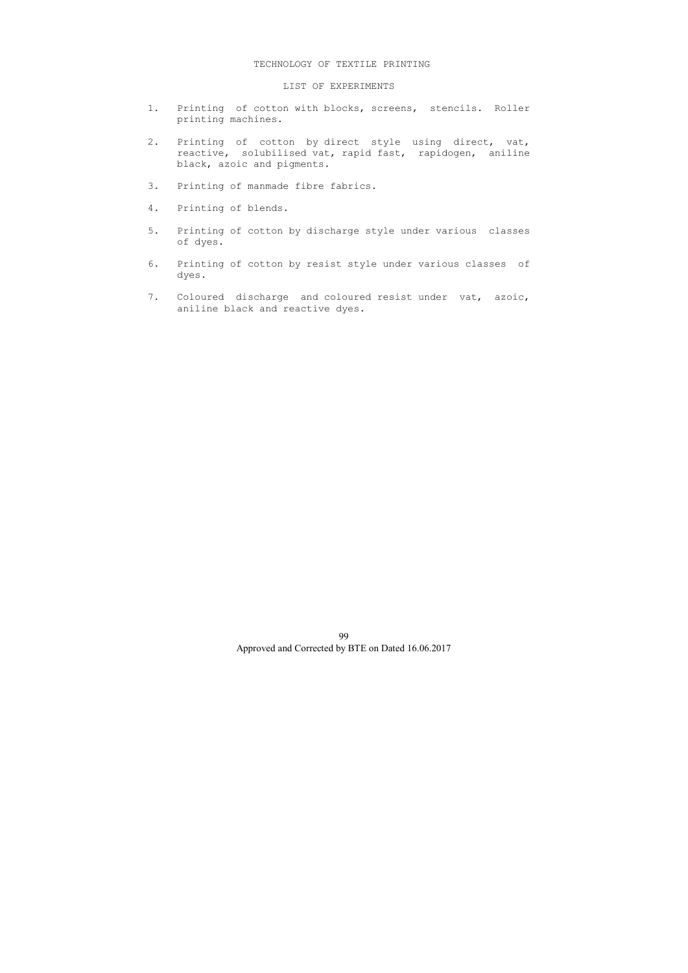### TECHNOLOGY OF TEXTILE PRINTING

# LIST OF EXPERIMENTS

- 1. Printing of cotton with blocks, screens, stencils. Roller printing machines.
- 2. Printing of cotton by direct style using direct, vat, reactive, solubilised vat, rapid fast, rapidogen, aniline black, azoic and pigments.
- 3. Printing of manmade fibre fabrics.
- 4. Printing of blends.
- 5. Printing of cotton by discharge style under various classes of dyes.
- 6. Printing of cotton by resist style under various classes of dyes.
- 7. Coloured discharge and coloured resist under vat, azoic, aniline black and reactive dyes.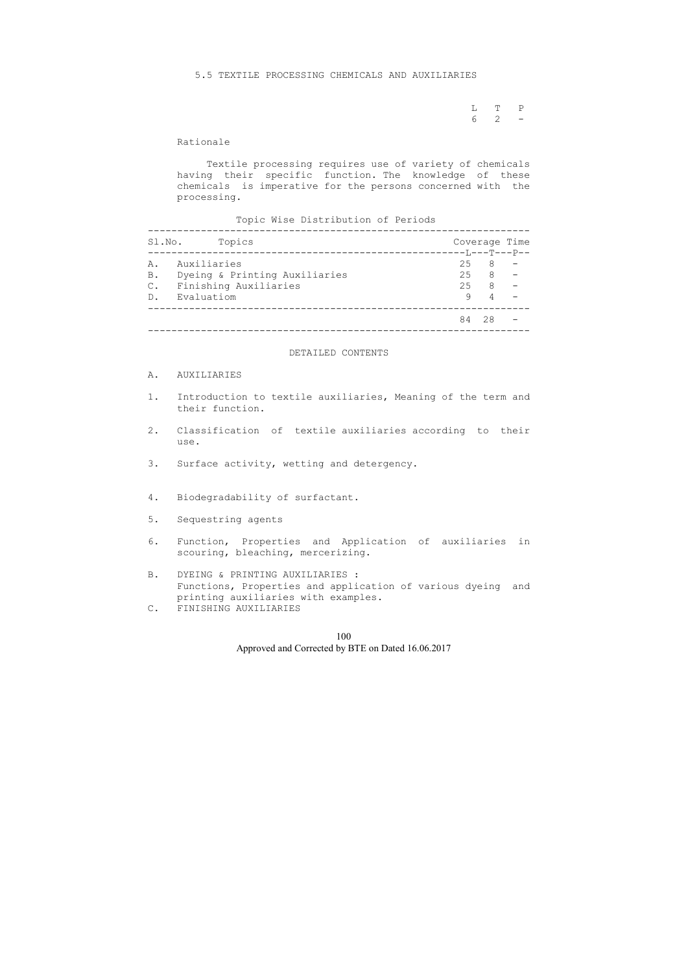L T P 6 2 -

Rationale

 Textile processing requires use of variety of chemicals having their specific function. The knowledge of these chemicals is imperative for the persons concerned with the processing.

Topic Wise Distribution of Periods

| Sl.No.                           | Topics                                                                                 |                                                     |                                  | Coverage Time |
|----------------------------------|----------------------------------------------------------------------------------------|-----------------------------------------------------|----------------------------------|---------------|
| Α.<br><b>B.</b><br>$C_{\bullet}$ | Auxiliaries<br>Dyeing & Printing Auxiliaries<br>Finishing Auxiliaries<br>D. Evaluatiom | $-- T_{1}$ $-- T$ $-- P$ $---$<br>25 8<br>25 8<br>9 | $25 \t 8 \t -$<br>$\overline{4}$ |               |
|                                  |                                                                                        | 84                                                  | 28                               |               |

#### DETAILED CONTENTS

### A. AUXILIARIES

- 1. Introduction to textile auxiliaries, Meaning of the term and their function.
- 2. Classification of textile auxiliaries according to their use.
- 3. Surface activity, wetting and detergency.
- 4. Biodegradability of surfactant.
- 5. Sequestring agents
- 6. Function, Properties and Application of auxiliaries in scouring, bleaching, mercerizing.
- B. DYEING & PRINTING AUXILIARIES : Functions, Properties and application of various dyeing and printing auxiliaries with examples.
- C. FINISHING AUXILIARIES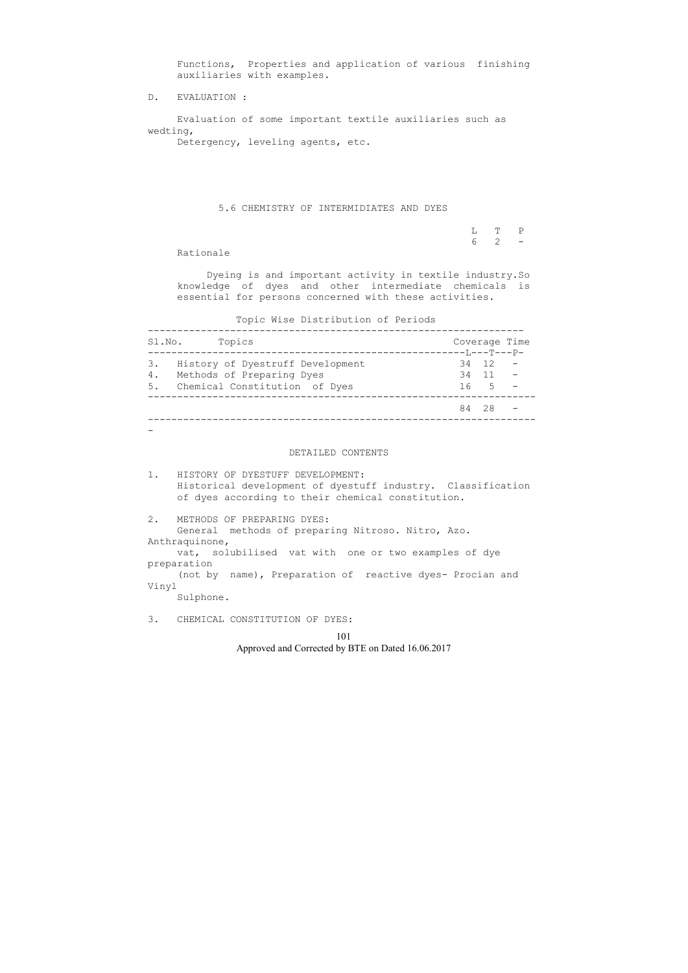Functions, Properties and application of various finishing auxiliaries with examples.

D. EVALUATION :

 Evaluation of some important textile auxiliaries such as wedting,

Detergency, leveling agents, etc.

# 5.6 CHEMISTRY OF INTERMIDIATES AND DYES

|  | $L$ T P             |  |
|--|---------------------|--|
|  | $6\qquad 2\qquad -$ |  |

Rationale

 Dyeing is and important activity in textile industry.So knowledge of dyes and other intermediate chemicals is essential for persons concerned with these activities.

Topic Wise Distribution of Periods

| Topics<br>Sl.No.                                                                                              | Coverage Time                                     |
|---------------------------------------------------------------------------------------------------------------|---------------------------------------------------|
| 3. History of Dyestruff Development<br>4.<br>Methods of Preparing Dyes<br>Chemical Constitution of Dyes<br>5. | ---L---T---P-<br>$34 \t12 -$<br>$34$ 11 -<br>16 5 |
|                                                                                                               | 84 28                                             |

 $-$ 

#### DETAILED CONTENTS

1. HISTORY OF DYESTUFF DEVELOPMENT: Historical development of dyestuff industry. Classification of dyes according to their chemical constitution.

2. METHODS OF PREPARING DYES: General methods of preparing Nitroso. Nitro, Azo. Anthraquinone, vat, solubilised vat with one or two examples of dye preparation (not by name), Preparation of reactive dyes- Procian and Vinyl Sulphone.

3. CHEMICAL CONSTITUTION OF DYES: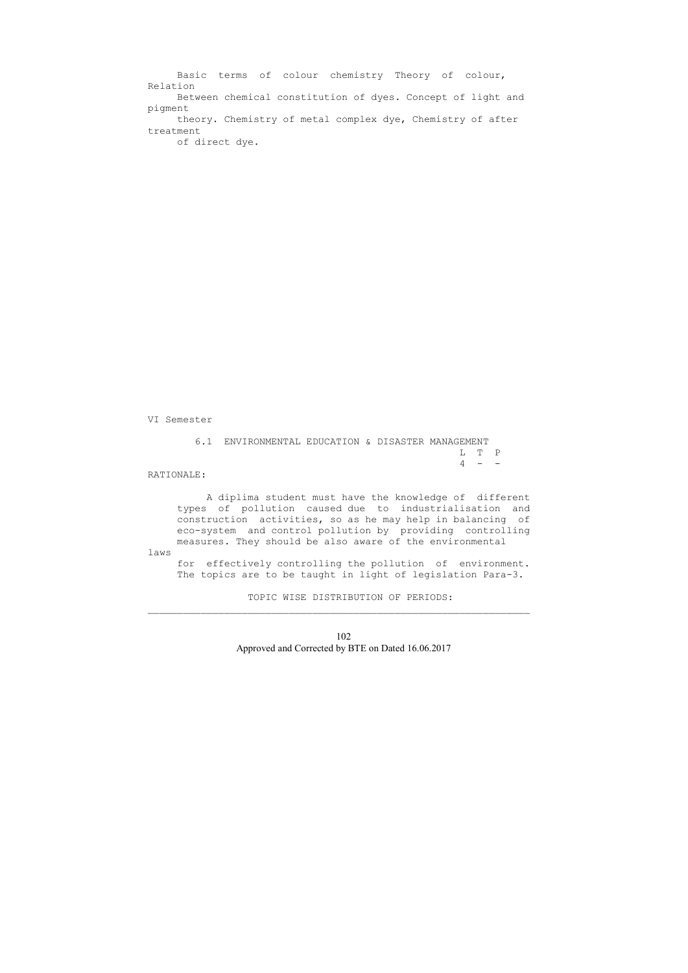6.1 ENVIRONMENTAL EDUCATION & DISASTER MANAGEMENT L T P  $4 - -$ 

 Basic terms of colour chemistry Theory of colour, Relation Between chemical constitution of dyes. Concept of light and pigment theory. Chemistry of metal complex dye, Chemistry of after treatment of direct dye.

VI Semester

RATIONALE:

 A diplima student must have the knowledge of different types of pollution caused due to industrialisation and construction activities, so as he may help in balancing of eco-system and control pollution by providing controlling measures. They should be also aware of the environmental

laws

 for effectively controlling the pollution of environment. The topics are to be taught in light of legislation Para-3.

TOPIC WISE DISTRIBUTION OF PERIODS:

\_\_\_\_\_\_\_\_\_\_\_\_\_\_\_\_\_\_\_\_\_\_\_\_\_\_\_\_\_\_\_\_\_\_\_\_\_\_\_\_\_\_\_\_\_\_\_\_\_\_\_\_\_\_\_\_\_\_\_\_\_\_\_\_\_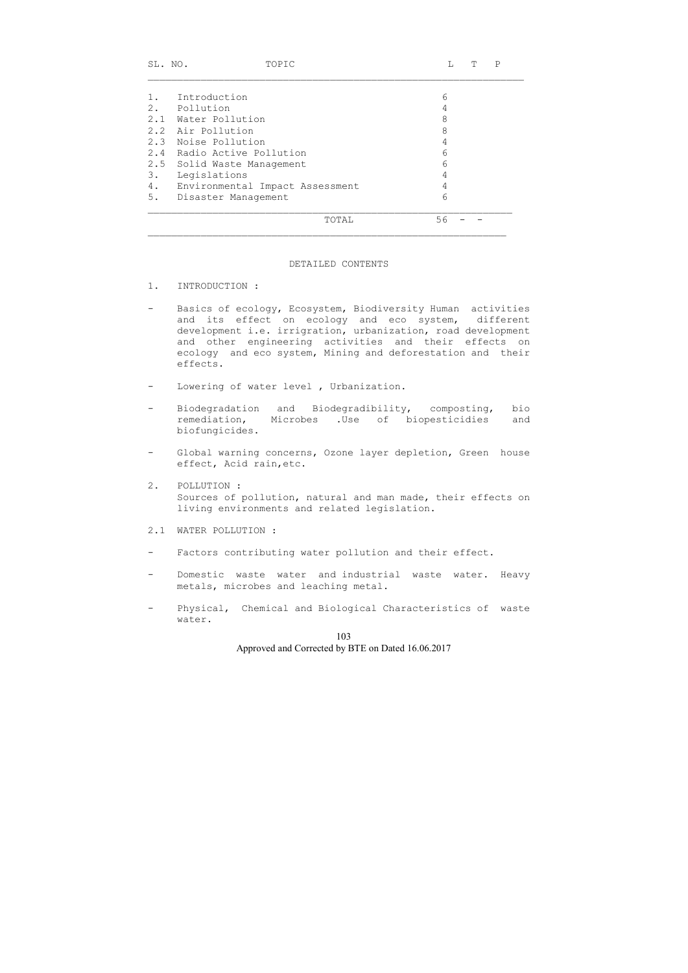| SL. NO. | TOPIC                           |    | T | Ρ |  |
|---------|---------------------------------|----|---|---|--|
|         |                                 |    |   |   |  |
|         | Introduction                    | 6  |   |   |  |
| 2.      | Pollution                       | 4  |   |   |  |
|         | 2.1 Water Pollution             | 8  |   |   |  |
|         | 2.2 Air Pollution               | 8  |   |   |  |
|         | 2.3 Noise Pollution             | 4  |   |   |  |
| 2.4     | Radio Active Pollution          | 6  |   |   |  |
|         | 2.5 Solid Waste Management      | 6  |   |   |  |
| 3.      | Legislations                    | 4  |   |   |  |
| 4.      | Environmental Impact Assessment | 4  |   |   |  |
| 5.      | Disaster Management             | 6  |   |   |  |
|         | TOTAL                           | 56 |   |   |  |

\_\_\_\_\_\_\_\_\_\_\_\_\_\_\_\_\_\_\_\_\_\_\_\_\_\_\_\_\_\_\_\_\_\_\_\_\_\_\_\_\_\_\_\_\_\_\_\_\_\_\_\_\_\_\_\_\_\_\_\_\_

#### DETAILED CONTENTS

- 1. INTRODUCTION :
- Basics of ecology, Ecosystem, Biodiversity Human activities and its effect on ecology and eco system, different development i.e. irrigration, urbanization, road development and other engineering activities and their effects on ecology and eco system, Mining and deforestation and their effects.
- Lowering of water level , Urbanization.
- Biodegradation and Biodegradibility, composting, bio remediation, Microbes .Use of biopesticidies and biofungicides.
- Global warning concerns, Ozone layer depletion, Green house effect, Acid rain,etc.
- 2. POLLUTION : Sources of pollution, natural and man made, their effects on living environments and related legislation.
- 2.1 WATER POLLUTION :
- Factors contributing water pollution and their effect.
- Domestic waste water and industrial waste water. Heavy metals, microbes and leaching metal.
- Physical, Chemical and Biological Characteristics of waste water.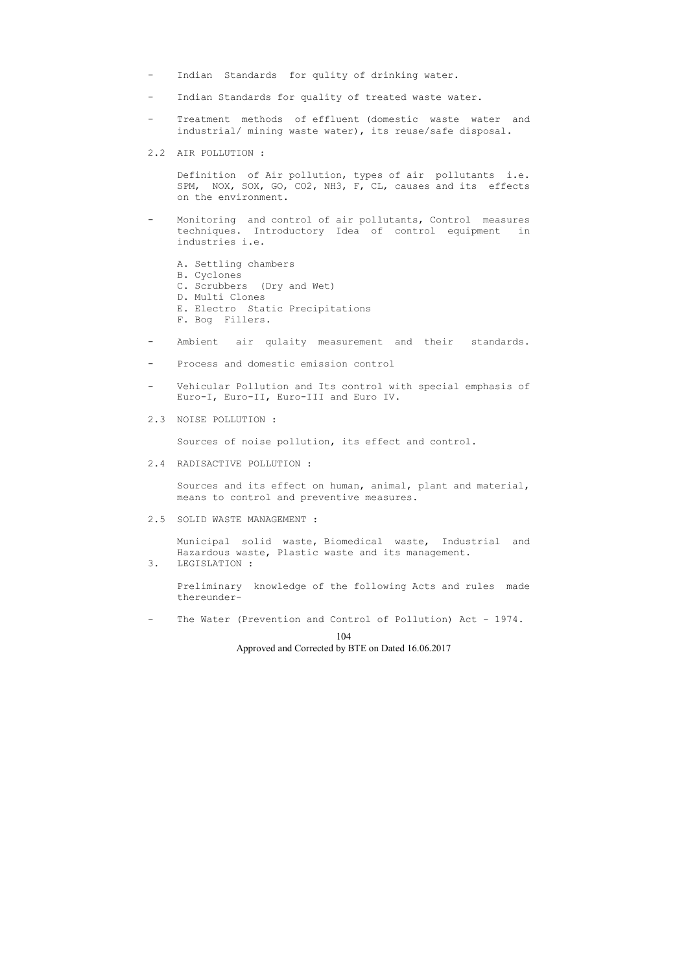- Indian Standards for qulity of drinking water.
- Indian Standards for quality of treated waste water.
- Treatment methods of effluent (domestic waste water and industrial/ mining waste water), its reuse/safe disposal.
- 2.2 AIR POLLUTION :

 Definition of Air pollution, types of air pollutants i.e. SPM, NOX, SOX, GO, CO2, NH3, F, CL, causes and its effects on the environment.

- Monitoring and control of air pollutants, Control measures techniques. Introductory Idea of control equipment in industries i.e.
	- A. Settling chambers
	- B. Cyclones
	- C. Scrubbers (Dry and Wet)
	- D. Multi Clones
	- E. Electro Static Precipitations
	- F. Bog Fillers.
- Ambient air qulaity measurement and their standards.
- Process and domestic emission control
- Vehicular Pollution and Its control with special emphasis of Euro-I, Euro-II, Euro-III and Euro IV.
- 2.3 NOISE POLLUTION :

Sources of noise pollution, its effect and control.

2.4 RADISACTIVE POLLUTION :

 Sources and its effect on human, animal, plant and material, means to control and preventive measures.

2.5 SOLID WASTE MANAGEMENT :

 Municipal solid waste, Biomedical waste, Industrial and Hazardous waste, Plastic waste and its management.

3. LEGISLATION :

 Preliminary knowledge of the following Acts and rules made thereunder-

- The Water (Prevention and Control of Pollution) Act - 1974.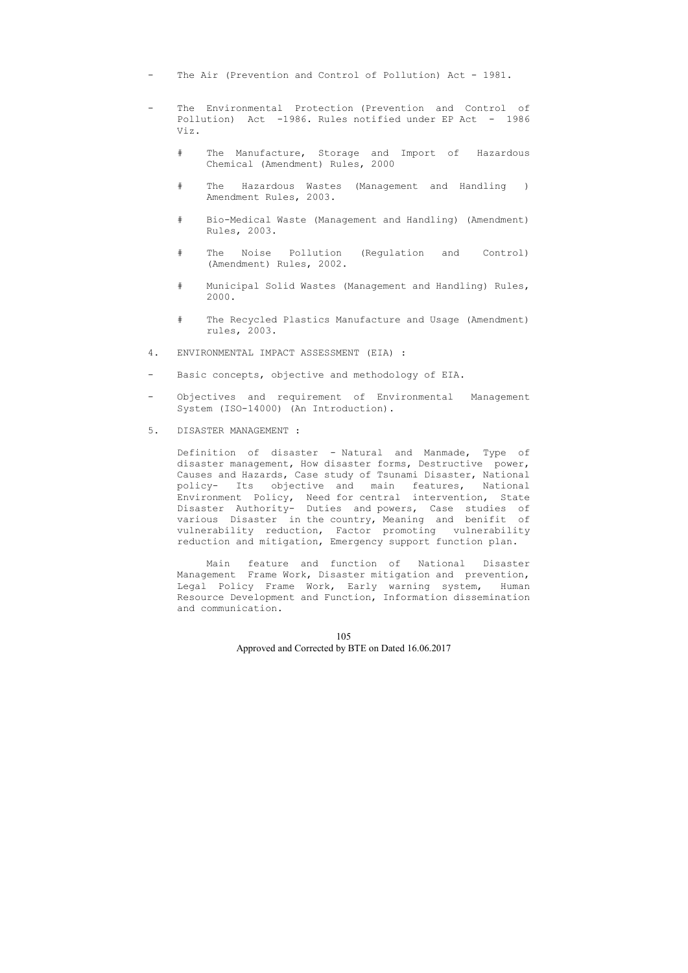- The Air (Prevention and Control of Pollution) Act 1981.
- The Environmental Protection (Prevention and Control of Pollution) Act -1986. Rules notified under EP Act - 1986 Viz.
	- # The Manufacture, Storage and Import of Hazardous Chemical (Amendment) Rules, 2000
	- # The Hazardous Wastes (Management and Handling ) Amendment Rules, 2003.
	- # Bio-Medical Waste (Management and Handling) (Amendment) Rules, 2003.
	- # The Noise Pollution (Regulation and Control) (Amendment) Rules, 2002.
	- # Municipal Solid Wastes (Management and Handling) Rules, 2000.
	- # The Recycled Plastics Manufacture and Usage (Amendment) rules, 2003.
- 4. ENVIRONMENTAL IMPACT ASSESSMENT (EIA) :
- Basic concepts, objective and methodology of EIA.
- Objectives and requirement of Environmental Management System (ISO-14000) (An Introduction).
- 5. DISASTER MANAGEMENT :

 Definition of disaster - Natural and Manmade, Type of disaster management, How disaster forms, Destructive power, Causes and Hazards, Case study of Tsunami Disaster, National policy- Its objective and main features, National Environment Policy, Need for central intervention, State Disaster Authority- Duties and powers, Case studies of various Disaster in the country, Meaning and benifit of vulnerability reduction, Factor promoting vulnerability reduction and mitigation, Emergency support function plan.

 Main feature and function of National Disaster Management Frame Work, Disaster mitigation and prevention, Legal Policy Frame Work, Early warning system, Human Resource Development and Function, Information dissemination and communication.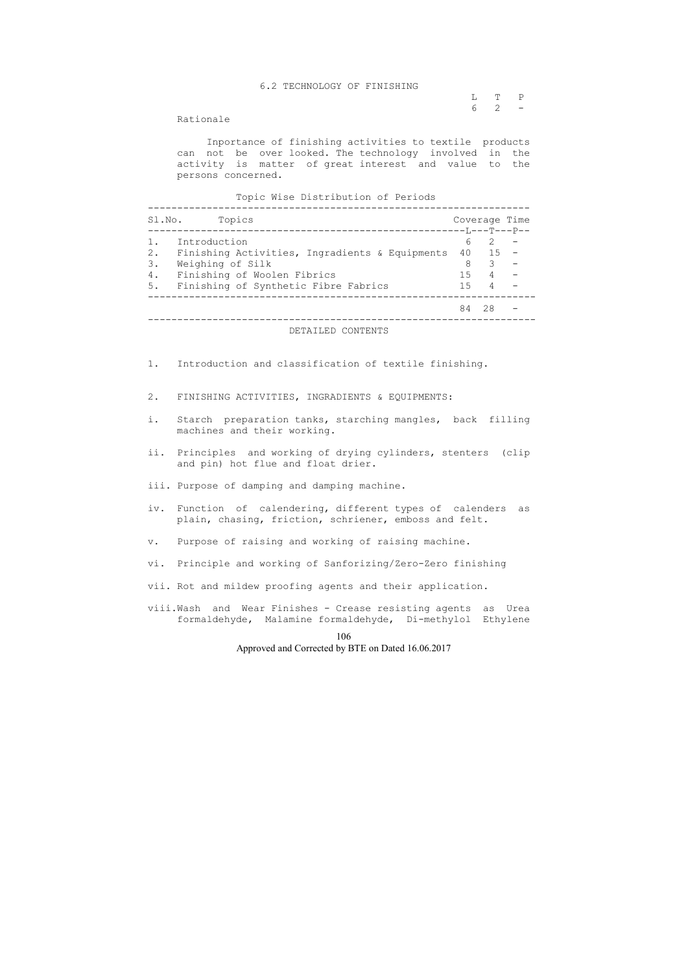L T P  $6 \t2 \t-$ 

### 6.2 TECHNOLOGY OF FINISHING

Rationale

 Inportance of finishing activities to textile products can not be over looked. The technology involved in the activity is matter of great interest and value to the persons concerned.

Topic Wise Distribution of Periods

| Topics<br>Sl.No.                                     |     |                | Coverage Time |
|------------------------------------------------------|-----|----------------|---------------|
|                                                      |     |                |               |
| Introduction                                         | 6   | $\mathcal{P}$  |               |
| 2.<br>Finishing Activities, Ingradients & Equipments |     | 40 15          |               |
| Weighing of Silk<br>3.                               | 8   | 3              |               |
| Finishing of Woolen Fibrics<br>4.                    | 1.5 | $4\degree$     |               |
| Finishing of Synthetic Fibre Fabrics<br>5.           | 1.5 | $\overline{4}$ |               |
|                                                      | 84  | 28             |               |

DETAILED CONTENTS

- 1. Introduction and classification of textile finishing.
- 2. FINISHING ACTIVITIES, INGRADIENTS & EQUIPMENTS:
- i. Starch preparation tanks, starching mangles, back filling machines and their working.
- ii. Principles and working of drying cylinders, stenters (clip and pin) hot flue and float drier.
- iii. Purpose of damping and damping machine.
- iv. Function of calendering, different types of calenders as plain, chasing, friction, schriener, emboss and felt.
- v. Purpose of raising and working of raising machine.
- vi. Principle and working of Sanforizing/Zero-Zero finishing
- vii. Rot and mildew proofing agents and their application.
- viii.Wash and Wear Finishes Crease resisting agents as Urea formaldehyde, Malamine formaldehyde, Di-methylol Ethylene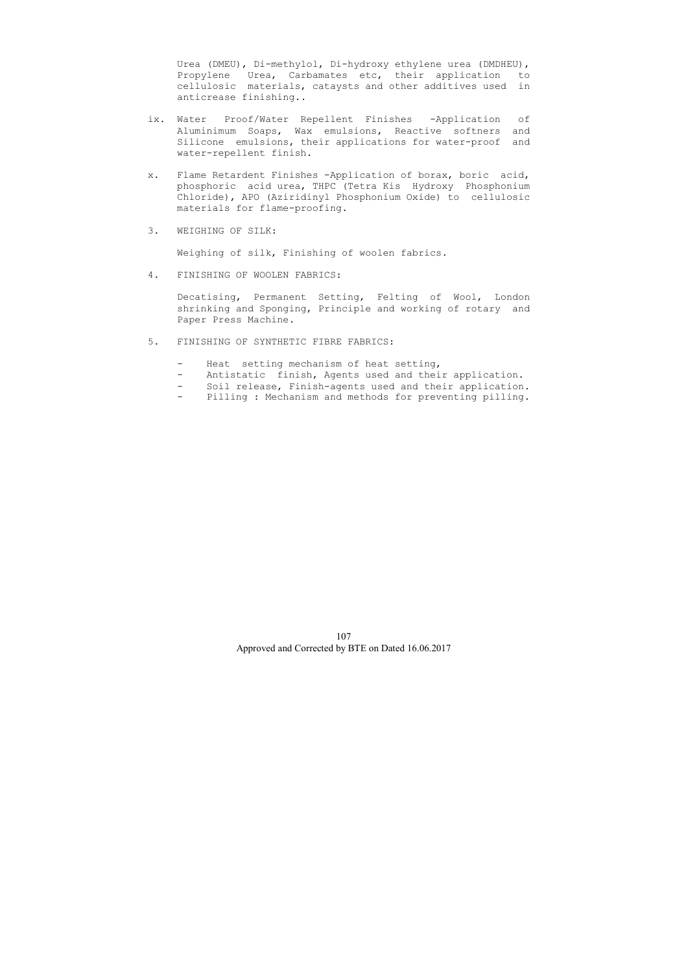Urea (DMEU), Di-methylol, Di-hydroxy ethylene urea (DMDHEU), Propylene Urea, Carbamates etc, their application to cellulosic materials, cataysts and other additives used in anticrease finishing..

- ix. Water Proof/Water Repellent Finishes -Application of Aluminimum Soaps, Wax emulsions, Reactive softners and Silicone emulsions, their applications for water-proof and water-repellent finish.
- x. Flame Retardent Finishes -Application of borax, boric acid, phosphoric acid urea, THPC (Tetra Kis Hydroxy Phosphonium Chloride), APO (Aziridinyl Phosphonium Oxide) to cellulosic materials for flame-proofing.
- 3. WEIGHING OF SILK:

Weighing of silk, Finishing of woolen fabrics.

4. FINISHING OF WOOLEN FABRICS:

 Decatising, Permanent Setting, Felting of Wool, London shrinking and Sponging, Principle and working of rotary and Paper Press Machine.

- 5. FINISHING OF SYNTHETIC FIBRE FABRICS:
	- Heat setting mechanism of heat setting,
	- Antistatic finish, Agents used and their application.
	- Soil release, Finish-agents used and their application.
	- Pilling : Mechanism and methods for preventing pilling.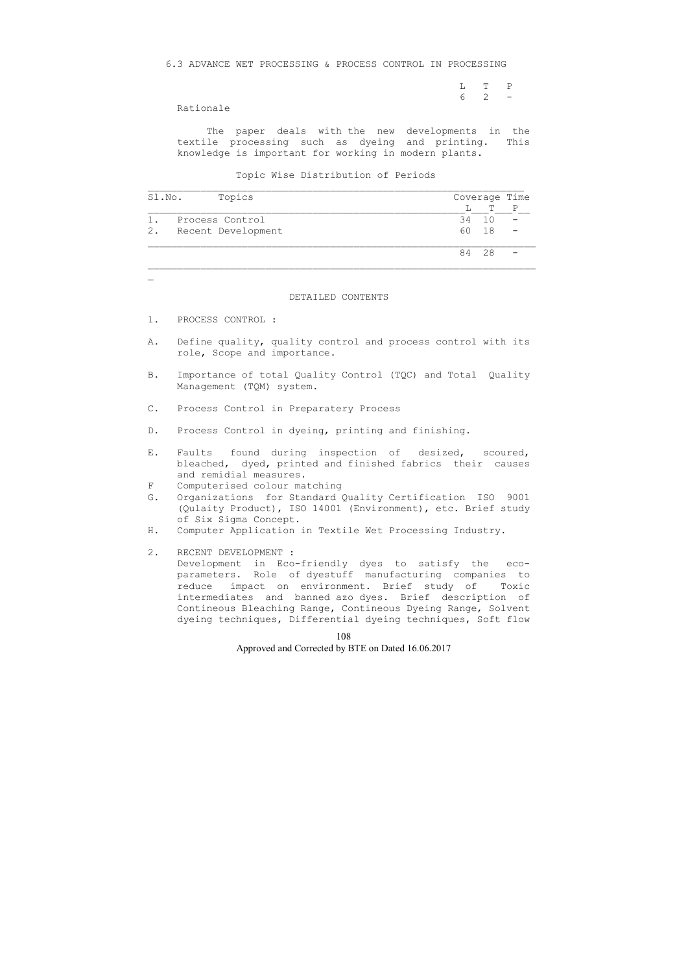L T P  $6\quad 2\quad -$ 

6.3 ADVANCE WET PROCESSING & PROCESS CONTROL IN PROCESSING

Rationale

 The paper deals with the new developments in the textile processing such as dyeing and printing. This knowledge is important for working in modern plants.

Topic Wise Distribution of Periods

| Sl.No.        | Topics                                                                                                                                                                                                                                                                                                                      |    |                 | Coverage Time |
|---------------|-----------------------------------------------------------------------------------------------------------------------------------------------------------------------------------------------------------------------------------------------------------------------------------------------------------------------------|----|-----------------|---------------|
|               |                                                                                                                                                                                                                                                                                                                             | L  | Т               | $\mathbf{P}$  |
| $1$ .         | Process Control                                                                                                                                                                                                                                                                                                             | 34 | 10 <sup>°</sup> |               |
| 2.            | Recent Development                                                                                                                                                                                                                                                                                                          | 60 | 18              |               |
|               |                                                                                                                                                                                                                                                                                                                             | 84 | 28              |               |
|               |                                                                                                                                                                                                                                                                                                                             |    |                 |               |
|               | DETAILED CONTENTS                                                                                                                                                                                                                                                                                                           |    |                 |               |
| 1.            | PROCESS CONTROL :                                                                                                                                                                                                                                                                                                           |    |                 |               |
| Α.            | Define quality, quality control and process control with its<br>role, Scope and importance.                                                                                                                                                                                                                                 |    |                 |               |
| <b>B</b> .    | Importance of total Quality Control (TQC) and Total Quality<br>Management (TQM) system.                                                                                                                                                                                                                                     |    |                 |               |
| $\mathbb C$ . | Process Control in Preparatery Process                                                                                                                                                                                                                                                                                      |    |                 |               |
| $D$ .         | Process Control in dyeing, printing and finishing.                                                                                                                                                                                                                                                                          |    |                 |               |
| Ε.            | found during inspection of desized, scoured,<br>Faults<br>bleached, dyed, printed and finished fabrics their<br>and remidial measures.                                                                                                                                                                                      |    |                 | causes        |
| F<br>G.       | Computerised colour matching<br>Organizations for Standard Quality Certification ISO 9001<br>(Qulaity Product), ISO 14001 (Environment), etc. Brief study                                                                                                                                                                   |    |                 |               |
| Η.            | of Six Sigma Concept.<br>Computer Application in Textile Wet Processing Industry.                                                                                                                                                                                                                                           |    |                 |               |
| 2.            | RECENT DEVELOPMENT :<br>Development in Eco-friendly dyes to satisfy the eco-<br>parameters. Role of dyestuff manufacturing companies to<br>impact on environment. Brief study of Toxic<br>reduce<br>intermediates and banned azo dyes. Brief description of<br>Contineous Bleaching Range, Contineous Dyeing Range, Solvent |    |                 |               |

dyeing techniques, Differential dyeing techniques, Soft flow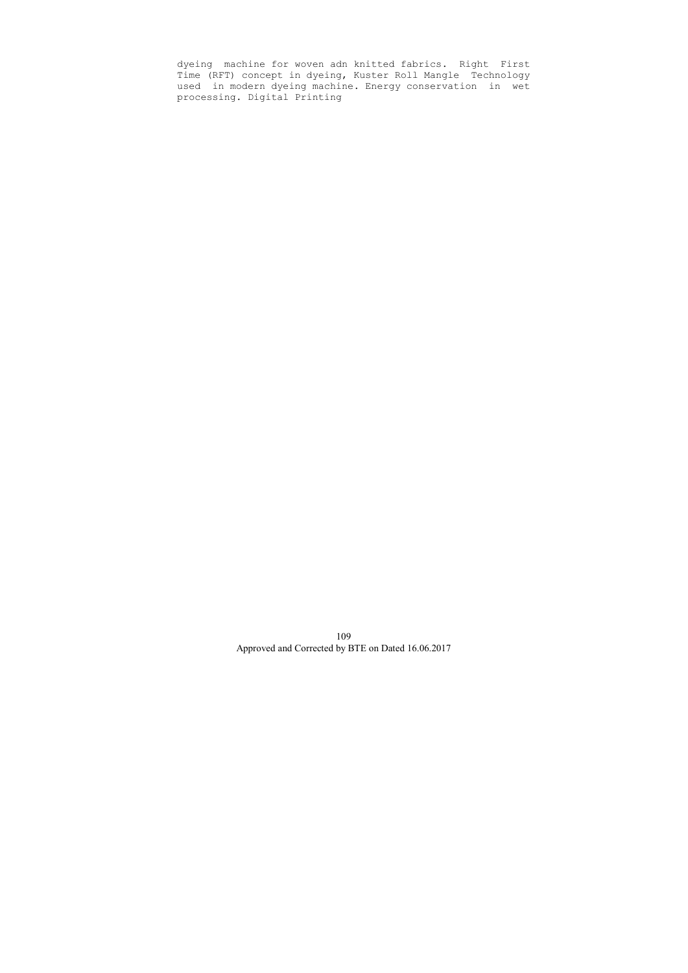dyeing machine for woven adn knitted fabrics. Right First Time (RFT) concept in dyeing, Kuster Roll Mangle Technology used in modern dyeing machine. Energy conservation in wet processing. Digital Printing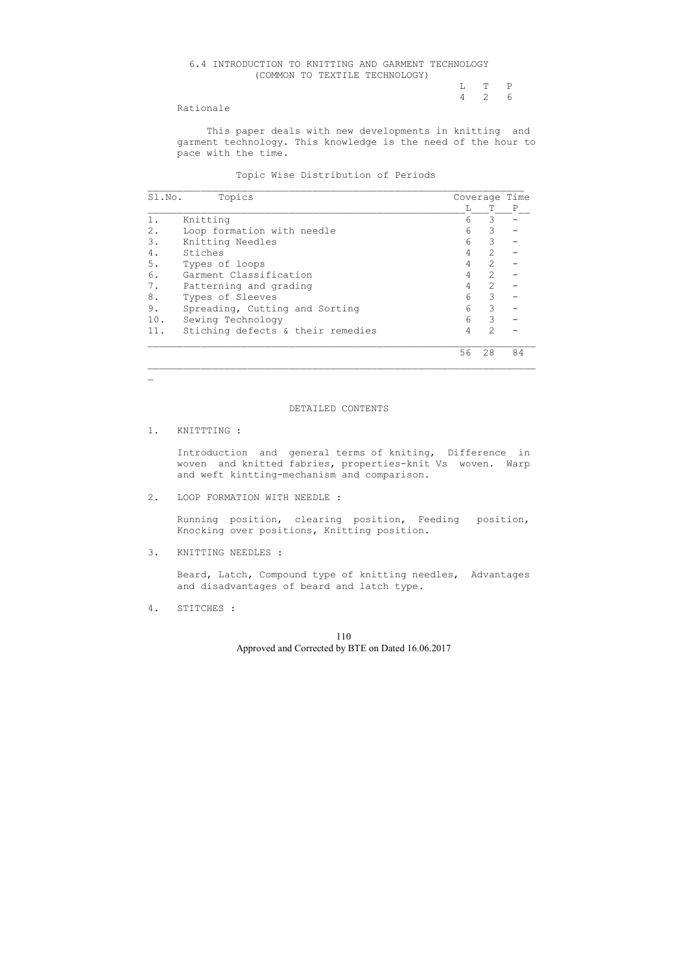# 6.4 INTRODUCTION TO KNITTING AND GARMENT TECHNOLOGY (COMMON TO TEXTILE TECHNOLOGY) L T P 4 2 6

# Rationale

 This paper deals with new developments in knitting and garment technology. This knowledge is the need of the hour to pace with the time.

Topic Wise Distribution of Periods

| Sl.No. | Topics                            |    |                | Coverage Time |
|--------|-----------------------------------|----|----------------|---------------|
|        |                                   |    |                | Ρ             |
|        | Knitting                          | 6  | 3              |               |
| 2.     | Loop formation with needle        | 6  | 3              |               |
| 3.     | Knitting Needles                  | 6  | 3              |               |
| 4.     | Stiches                           | 4  | $\overline{2}$ |               |
| 5.     | Types of loops                    | 4  | $\mathcal{L}$  |               |
| 6.     | Garment Classification            | 4  | $\overline{2}$ |               |
| $7$ .  | Patterning and grading            |    | 2              |               |
| 8.     | Types of Sleeves                  | 6  | 3              |               |
| 9.     | Spreading, Cutting and Sorting    | 6  | 3              |               |
| 10.    | Sewing Technology                 | 6  | 3              |               |
| 11.    | Stiching defects & their remedies | 4  | 2              |               |
|        |                                   | 56 | 28             | 84            |

#### DETAILED CONTENTS

#### 1. KNITTTING :

 $\mathbf{r}$ 

 Introduction and general terms of kniting, Difference in woven and knitted fabries, properties-knit Vs woven. Warp and weft kintting-mechanism and comparison.

2. LOOP FORMATION WITH NEEDLE :

 Running position, clearing position, Feeding position, Knocking over positions, Knitting position.

3. KNITTING NEEDLES :

 Beard, Latch, Compound type of knitting needles, Advantages and disadvantages of beard and latch type.

4. STITCHES :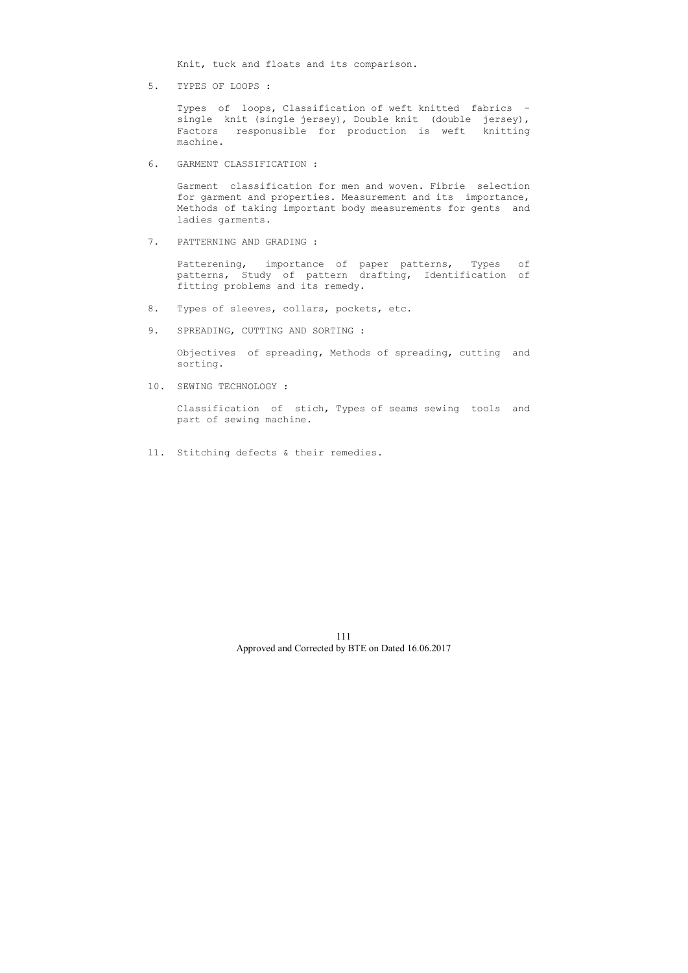Knit, tuck and floats and its comparison.

5. TYPES OF LOOPS :

 Types of loops, Classification of weft knitted fabrics single knit (single jersey), Double knit (double jersey), Factors responusible for production is weft knitting machine.

6. GARMENT CLASSIFICATION :

 Garment classification for men and woven. Fibrie selection for garment and properties. Measurement and its importance, Methods of taking important body measurements for gents and ladies garments.

7. PATTERNING AND GRADING :

 Patterening, importance of paper patterns, Types of patterns, Study of pattern drafting, Identification of fitting problems and its remedy.

- 8. Types of sleeves, collars, pockets, etc.
- 9. SPREADING, CUTTING AND SORTING :

 Objectives of spreading, Methods of spreading, cutting and sorting.

10. SEWING TECHNOLOGY :

 Classification of stich, Types of seams sewing tools and part of sewing machine.

11. Stitching defects & their remedies.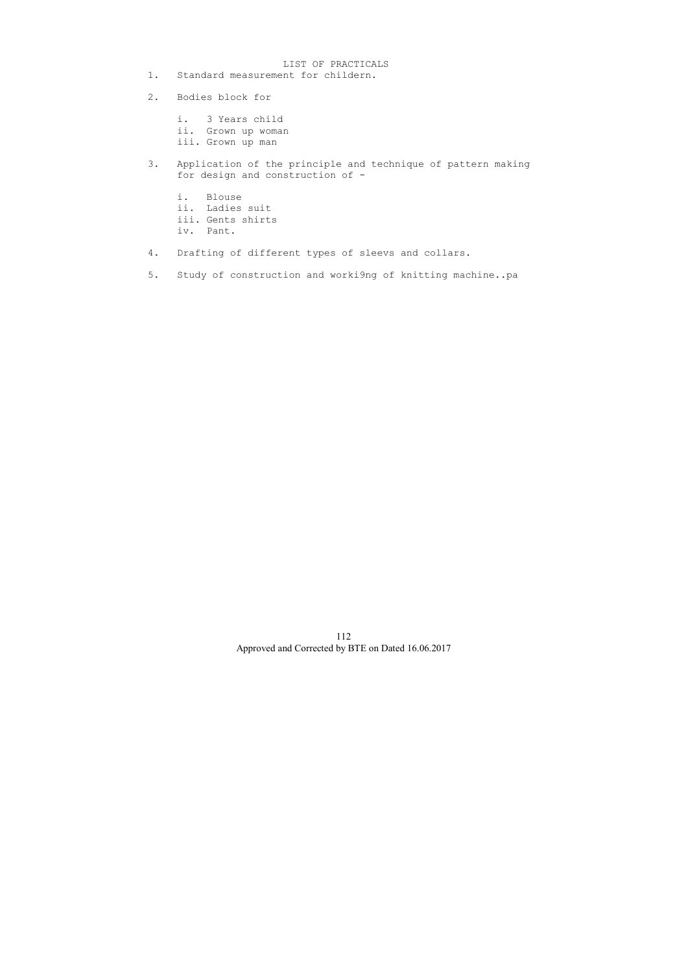- LIST OF PRACTICALS<br>1. Standard measurement for childern. Standard measurement for childern.
- 2. Bodies block for
	- i. 3 Years child
	- ii. Grown up woman
	- iii. Grown up man
- 3. Application of the principle and technique of pattern making for design and construction of
	- i. Blouse
	- ii. Ladies suit
	- iii. Gents shirts
	- iv. Pant.
- 4. Drafting of different types of sleevs and collars.
- 5. Study of construction and worki9ng of knitting machine..pa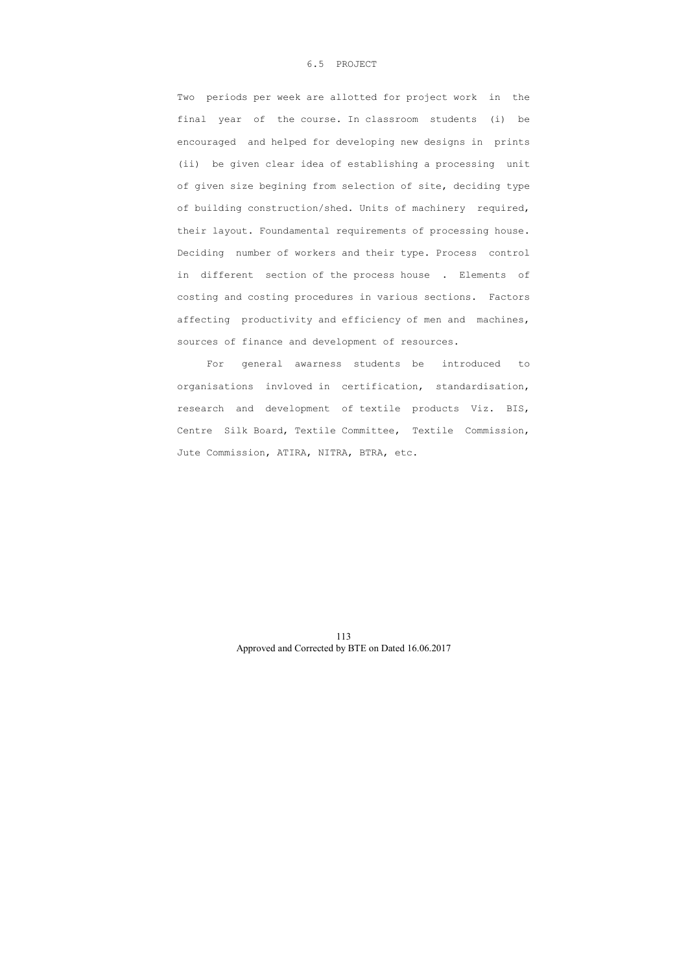#### 6.5 PROJECT

 Two periods per week are allotted for project work in the final year of the course. In classroom students (i) be encouraged and helped for developing new designs in prints (ii) be given clear idea of establishing a processing unit of given size begining from selection of site, deciding type of building construction/shed. Units of machinery required, their layout. Foundamental requirements of processing house. Deciding number of workers and their type. Process control in different section of the process house . Elements of costing and costing procedures in various sections. Factors affecting productivity and efficiency of men and machines, sources of finance and development of resources.

 For general awarness students be introduced to organisations invloved in certification, standardisation, research and development of textile products Viz. BIS, Centre Silk Board, Textile Committee, Textile Commission, Jute Commission, ATIRA, NITRA, BTRA, etc.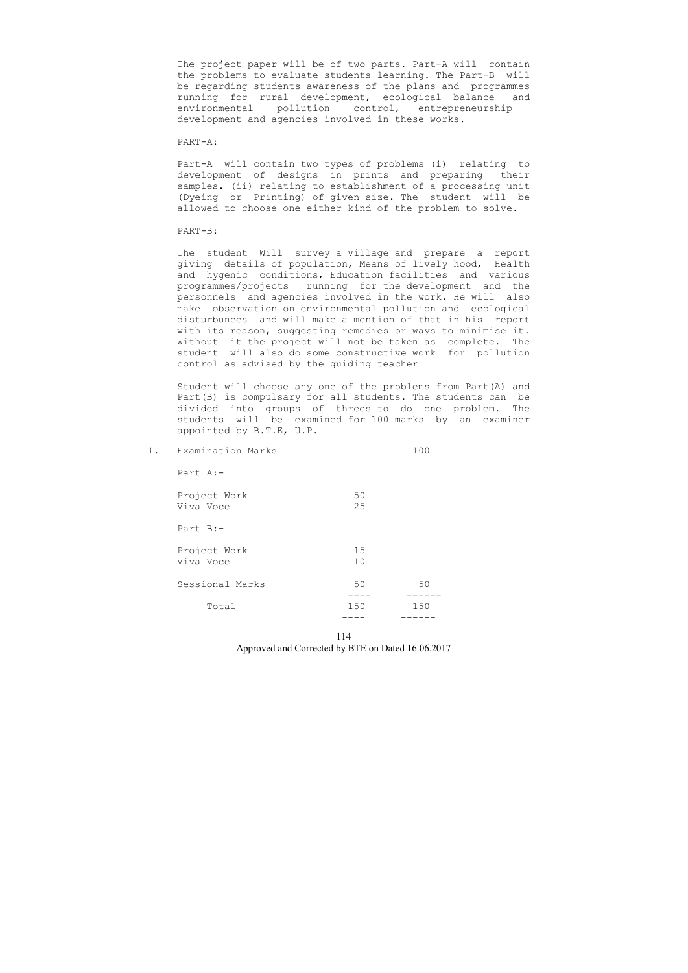The project paper will be of two parts. Part-A will contain the problems to evaluate students learning. The Part-B will be regarding students awareness of the plans and programmes running for rural development, ecological balance and environmental pollution control, entrepreneurship development and agencies involved in these works.

#### PART-A:

 Part-A will contain two types of problems (i) relating to development of designs in prints and preparing their samples. (ii) relating to establishment of a processing unit (Dyeing or Printing) of given size. The student will be allowed to choose one either kind of the problem to solve.

#### PART-B:

| 1. | Examination Marks         |          | 100 |
|----|---------------------------|----------|-----|
|    | Part $A:-$                |          |     |
|    | Project Work<br>Viva Voce | 50<br>25 |     |
|    | Part B:-                  |          |     |
|    | Project Work<br>Viva Voce | 15<br>10 |     |
|    | Sessional Marks           | 50       | 50  |
|    | Total                     | 150      | 150 |
|    |                           |          |     |

114 Approved and Corrected by BTE on Dated 16.06.2017

 The student Will survey a village and prepare a report giving details of population, Means of lively hood, Health and hygenic conditions, Education facilities and various programmes/projects running for the development and the personnels and agencies involved in the work. He will also make observation on environmental pollution and ecological disturbunces and will make a mention of that in his report with its reason, suggesting remedies or ways to minimise it. Without it the project will not be taken as complete. The student will also do some constructive work for pollution control as advised by the guiding teacher

 Student will choose any one of the problems from Part(A) and Part(B) is compulsary for all students. The students can be divided into groups of threes to do one problem. The students will be examined for 100 marks by an examiner appointed by B.T.E, U.P.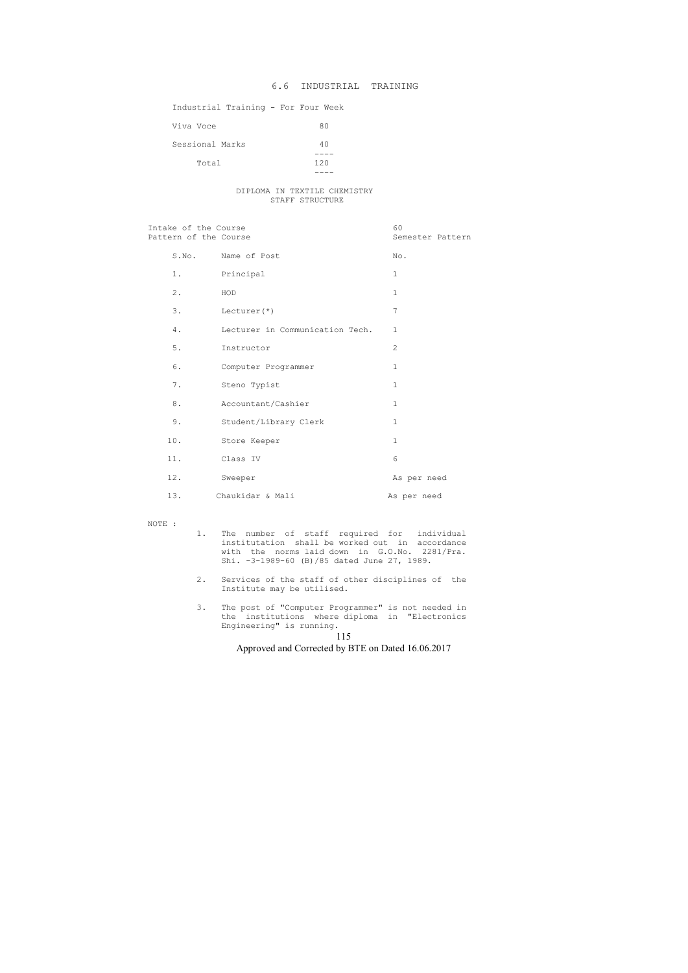115

Approved and Corrected by BTE on Dated 16.06.2017

#### Industrial Training - For Four Week

| Viva Voce       | 80  |
|-----------------|-----|
| Sessional Marks | 40  |
| Total           | 120 |

#### DIPLOMA IN TEXTILE CHEMISTRY STAFF STRUCTURE

Intake of the Course 60 Pattern of the Course Semester Pattern Semester Pattern

|       | S.No. Name of Post              | No.            |
|-------|---------------------------------|----------------|
| 1.    | Principal                       | $\mathbf{1}$   |
| 2.    | HOD                             | $\mathbf{1}$   |
| 3.    | Lecturer $(*)$                  | 7              |
| 4.    | Lecturer in Communication Tech. | $\mathbf{1}$   |
| 5.    | Instructor                      | $\overline{2}$ |
| 6.    | Computer Programmer             | $\mathbf 1$    |
| $7$ . | Steno Typist                    | $\mathbf{1}$   |
| $8$ . | Accountant/Cashier              | $\mathbf 1$    |
| 9.    | Student/Library Clerk           | $\mathbf{1}$   |
| 10.   | Store Keeper                    | $\mathbf{1}$   |
| 11.   | Class IV                        | 6              |
| 12.   | Sweeper                         | As per need    |
| 13.   | Chaukidar & Mali                | As per need    |

NOTE :

- 1. The number of staff required for individual institutation shall be worked out in accordance with the norms laid down in G.O.No. 2281/Pra. Shi. -3-1989-60 (B)/85 dated June 27, 1989.
	- 2. Services of the staff of other disciplines of the Institute may be utilised.
- 3. The post of "Computer Programmer" is not needed in the institutions where diploma in "Electronics Engineering" is running.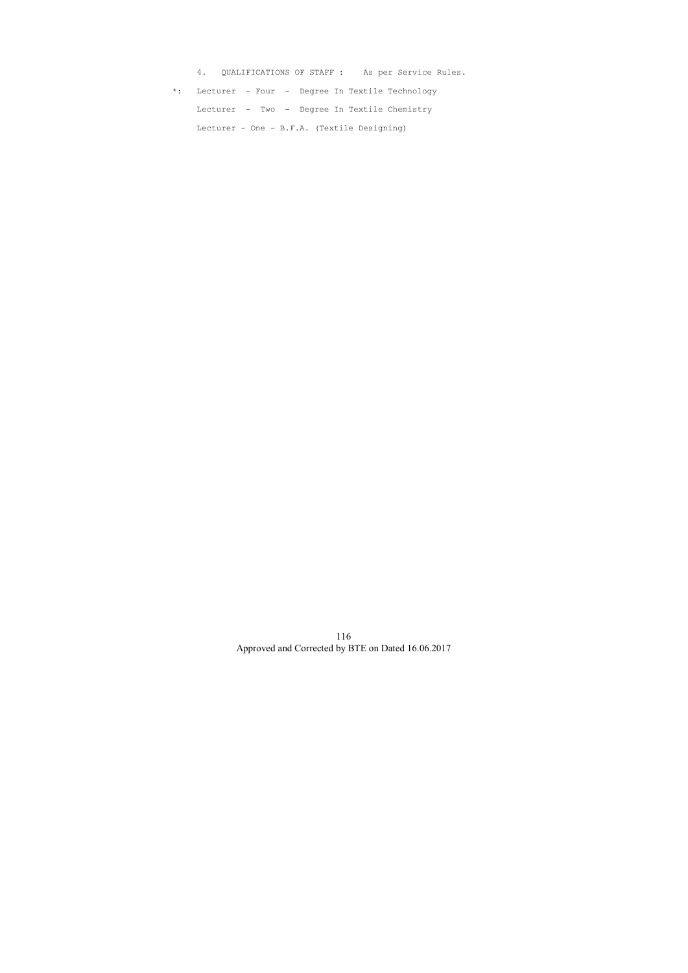4. QUALIFICATIONS OF STAFF : As per Service Rules. \*: Lecturer - Four - Degree In Textile Technology Lecturer - Two - Degree In Textile Chemistry Lecturer - One - B.F.A. (Textile Designing)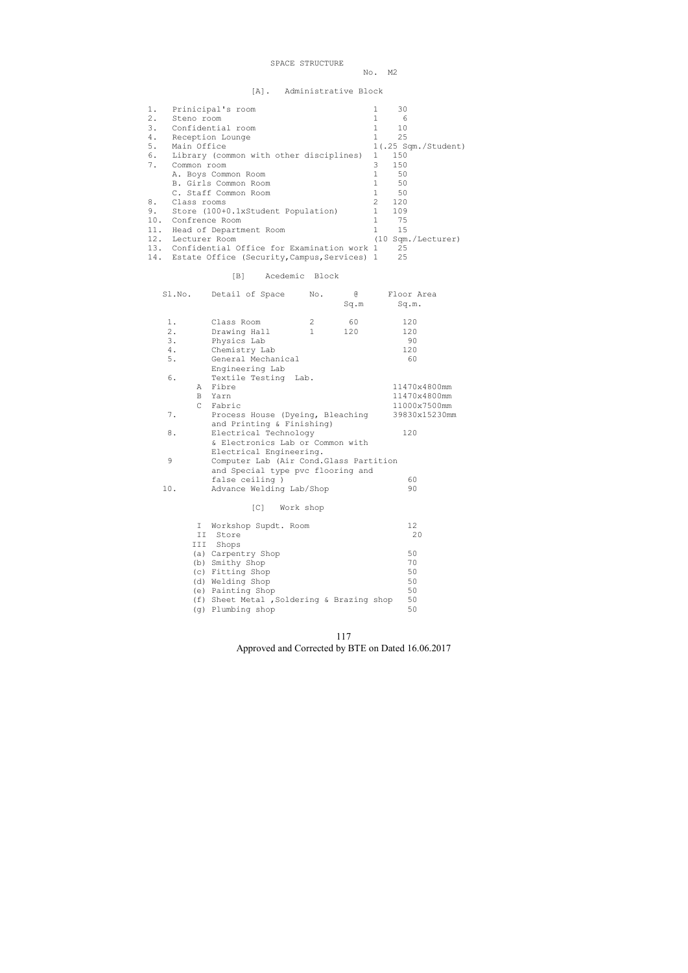SPACE STRUCTURE

No. M2

[A]. Administrative Block

| 1.  | Prinicipal's room                          |               | 30                    |
|-----|--------------------------------------------|---------------|-----------------------|
| 2.  | Steno room                                 |               | 6                     |
| 3.  | Confidential room                          |               | 10                    |
| 4.  | Reception Lounge                           |               | 25                    |
| 5.  | Main Office                                |               | $1(.25$ Sqm./Student) |
| 6.  | Library (common with other disciplines)    | $\mathbf{1}$  | 150                   |
| 7.  | Common room                                | 3             | 150                   |
|     | A. Boys Common Room                        |               | 50                    |
|     | B. Girls Common Room                       |               | 50                    |
|     | C. Staff Common Room                       |               | 50                    |
| 8.  | Class rooms                                | $\mathcal{L}$ | 120                   |
| 9.  | Store (100+0.1xStudent Population)         |               | 109                   |
| 10. | Confrence Room                             |               | 75                    |
| 11. | Head of Department Room                    |               | 15                    |
| 12. | Lecturer Room                              |               | (10 Sqm./Lecturer)    |
| 13. | Confidential Office for Examination work 1 |               | 25                    |

14. Estate Office (Security, Campus, Services) 1 25

### [B] Acedemic Block

|     | I Workshop Supdt. Room                    | 12 |
|-----|-------------------------------------------|----|
| II. | Store                                     | 20 |
| III | Shops                                     |    |
|     | (a) Carpentry Shop                        | 50 |
|     | (b) Smithy Shop                           | 70 |
|     | (c) Fitting Shop                          | 50 |
|     | (d) Welding Shop                          | 50 |
|     | (e) Painting Shop                         | 50 |
|     | (f) Sheet Metal, Soldering & Brazing shop | 50 |
|     | (g) Plumbing shop                         | 50 |

117 Approved and Corrected by BTE on Dated 16.06.2017

|       |               | Sl.No. Detail of Space                  | No.          | G.<br>Sq.m | Floor Area<br>Sq.m. |
|-------|---------------|-----------------------------------------|--------------|------------|---------------------|
| 1.    |               | Class Room                              | 2            | 60         | 120                 |
| $2$ . |               | Drawing Hall                            | $\mathbf{1}$ | 120        | 120                 |
| 3.    |               | Physics Lab                             |              |            | 90                  |
| 4.    |               | Chemistry Lab                           |              |            | 120                 |
| 5.    |               | General Mechanical                      |              |            | 60                  |
|       |               | Engineering Lab                         |              |            |                     |
| 6.    |               | Textile Testing Lab.                    |              |            |                     |
|       | A             | Fibre                                   |              |            | 11470x4800mm        |
|       | B             | Yarn                                    |              |            | 11470x4800mm        |
|       | $\mathcal{C}$ | Fabric                                  |              |            | 11000x7500mm        |
| 7.    |               | Process House (Dyeing, Bleaching        |              |            | 39830x15230mm       |
|       |               | and Printing & Finishing)               |              |            |                     |
| 8.    |               | Electrical Technology                   |              |            | 120                 |
|       |               | & Electronics Lab or Common with        |              |            |                     |
|       |               | Electrical Engineering.                 |              |            |                     |
| 9     |               | Computer Lab (Air Cond. Glass Partition |              |            |                     |
|       |               | and Special type pvc flooring and       |              |            |                     |
|       |               | false ceiling)                          |              |            | 60                  |
| 10.   |               | Advance Welding Lab/Shop                |              |            | 90                  |
|       |               | $\lceil C \rceil$<br>Work shop          |              |            |                     |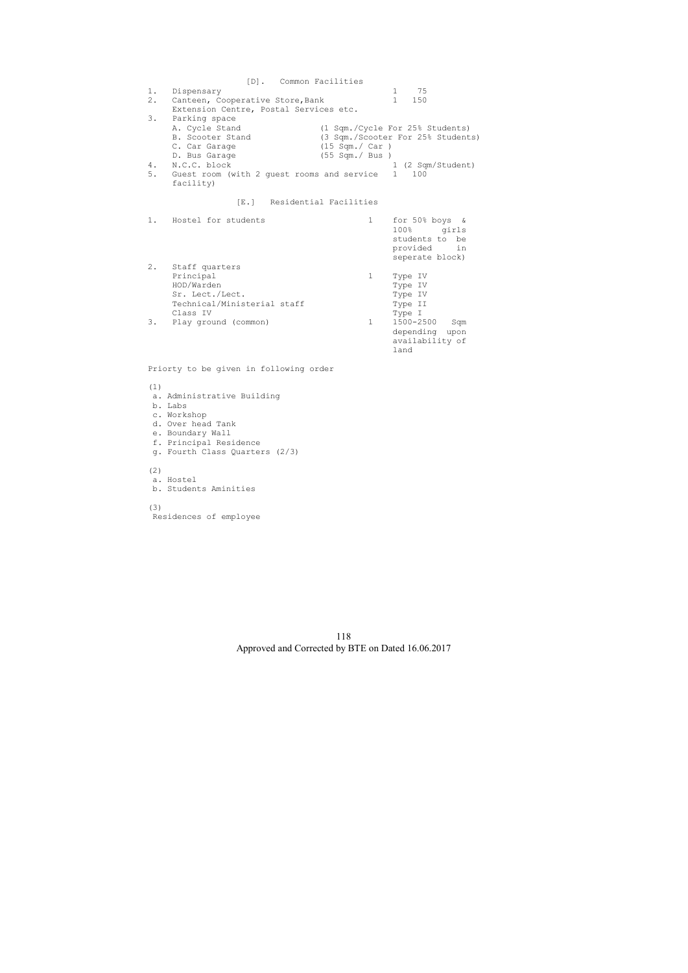[D]. Common Facilities 1. Dispensary 1 75 2. Canteen, Cooperative Store, Bank 1 150 Extension Centre, Postal Services etc. 3. Parking space<br>A. Cycle Stand A. Cycle Stand (1 Sqm./Cycle For 25% Students) B. Scooter Stand (3 Sqm./Scooter For 25% Students) C. Car Garage (15 Sqm./ Car ) C. Cal Garage (55 Sqm./ Bus )<br>D. Bus Garage (55 Sqm./ Bus ) 1 (2 Sqm/Student) 5. Guest room (with 2 guest rooms and service 1 100 facility) [E.] Residential Facilities 1. Hostel for students and the 1 for 50% boys & 100% girls students to be provided in seperate block) 2. Staff quarters Principal 1 Type IV<br>HOD/Warden 1 Type IV HOD/Warden Type IV Sr. Lect./Lect. Type IV Technical/Ministerial staff Type II<br>Class IV Type I Class IV Type I 3. Play ground (common) depending upon availability of land

Priorty to be given in following order

#### (1)

- a. Administrative Building
- b. Labs
- c. Workshop
- d. Over head Tank
- e. Boundary Wall
- f. Principal Residence
- g. Fourth Class Quarters (2/3)

(2)

- a. Hostel
- b. Students Aminities

(3)

Residences of employee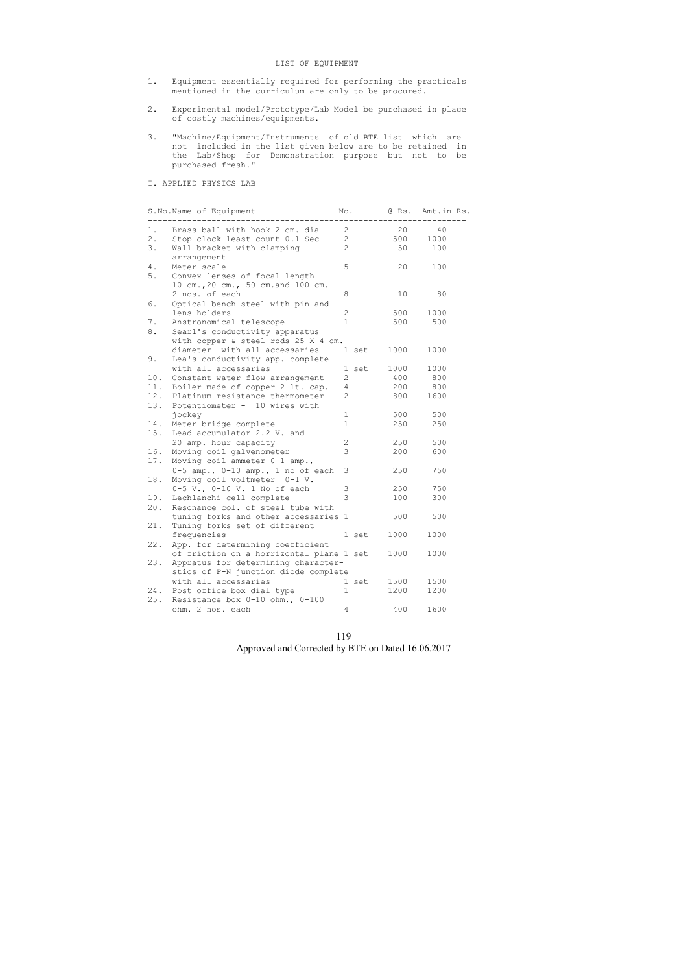| 119                                               |
|---------------------------------------------------|
| Approved and Corrected by BTE on Dated 16.06.2017 |

#### LIST OF EQUIPMENT

- 1. Equipment essentially required for performing the practicals mentioned in the curriculum are only to be procured.
- 2. Experimental model/Prototype/Lab Model be purchased in place of costly machines/equipments.
- 3. "Machine/Equipment/Instruments of old BTE list which are not included in the list given below are to be retained in the Lab/Shop for Demonstration purpose but not to be purchased fresh."

I. APPLIED PHYSICS LAB

|     | S.No.Name of Equipment                   |                       | No.   |      | @ Rs. Amt.in Rs. |
|-----|------------------------------------------|-----------------------|-------|------|------------------|
| 1.  | Brass ball with hook 2 cm. dia           | 2                     |       | 20   | 40               |
| 2.  | Stop clock least count 0.1 Sec           | $\mathbf{2}^{\prime}$ |       | 500  | 1000             |
| 3.  | Wall bracket with clamping               | $\overline{2}$        |       | 50   | 100              |
|     | arrangement                              |                       |       |      |                  |
| 4.  | Meter scale                              | 5                     |       | 20   | 100              |
| 5.  | Convex lenses of focal length            |                       |       |      |                  |
|     | 10 cm., 20 cm., 50 cm. and 100 cm.       |                       |       |      |                  |
|     | 2 nos. of each                           | 8                     |       | 10   | 80               |
| 6.  | Optical bench steel with pin and         |                       |       |      |                  |
|     | lens holders                             | 2                     |       | 500  | 1000             |
| 7.  | Anstronomical telescope                  | $\mathbf{1}$          |       | 500  | 500              |
| 8.  | Searl's conductivity apparatus           |                       |       |      |                  |
|     | with copper & steel rods 25 X 4 cm.      |                       |       |      |                  |
|     | diameter with all accessaries            |                       | 1 set | 1000 | 1000             |
| 9.  | Lea's conductivity app. complete         |                       |       |      |                  |
|     | with all accessaries                     |                       | 1 set | 1000 | 1000             |
| 10. | Constant water flow arrangement          | 2                     |       | 400  | 800              |
| 11. | Boiler made of copper 2 lt. cap.         | $\overline{4}$        |       | 200  | 800              |
| 12. | Platinum resistance thermometer          | $\overline{2}$        |       | 800  | 1600             |
| 13. | Potentiometer - 10 wires with            |                       |       |      |                  |
|     | jockey                                   | $\mathbf 1$           |       | 500  | 500              |
| 14. | Meter bridge complete                    | $\mathbf{1}$          |       | 250  | 250              |
| 15. | Lead accumulator 2.2 V. and              |                       |       |      |                  |
|     | 20 amp. hour capacity                    | $\mathbf{2}$          |       | 250  | 500              |
| 16. | Moving coil galvenometer                 | 3                     |       | 200  | 600              |
| 17. | Moving coil ammeter 0-1 amp.,            |                       |       |      |                  |
|     | 0-5 amp., 0-10 amp., 1 no of each        | 3                     |       | 250  | 750              |
| 18. | Moving coil voltmeter 0-1 V.             |                       |       |      |                  |
|     | 0-5 V., 0-10 V. 1 No of each             | 3                     |       | 250  | 750              |
| 19. | Lechlanchi cell complete                 | 3                     |       | 100  | 300              |
| 20. | Resonance col. of steel tube with        |                       |       |      |                  |
|     | tuning forks and other accessaries 1     |                       |       | 500  | 500              |
| 21. | Tuning forks set of different            |                       |       |      |                  |
|     | frequencies                              |                       | 1 set | 1000 | 1000             |
| 22. | App. for determining coefficient         |                       |       |      |                  |
|     | of friction on a horrizontal plane 1 set |                       |       | 1000 | 1000             |
| 23. | Appratus for determining character-      |                       |       |      |                  |
|     | stics of P-N junction diode complete     |                       |       |      |                  |
|     | with all accessaries                     |                       | 1 set | 1500 | 1500             |
| 24. | Post office box dial type                | $\mathbf{1}$          |       | 1200 | 1200             |
| 25. | Resistance box 0-10 ohm., 0-100          |                       |       |      |                  |
|     | ohm. 2 nos. each                         | 4                     |       | 400  | 1600             |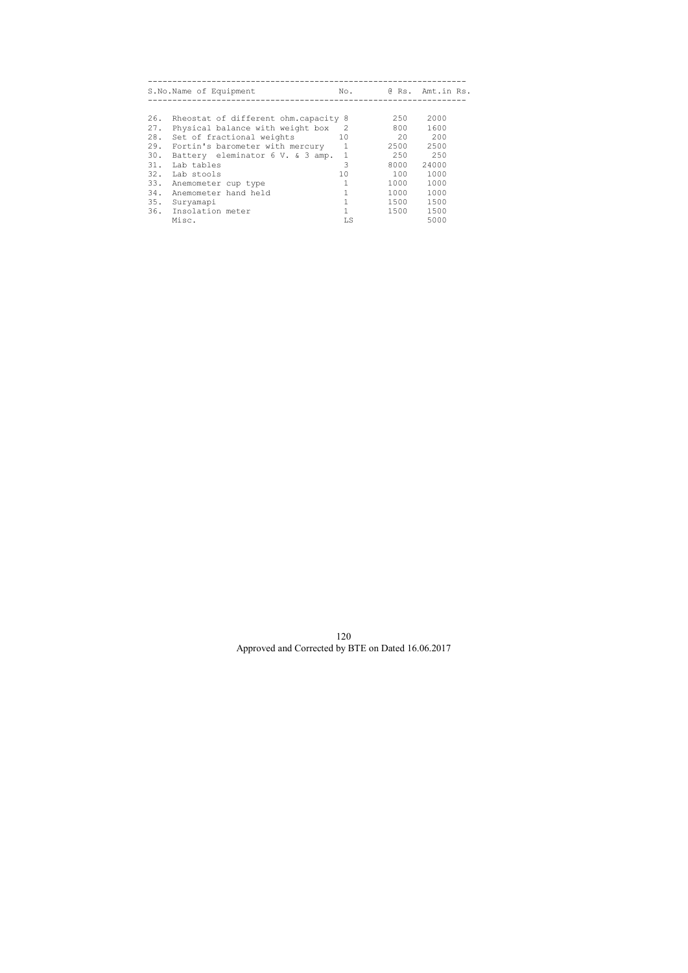|     | S.No.Name of Equipment               | No.     |      | @ Rs. Amt.in Rs. |
|-----|--------------------------------------|---------|------|------------------|
|     |                                      |         |      |                  |
| 26. | Rheostat of different ohm.capacity 8 |         | 250  | 2000             |
| 27. | Physical balance with weight box     | -2      | 800  | 1600             |
| 28. | Set of fractional weights            | 10      | 20   | 200              |
| 29. | Fortin's barometer with mercury      | 1       | 2500 | 2500             |
| 30. | Battery eleminator 6 V. & 3 amp.     | 1       | 250  | 250              |
| 31. | Lab tables                           | 3       | 8000 | 24000            |
| 32. | Lab stools                           | $10 \,$ | 100  | 1000             |
| 33. | Anemometer cup type                  |         | 1000 | 1000             |
| 34. | Anemometer hand held                 |         | 1000 | 1000             |
| 35. | Suryamapi                            |         | 1500 | 1500             |
|     | 36. Insolation meter                 |         | 1500 | 1500             |
|     | Misc.                                | LS      |      | 5000             |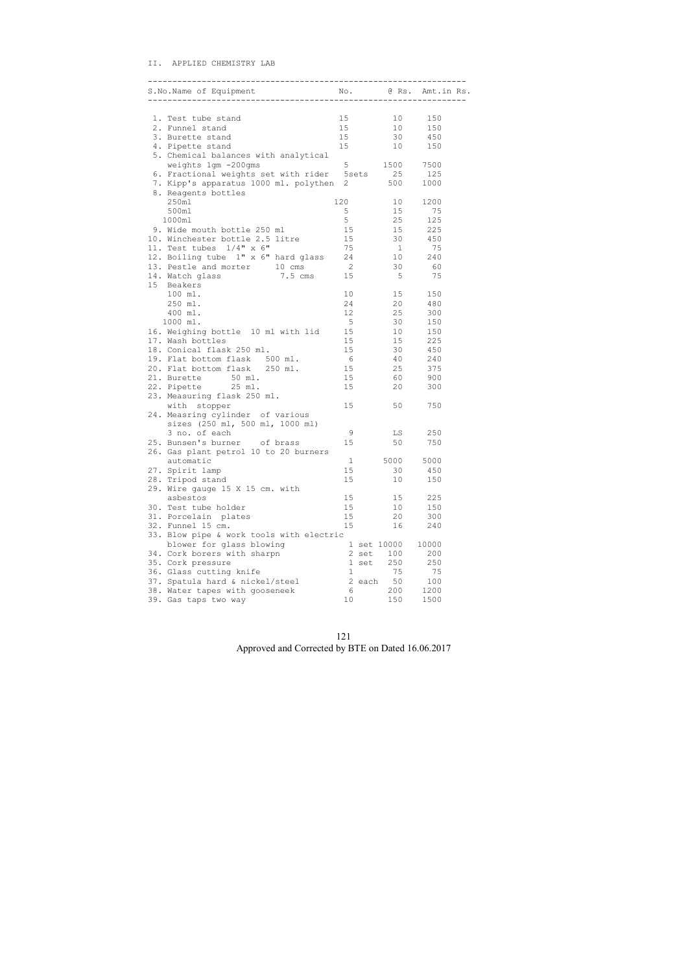#### II. APPLIED CHEMISTRY LAB

| ----------------------------                      |                 |                |       |
|---------------------------------------------------|-----------------|----------------|-------|
|                                                   |                 |                |       |
| 1. Test tube stand                                | 15              | 10             | 150   |
| 2. Funnel stand                                   | 15              | 10             | 150   |
| 3. Burette stand                                  | 15              | 30             | 450   |
| 4. Pipette stand                                  | 15              | 10             | 150   |
|                                                   |                 |                |       |
| 5. Chemical balances with analytical              |                 | 1500 7500      |       |
| weights 1gm -200gms                               | 5               |                |       |
| 6. Fractional weights set with rider 5sets 25 125 |                 | 500            |       |
| 7. Kipp's apparatus 1000 ml. polythen             | 2               |                | 1000  |
| 8. Reagents bottles                               |                 |                |       |
| 250m1                                             | 120             | 10             | 1200  |
| 500ml                                             | 5               | 15             | 75    |
| 1000ml                                            | 5               | 25             | 125   |
| 9. Wide mouth bottle 250 ml                       | 15              | 15             | 225   |
| 10. Winchester bottle 2.5 litre                   | 15              | 30             | 450   |
| 11. Test tubes $1/4" \times 6"$                   | 75              | $\overline{1}$ | 75    |
| 12. Boiling tube 1" x 6" hard glass 24            |                 | 10             | 240   |
| 13. Pestle and morter 10 cms                      | $\overline{2}$  | 30             | 60    |
| 14. Watch glass 3.5 cms 15                        |                 | 5              | 75    |
| 15 Beakers                                        |                 |                |       |
| 100 ml.                                           | 10 <sup>°</sup> | 15             | 150   |
| 250 ml.                                           | 24              | 20             | 480   |
| 400 ml.                                           | 12              | 25             | 300   |
| 1000 ml.                                          | $5^{\circ}$     | 30             | 150   |
| 16. Weighing bottle 10 ml with lid                | 15              | 10             | 150   |
| 17. Wash bottles                                  | 15              | 15             | 225   |
| 18. Conical flask 250 ml.                         | 15              | 30             | 450   |
| 19. Flat bottom flask 500 ml.                     | 6               | 40             | 240   |
| 20. Flat bottom flask 250 ml.                     | 15              | 25             | 375   |
| 21. Burette<br>50 ml.                             | 15              | 60             | 900   |
| 22. Pipette 25 ml.                                | 15              | 20             | 300   |
| 23. Measuring flask 250 ml.                       |                 |                |       |
| with stopper                                      | 15              | 50             | 750   |
| 24. Measring cylinder of various                  |                 |                |       |
| sizes (250 ml, 500 ml, 1000 ml)                   |                 |                |       |
| 3 no. of each                                     | 9               | LS             | 250   |
| 25. Bunsen's burner of brass                      | 15              | 50             | 750   |
| 26. Gas plant petrol 10 to 20 burners             |                 |                |       |
| automatic                                         | $\mathbf{1}$    | 5000           | 5000  |
| 27. Spirit lamp                                   | 15              | 30             | 450   |
| 28. Tripod stand                                  | 15              | 10             | 150   |
| 29. Wire gauge 15 X 15 cm. with                   |                 |                |       |
| asbestos                                          | 15              | 15             | 225   |
| 30. Test tube holder                              | 15              | 10             | 150   |
| 31. Porcelain plates                              | 15              | 20             | 300   |
| 32. Funnel 15 cm.                                 | 15              | 16             | 240   |
| 33. Blow pipe & work tools with electric          |                 |                |       |
| blower for glass blowing                          |                 | 1 set 10000    | 10000 |
| 34. Cork borers with sharpn                       |                 | 100<br>2 set   | 200   |
| 35. Cork pressure                                 |                 | 250<br>1 set   | 250   |
| 36. Glass cutting knife                           | $\mathbf{1}$    | 75             | 75    |
| 37. Spatula hard & nickel/steel                   |                 | 50<br>2 each   | 100   |
| 38. Water tapes with gooseneek                    | 6               | 200            | 1200  |
| 39. Gas taps two way                              | 10              | 150            | 1500  |
|                                                   |                 |                |       |

121 Approved and Corrected by BTE on Dated 16.06.2017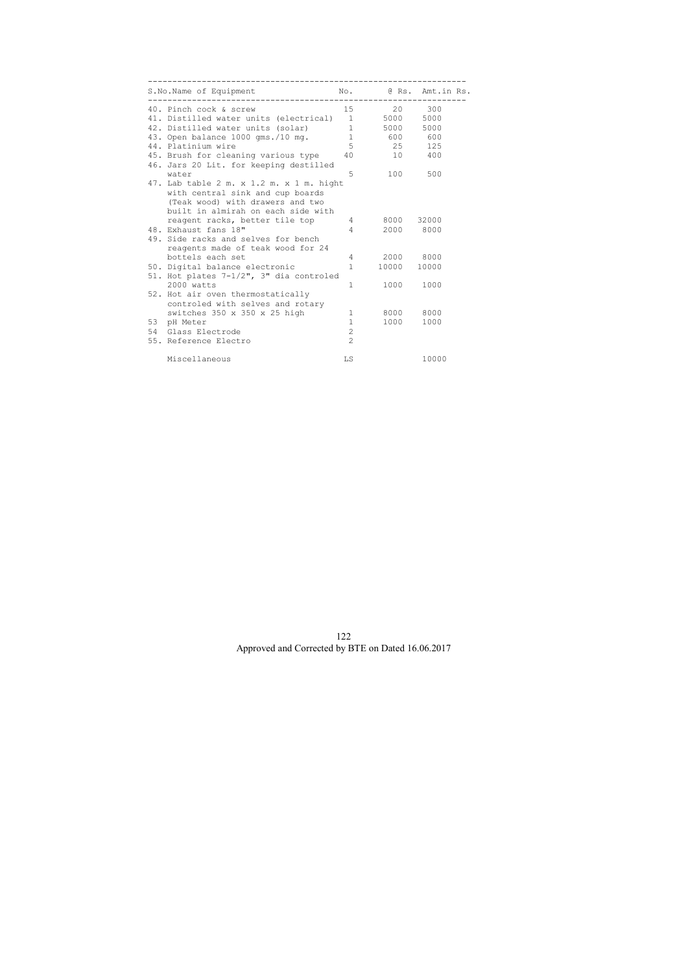| S.No.Name of Equipment<br>----------------------------------                                                                                           |                        |            | No. @ Rs. Amt.in Rs. |
|--------------------------------------------------------------------------------------------------------------------------------------------------------|------------------------|------------|----------------------|
| 40. Pinch cock & screw                                                                                                                                 |                        | 15 20 300  |                      |
| 41. Distilled water units (electrical) 1                                                                                                               |                        | 5000 5000  |                      |
| 42. Distilled water units (solar)                                                                                                                      | $1 \quad \blacksquare$ | 5000 5000  |                      |
| 43. Open balance 1000 gms./10 mg.                                                                                                                      |                        | 1 600 600  |                      |
| 44. Platinium wire                                                                                                                                     | 5 <sup>5</sup>         |            | 25 125               |
| 45. Brush for cleaning various type<br>46. Jars 20 Lit. for keeping destilled                                                                          | 40                     | 10         | 400                  |
| water                                                                                                                                                  | 5                      | 100        | 500                  |
| 47. Lab table 2 m. x 1.2 m. x 1 m. hight<br>with central sink and cup boards<br>(Teak wood) with drawers and two<br>built in almirah on each side with |                        |            |                      |
| reagent racks, better tile top                                                                                                                         | $4\degree$             | 8000 32000 |                      |
| 48. Exhaust fans 18"                                                                                                                                   | $\overline{4}$         | 2000 8000  |                      |
| 49. Side racks and selves for bench<br>reagents made of teak wood for 24                                                                               |                        |            |                      |
| bottels each set                                                                                                                                       | 4                      | 2000 8000  |                      |
| 50. Digital balance electronic<br>51. Hot plates 7-1/2", 3" dia controled                                                                              | $\mathbf{1}$           | 10000      | 10000                |
| 2000 watts                                                                                                                                             | $\mathbf{1}$           | 1000       | 1000                 |
| 52. Hot air oven thermostatically<br>controled with selves and rotary                                                                                  |                        |            |                      |
| switches 350 x 350 x 25 high                                                                                                                           | $\mathbf{1}$           | 8000 8000  |                      |
| 53 pH Meter                                                                                                                                            | $\mathbf{1}$           | 1000 1000  |                      |
| 54 Glass Electrode                                                                                                                                     | $\overline{c}$         |            |                      |
| 55. Reference Electro                                                                                                                                  | $\overline{2}$         |            |                      |
| Miscellaneous                                                                                                                                          | LS                     |            | 10000                |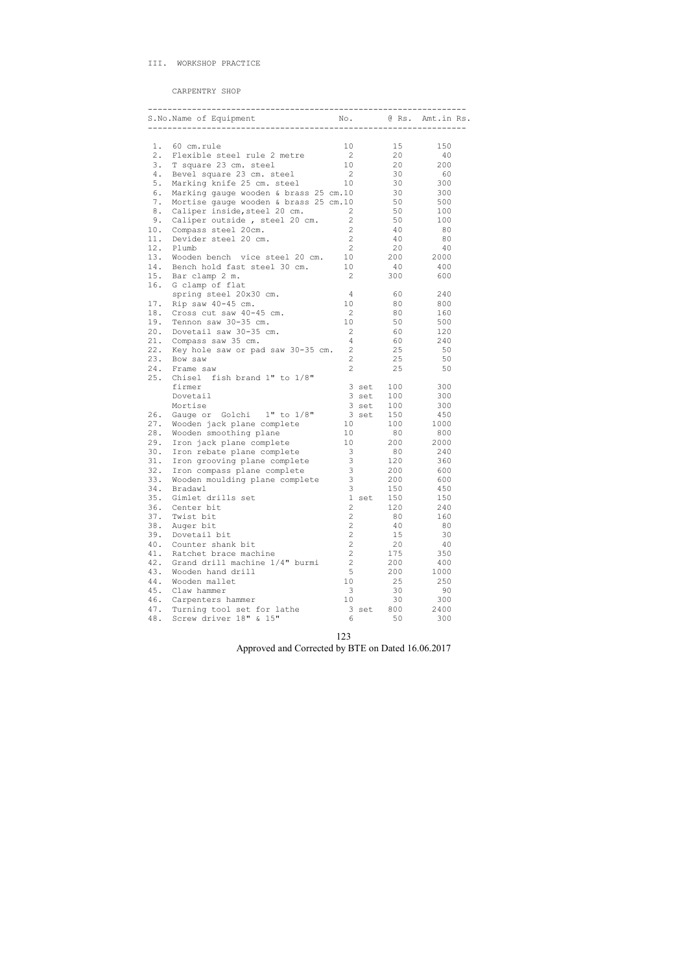|       | S.No.Name of Equipment                |                       |       |     | No. @ Rs. Amt.in Rs. |
|-------|---------------------------------------|-----------------------|-------|-----|----------------------|
|       |                                       |                       |       |     |                      |
| 1.    | 60 cm.rule                            | 10                    |       | 15  | 150                  |
| $2$ . | Flexible steel rule 2 metre           | $\overline{2}$        |       | 20  | 40                   |
| 3.    | T square 23 cm. steel                 | 10                    |       | 20  | 200                  |
| 4.    | Bevel square 23 cm. steel             | $\overline{2}$        |       | 30  | 60                   |
| 5.    | Marking knife 25 cm. steel            | 10                    |       | 30  | 300                  |
| 6.    | Marking gauge wooden & brass 25 cm.10 |                       |       | 30  | 300                  |
| 7.    | Mortise gauge wooden & brass 25 cm.10 |                       |       | 50  | 500                  |
| 8.    | Caliper inside, steel 20 cm.          | 2                     |       | 50  | 100                  |
| 9.    | Caliper outside, steel 20 cm.         | 2                     |       | 50  | 100                  |
| 10.   | Compass steel 20cm.                   | 2                     |       | 40  | 80                   |
| 11.   | Devider steel 20 cm.                  | $\overline{2}$        |       | 40  | 80                   |
| 12.   | Plumb                                 | $\mathbf{2}^{\prime}$ |       | 20  | 40                   |
| 13.   | Wooden bench vice steel 20 cm.        | 10                    |       | 200 | 2000                 |
| 14.   | Bench hold fast steel 30 cm.          | 10                    |       | 40  | 400                  |
| 15.   | Bar clamp 2 m.                        | 2                     |       | 300 | 600                  |
| 16.   | G clamp of flat                       |                       |       |     |                      |
|       | spring steel 20x30 cm.                | 4                     |       | 60  | 240                  |
| 17.   | Rip saw 40-45 cm.                     | 10                    |       | 80  | 800                  |
| 18.   | Cross cut saw 40-45 cm.               | 2                     |       | 80  | 160                  |
| 19.   | Tennon saw 30-35 cm.                  | 10                    |       | 50  | 500                  |
| 20.   | Dovetail saw 30-35 cm.                | $\mathbf{2}^{\prime}$ |       | 60  | 120                  |
| 21.   | Compass saw 35 cm.                    | 4                     |       | 60  | 240                  |
| 22.   | Key hole saw or pad saw 30-35 cm.     | $\mathbf{2}$          |       | 25  | 50                   |
| 23.   | Bow saw                               | $\overline{2}$        |       | 25  | 50                   |
| 24.   | Frame saw                             | 2                     |       | 25  | 50                   |
| 25.   | Chisel fish brand 1" to 1/8"          |                       |       |     |                      |
|       | firmer                                |                       | 3 set | 100 | 300                  |
|       | Dovetail                              |                       | 3 set | 100 | 300                  |
|       | Mortise                               |                       | 3 set | 100 | 300                  |
| 26.   | Gauge or Golchi 1" to 1/8"            |                       | 3 set | 150 | 450                  |
| 27.   | Wooden jack plane complete            | 10                    |       | 100 | 1000                 |
| 28.   | Wooden smoothing plane                | 10 <sup>°</sup>       |       | 80  | 800                  |
| 29.   | Iron jack plane complete              | 10 <sup>°</sup>       |       | 200 | 2000                 |
| 30.   | Iron rebate plane complete            | 3                     |       | 80  | 240                  |
| 31.   | Iron grooving plane complete          | 3                     |       | 120 | 360                  |
| 32.   | Iron compass plane complete           | $\mathsf 3$           |       | 200 | 600                  |
| 33.   | Wooden moulding plane complete        | 3                     |       | 200 | 600                  |
| 34.   | Bradawl                               | 3                     |       | 150 | 450                  |
| 35.   | Gimlet drills set                     |                       | 1 set | 150 | 150                  |
| 36.   | Center bit                            | $\overline{c}$        |       | 120 | 240                  |
| 37.   | Twist bit                             | $\overline{2}$        |       | 80  | 160                  |
| 38.   | Auger bit                             | $\overline{2}$        |       | 40  | 80                   |
| 39.   | Dovetail bit                          | $\overline{2}$        |       | 15  | 30                   |
| 40.   | Counter shank bit                     | $\overline{c}$        |       | 20  | 40                   |
| 41.   | Ratchet brace machine                 | $\overline{2}$        |       | 175 | 350                  |
| 42.   | Grand drill machine 1/4" burmi        | $\overline{2}$        |       | 200 | 400                  |
| 43.   | Wooden hand drill                     | 5                     |       | 200 | 1000                 |
| 44.   | Wooden mallet                         | 10                    |       | 25  | 250                  |
| 45.   | Claw hammer                           | 3                     |       | 30  | 90                   |
| 46.   | Carpenters hammer                     | 10                    |       | 30  | 300                  |
| 47.   | Turning tool set for lathe            |                       | 3 set | 800 | 2400                 |
| 48.   | Screw driver 18" & 15"                | 6                     |       | 50  | 300                  |

123 Approved and Corrected by BTE on Dated 16.06.2017

CARPENTRY SHOP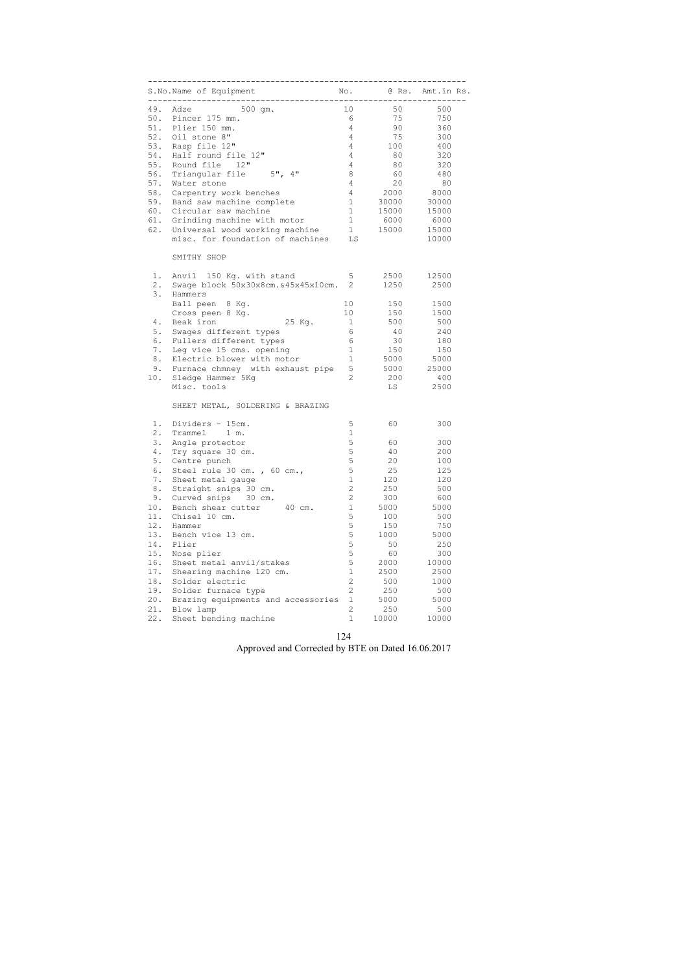|     | S.No.Name of Equipment                 |                 |         | No. @ Rs. Amt.in Rs. |  |  |
|-----|----------------------------------------|-----------------|---------|----------------------|--|--|
|     | 49. Adze 500 gm.                       | 10              | 50      | 500                  |  |  |
|     | 50. Pincer 175 mm.                     | 6               | 75      | 750                  |  |  |
|     | 51. Plier 150 mm.                      | $4 -$           | 90      | 360                  |  |  |
|     | 52. Oil stone 8"                       | $4\overline{ }$ | 75      | 300                  |  |  |
|     |                                        |                 |         |                      |  |  |
|     | 53. Rasp file 12"                      | $\overline{4}$  | 100     | 400                  |  |  |
| 54. | Half round file 12"                    | 4               | 80      | 320                  |  |  |
| 55. | Round file 12"                         | 4               | 80      | 320                  |  |  |
| 56. | Triangular file 5", 4"                 | 8               | 60      | 480                  |  |  |
| 57. | Water stone                            | 4               | 20      | 80                   |  |  |
| 58. | Carpentry work benches                 | $4\overline{ }$ | 2000    | 8000                 |  |  |
| 59. | Band saw machine complete              |                 | 1 30000 | 30000                |  |  |
| 60. | Circular saw machine                   | 1               | 15000   | 15000                |  |  |
| 61. | Grinding machine with motor            | 1               | 6000    | 6000                 |  |  |
| 62. | Universal wood working machine         |                 | 1 15000 | 15000                |  |  |
|     | misc. for foundation of machines       | LS              |         | 10000                |  |  |
|     |                                        |                 |         |                      |  |  |
|     | SMITHY SHOP                            |                 |         |                      |  |  |
| 1.  | Anvil 150 Kg. with stand               | $5 -$           | 2500    | 12500                |  |  |
| 2.  | Swage block 50x30x8cm. & 45x45x10cm. 2 |                 | 1250    | 2500                 |  |  |
| 3.  | Hammers                                |                 |         |                      |  |  |
|     | Ball peen 8 Kg.                        | 10 <sup>°</sup> | 150     | 1500                 |  |  |
|     | Cross peen 8 Kg.                       | 10              | 150     | 1500                 |  |  |
| 4.  | 25 Kg.<br>Beak iron                    | $\overline{1}$  | 500     | 500                  |  |  |
| 5.  | Swages different types                 | 6               | 40      | 240                  |  |  |
| 6.  | Fullers different types                | 6               | 30      | 180                  |  |  |
| 7.  | Leg vice 15 cms. opening               | 1               | 150     | 150                  |  |  |
| 8.  | Electric blower with motor             | 1               |         | 5000 5000            |  |  |
|     |                                        | 5 <sup>5</sup>  |         |                      |  |  |
| 9.  | Furnace chmney with exhaust pipe       |                 |         | 5000 25000           |  |  |
| 10. | Sledge Hammer 5Kg                      | $\overline{2}$  | 200     | 400                  |  |  |
|     | Misc. tools                            |                 | LS      | 2500                 |  |  |
|     | SHEET METAL, SOLDERING & BRAZING       |                 |         |                      |  |  |
| 1.  | Dividers - 15cm.                       | 5               | 60      | 300                  |  |  |
| 2.  | Trammel 1 m.                           | $\mathbf 1$     |         |                      |  |  |
| 3.  | Angle protector                        | 5               | 60      | 300                  |  |  |
| 4.  | Try square 30 cm.                      | $\mathsf S$     | 40      | 200                  |  |  |
| 5.  | Centre punch                           | 5               | 20      | 100                  |  |  |
| 6.  | Steel rule 30 cm., 60 cm.,             | 5               | 25      | 125                  |  |  |
|     |                                        | $\mathbf 1$     |         |                      |  |  |
| 7.  | Sheet metal gauge                      |                 | 120     | 120                  |  |  |
| 8.  | Straight snips 30 cm.                  | $\overline{2}$  | 250     | 500                  |  |  |
| 9.  | Curved snips<br>30 cm.                 | $\overline{2}$  | 300     | 600                  |  |  |
| 10. | Bench shear cutter<br>40 cm.           | $1\,$           | 5000    | 5000                 |  |  |
| 11. | Chisel 10 cm.                          | 5               | 100     | 500                  |  |  |
| 12. | Hammer                                 | 5               | 150     | 750                  |  |  |
| 13. | Bench vice 13 cm.                      | 5               | 1000    | 5000                 |  |  |
| 14. | Plier                                  | 5               | 50      | 250                  |  |  |
| 15. | Nose plier                             | 5               | 60      | 300                  |  |  |
| 16. | Sheet metal anvil/stakes               | 5               | 2000    | 10000                |  |  |
| 17. | Shearing machine 120 cm.               | $\mathbf 1$     | 2500    | 2500                 |  |  |
| 18. | Solder electric                        | $\overline{2}$  | 500     | 1000                 |  |  |
|     |                                        |                 |         |                      |  |  |
| 19. | Solder furnace type                    | $\mathbf{2}$    | 250     | 500                  |  |  |
| 20. | Brazing equipments and accessories     | $\mathbf 1$     | 5000    | 5000                 |  |  |
| 21. | Blow lamp                              | 2               | 250     | 500                  |  |  |
| 22. | Sheet bending machine                  | $\mathbf{1}$    | 10000   | 10000                |  |  |

124 Approved and Corrected by BTE on Dated 16.06.2017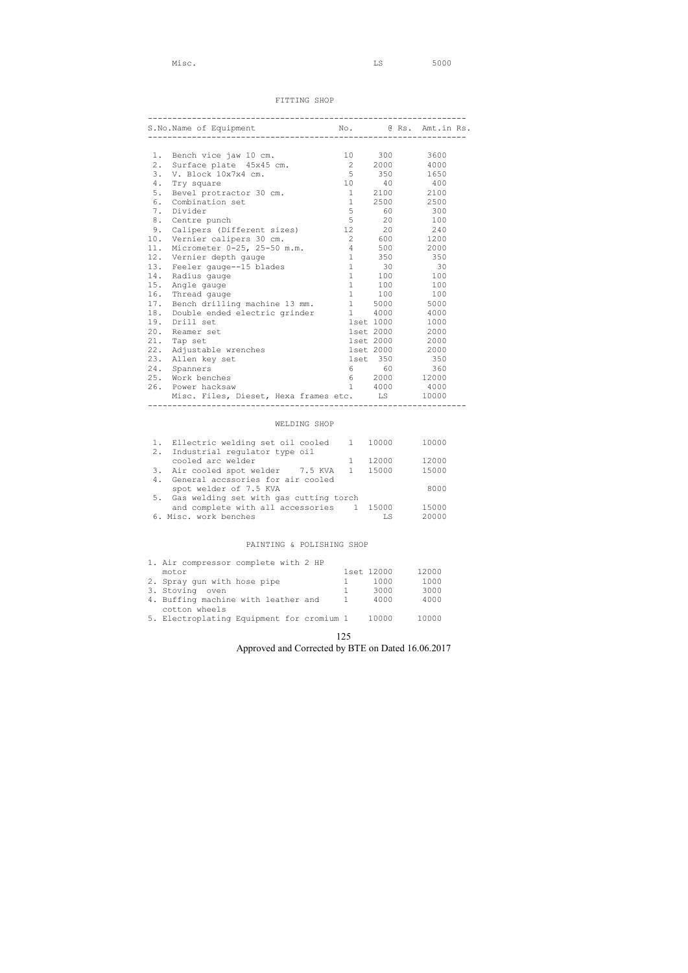#### FITTING SHOP

| S.No.Name of Equipment |                                                |                   |                      | No. @ Rs. Amt.in Rs. |
|------------------------|------------------------------------------------|-------------------|----------------------|----------------------|
|                        |                                                |                   |                      |                      |
|                        | 1. Bench vice jaw 10 cm.                       |                   | 10 300               | 3600                 |
| 2.                     | Surface plate 45x45 cm.                        |                   | 2 2000               | 4000                 |
| 3.                     | V. Block 10x7x4 cm.                            | $5^{\circ}$       | 350                  | 1650                 |
| 4.                     | Try square                                     |                   | 10 40 400            |                      |
| 5.                     | Bevel protractor 30 cm.                        |                   | 1 2100 2100          |                      |
| 6.                     | Combination set                                |                   | 1 2500 2500          |                      |
| 7.                     | Divider                                        | 5                 | 60 — 10              | 300                  |
| 8.                     | Centre punch                                   | 5                 | 20                   | 100                  |
| 9.                     | Calipers (Different sizes)                     | 12                | 20                   | 240                  |
| 10.                    | Vernier calipers 30 cm.                        |                   | 2 600 1200           |                      |
| 11.                    | Micrometer 0-25, 25-50 m.m.                    |                   | 4 500                | 2000                 |
| 12.                    | Vernier depth gauge                            |                   | 1 350                | 350                  |
| 13.                    | Feeler gauge--15 blades                        |                   | $1 \qquad \qquad 30$ | $\overline{30}$      |
| 14.                    | Radius gauge                                   | 1                 | 100                  | 100                  |
| 15.                    | Angle gauge                                    |                   | 1 100                | 100                  |
| 16.                    | Thread gauge                                   |                   | 1 100 100            |                      |
| 17.                    | Bench drilling machine 13 mm.                  |                   | 1 5000               | 5000                 |
| 18.                    | Double ended electric grinder                  |                   | 1 4000               | 4000                 |
| 19.                    | Drill set                                      |                   | 1set 1000            | 1000                 |
| 20.                    | Reamer set                                     |                   | 1set 2000            | 2000                 |
| 21.                    | Tap set                                        |                   | 1set 2000            | 2000                 |
| 22.                    | Adjustable wrenches                            |                   | 1set 2000 2000       |                      |
| 23.                    | Allen key set                                  |                   | 1set 350             | 350                  |
| 24.                    | Spanners                                       | $6 \qquad \qquad$ |                      | 60 360               |
|                        | 25. Work benches                               |                   | 6 2000 12000         |                      |
|                        | 26. Power hacksaw                              |                   | 1 4000               | 4000                 |
|                        | Misc. Files, Dieset, Hexa frames etc. LS 10000 |                   |                      |                      |

# WELDING SHOP

| 1. Ellectric welding set oil cooled 1 10000<br>2. Industrial regulator type oil |       | 10000 |
|---------------------------------------------------------------------------------|-------|-------|
| cooled arc welder                                                               | 12000 | 12000 |
| 3. Air cooled spot welder 7.5 KVA 1 15000                                       |       | 15000 |
| 4. General accssories for air cooled                                            |       |       |
| spot welder of 7.5 KVA                                                          |       | 8000  |
| 5. Gas welding set with gas cutting torch                                       |       |       |
| and complete with all accessories 1 15000                                       |       | 15000 |
| 6. Misc. work benches                                                           | LS    | 20000 |

#### PAINTING & POLISHING SHOP

| 1. Air compressor complete with 2 HP      |            |       |
|-------------------------------------------|------------|-------|
| motor                                     | 1set 12000 | 12000 |
| 2. Spray gun with hose pipe               | 1000       | 1000  |
| 3. Stoving oven                           | 3000       | 3000  |
| 4. Buffing machine with leather and       | 4000       | 4000  |
| cotton wheels                             |            |       |
| 5. Electroplating Equipment for cromium 1 | 10000      | 10000 |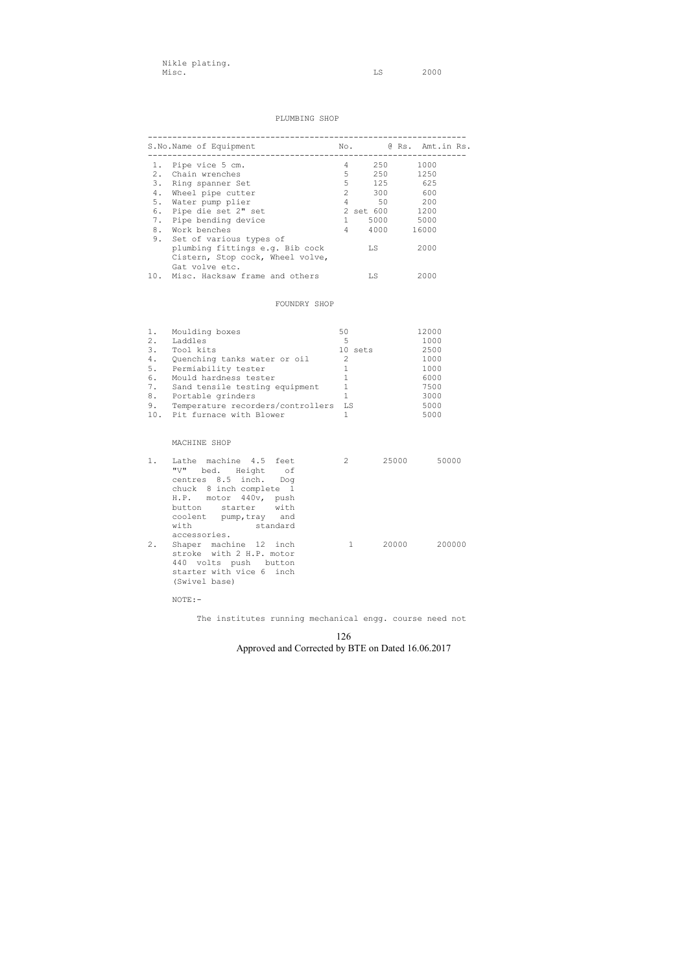#### PLUMBING SHOP

|    | S.No.Name of Equipment                                              |                 | No.              | @ Rs. Amt.in Rs. |
|----|---------------------------------------------------------------------|-----------------|------------------|------------------|
|    | 1. Pipe vice 5 cm.                                                  |                 | $4 \quad$<br>250 | 1000             |
|    | 2. Chain wrenches                                                   |                 | $5 - 5$<br>250   | 1250             |
| 3. | Ring spanner Set                                                    |                 | 5 125            | 625              |
| 4. | Wheel pipe cutter                                                   | 2               | 300 600          |                  |
| 5. | Water pump plier                                                    | $4\overline{ }$ | 50               | 200              |
|    | 6. Pipe die set 2" set                                              |                 | 2 set 600 1200   |                  |
| 7. | Pipe bending device                                                 | $1 \quad$       | 5000             | 5000             |
| 8. | Work benches                                                        | $4 \quad$       | 4000             | 16000            |
| 9. | Set of various types of                                             |                 |                  |                  |
|    | plumbing fittings e.g. Bib cock<br>Cistern, Stop cock, Wheel volve, |                 | LS               | 2000             |
|    | Gat volve etc.                                                      |                 |                  |                  |
|    | 10. Misc. Hacksaw frame and others                                  |                 | LS               | 2000             |
|    | FOUNDRY SHOP                                                        |                 |                  |                  |
|    |                                                                     |                 |                  |                  |
| 1. | Moulding boxes                                                      | 50              |                  | 12000            |
| 2. | Laddles                                                             | 5               |                  | 1000             |
| 3. | Tool kits                                                           |                 | 10 sets          | 2500             |
| 4. | Quenching tanks water or oil                                        | 2               |                  | 1000             |

| 5.  | Permiability tester               |       | 1000 |
|-----|-----------------------------------|-------|------|
| 6.  | Mould hardness tester             |       | 6000 |
|     | Sand tensile testing equipment    |       | 7500 |
| 8.  | Portable grinders                 |       | 3000 |
| 9.  | Temperature recorders/controllers | - T.S | 5000 |
| 10. | Pit furnace with Blower           |       | 5000 |
|     |                                   |       |      |

#### MACHINE SHOP

| $1$ .<br>Lathe machine 4.5 feet<br>"V"<br>centres 8.5 inch. Dog<br>chuck 8 inch complete 1<br>H.P. motor 440v, push<br>button starter with<br>coolent pump, tray and<br>with | bed. Height of<br>standard | $\mathcal{L}$ | 25000 | 50000  |
|------------------------------------------------------------------------------------------------------------------------------------------------------------------------------|----------------------------|---------------|-------|--------|
| accessories.<br>$2$ .<br>Shaper machine 12 inch<br>stroke with 2 H.P. motor<br>440 volts push button<br>starter with vice 6 inch<br>(Swivel base)                            |                            |               | 20000 | 200000 |

NOTE:-

The institutes running mechanical engg. course need not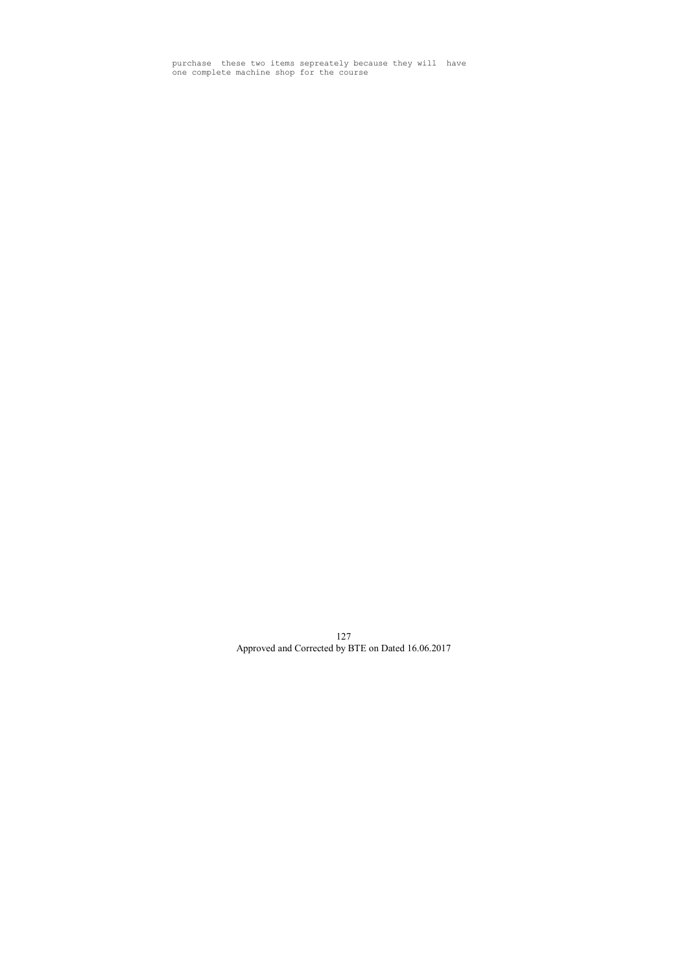purchase these two items sepreately because they will have one complete machine shop for the course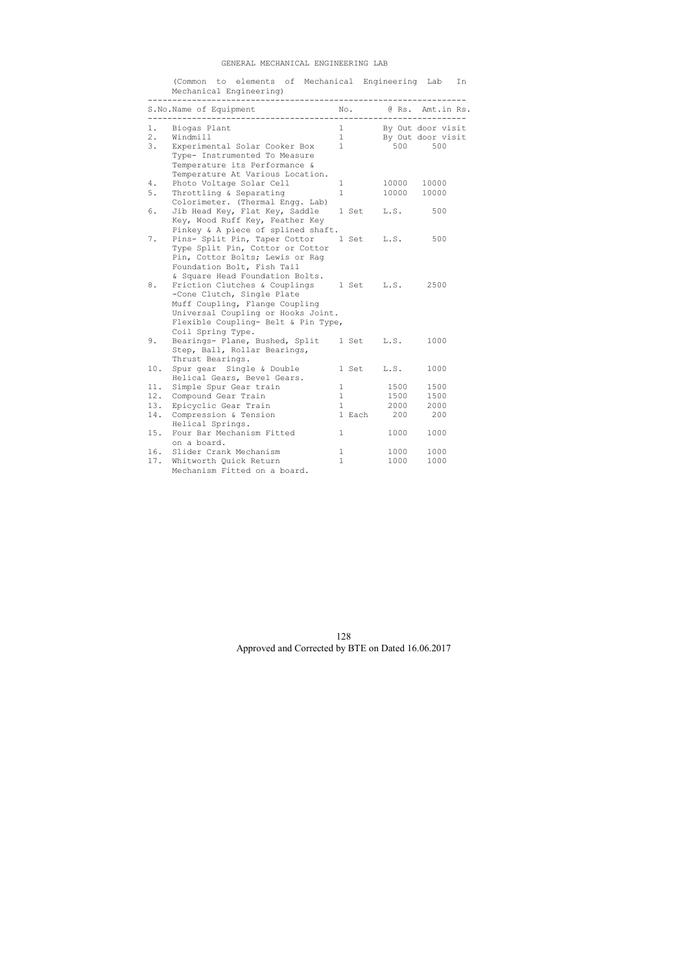#### GENERAL MECHANICAL ENGINEERING LAB

(Common to elements of Mechanical Engineering Lab In

|                   | Mechanical Engineering)                                                                                                                                                                                       |                     |            |       |                                               |
|-------------------|---------------------------------------------------------------------------------------------------------------------------------------------------------------------------------------------------------------|---------------------|------------|-------|-----------------------------------------------|
|                   | S. No. Name of Equipment No. 0 Rs. Amt. in Rs.<br>-------------------                                                                                                                                         |                     |            |       | -----------                                   |
| 1.<br>$2$ .<br>3. | Biogas Plant<br>Windmill<br>Experimental Solar Cooker Box<br>Type- Instrumented To Measure<br>Temperature its Performance &<br>Temperature At Various Location.                                               | $1 \quad$<br>1<br>1 |            | 500   | By Out door visit<br>By Out door visit<br>500 |
| 4.                | Photo Voltage Solar Cell                                                                                                                                                                                      | 1                   |            | 10000 | 10000                                         |
| $5.$              | Throttling & Separating                                                                                                                                                                                       | $\mathbf{1}$        |            | 10000 | 10000                                         |
| 6.                | Colorimeter. (Thermal Engg. Lab)<br>Jib Head Key, Flat Key, Saddle<br>Key, Wood Ruff Key, Feather Key<br>Pinkey & A piece of splined shaft.                                                                   |                     | 1 Set      | L.S.  | 500                                           |
| 7.                | Pins- Split Pin, Taper Cottor<br>Type Split Pin, Cottor or Cottor<br>Pin, Cottor Bolts; Lewis or Raq<br>Foundation Bolt, Fish Tail                                                                            |                     | 1 Set      | L.S.  | 500                                           |
| 8.                | & Square Head Foundation Bolts.<br>Friction Clutches & Couplings<br>-Cone Clutch, Single Plate<br>Muff Coupling, Flange Coupling<br>Universal Coupling or Hooks Joint.<br>Flexible Coupling- Belt & Pin Type, |                     | 1 Set      | L.S.  | 2500                                          |
| 9.                | Coil Spring Type.<br>Bearings- Plane, Bushed, Split<br>Step, Ball, Rollar Bearings,<br>Thrust Bearings.                                                                                                       |                     | 1 Set      | L.S.  | 1000                                          |
| 10.               | Spur gear Single & Double<br>Helical Gears, Bevel Gears.                                                                                                                                                      |                     | 1 Set      | L.S.  | 1000                                          |
| 11.               | Simple Spur Gear train                                                                                                                                                                                        | 1                   |            | 1500  | 1500                                          |
| 12.               | Compound Gear Train                                                                                                                                                                                           | 1                   |            | 1500  | 1500                                          |
| 13.               | Epicyclic Gear Train                                                                                                                                                                                          | 1                   |            | 2000  | 2000                                          |
| 14.               | Compression & Tension<br>Helical Springs.                                                                                                                                                                     |                     | 1 Each 200 |       | 200                                           |
| 15.               | Four Bar Mechanism Fitted<br>on a board.                                                                                                                                                                      | $\mathbf{1}$        |            | 1000  | 1000                                          |
| 16.               | Slider Crank Mechanism                                                                                                                                                                                        | 1                   |            | 1000  | 1000                                          |
| 17.               | Whitworth Quick Return                                                                                                                                                                                        | $\mathbf{1}$        |            | 1000  | 1000                                          |
|                   | Mechanism Fitted on a board.                                                                                                                                                                                  |                     |            |       |                                               |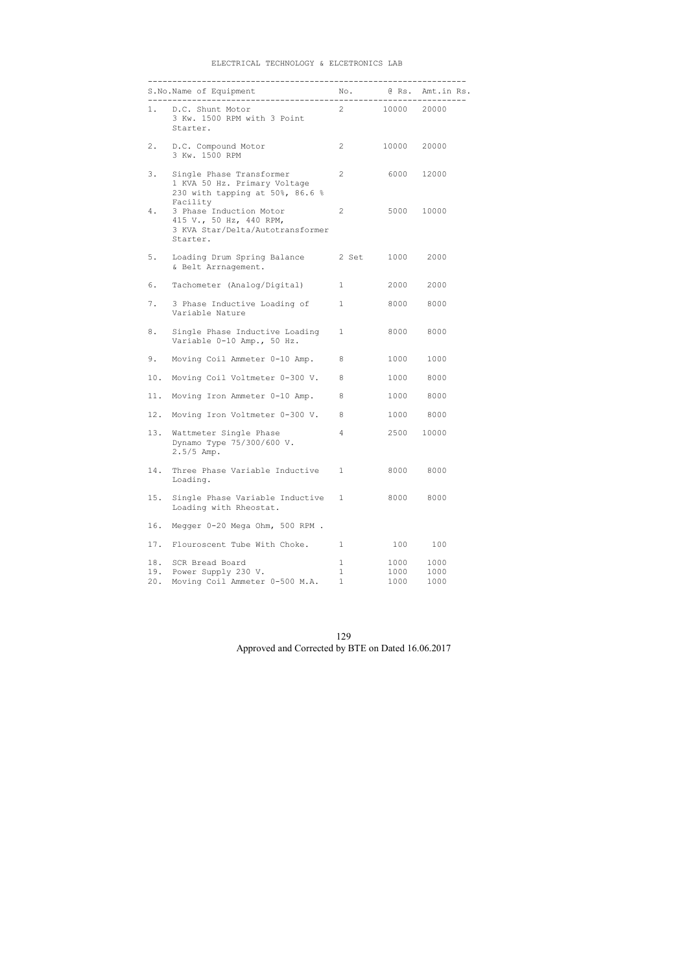#### ELECTRICAL TECHNOLOGY & ELCETRONICS LAB

|                   | 1. D.C. Shunt Motor<br>3 Kw. 1500 RPM with 3 Point<br>Starter.                                          | $2 \left( \frac{1}{2} \right)$             | 10000 20000          |                      |
|-------------------|---------------------------------------------------------------------------------------------------------|--------------------------------------------|----------------------|----------------------|
| 2.                | D.C. Compound Motor<br>3 Kw. 1500 RPM                                                                   | 2                                          | 10000                | 20000                |
| 3.                | Single Phase Transformer<br>1 KVA 50 Hz. Primary Voltage<br>230 with tapping at 50%, 86.6 %<br>Facility | 2                                          |                      | 6000 12000           |
| 4.                | 3 Phase Induction Motor<br>415 V., 50 Hz, 440 RPM,<br>3 KVA Star/Delta/Autotransformer<br>Starter.      | 2                                          |                      | 5000 10000           |
| 5.                | Loading Drum Spring Balance<br>& Belt Arrnagement.                                                      | 2 Set                                      | 1000                 | 2000                 |
| 6.                | Tachometer (Analog/Digital)                                                                             | $\mathbf{1}$                               | 2000                 | 2000                 |
| 7.                | 3 Phase Inductive Loading of<br>Variable Nature                                                         | $\mathbf{1}$                               | 8000                 | 8000                 |
| 8.                | Single Phase Inductive Loading<br>Variable 0-10 Amp., 50 Hz.                                            | $\mathbf{1}$                               | 8000                 | 8000                 |
| 9.                | Moving Coil Ammeter 0-10 Amp.                                                                           | 8                                          | 1000                 | 1000                 |
| 10.               | Moving Coil Voltmeter 0-300 V.                                                                          | 8                                          | 1000                 | 8000                 |
| 11.               | Moving Iron Ammeter 0-10 Amp.                                                                           | 8                                          | 1000                 | 8000                 |
| 12.               | Moving Iron Voltmeter 0-300 V.                                                                          | 8                                          | 1000                 | 8000                 |
| 13.               | Wattmeter Single Phase<br>Dynamo Type 75/300/600 V.<br>$2.5/5$ Amp.                                     | 4                                          | 2500                 | 10000                |
| 14.               | Three Phase Variable Inductive<br>Loading.                                                              | $\mathbf{1}$                               | 8000                 | 8000                 |
| 15.               | Single Phase Variable Inductive<br>Loading with Rheostat.                                               | $\mathbf{1}$                               | 8000                 | 8000                 |
| 16.               | Megger 0-20 Mega Ohm, 500 RPM.                                                                          |                                            |                      |                      |
| 17.               | Flouroscent Tube With Choke.                                                                            | 1                                          | 100                  | 100                  |
| 18.<br>19.<br>20. | SCR Bread Board<br>Power Supply 230 V.<br>Moving Coil Ammeter 0-500 M.A.                                | $\mathbf 1$<br>$\mathbf{1}$<br>$\mathbf 1$ | 1000<br>1000<br>1000 | 1000<br>1000<br>1000 |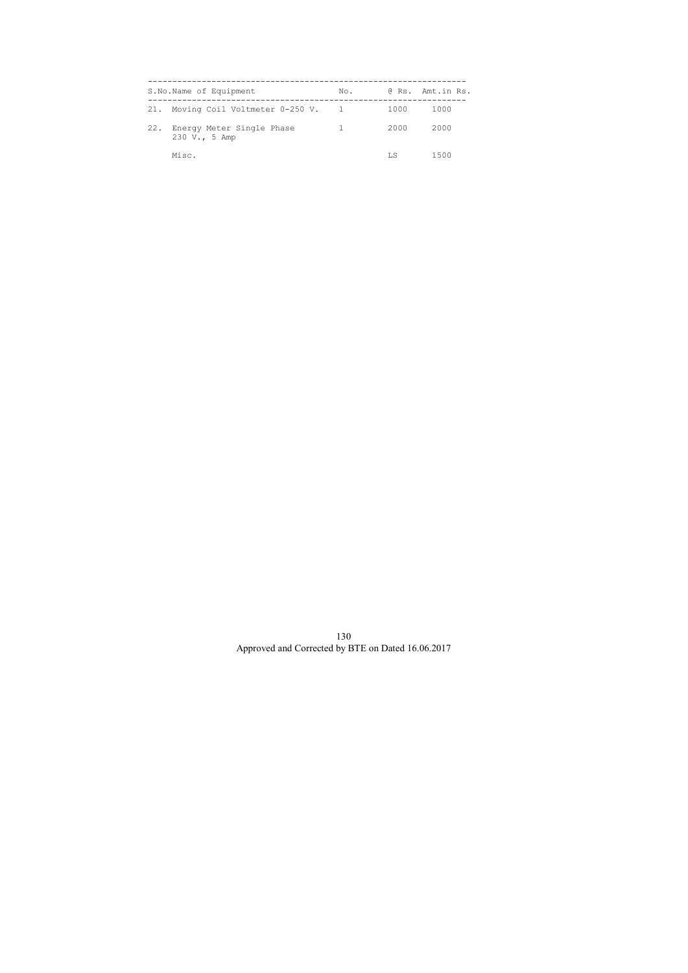|     | S.No.Name of Equipment                     | No. |      | @ Rs. Amt.in Rs. |
|-----|--------------------------------------------|-----|------|------------------|
|     | 21. Moving Coil Voltmeter 0-250 V. 1       |     | 1000 | 1000             |
| 22. | Energy Meter Single Phase<br>230 V., 5 Amp |     | 2000 | 2000             |
|     | Misc.                                      |     | LS   | 1500             |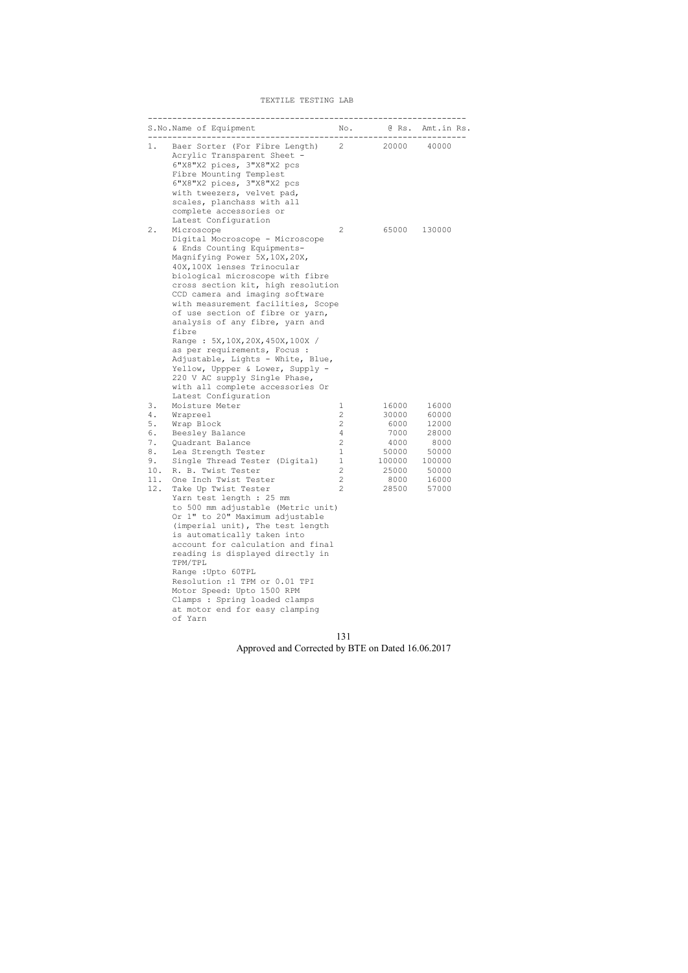#### TEXTILE TESTING LAB

|                                                                  | S.No.Name of Equipment                                                                                                                                                                                                                                                                                                                                                                                                                                                                                                                                                                                                                                                 |                                                                                                                                              |                                                                                     | No. @ Rs. Amt.in Rs.                                                                   |
|------------------------------------------------------------------|------------------------------------------------------------------------------------------------------------------------------------------------------------------------------------------------------------------------------------------------------------------------------------------------------------------------------------------------------------------------------------------------------------------------------------------------------------------------------------------------------------------------------------------------------------------------------------------------------------------------------------------------------------------------|----------------------------------------------------------------------------------------------------------------------------------------------|-------------------------------------------------------------------------------------|----------------------------------------------------------------------------------------|
| 1.                                                               | Baer Sorter (For Fibre Length) 2 20000 40000<br>Acrylic Transparent Sheet -<br>6"X8"X2 pices, 3"X8"X2 pcs<br>Fibre Mounting Templest<br>6"X8"X2 pices, 3"X8"X2 pcs<br>with tweezers, velvet pad,<br>scales, planchass with all<br>complete accessories or                                                                                                                                                                                                                                                                                                                                                                                                              |                                                                                                                                              |                                                                                     |                                                                                        |
| $2$ .                                                            | Latest Configuration<br>Microscope<br>Digital Mocroscope - Microscope<br>& Ends Counting Equipments-<br>Magnifying Power 5X, 10X, 20X,<br>40X, 100X lenses Trinocular<br>biological microscope with fibre<br>cross section kit, high resolution<br>CCD camera and imaging software<br>with measurement facilities, Scope<br>of use section of fibre or yarn,<br>analysis of any fibre, yarn and<br>fibre<br>Range: 5X, 10X, 20X, 450X, 100X /<br>as per requirements, Focus :<br>Adjustable, Lights - White, Blue,<br>Yellow, Uppper & Lower, Supply -<br>220 V AC supply Single Phase,<br>with all complete accessories Or                                            | 2                                                                                                                                            |                                                                                     | 65000 130000                                                                           |
| 3.<br>4.<br>$5.$<br>6.<br>7.<br>8.<br>9.<br>$10$ .<br>11.<br>12. | Latest Configuration<br>Moisture Meter<br>Wrapreel<br>Wrap Block<br>Beesley Balance<br>Quadrant Balance<br>Lea Strength Tester<br>Single Thread Tester (Digital)<br>R. B. Twist Tester<br>One Inch Twist Tester<br>Take Up Twist Tester<br>Yarn test length : 25 mm<br>to 500 mm adjustable (Metric unit)<br>Or 1" to 20" Maximum adjustable<br>(imperial unit), The test length<br>is automatically taken into<br>account for calculation and final<br>reading is displayed directly in<br>TPM/TPL<br>Range : Upto 60TPL<br>Resolution :1 TPM or 0.01 TPI<br>Motor Speed: Upto 1500 RPM<br>Clamps : Spring loaded clamps<br>at motor end for easy clamping<br>of Yarn | $\mathbf 1$<br>$\mathbf{2}$<br>$\overline{2}$<br>$\overline{4}$<br>$\overline{2}$<br>$\mathbf{1}$<br>$\mathbf 1$<br>2<br>$\overline{2}$<br>2 | 16000<br>30000<br>6000<br>7000<br>4000<br>50000<br>100000<br>25000<br>8000<br>28500 | 16000<br>60000<br>12000<br>28000<br>8000<br>50000<br>100000<br>50000<br>16000<br>57000 |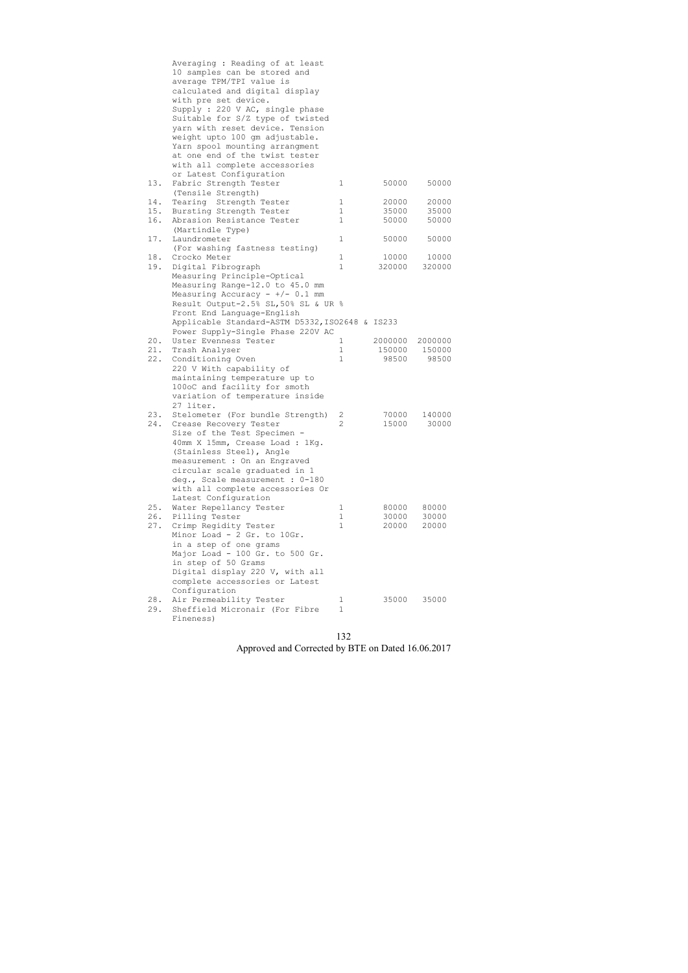|     | Averaging : Reading of at least                 |                |         |               |
|-----|-------------------------------------------------|----------------|---------|---------------|
|     | 10 samples can be stored and                    |                |         |               |
|     | average TPM/TPI value is                        |                |         |               |
|     | calculated and digital display                  |                |         |               |
|     | with pre set device.                            |                |         |               |
|     | Supply : 220 V AC, single phase                 |                |         |               |
|     | Suitable for S/Z type of twisted                |                |         |               |
|     | yarn with reset device. Tension                 |                |         |               |
|     | weight upto 100 gm adjustable.                  |                |         |               |
|     | Yarn spool mounting arrangment                  |                |         |               |
|     | at one end of the twist tester                  |                |         |               |
|     |                                                 |                |         |               |
|     | with all complete accessories                   |                |         |               |
|     | or Latest Configuration                         |                |         |               |
| 13. | Fabric Strength Tester                          | 1              | 50000   | 50000         |
|     | (Tensile Strength)                              |                |         |               |
| 14. | Tearing Strength Tester                         | $\mathbf 1$    | 20000   | 20000         |
| 15. | Bursting Strength Tester                        | $\mathbf 1$    | 35000   | 35000         |
| 16. | Abrasion Resistance Tester                      | $\mathbf{1}$   | 50000   | 50000         |
|     | (Martindle Type)                                |                |         |               |
| 17. | Laundrometer                                    | $\mathbf 1$    | 50000   | 50000         |
|     | (For washing fastness testing)                  |                |         |               |
| 18. | Crocko Meter                                    | $\mathbf{1}$   | 10000   | 10000         |
| 19. | Digital Fibrograph                              | $\mathbf{1}$   | 320000  | 320000        |
|     | Measuring Principle-Optical                     |                |         |               |
|     | Measuring Range-12.0 to 45.0 mm                 |                |         |               |
|     | Measuring Accuracy - $+/- 0.1$ mm               |                |         |               |
|     | Result Output-2.5% SL, 50% SL & UR %            |                |         |               |
|     | Front End Language-English                      |                |         |               |
|     | Applicable Standard-ASTM D5332, ISO2648 & IS233 |                |         |               |
|     | Power Supply-Single Phase 220V AC               |                |         |               |
| 20. | Uster Evenness Tester                           | 1              | 2000000 | 2000000       |
| 21. | Trash Analyser                                  | 1              |         | 150000 150000 |
| 22. | Conditioning Oven                               | $\mathbf{1}$   | 98500   | 98500         |
|     | 220 V With capability of                        |                |         |               |
|     | maintaining temperature up to                   |                |         |               |
|     | 100oC and facility for smoth                    |                |         |               |
|     | variation of temperature inside                 |                |         |               |
|     | 27 liter.                                       |                |         |               |
| 23. | Stelometer (For bundle Strength)                | 2              | 70000   | 140000        |
| 24. | Crease Recovery Tester                          | $\overline{2}$ | 15000   | 30000         |
|     | Size of the Test Specimen -                     |                |         |               |
|     | 40mm X 15mm, Crease Load : 1Kg.                 |                |         |               |
|     | (Stainless Steel), Angle                        |                |         |               |
|     | measurement : On an Engraved                    |                |         |               |
|     |                                                 |                |         |               |
|     | circular scale graduated in 1                   |                |         |               |
|     | deg., Scale measurement : 0-180                 |                |         |               |
|     | with all complete accessories Or                |                |         |               |
|     | Latest Configuration                            |                |         |               |
| 25. | Water Repellancy Tester                         | 1              | 80000   | 80000         |
| 26. | Pilling Tester                                  | $\mathbf{1}$   | 30000   | 30000         |
| 27. | Crimp Regidity Tester                           | 1              | 20000   | 20000         |
|     | Minor Load - 2 Gr. to 10Gr.                     |                |         |               |
|     | in a step of one grams                          |                |         |               |
|     | Major Load - 100 Gr. to 500 Gr.                 |                |         |               |
|     | in step of 50 Grams                             |                |         |               |
|     | Digital display 220 V, with all                 |                |         |               |
|     | complete accessories or Latest                  |                |         |               |
|     | Configuration                                   |                |         |               |
| 28. | Air Permeability Tester                         | 1              | 35000   | 35000         |
| 29. | Sheffield Micronair (For Fibre                  | $\mathbf{1}$   |         |               |
|     | Fineness)                                       |                |         |               |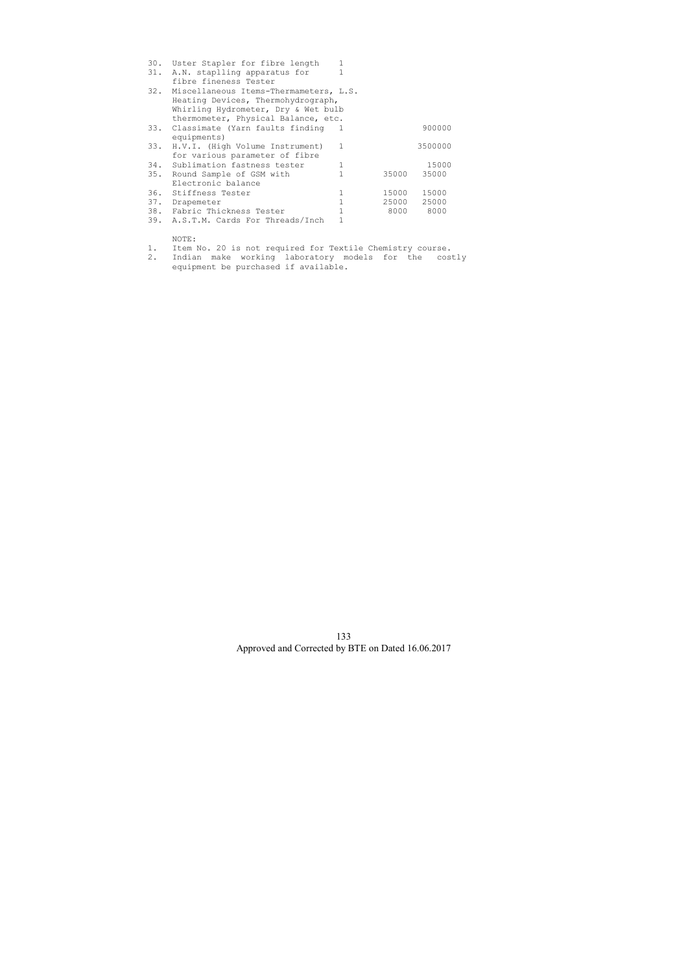| 30. | Uster Stapler for fibre length             | 1 |       |         |
|-----|--------------------------------------------|---|-------|---------|
| 31. | A.N. staplling apparatus for               |   |       |         |
|     | fibre fineness Tester                      |   |       |         |
|     | 32. Miscellaneous Items-Thermameters, L.S. |   |       |         |
|     | Heating Devices, Thermohydrograph,         |   |       |         |
|     | Whirling Hydrometer, Dry & Wet bulb        |   |       |         |
|     | thermometer, Physical Balance, etc.        |   |       |         |
| 33. | Classimate (Yarn faults finding 1          |   |       | 900000  |
|     | equipments)                                |   |       |         |
| 33. | H.V.I. (High Volume Instrument)            | 1 |       | 3500000 |
|     | for various parameter of fibre             |   |       |         |
|     | 34. Sublimation fastness tester            |   |       | 15000   |
|     | 35. Round Sample of GSM with               |   | 35000 | 35000   |
|     | Electronic balance                         |   |       |         |
|     | 36. Stiffness Tester                       | 1 | 15000 | 15000   |
| 37. | Drapemeter                                 |   | 25000 | 25000   |
|     | 38. Fabric Thickness Tester                |   | 8000  | 8000    |
| 39. | A.S.T.M. Cards For Threads/Inch            |   |       |         |

NOTE:

1. Item No. 20 is not required for Textile Chemistry course.

2. Indian make working laboratory models for the costly equipment be purchased if available.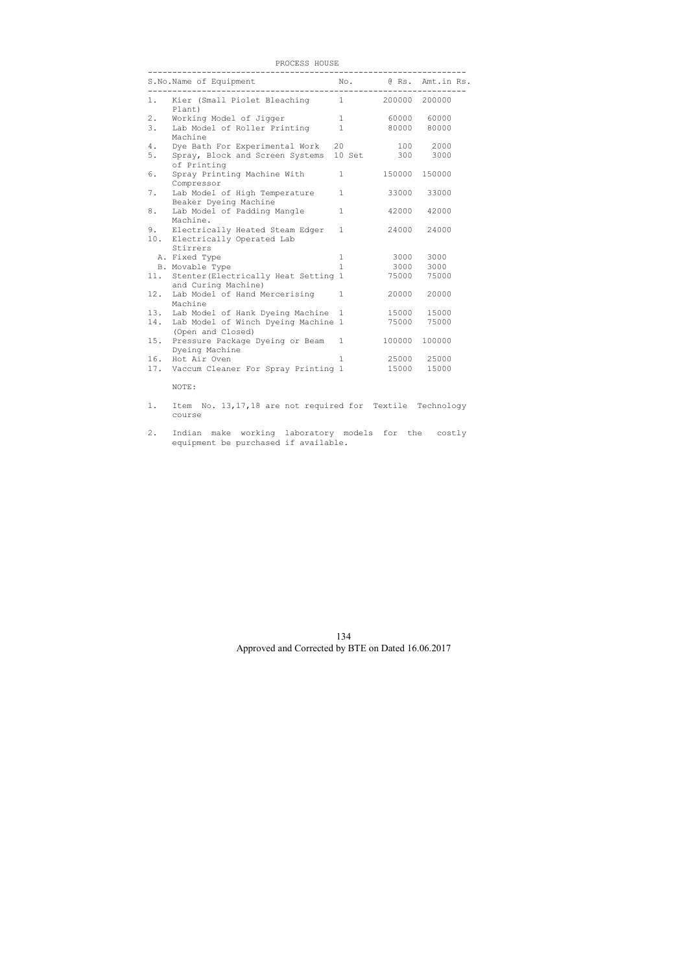| PROCESS HOUSE |  |
|---------------|--|
|               |  |

|           | S.No.Name of Equipment                                                   |              |        | No. @ Rs. Amt.in Rs. |
|-----------|--------------------------------------------------------------------------|--------------|--------|----------------------|
| 1.        | Kier (Small Piolet Bleaching<br>Plant)                                   | $\mathbf{1}$ |        | 200000 200000        |
| $2$ .     | Working Model of Jigger                                                  | $\mathbf{1}$ | 60000  | 60000                |
| 3.        | Lab Model of Roller Printing<br>Machine                                  | $\mathbf{1}$ | 80000  | 80000                |
| 4.        | Dye Bath For Experimental Work                                           | 20           | 100    | 2000                 |
| 5.        | Spray, Block and Screen Systems<br>of Printing                           | 10 Set       | 300    | 3000                 |
| 6.        | Spray Printing Machine With<br>Compressor                                | $\mathbf{1}$ | 150000 | 150000               |
| 7.        | Lab Model of High Temperature<br>Beaker Dyeing Machine                   | $\mathbf{1}$ | 33000  | 33000                |
| 8.        | Lab Model of Padding Mangle<br>Machine.                                  | $\mathbf{1}$ | 42000  | 42000                |
| 9.<br>10. | Electrically Heated Steam Edger<br>Electrically Operated Lab<br>Stirrers | $\mathbf{1}$ | 24000  | 24000                |
|           | A. Fixed Type                                                            | 1            | 3000   | 3000                 |
|           | B. Movable Type                                                          | $\mathbf{1}$ | 3000   | 3000                 |
| 11.       | Stenter (Electrically Heat Setting 1<br>and Curing Machine)              |              | 75000  | 75000                |
| 12.       | Lab Model of Hand Mercerising<br>Machine                                 | $\mathbf{1}$ | 20000  | 20000                |
| 13.       | Lab Model of Hank Dyeing Machine                                         | $\mathbf{1}$ | 15000  | 15000                |
| 14.       | Lab Model of Winch Dyeing Machine 1<br>(Open and Closed)                 |              | 75000  | 75000                |
| 15.       | Pressure Package Dyeing or Beam<br>Dyeing Machine                        | $\mathbf{1}$ | 100000 | 100000               |
| 16.       | Hot Air Oven                                                             | $\mathbf{1}$ | 25000  | 25000                |
|           | 17. Vaccum Cleaner For Spray Printing 1                                  |              | 15000  | 15000                |

NOTE:

- 1. Item No. 13,17,18 are not required for Textile Technology course
- 2. Indian make working laboratory models for the costly equipment be purchased if available.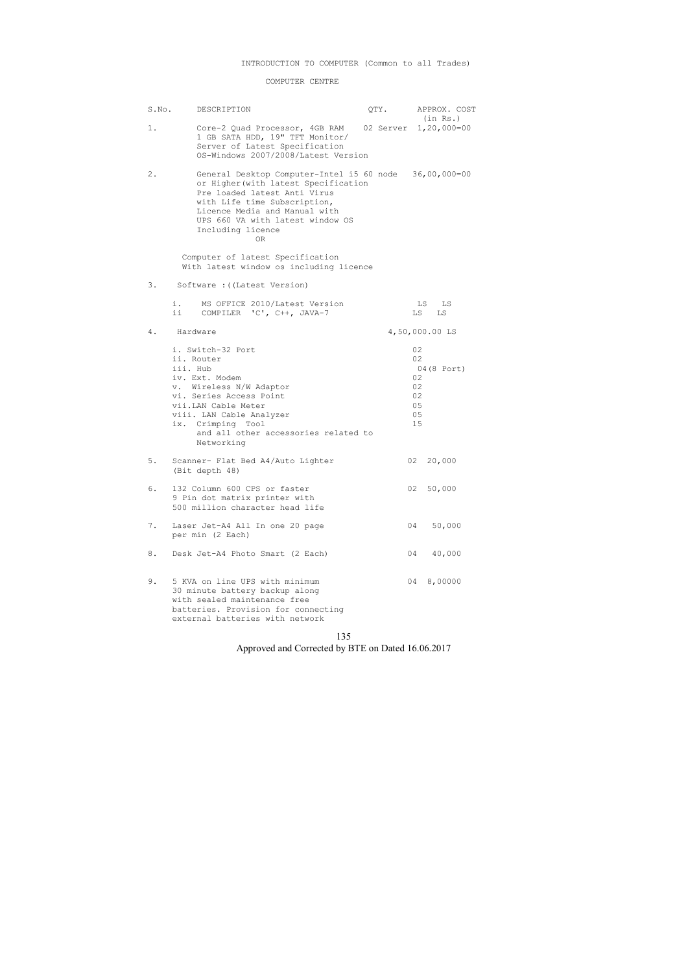#### COMPUTER CENTRE

| S.No. | DESCRIPTION                                                                                                                                                                                                                                                    | QTY. |                                              | APPROX. COST<br>(in Rs.) |
|-------|----------------------------------------------------------------------------------------------------------------------------------------------------------------------------------------------------------------------------------------------------------------|------|----------------------------------------------|--------------------------|
| $1$ . | Core-2 Quad Processor, 4GB RAM 02 Server 1,20,000=00<br>1 GB SATA HDD, 19" TFT Monitor/<br>Server of Latest Specification<br>OS-Windows 2007/2008/Latest Version                                                                                               |      |                                              |                          |
| $2$ . | General Desktop Computer-Intel i5 60 node 36,00,000=00<br>or Higher (with latest Specification<br>Pre loaded latest Anti Virus<br>with Life time Subscription,<br>Licence Media and Manual with<br>UPS 660 VA with latest window OS<br>Including licence<br>0R |      |                                              |                          |
|       | Computer of latest Specification<br>With latest window os including licence                                                                                                                                                                                    |      |                                              |                          |
| 3.    | Software : ((Latest Version)                                                                                                                                                                                                                                   |      |                                              |                          |
|       | i.<br>MS OFFICE 2010/Latest Version<br>ii.<br>COMPILER 'C', C++, JAVA-7                                                                                                                                                                                        |      | LS<br>LS                                     | LS<br>LS                 |
| 4.    | Hardware                                                                                                                                                                                                                                                       |      |                                              | 4,50,000.00 LS           |
|       | i. Switch-32 Port<br>ii. Router<br>iii. Hub<br>iv. Ext. Modem<br>v. Wireless N/W Adaptor<br>vi. Series Access Point<br>vii.LAN Cable Meter<br>viii. LAN Cable Analyzer<br>ix. Crimping Tool<br>and all other accessories related to<br>Networking              |      | 02<br>02<br>02<br>02<br>02<br>05<br>05<br>15 | 04 (8 Port)              |
| 5.    | Scanner- Flat Bed A4/Auto Lighter<br>(Bit depth 48)                                                                                                                                                                                                            |      | 02                                           | 20,000                   |
| 6.    | 132 Column 600 CPS or faster<br>9 Pin dot matrix printer with<br>500 million character head life                                                                                                                                                               |      |                                              | 02 50,000                |
| 7.    | Laser Jet-A4 All In one 20 page<br>per min (2 Each)                                                                                                                                                                                                            |      | 04                                           | 50,000                   |
| 8.    | Desk Jet-A4 Photo Smart (2 Each)                                                                                                                                                                                                                               |      | 04                                           | 40,000                   |
| 9.    | 5 KVA on line UPS with minimum<br>30 minute battery backup along<br>with sealed maintenance free<br>batteries. Provision for connecting<br>external batteries with network                                                                                     |      | 04                                           | 8,00000                  |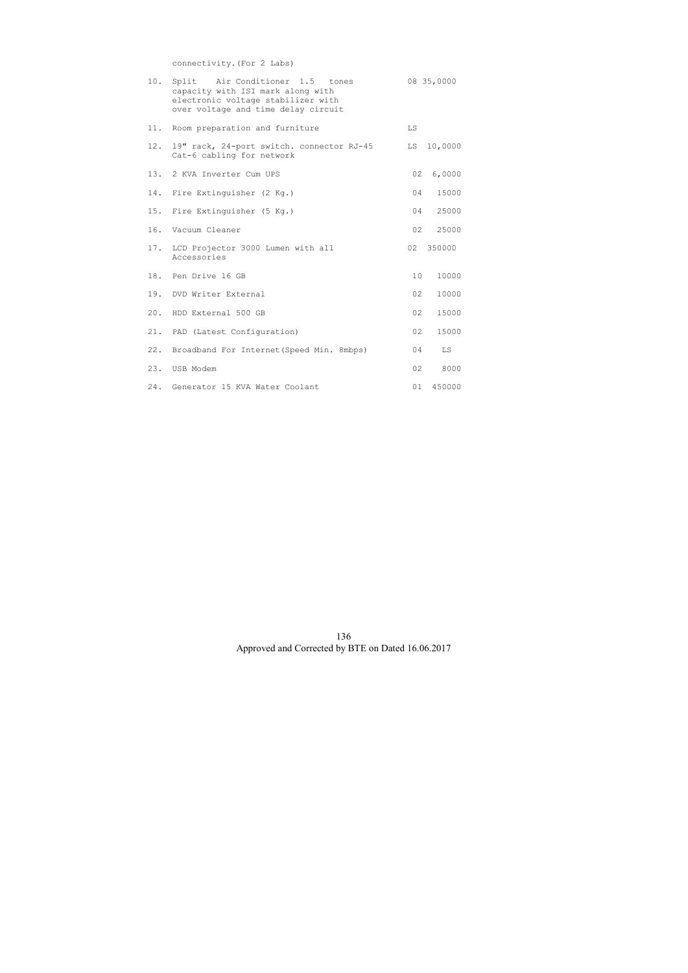connectivity.(For 2 Labs)

| 10. | Split Air Conditioner 1.5 tones<br>capacity with ISI mark along with<br>electronic voltage stabilizer with<br>over voltage and time delay circuit |                 | 08 35,0000 |
|-----|---------------------------------------------------------------------------------------------------------------------------------------------------|-----------------|------------|
| 11. | Room preparation and furniture                                                                                                                    | LS              |            |
| 12. | 19" rack, 24-port switch. connector RJ-45<br>Cat-6 cabling for network                                                                            | LS              | 10,0000    |
|     | 13. 2 KVA Inverter Cum UPS                                                                                                                        | 02              | 6,0000     |
| 14. | Fire Extinguisher (2 Kg.)                                                                                                                         | 04              | 15000      |
| 15. | Fire Extinguisher (5 Kg.)                                                                                                                         | 04              | 25000      |
| 16. | Vacuum Cleaner                                                                                                                                    | 02              | 25000      |
| 17. | LCD Projector 3000 Lumen with all<br>Accessories                                                                                                  | 02              | 350000     |
|     | 18. Pen Drive 16 GB                                                                                                                               | 10 <sup>°</sup> | 10000      |
|     | 19. DVD Writer External                                                                                                                           | 02              | 10000      |
| 20. | HDD External 500 GB                                                                                                                               | 02              | 15000      |
| 21. | PAD (Latest Configuration)                                                                                                                        | 02              | 15000      |
| 22. | Broadband For Internet (Speed Min. 8mbps)                                                                                                         | 04              | LS         |
|     | 23. USB Modem                                                                                                                                     | 02              | 8000       |
| 24. | Generator 15 KVA Water Coolant                                                                                                                    | 01              | 450000     |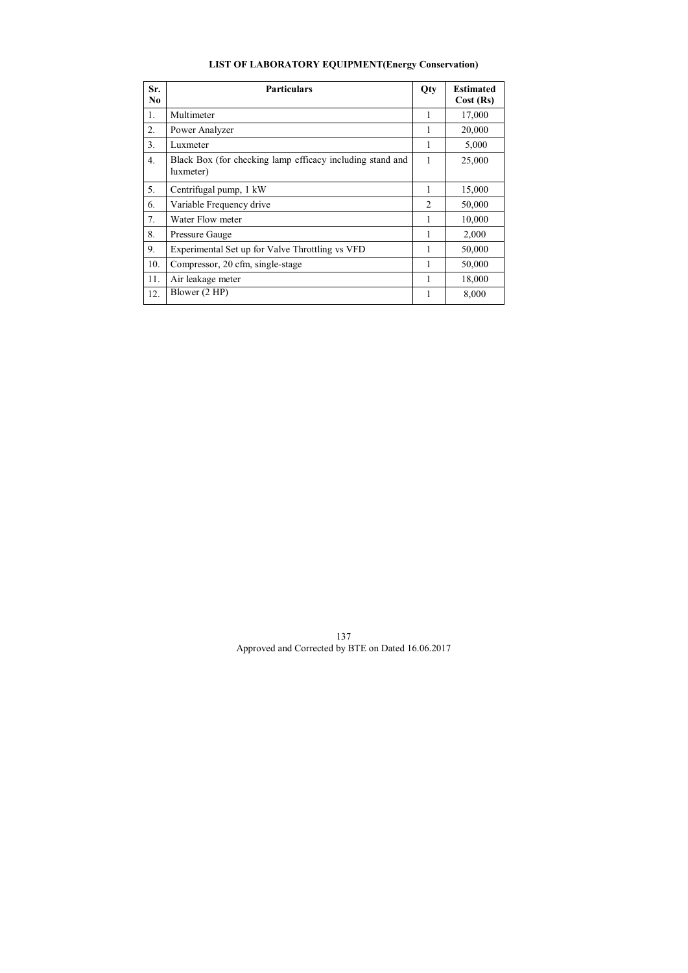# **LIST OF LABORATORY EQUIPMENT(Energy Conservation)**

| Sr.<br>N <sub>0</sub> | <b>Particulars</b>                                                     | Qty            | <b>Estimated</b><br>Cost (Rs) |
|-----------------------|------------------------------------------------------------------------|----------------|-------------------------------|
| 1.                    | Multimeter                                                             |                | 17,000                        |
| 2.                    | Power Analyzer                                                         | 1              | 20,000                        |
| 3 <sub>1</sub>        | Luxmeter                                                               |                | 5,000                         |
| 4.                    | Black Box (for checking lamp efficacy including stand and<br>luxmeter) | 1              | 25,000                        |
| 5.                    | Centrifugal pump, 1 kW                                                 |                | 15,000                        |
| 6.                    | Variable Frequency drive                                               | $\mathfrak{D}$ | 50,000                        |
| 7.                    | Water Flow meter                                                       |                | 10,000                        |
| 8.                    | Pressure Gauge                                                         | 1              | 2,000                         |
| 9.                    | Experimental Set up for Valve Throttling vs VFD                        |                | 50,000                        |
| 10.                   | Compressor, 20 cfm, single-stage                                       |                | 50,000                        |
| 11.                   | Air leakage meter                                                      |                | 18,000                        |
| 12.                   | Blower (2 HP)                                                          |                | 8,000                         |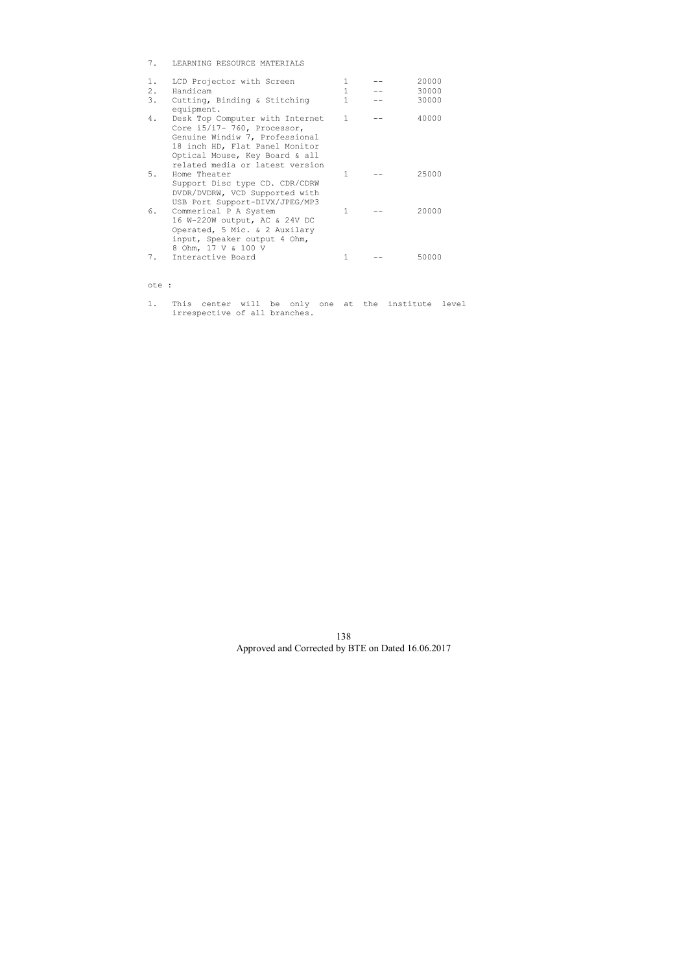7. LEARNING RESOURCE MATERIALS

| 1.<br>2.<br>3. | LCD Projector with Screen<br>Handicam<br>Cutting, Binding & Stitching<br>equipment.                                                                                                                     | 1<br>1<br>1  | 20000<br>30000<br>30000 |
|----------------|---------------------------------------------------------------------------------------------------------------------------------------------------------------------------------------------------------|--------------|-------------------------|
| 4.             | Desk Top Computer with Internet<br>Core i5/i7- 760, Processor,<br>Genuine Windiw 7, Professional<br>18 inch HD, Flat Panel Monitor<br>Optical Mouse, Key Board & all<br>related media or latest version | $\mathbf{1}$ | 40000                   |
| 5.             | Home Theater<br>Support Disc type CD. CDR/CDRW<br>DVDR/DVDRW, VCD Supported with<br>USB Port Support-DIVX/JPEG/MP3                                                                                      | 1            | 25000                   |
| 6.             | Commerical P A System<br>16 W-220W output, AC & 24V DC<br>Operated, 5 Mic. & 2 Auxilary<br>input, Speaker output 4 Ohm,<br>8 Ohm, 17 V & 100 V                                                          | 1            | 20000                   |
| 7.             | Interactive Board                                                                                                                                                                                       |              | 50000                   |

### ote :

1. This center will be only one at the institute level irrespective of all branches.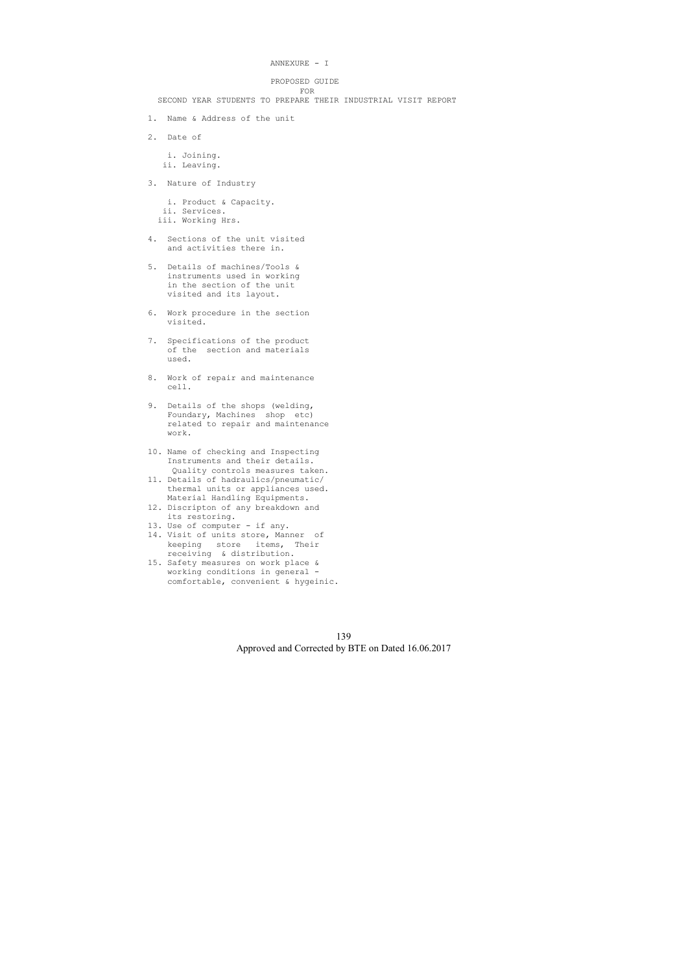```
 ANNEXURE - I
```
PROPOSED GUIDE

 FOR SECOND YEAR STUDENTS TO PREPARE THEIR INDUSTRIAL VISIT REPORT

- 1. Name & Address of the unit
- 2. Date of

 i. Joining. ii. Leaving.

3. Nature of Industry

 i. Product & Capacity. ii. Services. iii. Working Hrs.

- 4. Sections of the unit visited and activities there in.
- 5. Details of machines/Tools & instruments used in working in the section of the unit visited and its layout.
- 6. Work procedure in the section visited.
- 7. Specifications of the product of the section and materials used.
- 8. Work of repair and maintenance cell.
- 9. Details of the shops (welding, Foundary, Machines shop etc) related to repair and maintenance work.
- 10. Name of checking and Inspecting Instruments and their details. Quality controls measures taken.
- 11. Details of hadraulics/pneumatic/ thermal units or appliances used. Material Handling Equipments.
- 12. Discripton of any breakdown and its restoring.
- 13. Use of computer if any.
- 14. Visit of units store, Manner of keeping store items, Their receiving & distribution.
- 15. Safety measures on work place & working conditions in general comfortable, convenient & hygeinic.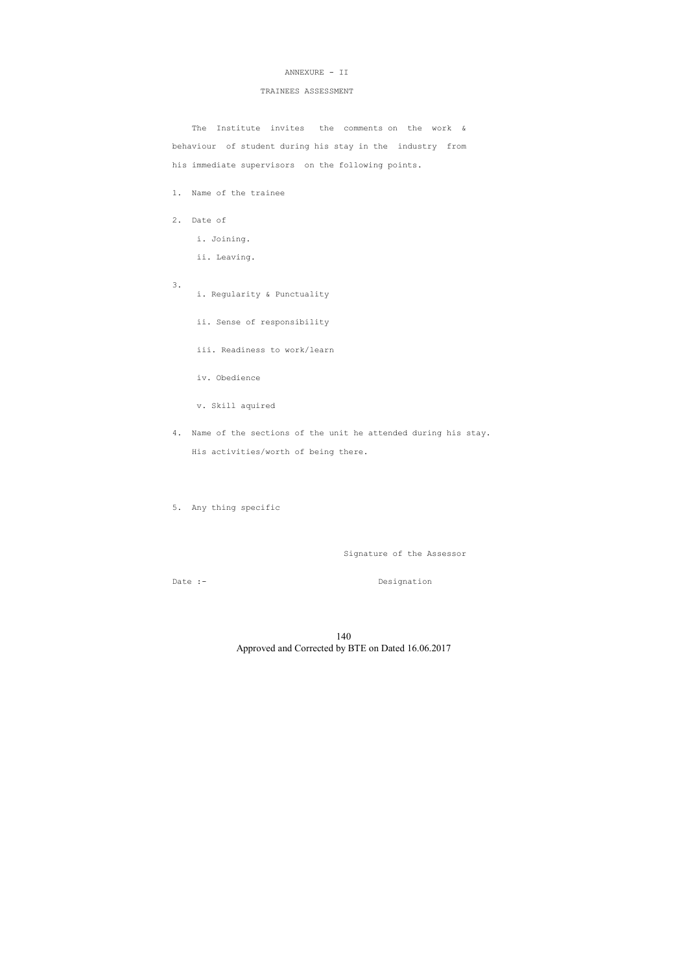#### ANNEXURE - II

#### TRAINEES ASSESSMENT

The Institute invites the comments on the work & behaviour of student during his stay in the industry from his immediate supervisors on the following points.

1. Name of the trainee

- 2. Date of
	- i. Joining.
	- ii. Leaving.
- 3.
- i. Regularity & Punctuality
- ii. Sense of responsibility
- iii. Readiness to work/learn
- iv. Obedience
- v. Skill aquired
- 4. Name of the sections of the unit he attended during his stay. His activities/worth of being there.

5. Any thing specific

Signature of the Assessor

Date :- Designation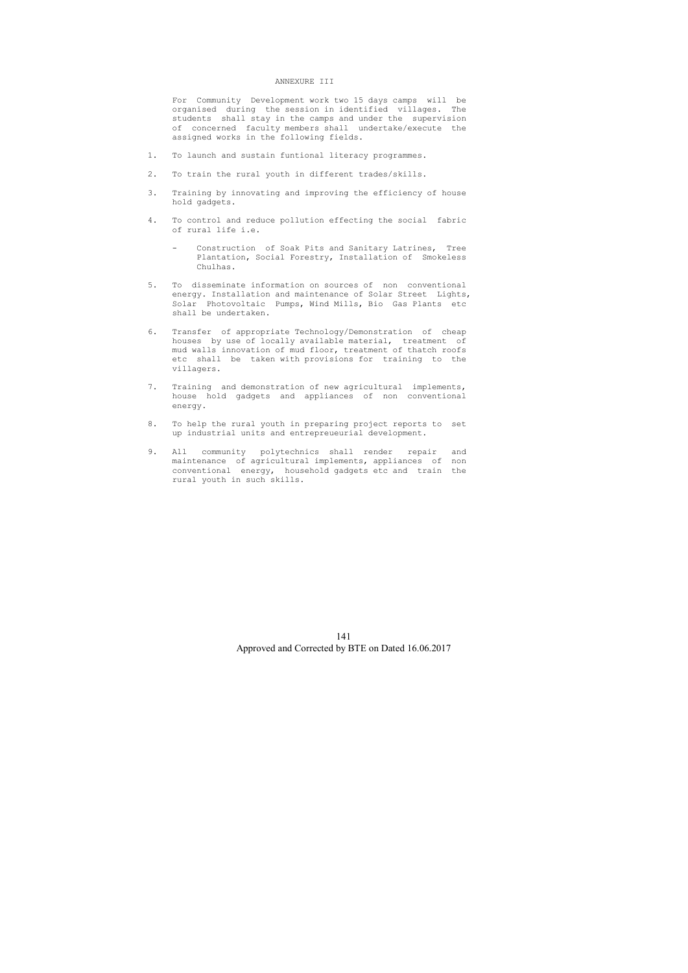#### ANNEXURE III

 For Community Development work two 15 days camps will be organised during the session in identified villages. The students shall stay in the camps and under the supervision of concerned faculty members shall undertake/execute the assigned works in the following fields.

- 1. To launch and sustain funtional literacy programmes.
- 2. To train the rural youth in different trades/skills.
- 3. Training by innovating and improving the efficiency of house hold gadgets.
- 4. To control and reduce pollution effecting the social fabric of rural life i.e.
	- Construction of Soak Pits and Sanitary Latrines, Tree Plantation, Social Forestry, Installation of Smokeless Chulhas.
- 5. To disseminate information on sources of non conventional energy. Installation and maintenance of Solar Street Lights, Solar Photovoltaic Pumps, Wind Mills, Bio Gas Plants etc shall be undertaken.
- 6. Transfer of appropriate Technology/Demonstration of cheap houses by use of locally available material, treatment of mud walls innovation of mud floor, treatment of thatch roofs etc shall be taken with provisions for training to the villagers.
- 7. Training and demonstration of new agricultural implements, house hold gadgets and appliances of non conventional energy.
- 8. To help the rural youth in preparing project reports to set up industrial units and entrepreueurial development.
- 9. All community polytechnics shall render repair and maintenance of agricultural implements, appliances of non conventional energy, household gadgets etc and train the rural youth in such skills.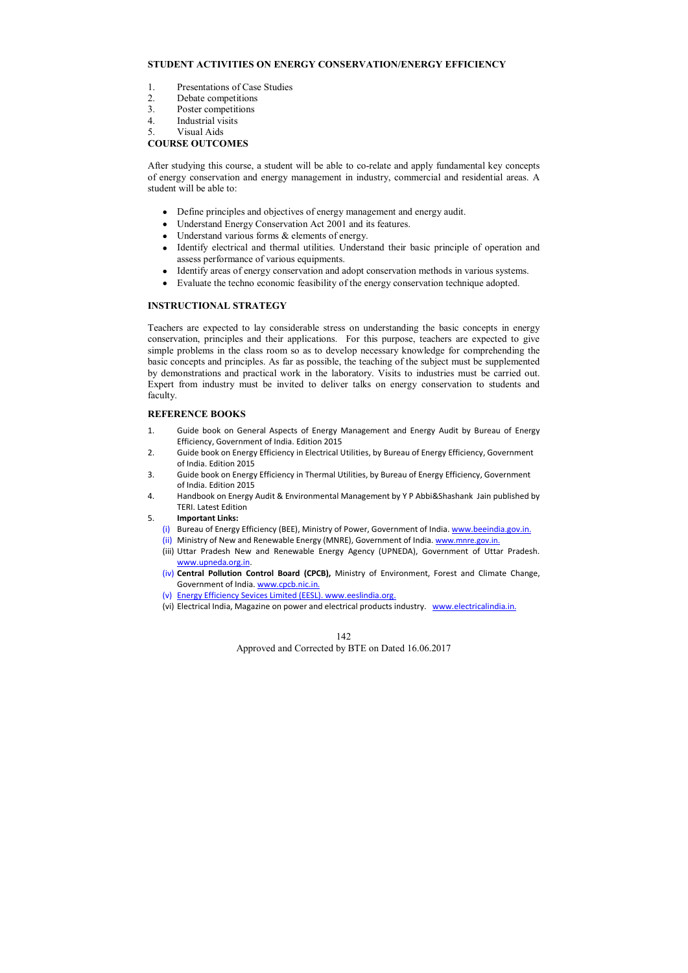# **STUDENT ACTIVITIES ON ENERGY CONSERVATION/ENERGY EFFICIENCY**

- 1. Presentations of Case Studies
- 2. Debate competitions
- 3. Poster competitions
- 4. Industrial visits
- 5. Visual Aids

# **COURSE OUTCOMES**

After studying this course, a student will be able to co-relate and apply fundamental key concepts of energy conservation and energy management in industry, commercial and residential areas. A student will be able to:

- Define principles and objectives of energy management and energy audit.
- Understand Energy Conservation Act 2001 and its features.
- Understand various forms  $\&$  elements of energy.
- Identify electrical and thermal utilities. Understand their basic principle of operation and assess performance of various equipments.
- Identify areas of energy conservation and adopt conservation methods in various systems.
- Evaluate the techno economic feasibility of the energy conservation technique adopted.

# **INSTRUCTIONAL STRATEGY**

Teachers are expected to lay considerable stress on understanding the basic concepts in energy conservation, principles and their applications. For this purpose, teachers are expected to give simple problems in the class room so as to develop necessary knowledge for comprehending the basic concepts and principles. As far as possible, the teaching of the subject must be supplemented by demonstrations and practical work in the laboratory. Visits to industries must be carried out. Expert from industry must be invited to deliver talks on energy conservation to students and faculty.

# **REFERENCE BOOKS**

- 1. Guide book on General Aspects of Energy Management and Energy Audit by Bureau of Energy Efficiency, Government of India. Edition 2015
- 2. Guide book on Energy Efficiency in Electrical Utilities, by Bureau of Energy Efficiency, Government of India. Edition 2015
- 3. Guide book on Energy Efficiency in Thermal Utilities, by Bureau of Energy Efficiency, Government of India. Edition 2015
- 4. Handbook on Energy Audit & Environmental Management by Y P Abbi&Shashank Jain published by TERI. Latest Edition
- 5. **Important Links:** 
	- (i) Bureau of Energy Efficiency (BEE), Ministry of Power, Government of India. www.beeindia.gov.in.
	- (ii) Ministry of New and Renewable Energy (MNRE), Government of India. www.mnre.gov.in.
	- (iii) Uttar Pradesh New and Renewable Energy Agency (UPNEDA), Government of Uttar Pradesh. www.upneda.org.in.
	- (iv) **Central Pollution Control Board (CPCB),** Ministry of Environment, Forest and Climate Change, Government of India. www.cpcb.nic.in.
	- (v) Energy Efficiency Sevices Limited (EESL). www.eeslindia.org.
	- (vi) Electrical India, Magazine on power and electrical products industry. www.electricalindia.in.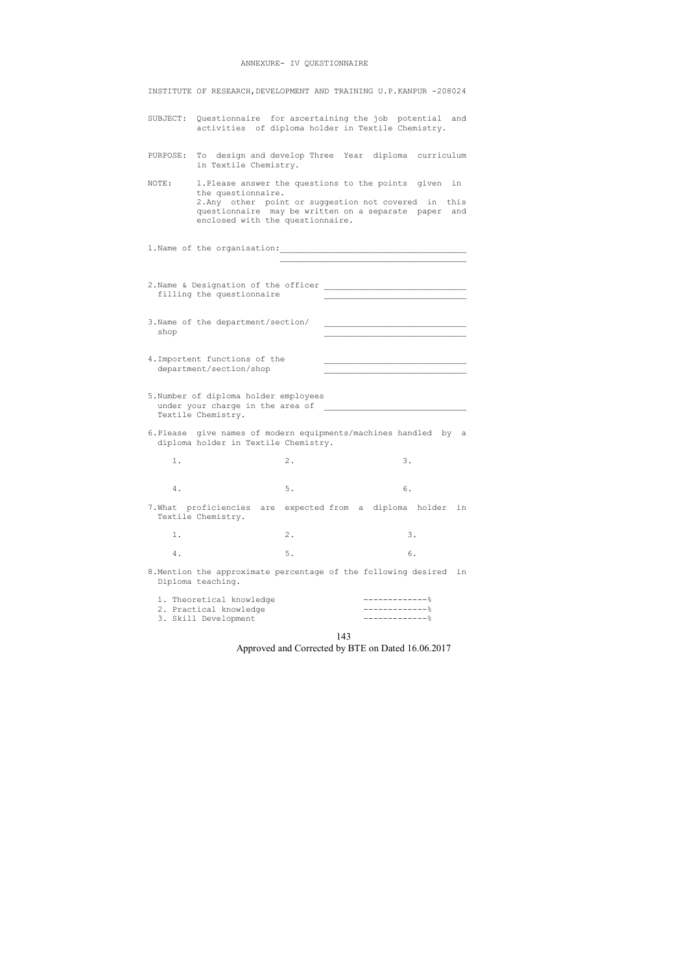# ANNEXURE- IV QUESTIONNAIRE

|                                             | INSTITUTE OF RESEARCH, DEVELOPMENT AND TRAINING U.P.KANPUR -208024                                                                                                                                                          |       |                                |     |  |
|---------------------------------------------|-----------------------------------------------------------------------------------------------------------------------------------------------------------------------------------------------------------------------------|-------|--------------------------------|-----|--|
|                                             | SUBJECT: Questionnaire for ascertaining the job potential and<br>activities of diploma holder in Textile Chemistry.                                                                                                         |       |                                |     |  |
| PURPOSE:                                    | To design and develop Three Year diploma curriculum<br>in Textile Chemistry.                                                                                                                                                |       |                                |     |  |
| NOTE:                                       | 1. Please answer the questions to the points given in<br>the questionnaire.<br>2. Any other point or suggestion not covered in this<br>questionnaire may be written on a separate paper<br>enclosed with the questionnaire. |       |                                | and |  |
|                                             |                                                                                                                                                                                                                             |       |                                |     |  |
|                                             | 2. Name & Designation of the officer<br>filling the questionnaire                                                                                                                                                           |       |                                |     |  |
| shop                                        | 3. Name of the department/section/                                                                                                                                                                                          |       |                                |     |  |
|                                             | 4. Importent functions of the<br>department/section/shop                                                                                                                                                                    |       |                                |     |  |
| Textile Chemistry.                          | 5. Number of diploma holder employees<br>under your charge in the area of                                                                                                                                                   |       |                                |     |  |
|                                             | 6. Please give names of modern equipments/machines handled by a<br>diploma holder in Textile Chemistry.                                                                                                                     |       |                                |     |  |
| 1.                                          |                                                                                                                                                                                                                             | $2$ . | 3.                             |     |  |
| 4.                                          |                                                                                                                                                                                                                             | $5$ . | 6.                             |     |  |
| 7. What proficiencies<br>Textile Chemistry. | are                                                                                                                                                                                                                         |       | expected from a diploma holder | in  |  |
| 1.                                          |                                                                                                                                                                                                                             | $2$ . | 3.                             |     |  |
| 4.                                          |                                                                                                                                                                                                                             | $5$ . | 6.                             |     |  |
| Diploma teaching.                           | 8. Mention the approximate percentage of the following desired                                                                                                                                                              |       |                                | in  |  |
|                                             | 1. Theoretical knowledge<br>2. Practical knowledge<br>3. Skill Development                                                                                                                                                  |       | -------------                  |     |  |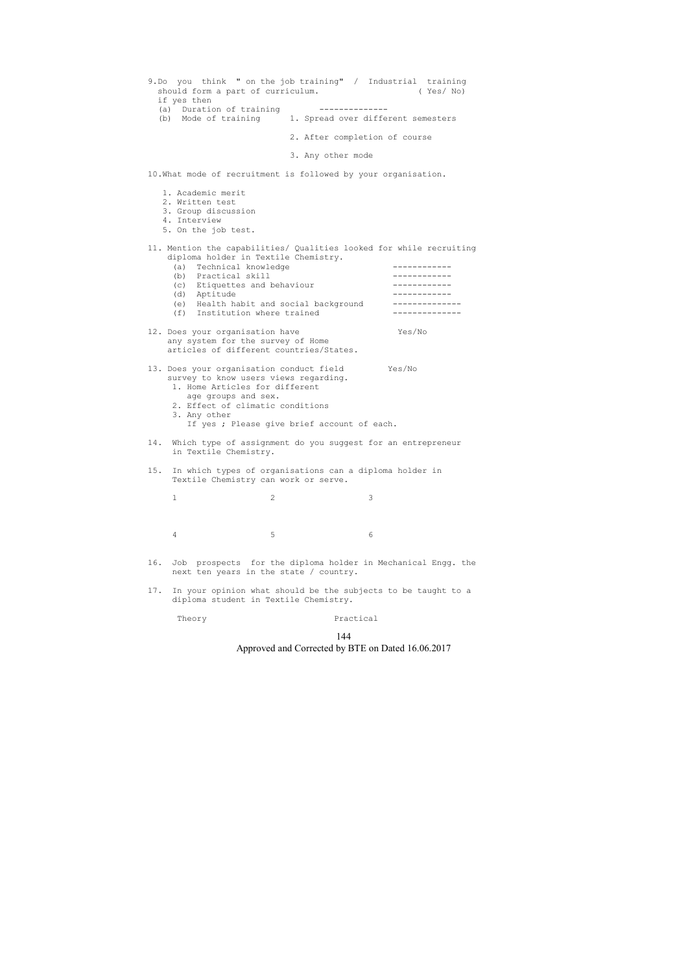## 144 Approved and Corrected by BTE on Dated 16.06.2017

| should form a part of curriculum.<br>if yes then<br>(a) Duration of training                                                                                                                          | 9.Do you think " on the job training" / Industrial training<br>( Yes/ No)<br>(b) Mode of training 1. Spread over different semesters |
|-------------------------------------------------------------------------------------------------------------------------------------------------------------------------------------------------------|--------------------------------------------------------------------------------------------------------------------------------------|
|                                                                                                                                                                                                       | 2. After completion of course                                                                                                        |
|                                                                                                                                                                                                       | 3. Any other mode                                                                                                                    |
| 10. What mode of recruitment is followed by your organisation.                                                                                                                                        |                                                                                                                                      |
| 1. Academic merit<br>2. Written test<br>3. Group discussion<br>4. Interview<br>5. On the job test.                                                                                                    |                                                                                                                                      |
| diploma holder in Textile Chemistry.<br>Technical knowledge<br>(a)                                                                                                                                    | 11. Mention the capabilities/ Qualities looked for while recruiting                                                                  |
| (b) Practical skill<br>(c) Etiquettes and behaviour                                                                                                                                                   |                                                                                                                                      |
| (d) Aptitude                                                                                                                                                                                          |                                                                                                                                      |
| (e) Health habit and social background<br>(f) Institution where trained                                                                                                                               |                                                                                                                                      |
| 12. Does your organisation have<br>any system for the survey of Home<br>articles of different countries/States.                                                                                       | Yes/No                                                                                                                               |
| 13. Does your organisation conduct field Yes/No<br>survey to know users views regarding.<br>1. Home Articles for different<br>age groups and sex.<br>2. Effect of climatic conditions<br>3. Any other | If yes ; Please give brief account of each.                                                                                          |
| 14.<br>Which type of assignment do you suggest for an entrepreneur<br>in Textile Chemistry.                                                                                                           |                                                                                                                                      |
| 15.<br>In which types of organisations can a diploma holder in<br>Textile Chemistry can work or serve.                                                                                                |                                                                                                                                      |
| $\mathbf{2}$<br>1                                                                                                                                                                                     | 3                                                                                                                                    |
|                                                                                                                                                                                                       |                                                                                                                                      |
| 5<br>4                                                                                                                                                                                                | 6                                                                                                                                    |
| 16.<br>Job prospects for the diploma holder in Mechanical Engg. the<br>next ten years in the state / country.                                                                                         |                                                                                                                                      |
| 17.<br>diploma student in Textile Chemistry.                                                                                                                                                          | In your opinion what should be the subjects to be taught to a                                                                        |
| Theory                                                                                                                                                                                                | Practical                                                                                                                            |